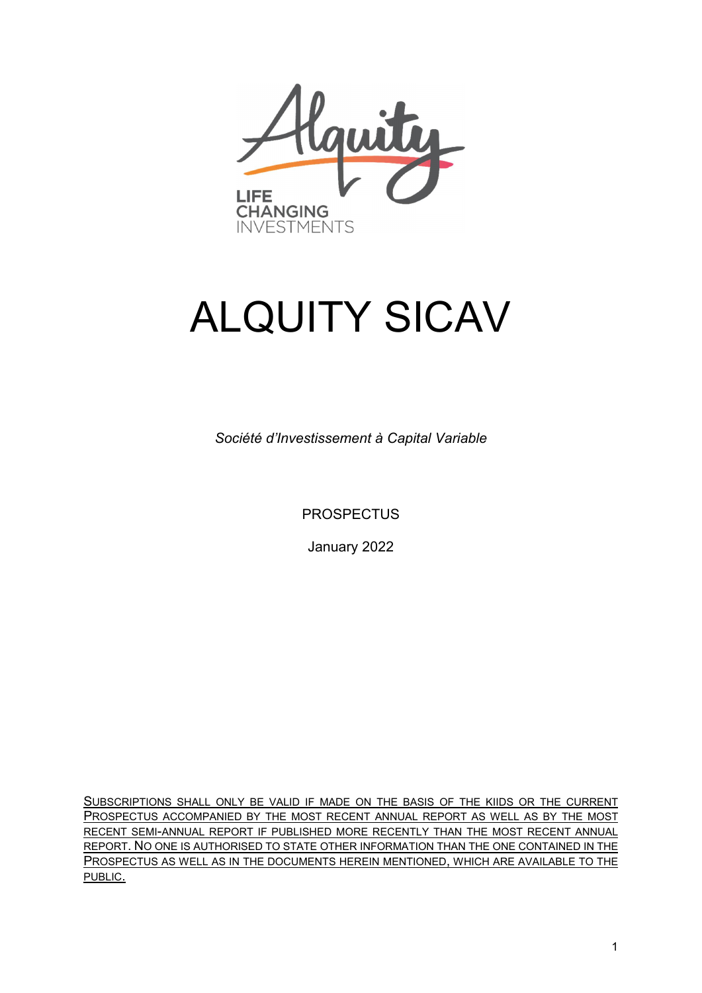

# ALQUITY SICAV

*Société d'Investissement à Capital Variable*

**PROSPECTUS** 

January 2022

SUBSCRIPTIONS SHALL ONLY BE VALID IF MADE ON THE BASIS OF THE KIIDS OR THE CURRENT PROSPECTUS ACCOMPANIED BY THE MOST RECENT ANNUAL REPORT AS WELL AS BY THE MOST RECENT SEMI-ANNUAL REPORT IF PUBLISHED MORE RECENTLY THAN THE MOST RECENT ANNUAL REPORT. NO ONE IS AUTHORISED TO STATE OTHER INFORMATION THAN THE ONE CONTAINED IN THE PROSPECTUS AS WELL AS IN THE DOCUMENTS HEREIN MENTIONED, WHICH ARE AVAILABLE TO THE PUBLIC.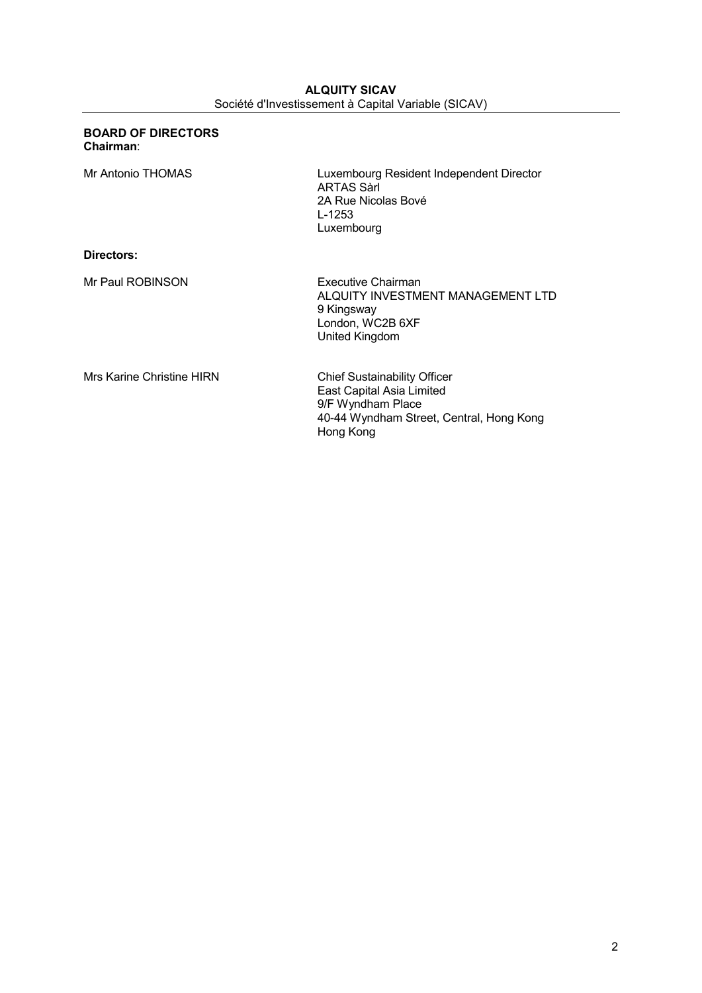| Luxembourg Resident Independent Director<br><b>ARTAS Sarl</b><br>2A Rue Nicolas Bové<br>L-1253<br>Luxembourg                                   |
|------------------------------------------------------------------------------------------------------------------------------------------------|
|                                                                                                                                                |
| Executive Chairman<br>ALQUITY INVESTMENT MANAGEMENT LTD<br>9 Kingsway<br>London, WC2B 6XF<br>United Kingdom                                    |
| <b>Chief Sustainability Officer</b><br>East Capital Asia Limited<br>9/F Wyndham Place<br>40-44 Wyndham Street, Central, Hong Kong<br>Hong Kong |
|                                                                                                                                                |

**BOARD OF DIRECTORS** 

## **ALQUITY SICAV** Société d'Investissement à Capital Variable (SICAV)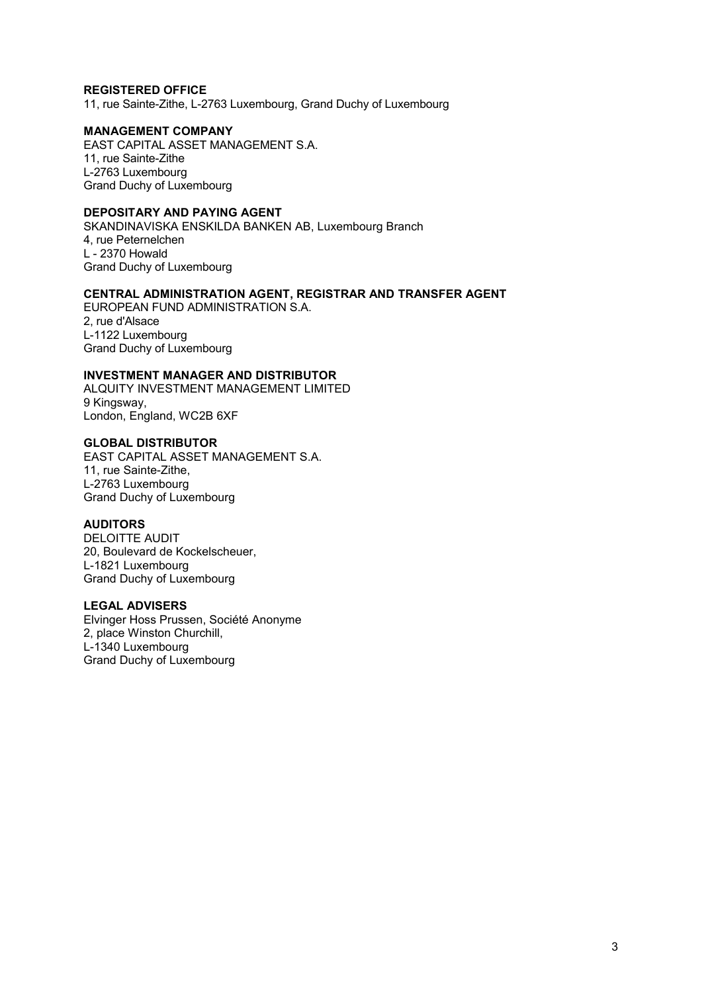## **REGISTERED OFFICE**

11, rue Sainte-Zithe, L-2763 Luxembourg, Grand Duchy of Luxembourg

## **MANAGEMENT COMPANY**

EAST CAPITAL ASSET MANAGEMENT S.A. 11, rue Sainte-Zithe L-2763 Luxembourg Grand Duchy of Luxembourg

## **DEPOSITARY AND PAYING AGENT**

SKANDINAVISKA ENSKILDA BANKEN AB, Luxembourg Branch 4, rue Peternelchen L - 2370 Howald Grand Duchy of Luxembourg

## **CENTRAL ADMINISTRATION AGENT, REGISTRAR AND TRANSFER AGENT**

EUROPEAN FUND ADMINISTRATION S.A. 2, rue d'Alsace L-1122 Luxembourg Grand Duchy of Luxembourg

#### **INVESTMENT MANAGER AND DISTRIBUTOR**

ALQUITY INVESTMENT MANAGEMENT LIMITED 9 Kingsway, London, England, WC2B 6XF

#### **GLOBAL DISTRIBUTOR**

EAST CAPITAL ASSET MANAGEMENT S.A. 11, rue Sainte-Zithe, L-2763 Luxembourg Grand Duchy of Luxembourg

## **AUDITORS**

DELOITTE AUDIT 20, Boulevard de Kockelscheuer, L-1821 Luxembourg Grand Duchy of Luxembourg

#### **LEGAL ADVISERS**

Elvinger Hoss Prussen, Société Anonyme 2, place Winston Churchill, L-1340 Luxembourg Grand Duchy of Luxembourg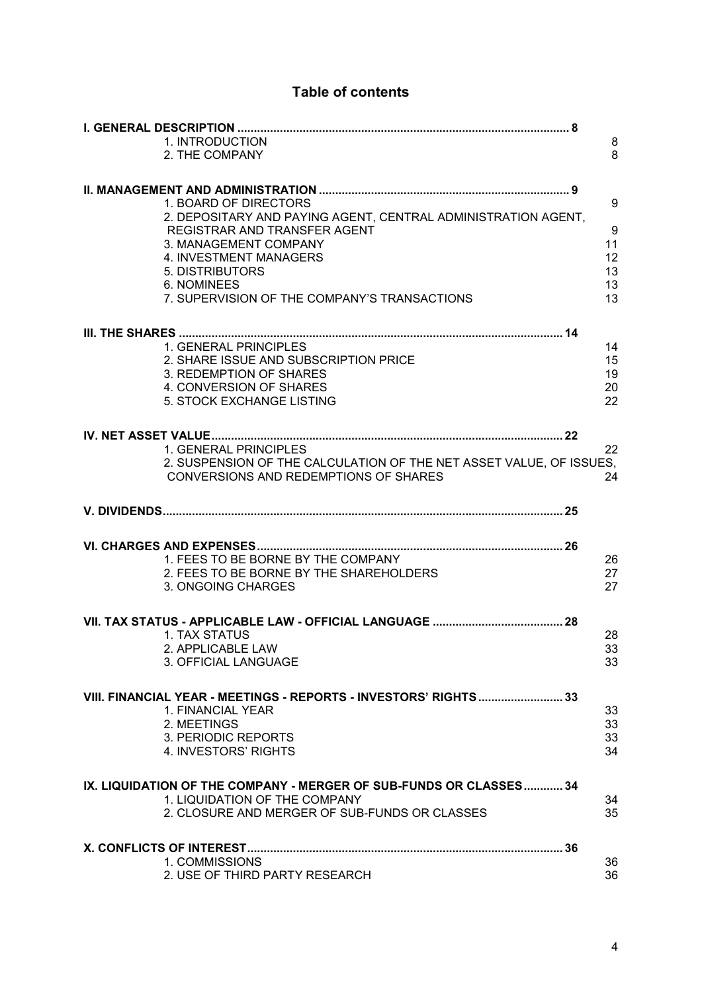# **Table of contents**

|                                                                    | 1. INTRODUCTION                                                                        | 8                |  |
|--------------------------------------------------------------------|----------------------------------------------------------------------------------------|------------------|--|
|                                                                    | 2. THE COMPANY                                                                         | 8                |  |
|                                                                    |                                                                                        |                  |  |
|                                                                    |                                                                                        |                  |  |
|                                                                    | 1. BOARD OF DIRECTORS<br>2. DEPOSITARY AND PAYING AGENT, CENTRAL ADMINISTRATION AGENT, | 9                |  |
|                                                                    | REGISTRAR AND TRANSFER AGENT                                                           | $\boldsymbol{9}$ |  |
|                                                                    | 3. MANAGEMENT COMPANY                                                                  | 11               |  |
|                                                                    | 4. INVESTMENT MANAGERS                                                                 | 12               |  |
|                                                                    | 5. DISTRIBUTORS<br>6. NOMINEES                                                         | 13<br>13         |  |
|                                                                    | 7. SUPERVISION OF THE COMPANY'S TRANSACTIONS                                           | 13               |  |
|                                                                    |                                                                                        |                  |  |
|                                                                    |                                                                                        |                  |  |
|                                                                    | 1. GENERAL PRINCIPLES                                                                  | 14               |  |
|                                                                    | 2. SHARE ISSUE AND SUBSCRIPTION PRICE                                                  | 15               |  |
|                                                                    | 3. REDEMPTION OF SHARES                                                                | 19               |  |
|                                                                    | 4. CONVERSION OF SHARES<br>5. STOCK EXCHANGE LISTING                                   | 20<br>22         |  |
|                                                                    |                                                                                        |                  |  |
|                                                                    | IV. NET ASSET VALUE                                                                    |                  |  |
|                                                                    | 1. GENERAL PRINCIPLES                                                                  | 22               |  |
|                                                                    | 2. SUSPENSION OF THE CALCULATION OF THE NET ASSET VALUE, OF ISSUES,                    |                  |  |
|                                                                    | <b>CONVERSIONS AND REDEMPTIONS OF SHARES</b>                                           | 24               |  |
|                                                                    |                                                                                        |                  |  |
|                                                                    |                                                                                        |                  |  |
|                                                                    |                                                                                        |                  |  |
|                                                                    |                                                                                        |                  |  |
|                                                                    | 1. FEES TO BE BORNE BY THE COMPANY                                                     | 26               |  |
|                                                                    | 2. FEES TO BE BORNE BY THE SHAREHOLDERS<br>3. ONGOING CHARGES                          | 27<br>27         |  |
|                                                                    |                                                                                        |                  |  |
|                                                                    |                                                                                        |                  |  |
|                                                                    | 1. TAX STATUS                                                                          | 28               |  |
|                                                                    | 2. APPLICABLE LAW                                                                      | 33               |  |
|                                                                    | 3. OFFICIAL LANGUAGE                                                                   | 33               |  |
|                                                                    |                                                                                        |                  |  |
|                                                                    | VIII. FINANCIAL YEAR - MEETINGS - REPORTS - INVESTORS' RIGHTS  33                      |                  |  |
|                                                                    | 1. FINANCIAL YEAR                                                                      | 33               |  |
|                                                                    | 2. MEETINGS<br>3. PERIODIC REPORTS                                                     | 33<br>33         |  |
|                                                                    | 4. INVESTORS' RIGHTS                                                                   | 34               |  |
|                                                                    |                                                                                        |                  |  |
| IX. LIQUIDATION OF THE COMPANY - MERGER OF SUB-FUNDS OR CLASSES 34 |                                                                                        |                  |  |
|                                                                    | 1. LIQUIDATION OF THE COMPANY                                                          | 34               |  |
|                                                                    | 2. CLOSURE AND MERGER OF SUB-FUNDS OR CLASSES                                          | 35               |  |
|                                                                    |                                                                                        |                  |  |
|                                                                    |                                                                                        |                  |  |
|                                                                    | 1. COMMISSIONS                                                                         | 36               |  |
|                                                                    | 2. USE OF THIRD PARTY RESEARCH                                                         | 36               |  |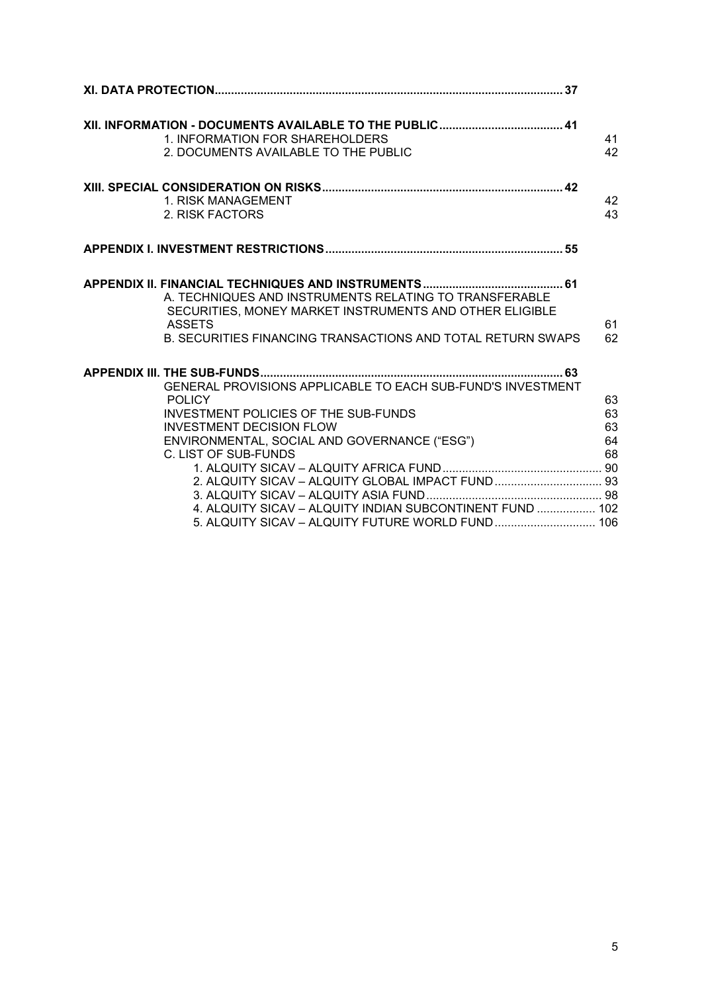| 1. INFORMATION FOR SHAREHOLDERS<br>2. DOCUMENTS AVAILABLE TO THE PUBLIC                                                                                                                                                                                                                                                                                | 41<br>42                   |
|--------------------------------------------------------------------------------------------------------------------------------------------------------------------------------------------------------------------------------------------------------------------------------------------------------------------------------------------------------|----------------------------|
| 1. RISK MANAGEMENT<br>2. RISK FACTORS                                                                                                                                                                                                                                                                                                                  | 42<br>43                   |
|                                                                                                                                                                                                                                                                                                                                                        |                            |
| A. TECHNIQUES AND INSTRUMENTS RELATING TO TRANSFERABLE<br>SECURITIES, MONEY MARKET INSTRUMENTS AND OTHER ELIGIBLE<br><b>ASSETS</b><br>B. SECURITIES FINANCING TRANSACTIONS AND TOTAL RETURN SWAPS                                                                                                                                                      | 61<br>62                   |
| GENERAL PROVISIONS APPLICABLE TO EACH SUB-FUND'S INVESTMENT<br><b>POLICY</b><br><b>INVESTMENT POLICIES OF THE SUB-FUNDS</b><br><b>INVESTMENT DECISION FLOW</b><br>ENVIRONMENTAL, SOCIAL AND GOVERNANCE ("ESG")<br>C. LIST OF SUB-FUNDS<br>2. ALQUITY SICAV - ALQUITY GLOBAL IMPACT FUND 93<br>4. ALQUITY SICAV - ALQUITY INDIAN SUBCONTINENT FUND  102 | 63<br>63<br>63<br>64<br>68 |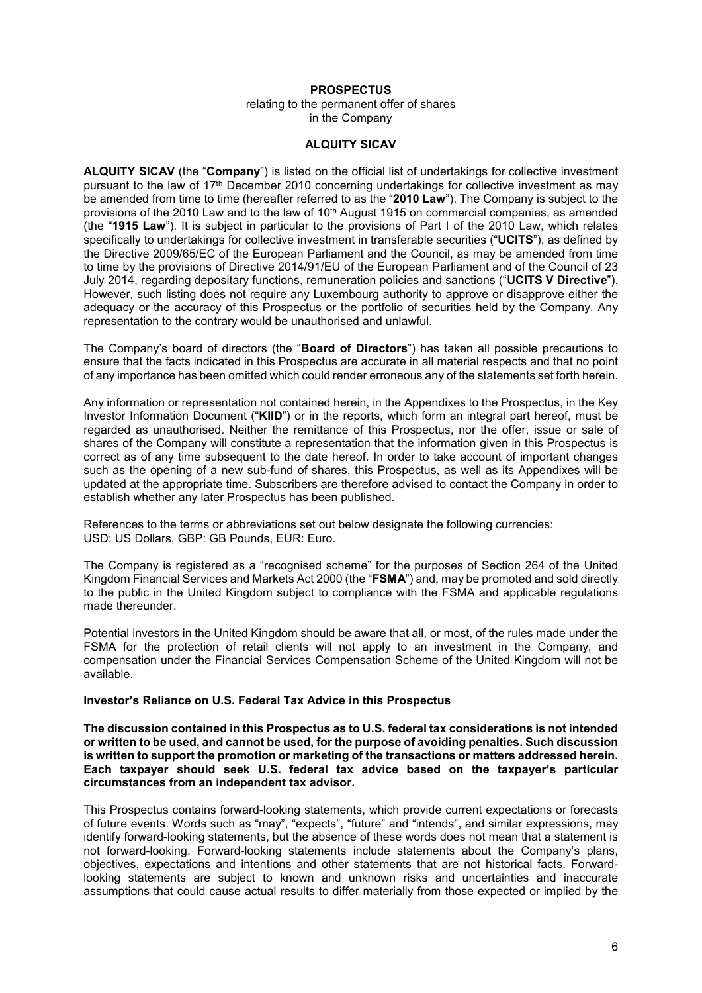## **PROSPECTUS**

relating to the permanent offer of shares in the Company

#### **ALQUITY SICAV**

**ALQUITY SICAV** (the "**Company**") is listed on the official list of undertakings for collective investment pursuant to the law of 17th December 2010 concerning undertakings for collective investment as may be amended from time to time (hereafter referred to as the "**2010 Law**"). The Company is subject to the provisions of the 2010 Law and to the law of 10<sup>th</sup> August 1915 on commercial companies, as amended (the "**1915 Law**"). It is subject in particular to the provisions of Part I of the 2010 Law, which relates specifically to undertakings for collective investment in transferable securities ("**UCITS**"), as defined by the Directive 2009/65/EC of the European Parliament and the Council, as may be amended from time to time by the provisions of Directive 2014/91/EU of the European Parliament and of the Council of 23 July 2014, regarding depositary functions, remuneration policies and sanctions ("**UCITS V Directive**"). However, such listing does not require any Luxembourg authority to approve or disapprove either the adequacy or the accuracy of this Prospectus or the portfolio of securities held by the Company. Any representation to the contrary would be unauthorised and unlawful.

The Company's board of directors (the "**Board of Directors**") has taken all possible precautions to ensure that the facts indicated in this Prospectus are accurate in all material respects and that no point of any importance has been omitted which could render erroneous any of the statements set forth herein.

Any information or representation not contained herein, in the Appendixes to the Prospectus, in the Key Investor Information Document ("**KIID**") or in the reports, which form an integral part hereof, must be regarded as unauthorised. Neither the remittance of this Prospectus, nor the offer, issue or sale of shares of the Company will constitute a representation that the information given in this Prospectus is correct as of any time subsequent to the date hereof. In order to take account of important changes such as the opening of a new sub-fund of shares, this Prospectus, as well as its Appendixes will be updated at the appropriate time. Subscribers are therefore advised to contact the Company in order to establish whether any later Prospectus has been published.

References to the terms or abbreviations set out below designate the following currencies: USD: US Dollars, GBP: GB Pounds, EUR: Euro.

The Company is registered as a "recognised scheme" for the purposes of Section 264 of the United Kingdom Financial Services and Markets Act 2000 (the "**FSMA**") and, may be promoted and sold directly to the public in the United Kingdom subject to compliance with the FSMA and applicable regulations made thereunder.

Potential investors in the United Kingdom should be aware that all, or most, of the rules made under the FSMA for the protection of retail clients will not apply to an investment in the Company, and compensation under the Financial Services Compensation Scheme of the United Kingdom will not be available.

#### **Investor's Reliance on U.S. Federal Tax Advice in this Prospectus**

**The discussion contained in this Prospectus as to U.S. federal tax considerations is not intended or written to be used, and cannot be used, for the purpose of avoiding penalties. Such discussion is written to support the promotion or marketing of the transactions or matters addressed herein. Each taxpayer should seek U.S. federal tax advice based on the taxpayer's particular circumstances from an independent tax advisor.**

This Prospectus contains forward-looking statements, which provide current expectations or forecasts of future events. Words such as "may", "expects", "future" and "intends", and similar expressions, may identify forward-looking statements, but the absence of these words does not mean that a statement is not forward-looking. Forward-looking statements include statements about the Company's plans, objectives, expectations and intentions and other statements that are not historical facts. Forwardlooking statements are subject to known and unknown risks and uncertainties and inaccurate assumptions that could cause actual results to differ materially from those expected or implied by the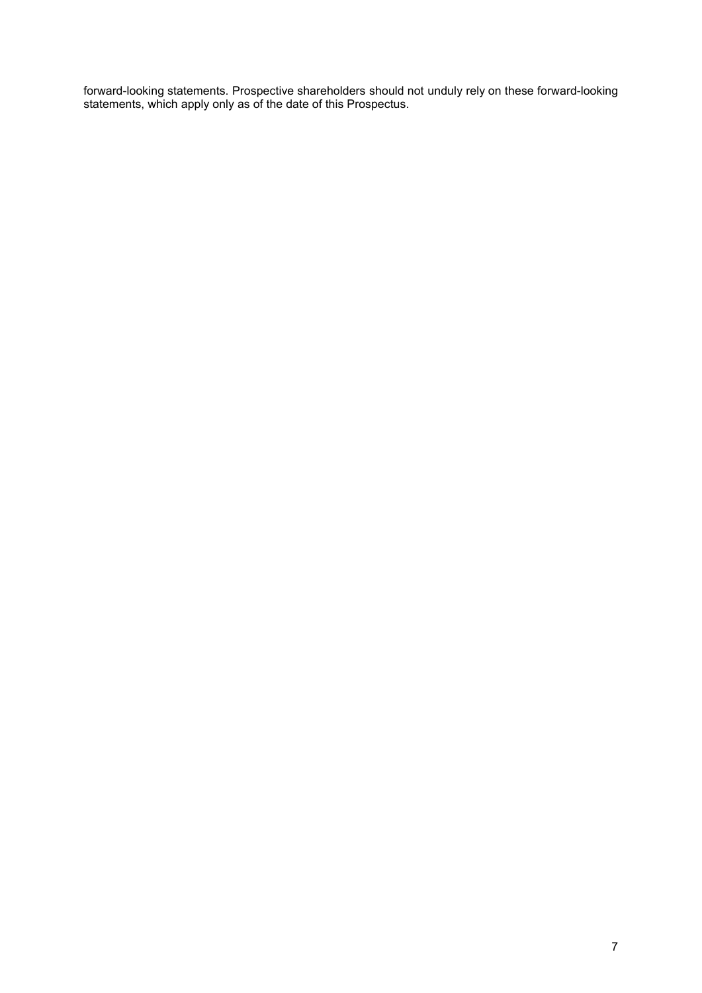forward-looking statements. Prospective shareholders should not unduly rely on these forward-looking statements, which apply only as of the date of this Prospectus.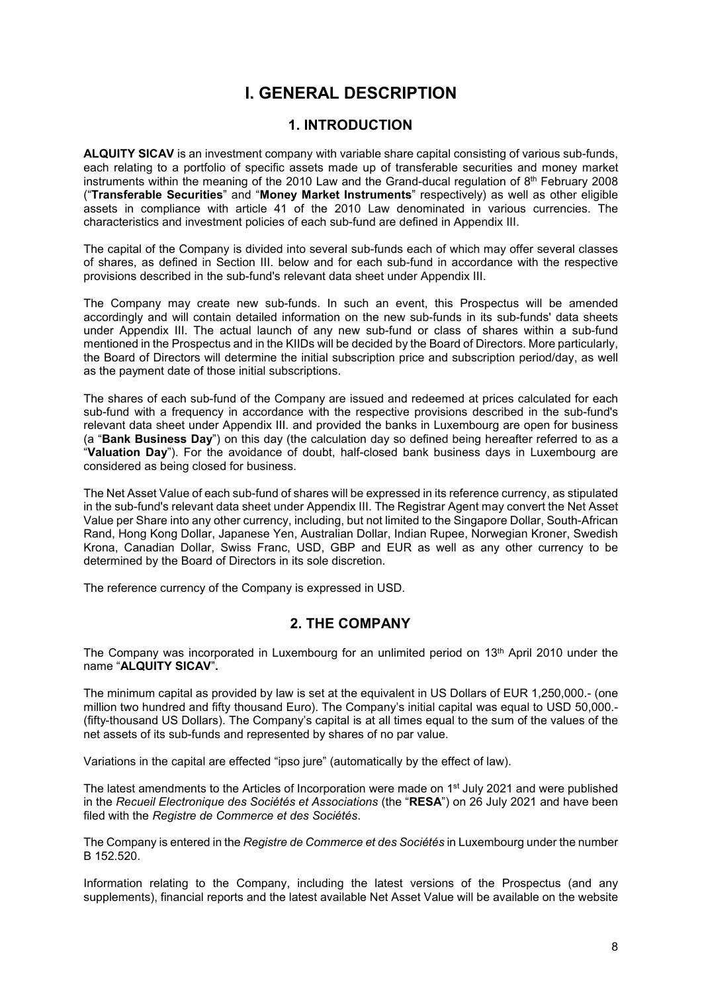# **I. GENERAL DESCRIPTION**

## **1. INTRODUCTION**

<span id="page-7-1"></span><span id="page-7-0"></span>**ALQUITY SICAV** is an investment company with variable share capital consisting of various sub-funds, each relating to a portfolio of specific assets made up of transferable securities and money market instruments within the meaning of the 2010 Law and the Grand-ducal regulation of  $8<sup>th</sup>$  February 2008 ("**Transferable Securities**" and "**Money Market Instruments**" respectively) as well as other eligible assets in compliance with article 41 of the 2010 Law denominated in various currencies. The characteristics and investment policies of each sub-fund are defined in Appendix III.

The capital of the Company is divided into several sub-funds each of which may offer several classes of shares, as defined in [Section III](#page-13-0). below and for each sub-fund in accordance with the respective provisions described in the sub-fund's relevant data sheet under Appendix III.

The Company may create new sub-funds. In such an event, this Prospectus will be amended accordingly and will contain detailed information on the new sub-funds in its sub-funds' data sheets under Appendix III. The actual launch of any new sub-fund or class of shares within a sub-fund mentioned in the Prospectus and in the KIIDs will be decided by the Board of Directors. More particularly, the Board of Directors will determine the initial subscription price and subscription period/day, as well as the payment date of those initial subscriptions.

The shares of each sub-fund of the Company are issued and redeemed at prices calculated for each sub-fund with a frequency in accordance with the respective provisions described in the sub-fund's relevant data sheet under Appendix III. and provided the banks in Luxembourg are open for business (a "**Bank Business Day**") on this day (the calculation day so defined being hereafter referred to as a "**Valuation Day**"). For the avoidance of doubt, half-closed bank business days in Luxembourg are considered as being closed for business.

The Net Asset Value of each sub-fund of shares will be expressed in its reference currency, as stipulated in the sub-fund's relevant data sheet under Appendix III. The Registrar Agent may convert the Net Asset Value per Share into any other currency, including, but not limited to the Singapore Dollar, South-African Rand, Hong Kong Dollar, Japanese Yen, Australian Dollar, Indian Rupee, Norwegian Kroner, Swedish Krona, Canadian Dollar, Swiss Franc, USD, GBP and EUR as well as any other currency to be determined by the Board of Directors in its sole discretion.

The reference currency of the Company is expressed in USD.

## **2. THE COMPANY**

<span id="page-7-2"></span>The Company was incorporated in Luxembourg for an unlimited period on 13th April 2010 under the name "**ALQUITY SICAV**"**.**

The minimum capital as provided by law is set at the equivalent in US Dollars of EUR 1,250,000.- (one million two hundred and fifty thousand Euro). The Company's initial capital was equal to USD 50,000.- (fifty-thousand US Dollars). The Company's capital is at all times equal to the sum of the values of the net assets of its sub-funds and represented by shares of no par value.

Variations in the capital are effected "ipso jure" (automatically by the effect of law).

The latest amendments to the Articles of Incorporation were made on 1<sup>st</sup> July 2021 and were published in the *Recueil Electronique des Sociétés et Associations* (the "**RESA**") on 26 July 2021 and have been filed with the *Registre de Commerce et des Sociétés*.

The Company is entered in the *Registre de Commerce et des Sociétés* in Luxembourg under the number B 152.520.

Information relating to the Company, including the latest versions of the Prospectus (and any supplements), financial reports and the latest available Net Asset Value will be available on the website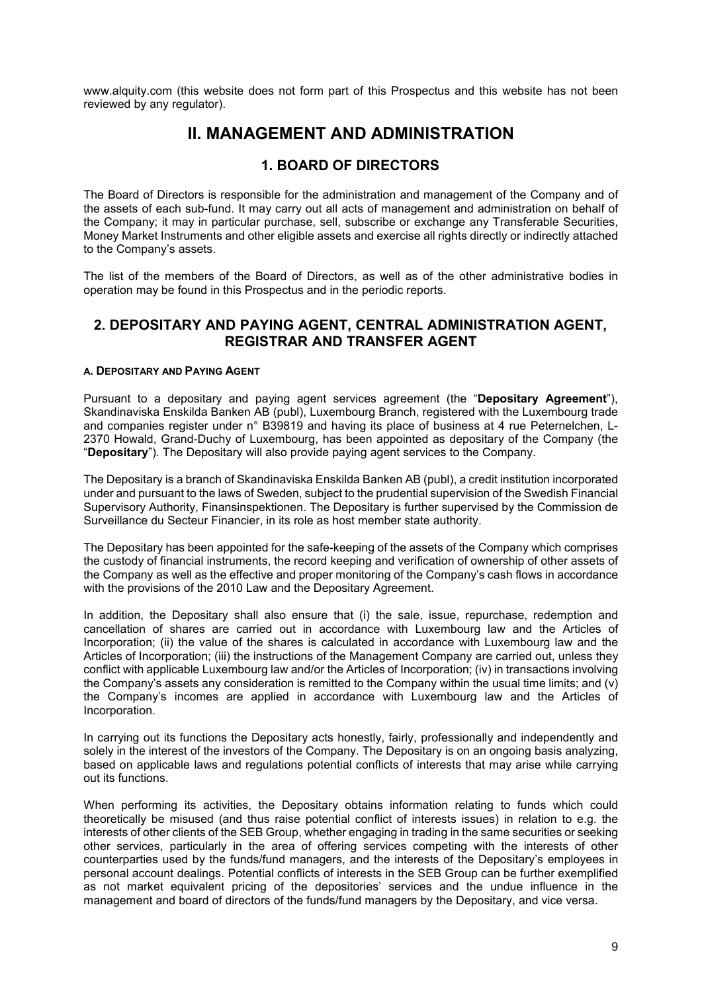<span id="page-8-0"></span>www.alquity.com (this website does not form part of this Prospectus and this website has not been reviewed by any regulator).

# **II. MANAGEMENT AND ADMINISTRATION**

## <span id="page-8-1"></span>**1. BOARD OF DIRECTORS**

The Board of Directors is responsible for the administration and management of the Company and of the assets of each sub-fund. It may carry out all acts of management and administration on behalf of the Company; it may in particular purchase, sell, subscribe or exchange any Transferable Securities, Money Market Instruments and other eligible assets and exercise all rights directly or indirectly attached to the Company's assets.

The list of the members of the Board of Directors, as well as of the other administrative bodies in operation may be found in this Prospectus and in the periodic reports.

## <span id="page-8-2"></span>**2. DEPOSITARY AND PAYING AGENT, CENTRAL ADMINISTRATION AGENT, REGISTRAR AND TRANSFER AGENT**

## **A. DEPOSITARY AND PAYING AGENT**

Pursuant to a depositary and paying agent services agreement (the "**Depositary Agreement**"), Skandinaviska Enskilda Banken AB (publ), Luxembourg Branch, registered with the Luxembourg trade and companies register under n° B39819 and having its place of business at 4 rue Peternelchen, L-2370 Howald, Grand-Duchy of Luxembourg, has been appointed as depositary of the Company (the "**Depositary**"). The Depositary will also provide paying agent services to the Company.

The Depositary is a branch of Skandinaviska Enskilda Banken AB (publ), a credit institution incorporated under and pursuant to the laws of Sweden, subject to the prudential supervision of the Swedish Financial Supervisory Authority, Finansinspektionen. The Depositary is further supervised by the Commission de Surveillance du Secteur Financier, in its role as host member state authority.

The Depositary has been appointed for the safe-keeping of the assets of the Company which comprises the custody of financial instruments, the record keeping and verification of ownership of other assets of the Company as well as the effective and proper monitoring of the Company's cash flows in accordance with the provisions of the 2010 Law and the Depositary Agreement.

In addition, the Depositary shall also ensure that (i) the sale, issue, repurchase, redemption and cancellation of shares are carried out in accordance with Luxembourg law and the Articles of Incorporation; (ii) the value of the shares is calculated in accordance with Luxembourg law and the Articles of Incorporation; (iii) the instructions of the Management Company are carried out, unless they conflict with applicable Luxembourg law and/or the Articles of Incorporation; (iv) in transactions involving the Company's assets any consideration is remitted to the Company within the usual time limits; and (v) the Company's incomes are applied in accordance with Luxembourg law and the Articles of Incorporation.

In carrying out its functions the Depositary acts honestly, fairly, professionally and independently and solely in the interest of the investors of the Company. The Depositary is on an ongoing basis analyzing, based on applicable laws and regulations potential conflicts of interests that may arise while carrying out its functions.

When performing its activities, the Depositary obtains information relating to funds which could theoretically be misused (and thus raise potential conflict of interests issues) in relation to e.g. the interests of other clients of the SEB Group, whether engaging in trading in the same securities or seeking other services, particularly in the area of offering services competing with the interests of other counterparties used by the funds/fund managers, and the interests of the Depositary's employees in personal account dealings. Potential conflicts of interests in the SEB Group can be further exemplified as not market equivalent pricing of the depositories' services and the undue influence in the management and board of directors of the funds/fund managers by the Depositary, and vice versa.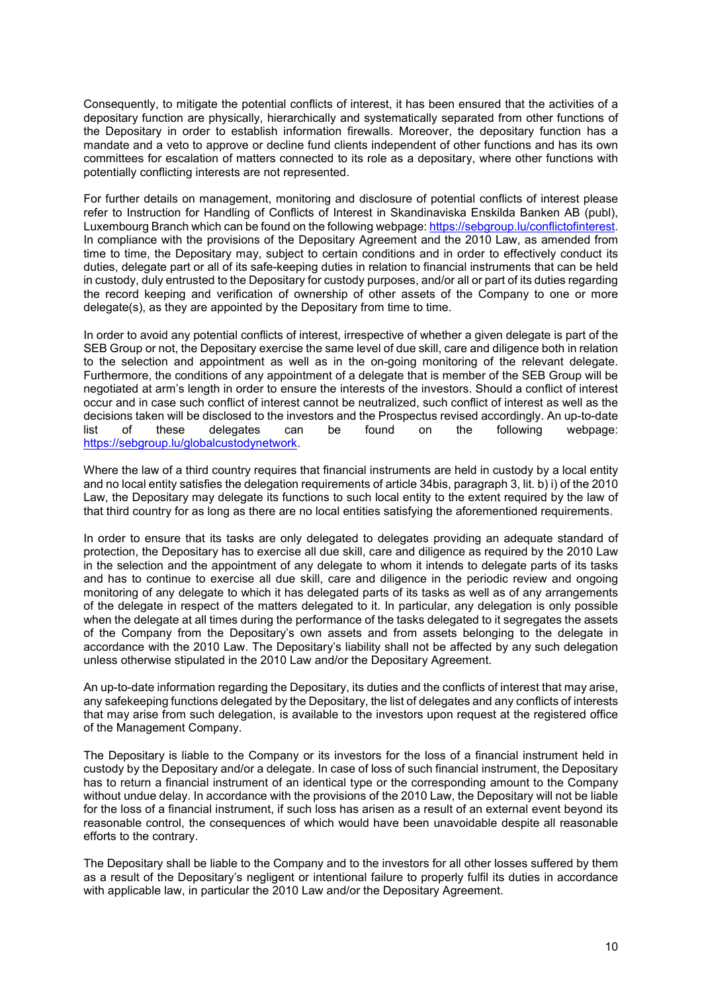Consequently, to mitigate the potential conflicts of interest, it has been ensured that the activities of a depositary function are physically, hierarchically and systematically separated from other functions of the Depositary in order to establish information firewalls. Moreover, the depositary function has a mandate and a veto to approve or decline fund clients independent of other functions and has its own committees for escalation of matters connected to its role as a depositary, where other functions with potentially conflicting interests are not represented.

For further details on management, monitoring and disclosure of potential conflicts of interest please refer to Instruction for Handling of Conflicts of Interest in Skandinaviska Enskilda Banken AB (publ), Luxembourg Branch which can be found on the following webpage: [https://sebgroup.lu/conflictofinterest.](https://sebgroup.lu/conflictofinterest) In compliance with the provisions of the Depositary Agreement and the 2010 Law, as amended from time to time, the Depositary may, subject to certain conditions and in order to effectively conduct its duties, delegate part or all of its safe-keeping duties in relation to financial instruments that can be held in custody, duly entrusted to the Depositary for custody purposes, and/or all or part of its duties regarding the record keeping and verification of ownership of other assets of the Company to one or more delegate(s), as they are appointed by the Depositary from time to time.

In order to avoid any potential conflicts of interest, irrespective of whether a given delegate is part of the SEB Group or not, the Depositary exercise the same level of due skill, care and diligence both in relation to the selection and appointment as well as in the on-going monitoring of the relevant delegate. Furthermore, the conditions of any appointment of a delegate that is member of the SEB Group will be negotiated at arm's length in order to ensure the interests of the investors. Should a conflict of interest occur and in case such conflict of interest cannot be neutralized, such conflict of interest as well as the decisions taken will be disclosed to the investors and the Prospectus revised accordingly. An up-to-date list of these delegates can be found on the following webpage: <https://sebgroup.lu/globalcustodynetwork>.

Where the law of a third country requires that financial instruments are held in custody by a local entity and no local entity satisfies the delegation requirements of article 34bis, paragraph 3, lit. b) i) of the 2010 Law, the Depositary may delegate its functions to such local entity to the extent required by the law of that third country for as long as there are no local entities satisfying the aforementioned requirements.

In order to ensure that its tasks are only delegated to delegates providing an adequate standard of protection, the Depositary has to exercise all due skill, care and diligence as required by the 2010 Law in the selection and the appointment of any delegate to whom it intends to delegate parts of its tasks and has to continue to exercise all due skill, care and diligence in the periodic review and ongoing monitoring of any delegate to which it has delegated parts of its tasks as well as of any arrangements of the delegate in respect of the matters delegated to it. In particular, any delegation is only possible when the delegate at all times during the performance of the tasks delegated to it segregates the assets of the Company from the Depositary's own assets and from assets belonging to the delegate in accordance with the 2010 Law. The Depositary's liability shall not be affected by any such delegation unless otherwise stipulated in the 2010 Law and/or the Depositary Agreement.

An up-to-date information regarding the Depositary, its duties and the conflicts of interest that may arise, any safekeeping functions delegated by the Depositary, the list of delegates and any conflicts of interests that may arise from such delegation, is available to the investors upon request at the registered office of the Management Company.

The Depositary is liable to the Company or its investors for the loss of a financial instrument held in custody by the Depositary and/or a delegate. In case of loss of such financial instrument, the Depositary has to return a financial instrument of an identical type or the corresponding amount to the Company without undue delay. In accordance with the provisions of the 2010 Law, the Depositary will not be liable for the loss of a financial instrument, if such loss has arisen as a result of an external event beyond its reasonable control, the consequences of which would have been unavoidable despite all reasonable efforts to the contrary.

The Depositary shall be liable to the Company and to the investors for all other losses suffered by them as a result of the Depositary's negligent or intentional failure to properly fulfil its duties in accordance with applicable law, in particular the 2010 Law and/or the Depositary Agreement.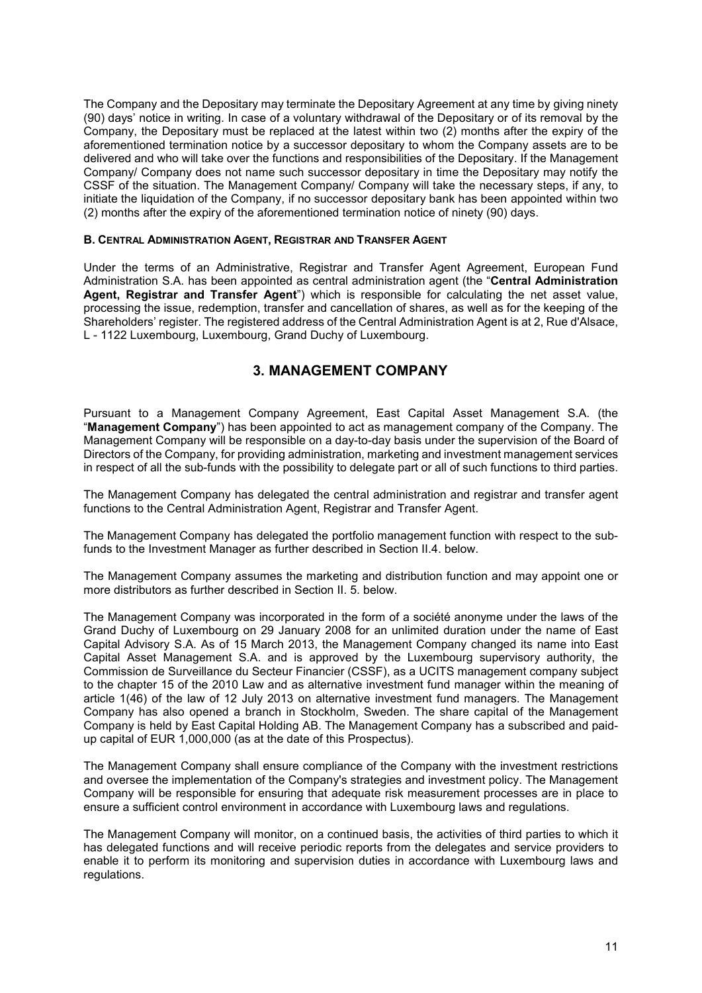The Company and the Depositary may terminate the Depositary Agreement at any time by giving ninety (90) days' notice in writing. In case of a voluntary withdrawal of the Depositary or of its removal by the Company, the Depositary must be replaced at the latest within two (2) months after the expiry of the aforementioned termination notice by a successor depositary to whom the Company assets are to be delivered and who will take over the functions and responsibilities of the Depositary. If the Management Company/ Company does not name such successor depositary in time the Depositary may notify the CSSF of the situation. The Management Company/ Company will take the necessary steps, if any, to initiate the liquidation of the Company, if no successor depositary bank has been appointed within two (2) months after the expiry of the aforementioned termination notice of ninety (90) days.

## **B. CENTRAL ADMINISTRATION AGENT, REGISTRAR AND TRANSFER AGENT**

Under the terms of an Administrative, Registrar and Transfer Agent Agreement, European Fund Administration S.A. has been appointed as central administration agent (the "**Central Administration Agent, Registrar and Transfer Agent**") which is responsible for calculating the net asset value, processing the issue, redemption, transfer and cancellation of shares, as well as for the keeping of the Shareholders' register. The registered address of the Central Administration Agent is at 2, Rue d'Alsace, L - 1122 Luxembourg, Luxembourg, Grand Duchy of Luxembourg.

## **3. MANAGEMENT COMPANY**

<span id="page-10-0"></span>Pursuant to a Management Company Agreement, East Capital Asset Management S.A. (the "**Management Company**") has been appointed to act as management company of the Company. The Management Company will be responsible on a day-to-day basis under the supervision of the Board of Directors of the Company, for providing administration, marketing and investment management services in respect of all the sub-funds with the possibility to delegate part or all of such functions to third parties.

The Management Company has delegated the central administration and registrar and transfer agent functions to the Central Administration Agent, Registrar and Transfer Agent.

The Management Company has delegated the portfolio management function with respect to the subfunds to the Investment Manager as further described in Section II.4. below.

The Management Company assumes the marketing and distribution function and may appoint one or more distributors as further described in Section II. 5. below.

The Management Company was incorporated in the form of a société anonyme under the laws of the Grand Duchy of Luxembourg on 29 January 2008 for an unlimited duration under the name of East Capital Advisory S.A. As of 15 March 2013, the Management Company changed its name into East Capital Asset Management S.A. and is approved by the Luxembourg supervisory authority, the Commission de Surveillance du Secteur Financier (CSSF), as a UCITS management company subject to the chapter 15 of the 2010 Law and as alternative investment fund manager within the meaning of article 1(46) of the law of 12 July 2013 on alternative investment fund managers. The Management Company has also opened a branch in Stockholm, Sweden. The share capital of the Management Company is held by East Capital Holding AB. The Management Company has a subscribed and paidup capital of EUR 1,000,000 (as at the date of this Prospectus).

The Management Company shall ensure compliance of the Company with the investment restrictions and oversee the implementation of the Company's strategies and investment policy. The Management Company will be responsible for ensuring that adequate risk measurement processes are in place to ensure a sufficient control environment in accordance with Luxembourg laws and regulations.

The Management Company will monitor, on a continued basis, the activities of third parties to which it has delegated functions and will receive periodic reports from the delegates and service providers to enable it to perform its monitoring and supervision duties in accordance with Luxembourg laws and regulations.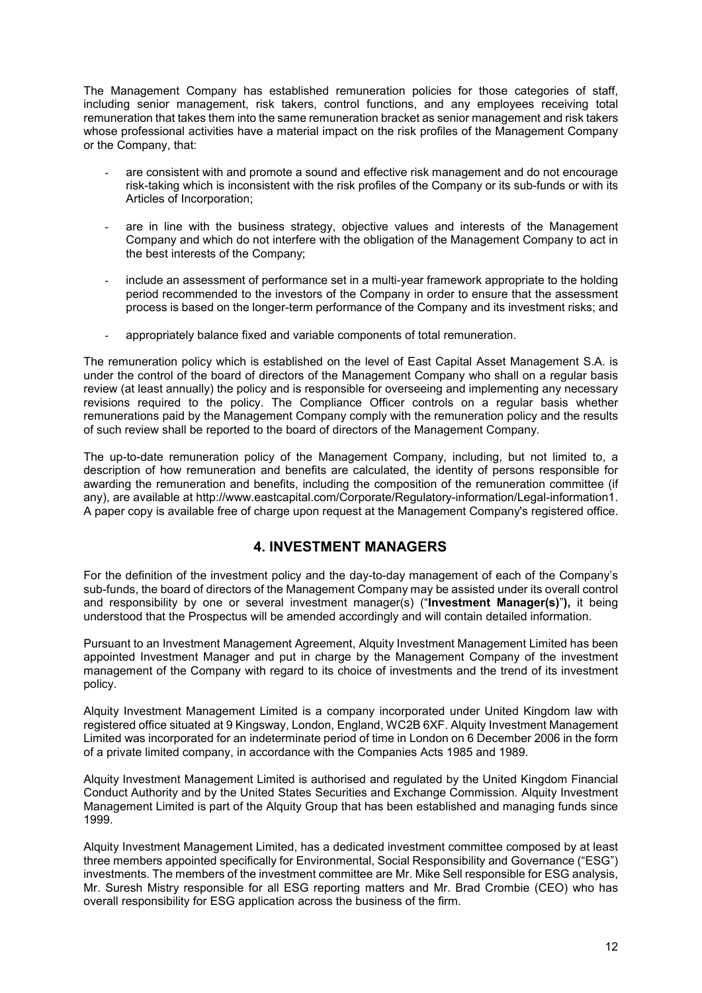The Management Company has established remuneration policies for those categories of staff, including senior management, risk takers, control functions, and any employees receiving total remuneration that takes them into the same remuneration bracket as senior management and risk takers whose professional activities have a material impact on the risk profiles of the Management Company or the Company, that:

- are consistent with and promote a sound and effective risk management and do not encourage risk-taking which is inconsistent with the risk profiles of the Company or its sub-funds or with its Articles of Incorporation;
- are in line with the business strategy, objective values and interests of the Management Company and which do not interfere with the obligation of the Management Company to act in the best interests of the Company;
- include an assessment of performance set in a multi-year framework appropriate to the holding period recommended to the investors of the Company in order to ensure that the assessment process is based on the longer-term performance of the Company and its investment risks; and
- appropriately balance fixed and variable components of total remuneration.

The remuneration policy which is established on the level of East Capital Asset Management S.A. is under the control of the board of directors of the Management Company who shall on a regular basis review (at least annually) the policy and is responsible for overseeing and implementing any necessary revisions required to the policy. The Compliance Officer controls on a regular basis whether remunerations paid by the Management Company comply with the remuneration policy and the results of such review shall be reported to the board of directors of the Management Company.

The up-to-date remuneration policy of the Management Company, including, but not limited to, a description of how remuneration and benefits are calculated, the identity of persons responsible for awarding the remuneration and benefits, including the composition of the remuneration committee (if any), are available at http://www.eastcapital.com/Corporate/Regulatory-information/Legal-information1. A paper copy is available free of charge upon request at the Management Company's registered office.

## **4. INVESTMENT MANAGERS**

<span id="page-11-0"></span>For the definition of the investment policy and the day-to-day management of each of the Company's sub-funds, the board of directors of the Management Company may be assisted under its overall control and responsibility by one or several investment manager(s) ("**Investment Manager(s)**"**),** it being understood that the Prospectus will be amended accordingly and will contain detailed information.

Pursuant to an Investment Management Agreement, Alquity Investment Management Limited has been appointed Investment Manager and put in charge by the Management Company of the investment management of the Company with regard to its choice of investments and the trend of its investment policy.

Alquity Investment Management Limited is a company incorporated under United Kingdom law with registered office situated at 9 Kingsway, London, England, WC2B 6XF. Alquity Investment Management Limited was incorporated for an indeterminate period of time in London on 6 December 2006 in the form of a private limited company, in accordance with the Companies Acts 1985 and 1989.

Alquity Investment Management Limited is authorised and regulated by the United Kingdom Financial Conduct Authority and by the United States Securities and Exchange Commission. Alquity Investment Management Limited is part of the Alquity Group that has been established and managing funds since 1999.

Alquity Investment Management Limited, has a dedicated investment committee composed by at least three members appointed specifically for Environmental, Social Responsibility and Governance ("ESG") investments. The members of the investment committee are Mr. Mike Sell responsible for ESG analysis, Mr. Suresh Mistry responsible for all ESG reporting matters and Mr. Brad Crombie (CEO) who has overall responsibility for ESG application across the business of the firm.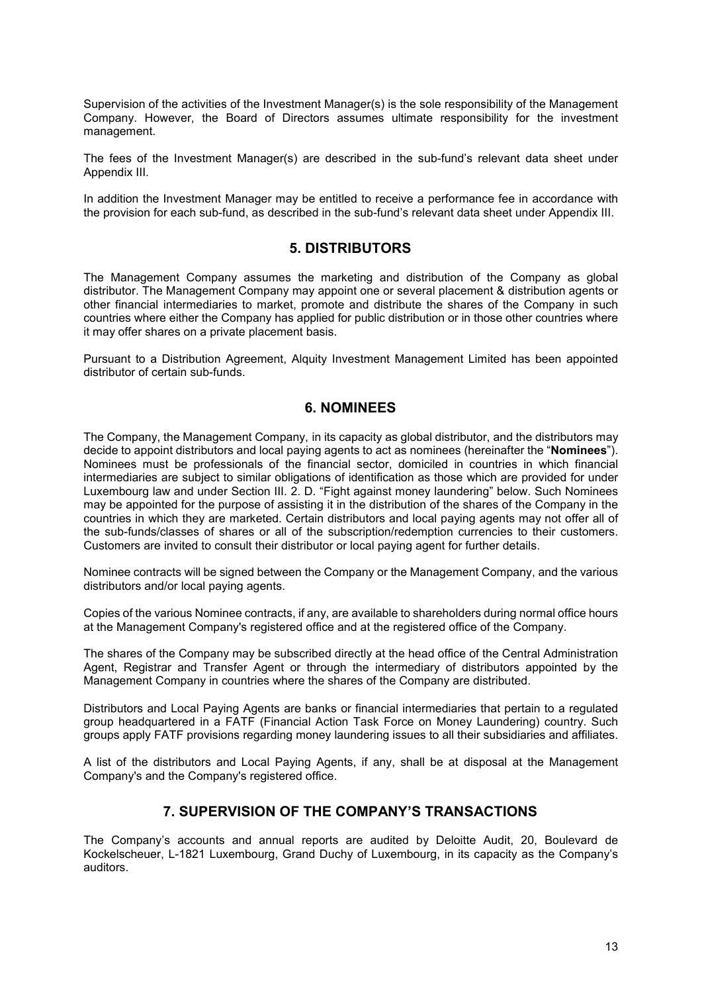Supervision of the activities of the Investment Manager(s) is the sole responsibility of the Management Company. However, the Board of Directors assumes ultimate responsibility for the investment management.

The fees of the Investment Manager(s) are described in the sub-fund's relevant data sheet under Appendix III.

In addition the Investment Manager may be entitled to receive a performance fee in accordance with the provision for each sub-fund, as described in the sub-fund's relevant data sheet under Appendix III.

## **5. DISTRIBUTORS**

<span id="page-12-0"></span>The Management Company assumes the marketing and distribution of the Company as global distributor. The Management Company may appoint one or several placement & distribution agents or other financial intermediaries to market, promote and distribute the shares of the Company in such countries where either the Company has applied for public distribution or in those other countries where it may offer shares on a private placement basis.

Pursuant to a Distribution Agreement, Alquity Investment Management Limited has been appointed distributor of certain sub-funds.

## **6. NOMINEES**

<span id="page-12-1"></span>The Company, the Management Company, in its capacity as global distributor, and the distributors may decide to appoint distributors and local paying agents to act as nominees (hereinafter the "**Nominees**"). Nominees must be professionals of the financial sector, domiciled in countries in which financial intermediaries are subject to similar obligations of identification as those which are provided for under Luxembourg law and under Section III. 2. D. "Fight against money laundering" below. Such Nominees may be appointed for the purpose of assisting it in the distribution of the shares of the Company in the countries in which they are marketed. Certain distributors and local paying agents may not offer all of the sub-funds/classes of shares or all of the subscription/redemption currencies to their customers. Customers are invited to consult their distributor or local paying agent for further details.

Nominee contracts will be signed between the Company or the Management Company, and the various distributors and/or local paying agents.

Copies of the various Nominee contracts, if any, are available to shareholders during normal office hours at the Management Company's registered office and at the registered office of the Company.

The shares of the Company may be subscribed directly at the head office of the Central Administration Agent, Registrar and Transfer Agent or through the intermediary of distributors appointed by the Management Company in countries where the shares of the Company are distributed.

Distributors and Local Paying Agents are banks or financial intermediaries that pertain to a regulated group headquartered in a FATF (Financial Action Task Force on Money Laundering) country. Such groups apply FATF provisions regarding money laundering issues to all their subsidiaries and affiliates.

A list of the distributors and Local Paying Agents, if any, shall be at disposal at the Management Company's and the Company's registered office.

## **7. SUPERVISION OF THE COMPANY'S TRANSACTIONS**

<span id="page-12-2"></span>The Company's accounts and annual reports are audited by Deloitte Audit, 20, Boulevard de Kockelscheuer, L-1821 Luxembourg, Grand Duchy of Luxembourg, in its capacity as the Company's auditors.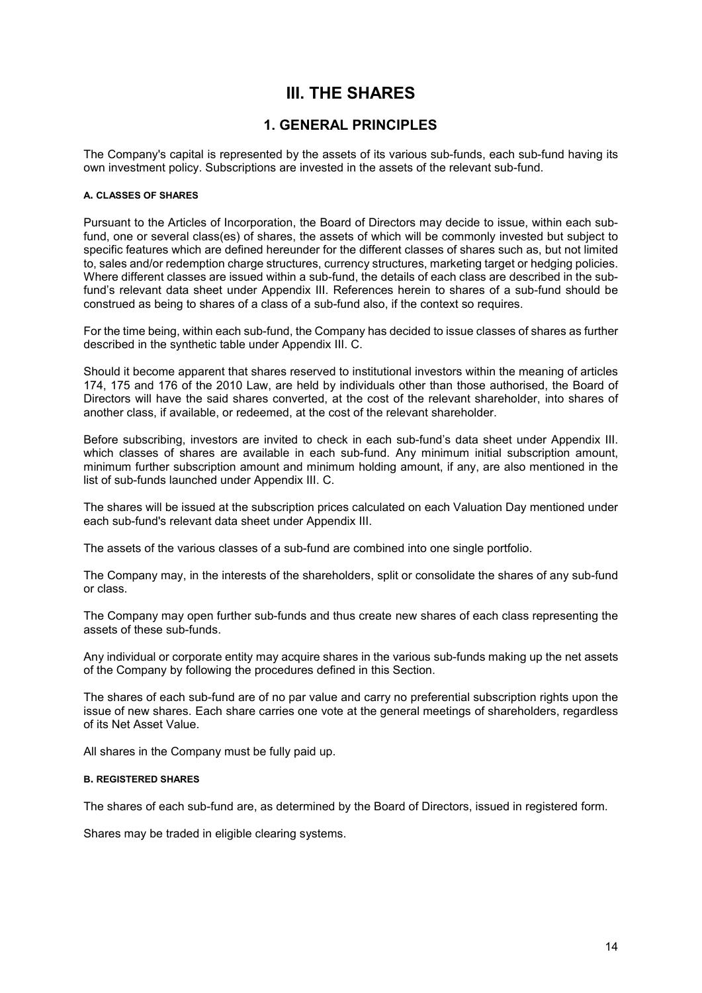# **III. THE SHARES**

## **1. GENERAL PRINCIPLES**

<span id="page-13-1"></span><span id="page-13-0"></span>The Company's capital is represented by the assets of its various sub-funds, each sub-fund having its own investment policy. Subscriptions are invested in the assets of the relevant sub-fund.

## **A. CLASSES OF SHARES**

Pursuant to the Articles of Incorporation, the Board of Directors may decide to issue, within each subfund, one or several class(es) of shares, the assets of which will be commonly invested but subject to specific features which are defined hereunder for the different classes of shares such as, but not limited to, sales and/or redemption charge structures, currency structures, marketing target or hedging policies. Where different classes are issued within a sub-fund, the details of each class are described in the subfund's relevant data sheet under Appendix III. References herein to shares of a sub-fund should be construed as being to shares of a class of a sub-fund also, if the context so requires.

For the time being, within each sub-fund, the Company has decided to issue classes of shares as further described in the synthetic table under Appendix III. C.

Should it become apparent that shares reserved to institutional investors within the meaning of articles 174, 175 and 176 of the 2010 Law, are held by individuals other than those authorised, the Board of Directors will have the said shares converted, at the cost of the relevant shareholder, into shares of another class, if available, or redeemed, at the cost of the relevant shareholder.

Before subscribing, investors are invited to check in each sub-fund's data sheet under Appendix III. which classes of shares are available in each sub-fund. Any minimum initial subscription amount, minimum further subscription amount and minimum holding amount, if any, are also mentioned in the list of sub-funds launched under Appendix III. C.

The shares will be issued at the subscription prices calculated on each Valuation Day mentioned under each sub-fund's relevant data sheet under Appendix III.

The assets of the various classes of a sub-fund are combined into one single portfolio.

The Company may, in the interests of the shareholders, split or consolidate the shares of any sub-fund or class.

The Company may open further sub-funds and thus create new shares of each class representing the assets of these sub-funds.

Any individual or corporate entity may acquire shares in the various sub-funds making up the net assets of the Company by following the procedures defined in this Section.

The shares of each sub-fund are of no par value and carry no preferential subscription rights upon the issue of new shares. Each share carries one vote at the general meetings of shareholders, regardless of its Net Asset Value.

All shares in the Company must be fully paid up.

#### **B. REGISTERED SHARES**

The shares of each sub-fund are, as determined by the Board of Directors, issued in registered form.

Shares may be traded in eligible clearing systems.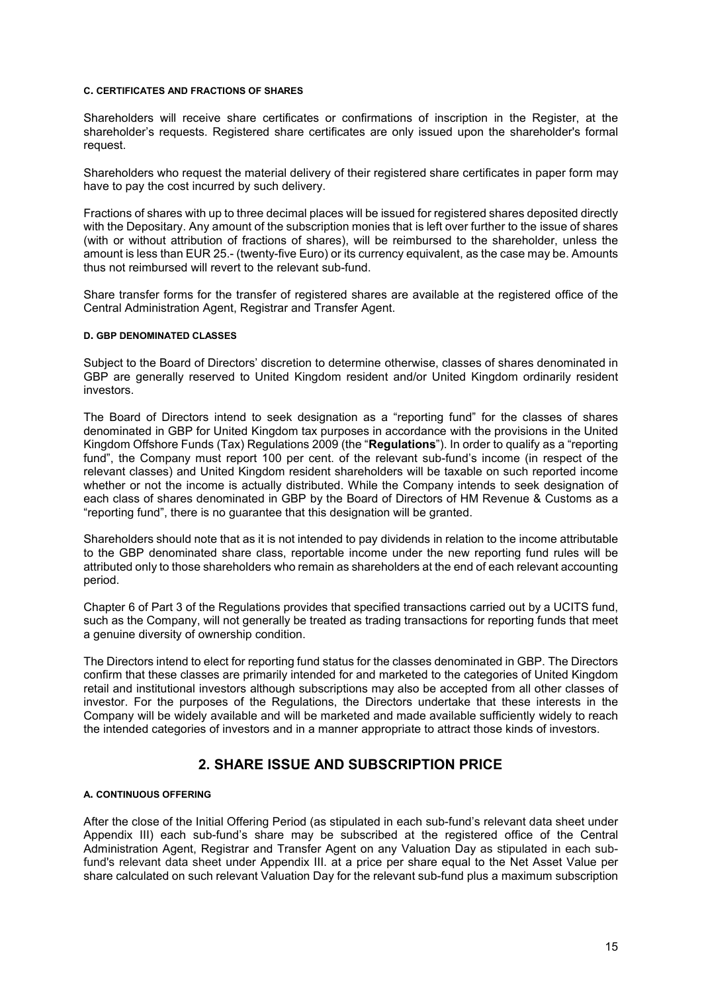#### **C. CERTIFICATES AND FRACTIONS OF SHARES**

Shareholders will receive share certificates or confirmations of inscription in the Register, at the shareholder's requests. Registered share certificates are only issued upon the shareholder's formal request.

Shareholders who request the material delivery of their registered share certificates in paper form may have to pay the cost incurred by such delivery.

Fractions of shares with up to three decimal places will be issued for registered shares deposited directly with the Depositary. Any amount of the subscription monies that is left over further to the issue of shares (with or without attribution of fractions of shares), will be reimbursed to the shareholder, unless the amount is less than EUR 25.- (twenty-five Euro) or its currency equivalent, as the case may be. Amounts thus not reimbursed will revert to the relevant sub-fund.

Share transfer forms for the transfer of registered shares are available at the registered office of the Central Administration Agent, Registrar and Transfer Agent.

#### **D. GBP DENOMINATED CLASSES**

Subject to the Board of Directors' discretion to determine otherwise, classes of shares denominated in GBP are generally reserved to United Kingdom resident and/or United Kingdom ordinarily resident investors.

The Board of Directors intend to seek designation as a "reporting fund" for the classes of shares denominated in GBP for United Kingdom tax purposes in accordance with the provisions in the United Kingdom Offshore Funds (Tax) Regulations 2009 (the "**Regulations**"). In order to qualify as a "reporting fund", the Company must report 100 per cent. of the relevant sub-fund's income (in respect of the relevant classes) and United Kingdom resident shareholders will be taxable on such reported income whether or not the income is actually distributed. While the Company intends to seek designation of each class of shares denominated in GBP by the Board of Directors of HM Revenue & Customs as a "reporting fund", there is no guarantee that this designation will be granted.

Shareholders should note that as it is not intended to pay dividends in relation to the income attributable to the GBP denominated share class, reportable income under the new reporting fund rules will be attributed only to those shareholders who remain as shareholders at the end of each relevant accounting period.

Chapter 6 of Part 3 of the Regulations provides that specified transactions carried out by a UCITS fund, such as the Company, will not generally be treated as trading transactions for reporting funds that meet a genuine diversity of ownership condition.

The Directors intend to elect for reporting fund status for the classes denominated in GBP. The Directors confirm that these classes are primarily intended for and marketed to the categories of United Kingdom retail and institutional investors although subscriptions may also be accepted from all other classes of investor. For the purposes of the Regulations, the Directors undertake that these interests in the Company will be widely available and will be marketed and made available sufficiently widely to reach the intended categories of investors and in a manner appropriate to attract those kinds of investors.

## **2. SHARE ISSUE AND SUBSCRIPTION PRICE**

#### <span id="page-14-0"></span>**A. CONTINUOUS OFFERING**

After the close of the Initial Offering Period (as stipulated in each sub-fund's relevant data sheet under Appendix III) each sub-fund's share may be subscribed at the registered office of the Central Administration Agent, Registrar and Transfer Agent on any Valuation Day as stipulated in each subfund's relevant data sheet under Appendix III. at a price per share equal to the Net Asset Value per share calculated on such relevant Valuation Day for the relevant sub-fund plus a maximum subscription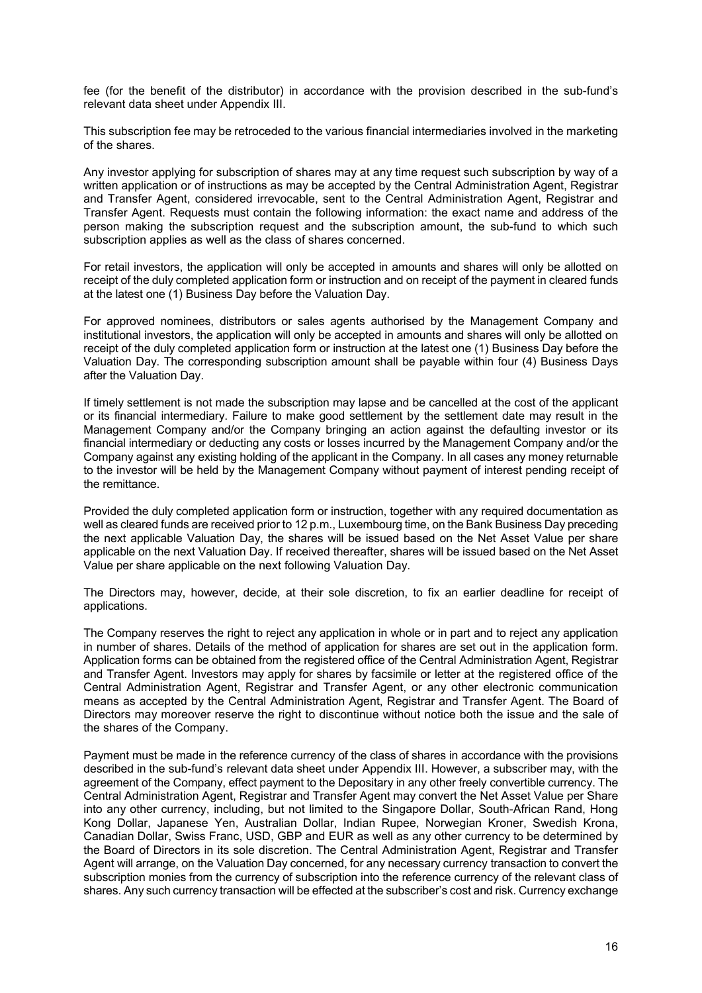fee (for the benefit of the distributor) in accordance with the provision described in the sub-fund's relevant data sheet under Appendix III.

This subscription fee may be retroceded to the various financial intermediaries involved in the marketing of the shares.

Any investor applying for subscription of shares may at any time request such subscription by way of a written application or of instructions as may be accepted by the Central Administration Agent, Registrar and Transfer Agent, considered irrevocable, sent to the Central Administration Agent, Registrar and Transfer Agent. Requests must contain the following information: the exact name and address of the person making the subscription request and the subscription amount, the sub-fund to which such subscription applies as well as the class of shares concerned.

For retail investors, the application will only be accepted in amounts and shares will only be allotted on receipt of the duly completed application form or instruction and on receipt of the payment in cleared funds at the latest one (1) Business Day before the Valuation Day.

For approved nominees, distributors or sales agents authorised by the Management Company and institutional investors, the application will only be accepted in amounts and shares will only be allotted on receipt of the duly completed application form or instruction at the latest one (1) Business Day before the Valuation Day. The corresponding subscription amount shall be payable within four (4) Business Days after the Valuation Day.

If timely settlement is not made the subscription may lapse and be cancelled at the cost of the applicant or its financial intermediary. Failure to make good settlement by the settlement date may result in the Management Company and/or the Company bringing an action against the defaulting investor or its financial intermediary or deducting any costs or losses incurred by the Management Company and/or the Company against any existing holding of the applicant in the Company. In all cases any money returnable to the investor will be held by the Management Company without payment of interest pending receipt of the remittance.

Provided the duly completed application form or instruction, together with any required documentation as well as cleared funds are received prior to 12 p.m., Luxembourg time, on the Bank Business Day preceding the next applicable Valuation Day, the shares will be issued based on the Net Asset Value per share applicable on the next Valuation Day. If received thereafter, shares will be issued based on the Net Asset Value per share applicable on the next following Valuation Day.

The Directors may, however, decide, at their sole discretion, to fix an earlier deadline for receipt of applications.

The Company reserves the right to reject any application in whole or in part and to reject any application in number of shares. Details of the method of application for shares are set out in the application form. Application forms can be obtained from the registered office of the Central Administration Agent, Registrar and Transfer Agent. Investors may apply for shares by facsimile or letter at the registered office of the Central Administration Agent, Registrar and Transfer Agent, or any other electronic communication means as accepted by the Central Administration Agent, Registrar and Transfer Agent. The Board of Directors may moreover reserve the right to discontinue without notice both the issue and the sale of the shares of the Company.

Payment must be made in the reference currency of the class of shares in accordance with the provisions described in the sub-fund's relevant data sheet under Appendix III. However, a subscriber may, with the agreement of the Company, effect payment to the Depositary in any other freely convertible currency. The Central Administration Agent, Registrar and Transfer Agent may convert the Net Asset Value per Share into any other currency, including, but not limited to the Singapore Dollar, South-African Rand, Hong Kong Dollar, Japanese Yen, Australian Dollar, Indian Rupee, Norwegian Kroner, Swedish Krona, Canadian Dollar, Swiss Franc, USD, GBP and EUR as well as any other currency to be determined by the Board of Directors in its sole discretion. The Central Administration Agent, Registrar and Transfer Agent will arrange, on the Valuation Day concerned, for any necessary currency transaction to convert the subscription monies from the currency of subscription into the reference currency of the relevant class of shares. Any such currency transaction will be effected at the subscriber's cost and risk. Currency exchange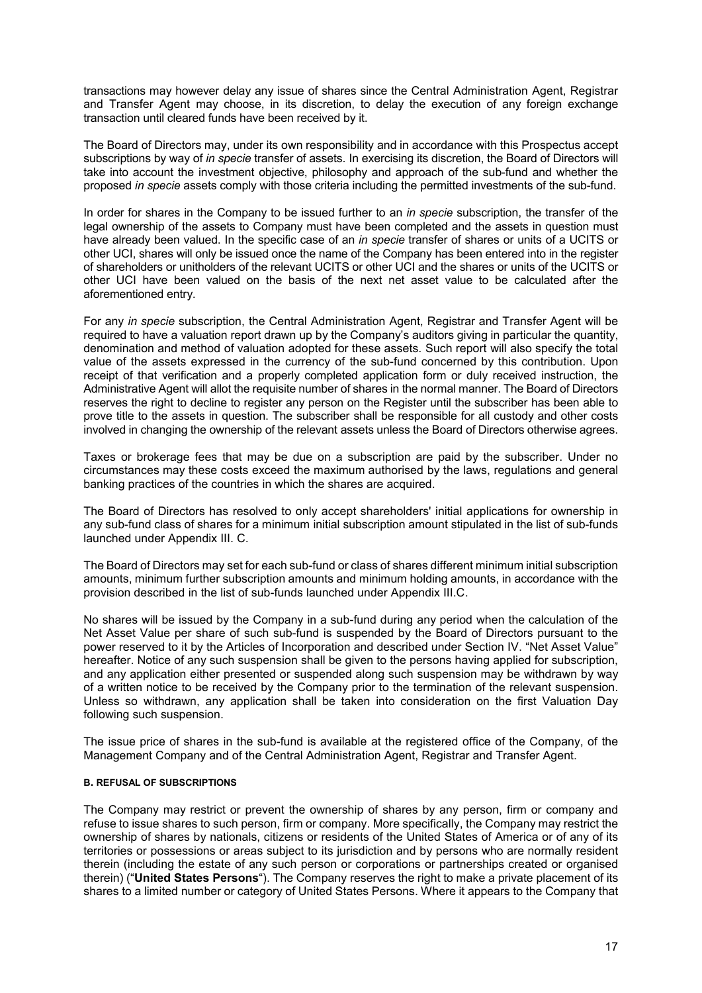transactions may however delay any issue of shares since the Central Administration Agent, Registrar and Transfer Agent may choose, in its discretion, to delay the execution of any foreign exchange transaction until cleared funds have been received by it.

The Board of Directors may, under its own responsibility and in accordance with this Prospectus accept subscriptions by way of *in specie* transfer of assets. In exercising its discretion, the Board of Directors will take into account the investment objective, philosophy and approach of the sub-fund and whether the proposed *in specie* assets comply with those criteria including the permitted investments of the sub-fund.

In order for shares in the Company to be issued further to an *in specie* subscription, the transfer of the legal ownership of the assets to Company must have been completed and the assets in question must have already been valued. In the specific case of an *in specie* transfer of shares or units of a UCITS or other UCI, shares will only be issued once the name of the Company has been entered into in the register of shareholders or unitholders of the relevant UCITS or other UCI and the shares or units of the UCITS or other UCI have been valued on the basis of the next net asset value to be calculated after the aforementioned entry.

For any *in specie* subscription, the Central Administration Agent, Registrar and Transfer Agent will be required to have a valuation report drawn up by the Company's auditors giving in particular the quantity, denomination and method of valuation adopted for these assets. Such report will also specify the total value of the assets expressed in the currency of the sub-fund concerned by this contribution. Upon receipt of that verification and a properly completed application form or duly received instruction, the Administrative Agent will allot the requisite number of shares in the normal manner. The Board of Directors reserves the right to decline to register any person on the Register until the subscriber has been able to prove title to the assets in question. The subscriber shall be responsible for all custody and other costs involved in changing the ownership of the relevant assets unless the Board of Directors otherwise agrees.

Taxes or brokerage fees that may be due on a subscription are paid by the subscriber. Under no circumstances may these costs exceed the maximum authorised by the laws, regulations and general banking practices of the countries in which the shares are acquired.

The Board of Directors has resolved to only accept shareholders' initial applications for ownership in any sub-fund class of shares for a minimum initial subscription amount stipulated in the list of sub-funds launched under Appendix III. C.

The Board of Directors may set for each sub-fund or class of shares different minimum initial subscription amounts, minimum further subscription amounts and minimum holding amounts, in accordance with the provision described in the list of sub-funds launched under Appendix III.C.

No shares will be issued by the Company in a sub-fund during any period when the calculation of the Net Asset Value per share of such sub-fund is suspended by the Board of Directors pursuant to the power reserved to it by the Articles of Incorporation and described under Section IV. "Net Asset Value" hereafter. Notice of any such suspension shall be given to the persons having applied for subscription, and any application either presented or suspended along such suspension may be withdrawn by way of a written notice to be received by the Company prior to the termination of the relevant suspension. Unless so withdrawn, any application shall be taken into consideration on the first Valuation Day following such suspension.

The issue price of shares in the sub-fund is available at the registered office of the Company, of the Management Company and of the Central Administration Agent, Registrar and Transfer Agent.

## **B. REFUSAL OF SUBSCRIPTIONS**

The Company may restrict or prevent the ownership of shares by any person, firm or company and refuse to issue shares to such person, firm or company. More specifically, the Company may restrict the ownership of shares by nationals, citizens or residents of the United States of America or of any of its territories or possessions or areas subject to its jurisdiction and by persons who are normally resident therein (including the estate of any such person or corporations or partnerships created or organised therein) ("**United States Persons**"). The Company reserves the right to make a private placement of its shares to a limited number or category of United States Persons. Where it appears to the Company that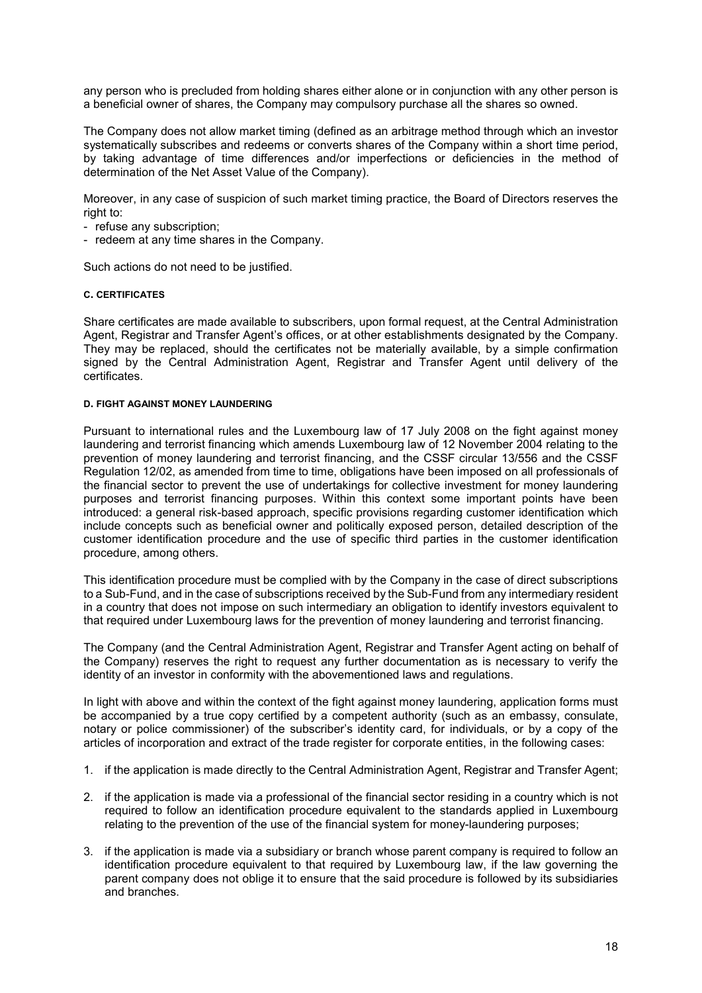any person who is precluded from holding shares either alone or in conjunction with any other person is a beneficial owner of shares, the Company may compulsory purchase all the shares so owned.

The Company does not allow market timing (defined as an arbitrage method through which an investor systematically subscribes and redeems or converts shares of the Company within a short time period, by taking advantage of time differences and/or imperfections or deficiencies in the method of determination of the Net Asset Value of the Company).

Moreover, in any case of suspicion of such market timing practice, the Board of Directors reserves the right to:

- refuse any subscription;
- redeem at any time shares in the Company.

Such actions do not need to be justified.

#### **C. CERTIFICATES**

Share certificates are made available to subscribers, upon formal request, at the Central Administration Agent, Registrar and Transfer Agent's offices, or at other establishments designated by the Company. They may be replaced, should the certificates not be materially available, by a simple confirmation signed by the Central Administration Agent, Registrar and Transfer Agent until delivery of the certificates.

#### **D. FIGHT AGAINST MONEY LAUNDERING**

Pursuant to international rules and the Luxembourg law of 17 July 2008 on the fight against money laundering and terrorist financing which amends Luxembourg law of 12 November 2004 relating to the prevention of money laundering and terrorist financing, and the CSSF circular 13/556 and the CSSF Regulation 12/02, as amended from time to time, obligations have been imposed on all professionals of the financial sector to prevent the use of undertakings for collective investment for money laundering purposes and terrorist financing purposes. Within this context some important points have been introduced: a general risk-based approach, specific provisions regarding customer identification which include concepts such as beneficial owner and politically exposed person, detailed description of the customer identification procedure and the use of specific third parties in the customer identification procedure, among others.

This identification procedure must be complied with by the Company in the case of direct subscriptions to a Sub-Fund, and in the case of subscriptions received by the Sub-Fund from any intermediary resident in a country that does not impose on such intermediary an obligation to identify investors equivalent to that required under Luxembourg laws for the prevention of money laundering and terrorist financing.

The Company (and the Central Administration Agent, Registrar and Transfer Agent acting on behalf of the Company) reserves the right to request any further documentation as is necessary to verify the identity of an investor in conformity with the abovementioned laws and regulations.

In light with above and within the context of the fight against money laundering, application forms must be accompanied by a true copy certified by a competent authority (such as an embassy, consulate, notary or police commissioner) of the subscriber's identity card, for individuals, or by a copy of the articles of incorporation and extract of the trade register for corporate entities, in the following cases:

- 1. if the application is made directly to the Central Administration Agent, Registrar and Transfer Agent;
- 2. if the application is made via a professional of the financial sector residing in a country which is not required to follow an identification procedure equivalent to the standards applied in Luxembourg relating to the prevention of the use of the financial system for money-laundering purposes;
- 3. if the application is made via a subsidiary or branch whose parent company is required to follow an identification procedure equivalent to that required by Luxembourg law, if the law governing the parent company does not oblige it to ensure that the said procedure is followed by its subsidiaries and branches.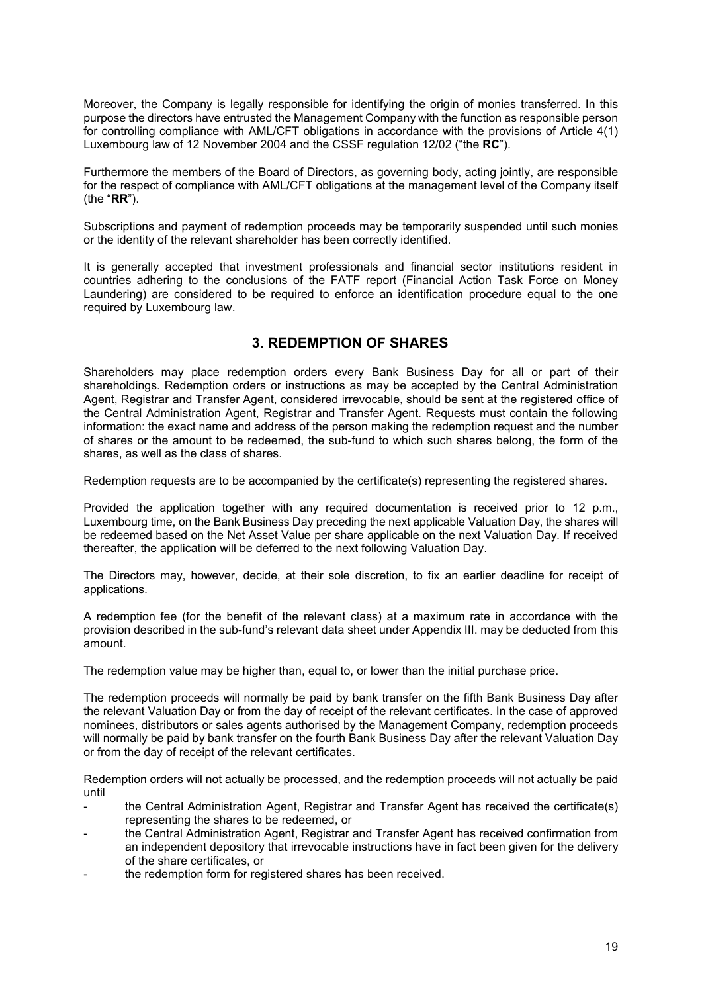Moreover, the Company is legally responsible for identifying the origin of monies transferred. In this purpose the directors have entrusted the Management Company with the function as responsible person for controlling compliance with AML/CFT obligations in accordance with the provisions of Article 4(1) Luxembourg law of 12 November 2004 and the CSSF regulation 12/02 ("the **RC**").

Furthermore the members of the Board of Directors, as governing body, acting jointly, are responsible for the respect of compliance with AML/CFT obligations at the management level of the Company itself (the "**RR**").

Subscriptions and payment of redemption proceeds may be temporarily suspended until such monies or the identity of the relevant shareholder has been correctly identified.

It is generally accepted that investment professionals and financial sector institutions resident in countries adhering to the conclusions of the FATF report (Financial Action Task Force on Money Laundering) are considered to be required to enforce an identification procedure equal to the one required by Luxembourg law.

## **3. REDEMPTION OF SHARES**

<span id="page-18-0"></span>Shareholders may place redemption orders every Bank Business Day for all or part of their shareholdings. Redemption orders or instructions as may be accepted by the Central Administration Agent, Registrar and Transfer Agent, considered irrevocable, should be sent at the registered office of the Central Administration Agent, Registrar and Transfer Agent. Requests must contain the following information: the exact name and address of the person making the redemption request and the number of shares or the amount to be redeemed, the sub-fund to which such shares belong, the form of the shares, as well as the class of shares.

Redemption requests are to be accompanied by the certificate(s) representing the registered shares.

Provided the application together with any required documentation is received prior to 12 p.m., Luxembourg time, on the Bank Business Day preceding the next applicable Valuation Day, the shares will be redeemed based on the Net Asset Value per share applicable on the next Valuation Day. If received thereafter, the application will be deferred to the next following Valuation Day.

The Directors may, however, decide, at their sole discretion, to fix an earlier deadline for receipt of applications.

A redemption fee (for the benefit of the relevant class) at a maximum rate in accordance with the provision described in the sub-fund's relevant data sheet under Appendix III. may be deducted from this amount.

The redemption value may be higher than, equal to, or lower than the initial purchase price.

The redemption proceeds will normally be paid by bank transfer on the fifth Bank Business Day after the relevant Valuation Day or from the day of receipt of the relevant certificates. In the case of approved nominees, distributors or sales agents authorised by the Management Company, redemption proceeds will normally be paid by bank transfer on the fourth Bank Business Day after the relevant Valuation Day or from the day of receipt of the relevant certificates.

Redemption orders will not actually be processed, and the redemption proceeds will not actually be paid until

- the Central Administration Agent, Registrar and Transfer Agent has received the certificate(s) representing the shares to be redeemed, or
- the Central Administration Agent, Registrar and Transfer Agent has received confirmation from an independent depository that irrevocable instructions have in fact been given for the delivery of the share certificates, or
- the redemption form for registered shares has been received.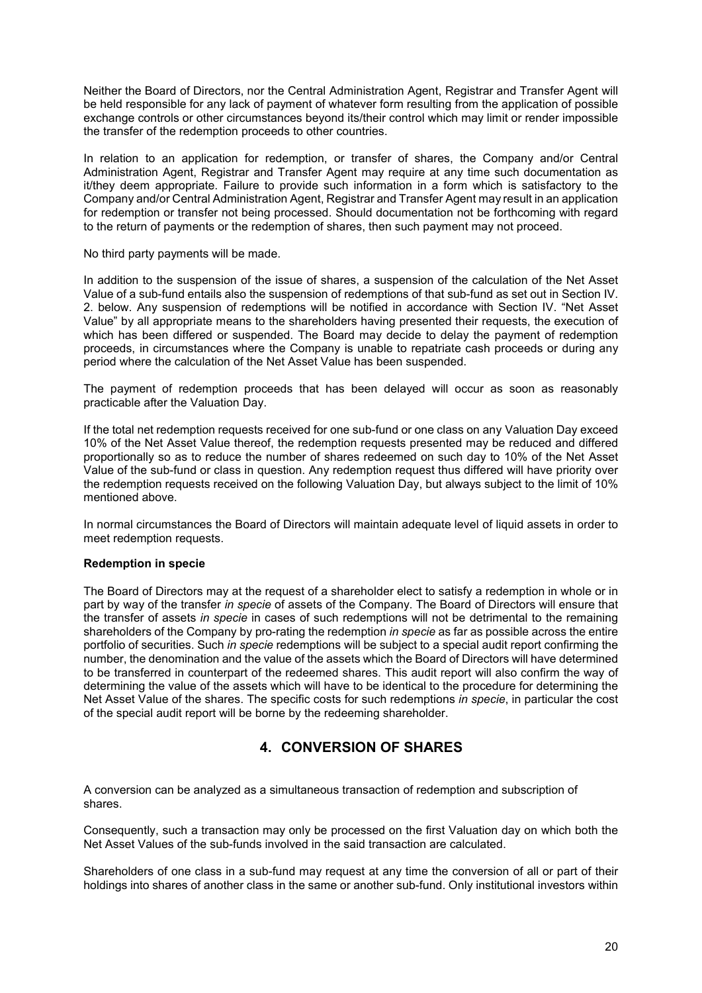Neither the Board of Directors, nor the Central Administration Agent, Registrar and Transfer Agent will be held responsible for any lack of payment of whatever form resulting from the application of possible exchange controls or other circumstances beyond its/their control which may limit or render impossible the transfer of the redemption proceeds to other countries.

In relation to an application for redemption, or transfer of shares, the Company and/or Central Administration Agent, Registrar and Transfer Agent may require at any time such documentation as it/they deem appropriate. Failure to provide such information in a form which is satisfactory to the Company and/or Central Administration Agent, Registrar and Transfer Agent may result in an application for redemption or transfer not being processed. Should documentation not be forthcoming with regard to the return of payments or the redemption of shares, then such payment may not proceed.

No third party payments will be made.

In addition to the suspension of the issue of shares, a suspension of the calculation of the Net Asset Value of a sub-fund entails also the suspension of redemptions of that sub-fund as set out in Section IV. 2. below. Any suspension of redemptions will be notified in accordance with Section IV. "Net Asset Value" by all appropriate means to the shareholders having presented their requests, the execution of which has been differed or suspended. The Board may decide to delay the payment of redemption proceeds, in circumstances where the Company is unable to repatriate cash proceeds or during any period where the calculation of the Net Asset Value has been suspended.

The payment of redemption proceeds that has been delayed will occur as soon as reasonably practicable after the Valuation Day.

If the total net redemption requests received for one sub-fund or one class on any Valuation Day exceed 10% of the Net Asset Value thereof, the redemption requests presented may be reduced and differed proportionally so as to reduce the number of shares redeemed on such day to 10% of the Net Asset Value of the sub-fund or class in question. Any redemption request thus differed will have priority over the redemption requests received on the following Valuation Day, but always subject to the limit of 10% mentioned above.

In normal circumstances the Board of Directors will maintain adequate level of liquid assets in order to meet redemption requests.

## **Redemption in specie**

The Board of Directors may at the request of a shareholder elect to satisfy a redemption in whole or in part by way of the transfer *in specie* of assets of the Company. The Board of Directors will ensure that the transfer of assets *in specie* in cases of such redemptions will not be detrimental to the remaining shareholders of the Company by pro-rating the redemption *in specie* as far as possible across the entire portfolio of securities. Such *in specie* redemptions will be subject to a special audit report confirming the number, the denomination and the value of the assets which the Board of Directors will have determined to be transferred in counterpart of the redeemed shares. This audit report will also confirm the way of determining the value of the assets which will have to be identical to the procedure for determining the Net Asset Value of the shares. The specific costs for such redemptions *in specie*, in particular the cost of the special audit report will be borne by the redeeming shareholder.

## **4. CONVERSION OF SHARES**

<span id="page-19-0"></span>A conversion can be analyzed as a simultaneous transaction of redemption and subscription of shares.

Consequently, such a transaction may only be processed on the first Valuation day on which both the Net Asset Values of the sub-funds involved in the said transaction are calculated.

Shareholders of one class in a sub-fund may request at any time the conversion of all or part of their holdings into shares of another class in the same or another sub-fund. Only institutional investors within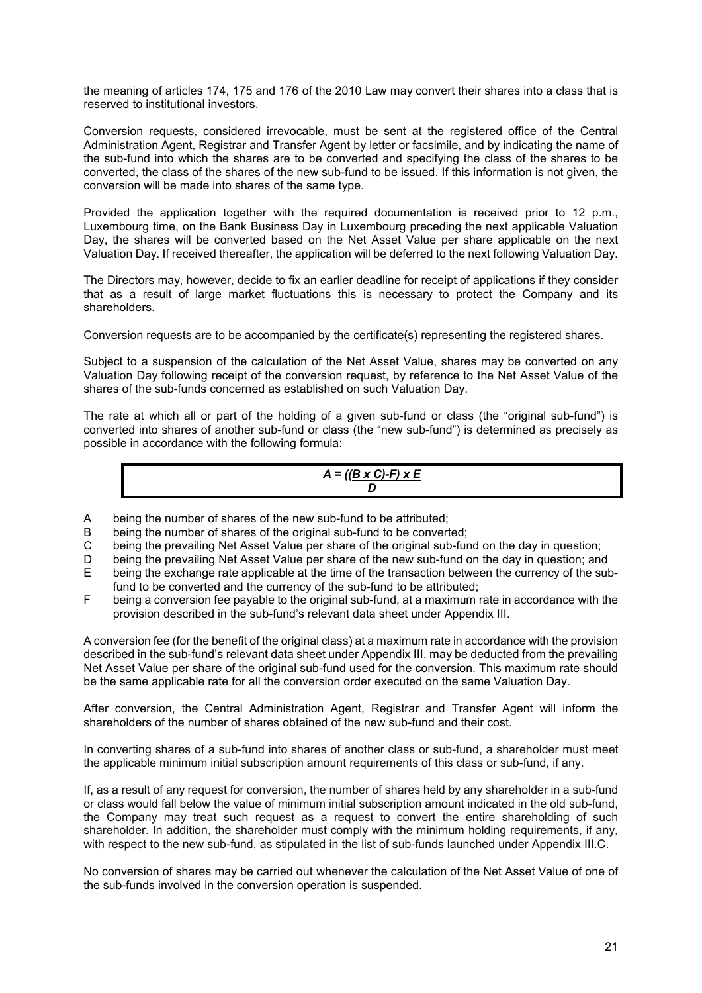the meaning of articles 174, 175 and 176 of the 2010 Law may convert their shares into a class that is reserved to institutional investors.

Conversion requests, considered irrevocable, must be sent at the registered office of the Central Administration Agent, Registrar and Transfer Agent by letter or facsimile, and by indicating the name of the sub-fund into which the shares are to be converted and specifying the class of the shares to be converted, the class of the shares of the new sub-fund to be issued. If this information is not given, the conversion will be made into shares of the same type.

Provided the application together with the required documentation is received prior to 12 p.m., Luxembourg time, on the Bank Business Day in Luxembourg preceding the next applicable Valuation Day, the shares will be converted based on the Net Asset Value per share applicable on the next Valuation Day. If received thereafter, the application will be deferred to the next following Valuation Day.

The Directors may, however, decide to fix an earlier deadline for receipt of applications if they consider that as a result of large market fluctuations this is necessary to protect the Company and its shareholders.

Conversion requests are to be accompanied by the certificate(s) representing the registered shares.

Subject to a suspension of the calculation of the Net Asset Value, shares may be converted on any Valuation Day following receipt of the conversion request, by reference to the Net Asset Value of the shares of the sub-funds concerned as established on such Valuation Day.

The rate at which all or part of the holding of a given sub-fund or class (the "original sub-fund") is converted into shares of another sub-fund or class (the "new sub-fund") is determined as precisely as possible in accordance with the following formula:

$$
A = \frac{(B \times C) \cdot F \times E}{D}
$$

- A being the number of shares of the new sub-fund to be attributed;
- B being the number of shares of the original sub-fund to be converted;
- C being the prevailing Net Asset Value per share of the original sub-fund on the day in question;
- D being the prevailing Net Asset Value per share of the new sub-fund on the day in question; and
- E being the exchange rate applicable at the time of the transaction between the currency of the subfund to be converted and the currency of the sub-fund to be attributed;
- F being a conversion fee payable to the original sub-fund, at a maximum rate in accordance with the provision described in the sub-fund's relevant data sheet under Appendix III.

A conversion fee (for the benefit of the original class) at a maximum rate in accordance with the provision described in the sub-fund's relevant data sheet under Appendix III. may be deducted from the prevailing Net Asset Value per share of the original sub-fund used for the conversion. This maximum rate should be the same applicable rate for all the conversion order executed on the same Valuation Day.

After conversion, the Central Administration Agent, Registrar and Transfer Agent will inform the shareholders of the number of shares obtained of the new sub-fund and their cost.

In converting shares of a sub-fund into shares of another class or sub-fund, a shareholder must meet the applicable minimum initial subscription amount requirements of this class or sub-fund, if any.

If, as a result of any request for conversion, the number of shares held by any shareholder in a sub-fund or class would fall below the value of minimum initial subscription amount indicated in the old sub-fund, the Company may treat such request as a request to convert the entire shareholding of such shareholder. In addition, the shareholder must comply with the minimum holding requirements, if any, with respect to the new sub-fund, as stipulated in the list of sub-funds launched under Appendix III.C.

No conversion of shares may be carried out whenever the calculation of the Net Asset Value of one of the sub-funds involved in the conversion operation is suspended.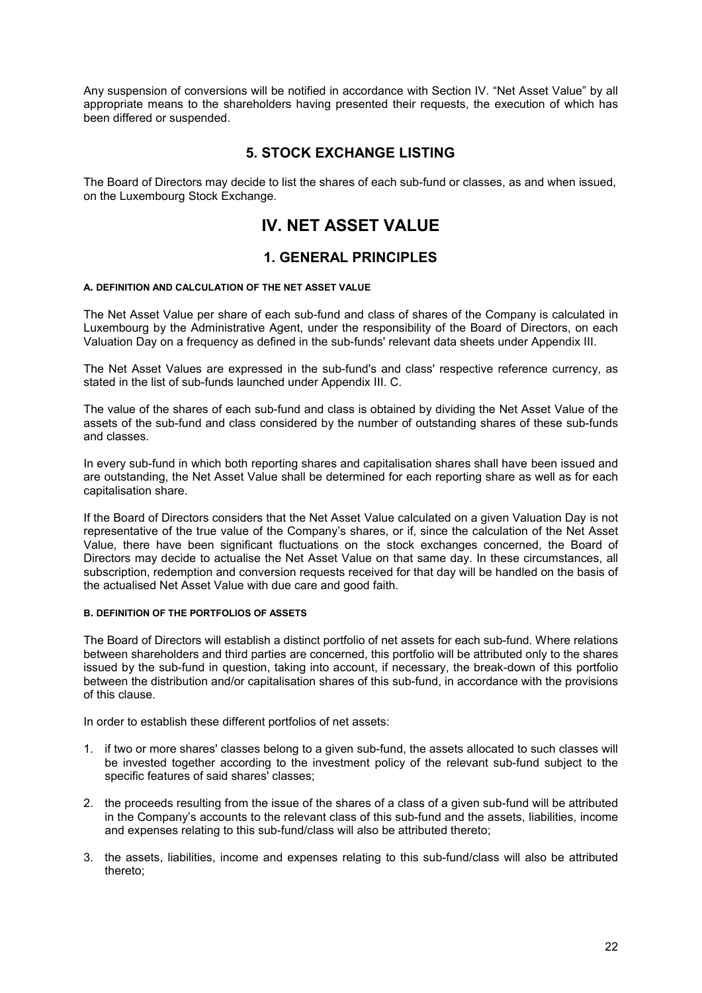Any suspension of conversions will be notified in accordance with Section IV. "Net Asset Value" by all appropriate means to the shareholders having presented their requests, the execution of which has been differed or suspended.

## **5. STOCK EXCHANGE LISTING**

<span id="page-21-1"></span><span id="page-21-0"></span>The Board of Directors may decide to list the shares of each sub-fund or classes, as and when issued, on the Luxembourg Stock Exchange.

# <span id="page-21-2"></span>**IV. NET ASSET VALUE**

## **1. GENERAL PRINCIPLES**

#### **A. DEFINITION AND CALCULATION OF THE NET ASSET VALUE**

The Net Asset Value per share of each sub-fund and class of shares of the Company is calculated in Luxembourg by the Administrative Agent, under the responsibility of the Board of Directors, on each Valuation Day on a frequency as defined in the sub-funds' relevant data sheets under Appendix III.

The Net Asset Values are expressed in the sub-fund's and class' respective reference currency, as stated in the list of sub-funds launched under Appendix III. C.

The value of the shares of each sub-fund and class is obtained by dividing the Net Asset Value of the assets of the sub-fund and class considered by the number of outstanding shares of these sub-funds and classes.

In every sub-fund in which both reporting shares and capitalisation shares shall have been issued and are outstanding, the Net Asset Value shall be determined for each reporting share as well as for each capitalisation share.

If the Board of Directors considers that the Net Asset Value calculated on a given Valuation Day is not representative of the true value of the Company's shares, or if, since the calculation of the Net Asset Value, there have been significant fluctuations on the stock exchanges concerned, the Board of Directors may decide to actualise the Net Asset Value on that same day. In these circumstances, all subscription, redemption and conversion requests received for that day will be handled on the basis of the actualised Net Asset Value with due care and good faith.

#### **B. DEFINITION OF THE PORTFOLIOS OF ASSETS**

The Board of Directors will establish a distinct portfolio of net assets for each sub-fund. Where relations between shareholders and third parties are concerned, this portfolio will be attributed only to the shares issued by the sub-fund in question, taking into account, if necessary, the break-down of this portfolio between the distribution and/or capitalisation shares of this sub-fund, in accordance with the provisions of this clause.

In order to establish these different portfolios of net assets:

- 1. if two or more shares' classes belong to a given sub-fund, the assets allocated to such classes will be invested together according to the investment policy of the relevant sub-fund subject to the specific features of said shares' classes;
- 2. the proceeds resulting from the issue of the shares of a class of a given sub-fund will be attributed in the Company's accounts to the relevant class of this sub-fund and the assets, liabilities, income and expenses relating to this sub-fund/class will also be attributed thereto;
- 3. the assets, liabilities, income and expenses relating to this sub-fund/class will also be attributed thereto;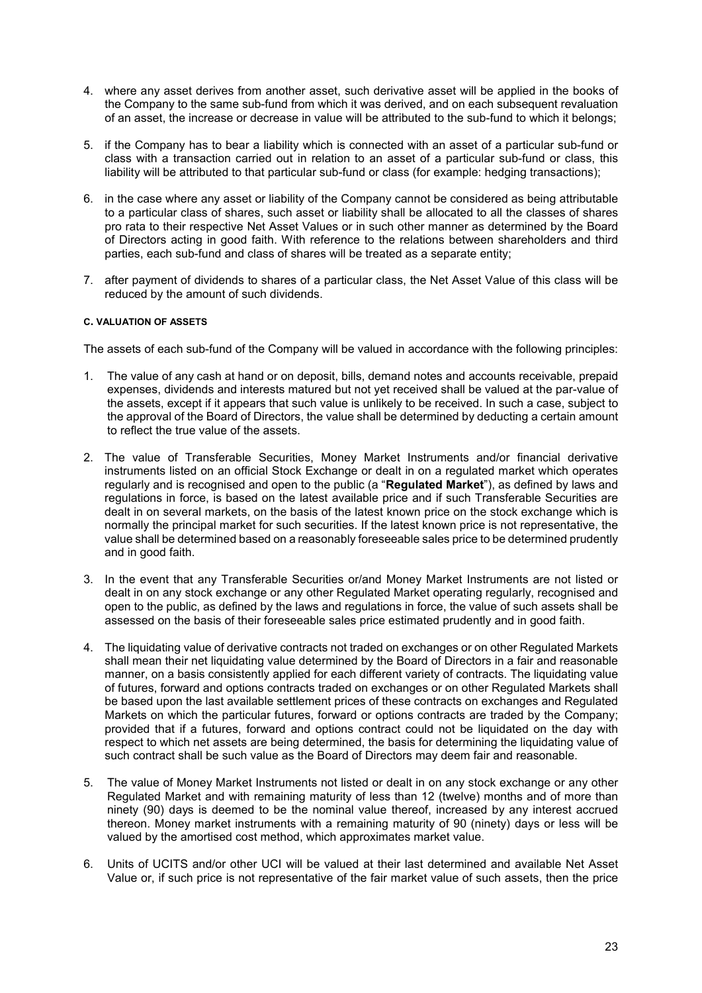- 4. where any asset derives from another asset, such derivative asset will be applied in the books of the Company to the same sub-fund from which it was derived, and on each subsequent revaluation of an asset, the increase or decrease in value will be attributed to the sub-fund to which it belongs;
- 5. if the Company has to bear a liability which is connected with an asset of a particular sub-fund or class with a transaction carried out in relation to an asset of a particular sub-fund or class, this liability will be attributed to that particular sub-fund or class (for example: hedging transactions);
- 6. in the case where any asset or liability of the Company cannot be considered as being attributable to a particular class of shares, such asset or liability shall be allocated to all the classes of shares pro rata to their respective Net Asset Values or in such other manner as determined by the Board of Directors acting in good faith. With reference to the relations between shareholders and third parties, each sub-fund and class of shares will be treated as a separate entity;
- 7. after payment of dividends to shares of a particular class, the Net Asset Value of this class will be reduced by the amount of such dividends.

## **C. VALUATION OF ASSETS**

The assets of each sub-fund of the Company will be valued in accordance with the following principles:

- 1. The value of any cash at hand or on deposit, bills, demand notes and accounts receivable, prepaid expenses, dividends and interests matured but not yet received shall be valued at the par-value of the assets, except if it appears that such value is unlikely to be received. In such a case, subject to the approval of the Board of Directors, the value shall be determined by deducting a certain amount to reflect the true value of the assets.
- 2. The value of Transferable Securities, Money Market Instruments and/or financial derivative instruments listed on an official Stock Exchange or dealt in on a regulated market which operates regularly and is recognised and open to the public (a "**Regulated Market**"), as defined by laws and regulations in force, is based on the latest available price and if such Transferable Securities are dealt in on several markets, on the basis of the latest known price on the stock exchange which is normally the principal market for such securities. If the latest known price is not representative, the value shall be determined based on a reasonably foreseeable sales price to be determined prudently and in good faith.
- 3. In the event that any Transferable Securities or/and Money Market Instruments are not listed or dealt in on any stock exchange or any other Regulated Market operating regularly, recognised and open to the public, as defined by the laws and regulations in force, the value of such assets shall be assessed on the basis of their foreseeable sales price estimated prudently and in good faith.
- 4. The liquidating value of derivative contracts not traded on exchanges or on other Regulated Markets shall mean their net liquidating value determined by the Board of Directors in a fair and reasonable manner, on a basis consistently applied for each different variety of contracts. The liquidating value of futures, forward and options contracts traded on exchanges or on other Regulated Markets shall be based upon the last available settlement prices of these contracts on exchanges and Regulated Markets on which the particular futures, forward or options contracts are traded by the Company; provided that if a futures, forward and options contract could not be liquidated on the day with respect to which net assets are being determined, the basis for determining the liquidating value of such contract shall be such value as the Board of Directors may deem fair and reasonable.
- 5. The value of Money Market Instruments not listed or dealt in on any stock exchange or any other Regulated Market and with remaining maturity of less than 12 (twelve) months and of more than ninety (90) days is deemed to be the nominal value thereof, increased by any interest accrued thereon. Money market instruments with a remaining maturity of 90 (ninety) days or less will be valued by the amortised cost method, which approximates market value.
- 6. Units of UCITS and/or other UCI will be valued at their last determined and available Net Asset Value or, if such price is not representative of the fair market value of such assets, then the price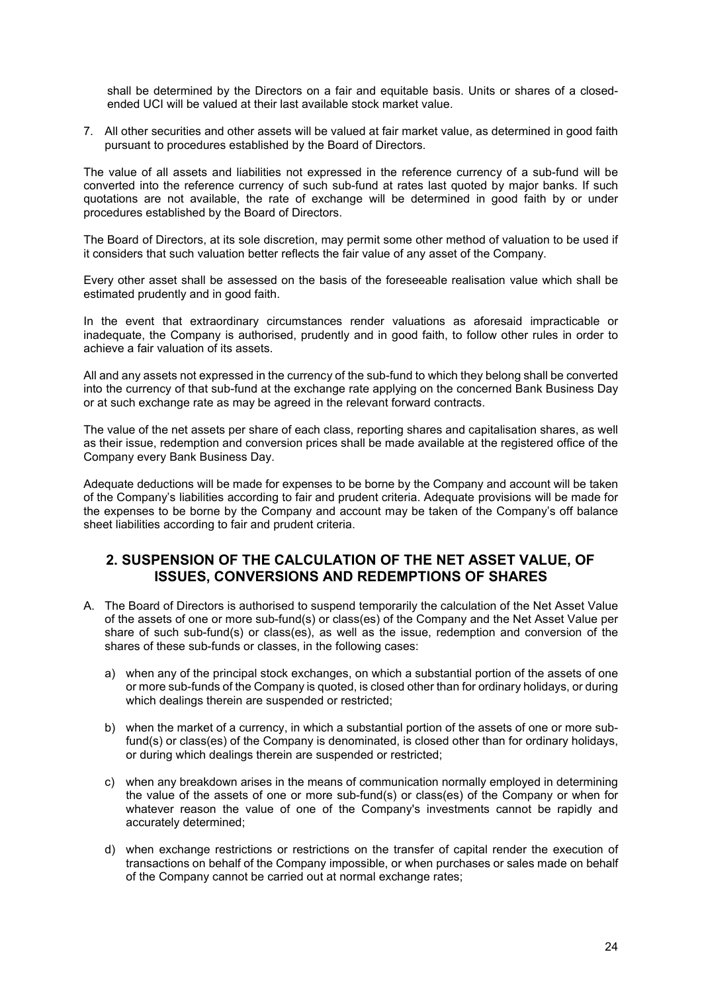shall be determined by the Directors on a fair and equitable basis. Units or shares of a closedended UCI will be valued at their last available stock market value.

7. All other securities and other assets will be valued at fair market value, as determined in good faith pursuant to procedures established by the Board of Directors.

The value of all assets and liabilities not expressed in the reference currency of a sub-fund will be converted into the reference currency of such sub-fund at rates last quoted by major banks. If such quotations are not available, the rate of exchange will be determined in good faith by or under procedures established by the Board of Directors.

The Board of Directors, at its sole discretion, may permit some other method of valuation to be used if it considers that such valuation better reflects the fair value of any asset of the Company.

Every other asset shall be assessed on the basis of the foreseeable realisation value which shall be estimated prudently and in good faith.

In the event that extraordinary circumstances render valuations as aforesaid impracticable or inadequate, the Company is authorised, prudently and in good faith, to follow other rules in order to achieve a fair valuation of its assets.

All and any assets not expressed in the currency of the sub-fund to which they belong shall be converted into the currency of that sub-fund at the exchange rate applying on the concerned Bank Business Day or at such exchange rate as may be agreed in the relevant forward contracts.

The value of the net assets per share of each class, reporting shares and capitalisation shares, as well as their issue, redemption and conversion prices shall be made available at the registered office of the Company every Bank Business Day.

Adequate deductions will be made for expenses to be borne by the Company and account will be taken of the Company's liabilities according to fair and prudent criteria. Adequate provisions will be made for the expenses to be borne by the Company and account may be taken of the Company's off balance sheet liabilities according to fair and prudent criteria.

## <span id="page-23-0"></span>**2. SUSPENSION OF THE CALCULATION OF THE NET ASSET VALUE, OF ISSUES, CONVERSIONS AND REDEMPTIONS OF SHARES**

- A. The Board of Directors is authorised to suspend temporarily the calculation of the Net Asset Value of the assets of one or more sub-fund(s) or class(es) of the Company and the Net Asset Value per share of such sub-fund(s) or class(es), as well as the issue, redemption and conversion of the shares of these sub-funds or classes, in the following cases:
	- a) when any of the principal stock exchanges, on which a substantial portion of the assets of one or more sub-funds of the Company is quoted, is closed other than for ordinary holidays, or during which dealings therein are suspended or restricted;
	- b) when the market of a currency, in which a substantial portion of the assets of one or more subfund(s) or class(es) of the Company is denominated, is closed other than for ordinary holidays, or during which dealings therein are suspended or restricted;
	- c) when any breakdown arises in the means of communication normally employed in determining the value of the assets of one or more sub-fund(s) or class(es) of the Company or when for whatever reason the value of one of the Company's investments cannot be rapidly and accurately determined;
	- d) when exchange restrictions or restrictions on the transfer of capital render the execution of transactions on behalf of the Company impossible, or when purchases or sales made on behalf of the Company cannot be carried out at normal exchange rates;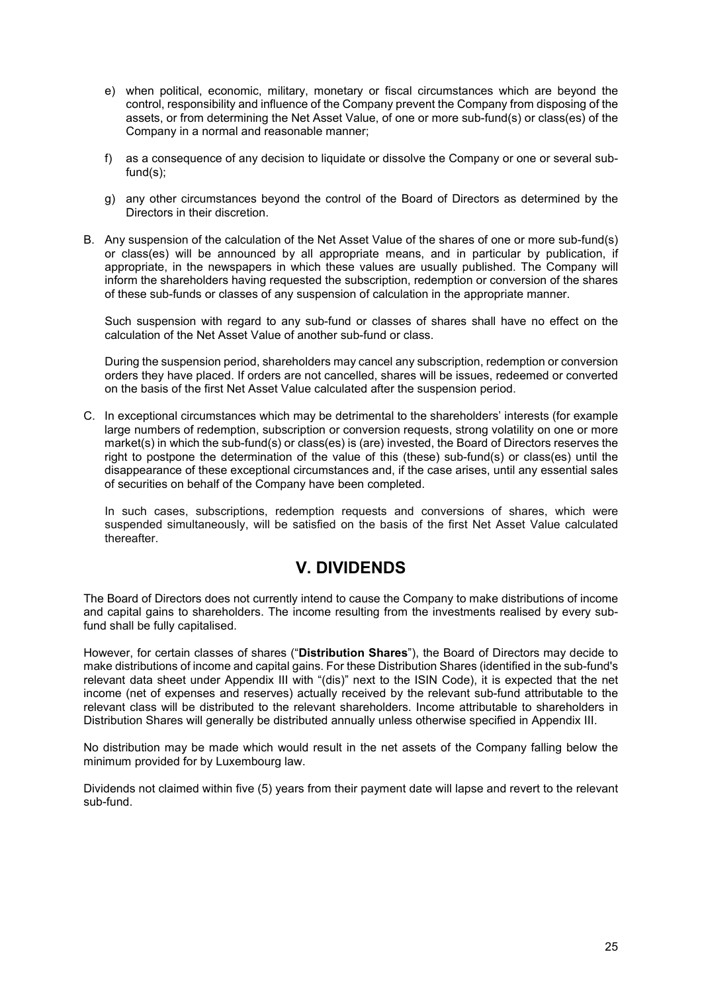- e) when political, economic, military, monetary or fiscal circumstances which are beyond the control, responsibility and influence of the Company prevent the Company from disposing of the assets, or from determining the Net Asset Value, of one or more sub-fund(s) or class(es) of the Company in a normal and reasonable manner;
- f) as a consequence of any decision to liquidate or dissolve the Company or one or several subfund(s);
- g) any other circumstances beyond the control of the Board of Directors as determined by the Directors in their discretion.
- B. Any suspension of the calculation of the Net Asset Value of the shares of one or more sub-fund(s) or class(es) will be announced by all appropriate means, and in particular by publication, if appropriate, in the newspapers in which these values are usually published. The Company will inform the shareholders having requested the subscription, redemption or conversion of the shares of these sub-funds or classes of any suspension of calculation in the appropriate manner.

Such suspension with regard to any sub-fund or classes of shares shall have no effect on the calculation of the Net Asset Value of another sub-fund or class.

During the suspension period, shareholders may cancel any subscription, redemption or conversion orders they have placed. If orders are not cancelled, shares will be issues, redeemed or converted on the basis of the first Net Asset Value calculated after the suspension period.

C. In exceptional circumstances which may be detrimental to the shareholders' interests (for example large numbers of redemption, subscription or conversion requests, strong volatility on one or more market(s) in which the sub-fund(s) or class(es) is (are) invested, the Board of Directors reserves the right to postpone the determination of the value of this (these) sub-fund(s) or class(es) until the disappearance of these exceptional circumstances and, if the case arises, until any essential sales of securities on behalf of the Company have been completed.

In such cases, subscriptions, redemption requests and conversions of shares, which were suspended simultaneously, will be satisfied on the basis of the first Net Asset Value calculated thereafter.

# **V. DIVIDENDS**

<span id="page-24-0"></span>The Board of Directors does not currently intend to cause the Company to make distributions of income and capital gains to shareholders. The income resulting from the investments realised by every subfund shall be fully capitalised.

However, for certain classes of shares ("**Distribution Shares**"), the Board of Directors may decide to make distributions of income and capital gains. For these Distribution Shares (identified in the sub-fund's relevant data sheet under Appendix III with "(dis)" next to the ISIN Code), it is expected that the net income (net of expenses and reserves) actually received by the relevant sub-fund attributable to the relevant class will be distributed to the relevant shareholders. Income attributable to shareholders in Distribution Shares will generally be distributed annually unless otherwise specified in Appendix III.

No distribution may be made which would result in the net assets of the Company falling below the minimum provided for by Luxembourg law.

Dividends not claimed within five (5) years from their payment date will lapse and revert to the relevant sub-fund.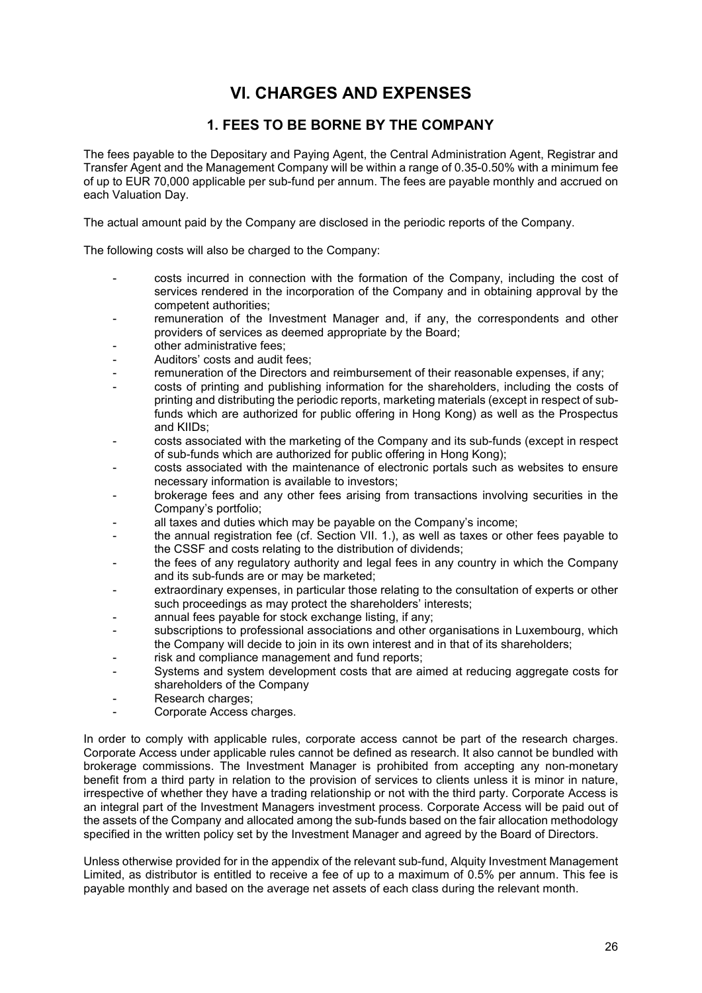# **VI. CHARGES AND EXPENSES**

## **1. FEES TO BE BORNE BY THE COMPANY**

<span id="page-25-1"></span><span id="page-25-0"></span>The fees payable to the Depositary and Paying Agent, the Central Administration Agent, Registrar and Transfer Agent and the Management Company will be within a range of 0.35-0.50% with a minimum fee of up to EUR 70,000 applicable per sub-fund per annum. The fees are payable monthly and accrued on each Valuation Day.

The actual amount paid by the Company are disclosed in the periodic reports of the Company.

The following costs will also be charged to the Company:

- costs incurred in connection with the formation of the Company, including the cost of services rendered in the incorporation of the Company and in obtaining approval by the competent authorities;
- remuneration of the Investment Manager and, if any, the correspondents and other providers of services as deemed appropriate by the Board;
- other administrative fees;
- Auditors' costs and audit fees:
- remuneration of the Directors and reimbursement of their reasonable expenses, if any;
- costs of printing and publishing information for the shareholders, including the costs of printing and distributing the periodic reports, marketing materials (except in respect of subfunds which are authorized for public offering in Hong Kong) as well as the Prospectus and KIIDs;
- costs associated with the marketing of the Company and its sub-funds (except in respect of sub-funds which are authorized for public offering in Hong Kong);
- costs associated with the maintenance of electronic portals such as websites to ensure necessary information is available to investors;
- brokerage fees and any other fees arising from transactions involving securities in the Company's portfolio;
- all taxes and duties which may be payable on the Company's income;
- the annual registration fee (cf. Section VII. 1.), as well as taxes or other fees payable to the CSSF and costs relating to the distribution of dividends;
- the fees of any regulatory authority and legal fees in any country in which the Company and its sub-funds are or may be marketed;
- extraordinary expenses, in particular those relating to the consultation of experts or other such proceedings as may protect the shareholders' interests;
- annual fees payable for stock exchange listing, if any;
- subscriptions to professional associations and other organisations in Luxembourg, which the Company will decide to join in its own interest and in that of its shareholders;
- risk and compliance management and fund reports;
- Systems and system development costs that are aimed at reducing aggregate costs for shareholders of the Company
- Research charges;
- Corporate Access charges.

In order to comply with applicable rules, corporate access cannot be part of the research charges. Corporate Access under applicable rules cannot be defined as research. It also cannot be bundled with brokerage commissions. The Investment Manager is prohibited from accepting any non-monetary benefit from a third party in relation to the provision of services to clients unless it is minor in nature, irrespective of whether they have a trading relationship or not with the third party. Corporate Access is an integral part of the Investment Managers investment process. Corporate Access will be paid out of the assets of the Company and allocated among the sub-funds based on the fair allocation methodology specified in the written policy set by the Investment Manager and agreed by the Board of Directors.

Unless otherwise provided for in the appendix of the relevant sub-fund, Alquity Investment Management Limited, as distributor is entitled to receive a fee of up to a maximum of 0.5% per annum. This fee is payable monthly and based on the average net assets of each class during the relevant month.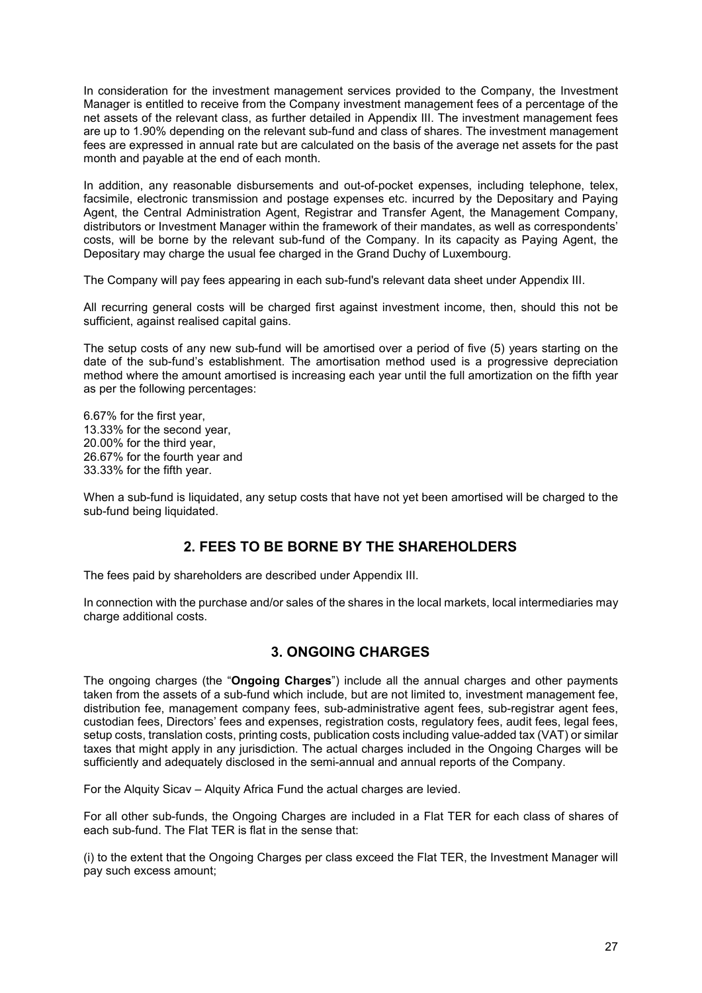In consideration for the investment management services provided to the Company, the Investment Manager is entitled to receive from the Company investment management fees of a percentage of the net assets of the relevant class, as further detailed in Appendix III. The investment management fees are up to 1.90% depending on the relevant sub-fund and class of shares. The investment management fees are expressed in annual rate but are calculated on the basis of the average net assets for the past month and payable at the end of each month.

In addition, any reasonable disbursements and out-of-pocket expenses, including telephone, telex, facsimile, electronic transmission and postage expenses etc. incurred by the Depositary and Paying Agent, the Central Administration Agent, Registrar and Transfer Agent, the Management Company, distributors or Investment Manager within the framework of their mandates, as well as correspondents' costs, will be borne by the relevant sub-fund of the Company. In its capacity as Paying Agent, the Depositary may charge the usual fee charged in the Grand Duchy of Luxembourg.

The Company will pay fees appearing in each sub-fund's relevant data sheet under Appendix III.

All recurring general costs will be charged first against investment income, then, should this not be sufficient, against realised capital gains.

The setup costs of any new sub-fund will be amortised over a period of five (5) years starting on the date of the sub-fund's establishment. The amortisation method used is a progressive depreciation method where the amount amortised is increasing each year until the full amortization on the fifth year as per the following percentages:

6.67% for the first year, 13.33% for the second year, 20.00% for the third year, 26.67% for the fourth year and 33.33% for the fifth year.

When a sub-fund is liquidated, any setup costs that have not yet been amortised will be charged to the sub-fund being liquidated.

## **2. FEES TO BE BORNE BY THE SHAREHOLDERS**

<span id="page-26-0"></span>The fees paid by shareholders are described under Appendix III.

In connection with the purchase and/or sales of the shares in the local markets, local intermediaries may charge additional costs.

## **3. ONGOING CHARGES**

<span id="page-26-1"></span>The ongoing charges (the "**Ongoing Charges**") include all the annual charges and other payments taken from the assets of a sub-fund which include, but are not limited to, investment management fee, distribution fee, management company fees, sub-administrative agent fees, sub-registrar agent fees, custodian fees, Directors' fees and expenses, registration costs, regulatory fees, audit fees, legal fees, setup costs, translation costs, printing costs, publication costs including value-added tax (VAT) or similar taxes that might apply in any jurisdiction. The actual charges included in the Ongoing Charges will be sufficiently and adequately disclosed in the semi-annual and annual reports of the Company.

For the Alquity Sicav – Alquity Africa Fund the actual charges are levied.

For all other sub-funds, the Ongoing Charges are included in a Flat TER for each class of shares of each sub-fund. The Flat TER is flat in the sense that:

(i) to the extent that the Ongoing Charges per class exceed the Flat TER, the Investment Manager will pay such excess amount;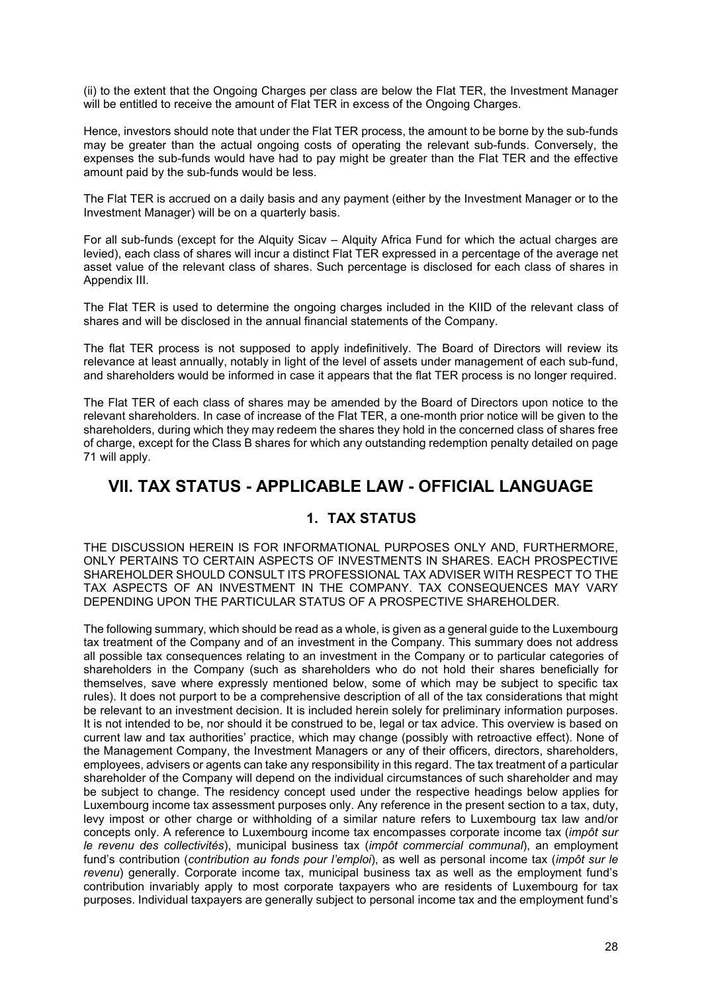(ii) to the extent that the Ongoing Charges per class are below the Flat TER, the Investment Manager will be entitled to receive the amount of Flat TER in excess of the Ongoing Charges.

Hence, investors should note that under the Flat TER process, the amount to be borne by the sub-funds may be greater than the actual ongoing costs of operating the relevant sub-funds. Conversely, the expenses the sub-funds would have had to pay might be greater than the Flat TER and the effective amount paid by the sub-funds would be less.

The Flat TER is accrued on a daily basis and any payment (either by the Investment Manager or to the Investment Manager) will be on a quarterly basis.

For all sub-funds (except for the Alquity Sicav – Alquity Africa Fund for which the actual charges are levied), each class of shares will incur a distinct Flat TER expressed in a percentage of the average net asset value of the relevant class of shares. Such percentage is disclosed for each class of shares in Appendix III.

The Flat TER is used to determine the ongoing charges included in the KIID of the relevant class of shares and will be disclosed in the annual financial statements of the Company.

The flat TER process is not supposed to apply indefinitively. The Board of Directors will review its relevance at least annually, notably in light of the level of assets under management of each sub-fund, and shareholders would be informed in case it appears that the flat TER process is no longer required.

The Flat TER of each class of shares may be amended by the Board of Directors upon notice to the relevant shareholders. In case of increase of the Flat TER, a one-month prior notice will be given to the shareholders, during which they may redeem the shares they hold in the concerned class of shares free of charge, except for the Class B shares for which any outstanding redemption penalty detailed on page 71 will apply.

# <span id="page-27-1"></span><span id="page-27-0"></span>**VII. TAX STATUS - APPLICABLE LAW - OFFICIAL LANGUAGE**

## **1. TAX STATUS**

THE DISCUSSION HEREIN IS FOR INFORMATIONAL PURPOSES ONLY AND, FURTHERMORE, ONLY PERTAINS TO CERTAIN ASPECTS OF INVESTMENTS IN SHARES. EACH PROSPECTIVE SHAREHOLDER SHOULD CONSULT ITS PROFESSIONAL TAX ADVISER WITH RESPECT TO THE TAX ASPECTS OF AN INVESTMENT IN THE COMPANY. TAX CONSEQUENCES MAY VARY DEPENDING UPON THE PARTICULAR STATUS OF A PROSPECTIVE SHAREHOLDER.

The following summary, which should be read as a whole, is given as a general guide to the Luxembourg tax treatment of the Company and of an investment in the Company. This summary does not address all possible tax consequences relating to an investment in the Company or to particular categories of shareholders in the Company (such as shareholders who do not hold their shares beneficially for themselves, save where expressly mentioned below, some of which may be subject to specific tax rules). It does not purport to be a comprehensive description of all of the tax considerations that might be relevant to an investment decision. It is included herein solely for preliminary information purposes. It is not intended to be, nor should it be construed to be, legal or tax advice. This overview is based on current law and tax authorities' practice, which may change (possibly with retroactive effect). None of the Management Company, the Investment Managers or any of their officers, directors, shareholders, employees, advisers or agents can take any responsibility in this regard. The tax treatment of a particular shareholder of the Company will depend on the individual circumstances of such shareholder and may be subject to change. The residency concept used under the respective headings below applies for Luxembourg income tax assessment purposes only. Any reference in the present section to a tax, duty, levy impost or other charge or withholding of a similar nature refers to Luxembourg tax law and/or concepts only. A reference to Luxembourg income tax encompasses corporate income tax (*impôt sur le revenu des collectivités*), municipal business tax (*impôt commercial communal*), an employment fund's contribution (*contribution au fonds pour l'emploi*), as well as personal income tax (*impôt sur le revenu*) generally. Corporate income tax, municipal business tax as well as the employment fund's contribution invariably apply to most corporate taxpayers who are residents of Luxembourg for tax purposes. Individual taxpayers are generally subject to personal income tax and the employment fund's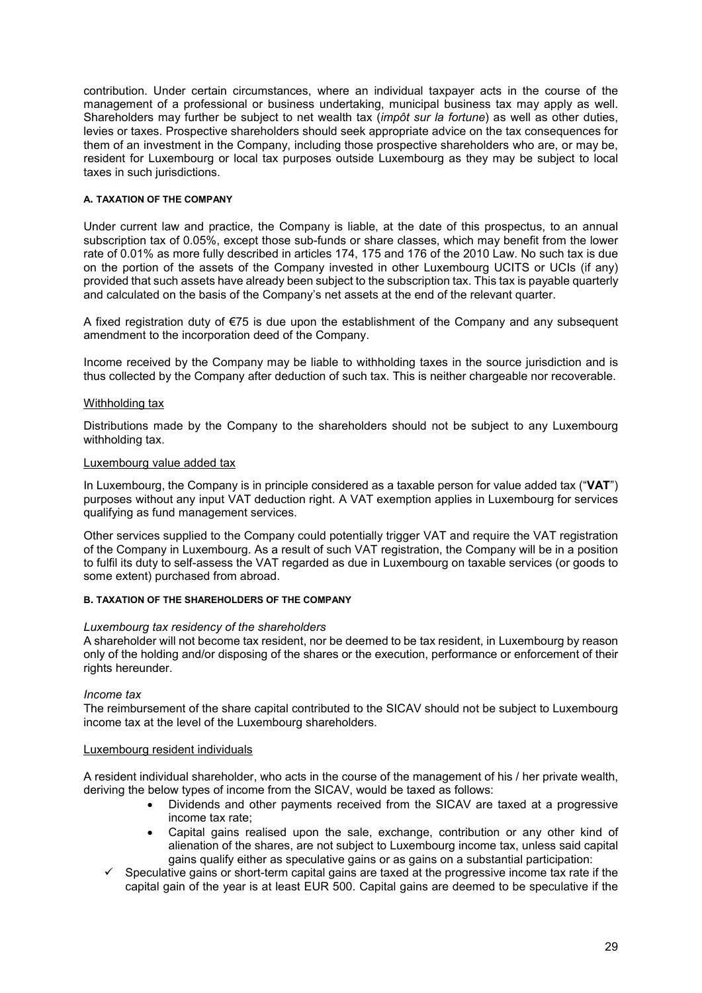contribution. Under certain circumstances, where an individual taxpayer acts in the course of the management of a professional or business undertaking, municipal business tax may apply as well. Shareholders may further be subject to net wealth tax (*impôt sur la fortune*) as well as other duties, levies or taxes. Prospective shareholders should seek appropriate advice on the tax consequences for them of an investment in the Company, including those prospective shareholders who are, or may be, resident for Luxembourg or local tax purposes outside Luxembourg as they may be subject to local taxes in such jurisdictions.

#### **A. TAXATION OF THE COMPANY**

Under current law and practice, the Company is liable, at the date of this prospectus, to an annual subscription tax of 0.05%, except those sub-funds or share classes, which may benefit from the lower rate of 0.01% as more fully described in articles 174, 175 and 176 of the 2010 Law. No such tax is due on the portion of the assets of the Company invested in other Luxembourg UCITS or UCIs (if any) provided that such assets have already been subject to the subscription tax. This tax is payable quarterly and calculated on the basis of the Company's net assets at the end of the relevant quarter.

A fixed registration duty of €75 is due upon the establishment of the Company and any subsequent amendment to the incorporation deed of the Company.

Income received by the Company may be liable to withholding taxes in the source jurisdiction and is thus collected by the Company after deduction of such tax. This is neither chargeable nor recoverable.

## Withholding tax

Distributions made by the Company to the shareholders should not be subject to any Luxembourg withholding tax.

#### Luxembourg value added tax

In Luxembourg, the Company is in principle considered as a taxable person for value added tax ("**VAT**") purposes without any input VAT deduction right. A VAT exemption applies in Luxembourg for services qualifying as fund management services.

Other services supplied to the Company could potentially trigger VAT and require the VAT registration of the Company in Luxembourg. As a result of such VAT registration, the Company will be in a position to fulfil its duty to self-assess the VAT regarded as due in Luxembourg on taxable services (or goods to some extent) purchased from abroad.

#### **B. TAXATION OF THE SHAREHOLDERS OF THE COMPANY**

#### *Luxembourg tax residency of the shareholders*

A shareholder will not become tax resident, nor be deemed to be tax resident, in Luxembourg by reason only of the holding and/or disposing of the shares or the execution, performance or enforcement of their rights hereunder.

#### *Income tax*

The reimbursement of the share capital contributed to the SICAV should not be subject to Luxembourg income tax at the level of the Luxembourg shareholders.

#### Luxembourg resident individuals

A resident individual shareholder, who acts in the course of the management of his / her private wealth, deriving the below types of income from the SICAV, would be taxed as follows:

- Dividends and other payments received from the SICAV are taxed at a progressive income tax rate;
- Capital gains realised upon the sale, exchange, contribution or any other kind of alienation of the shares, are not subject to Luxembourg income tax, unless said capital gains qualify either as speculative gains or as gains on a substantial participation:
- $\checkmark$  Speculative gains or short-term capital gains are taxed at the progressive income tax rate if the capital gain of the year is at least EUR 500. Capital gains are deemed to be speculative if the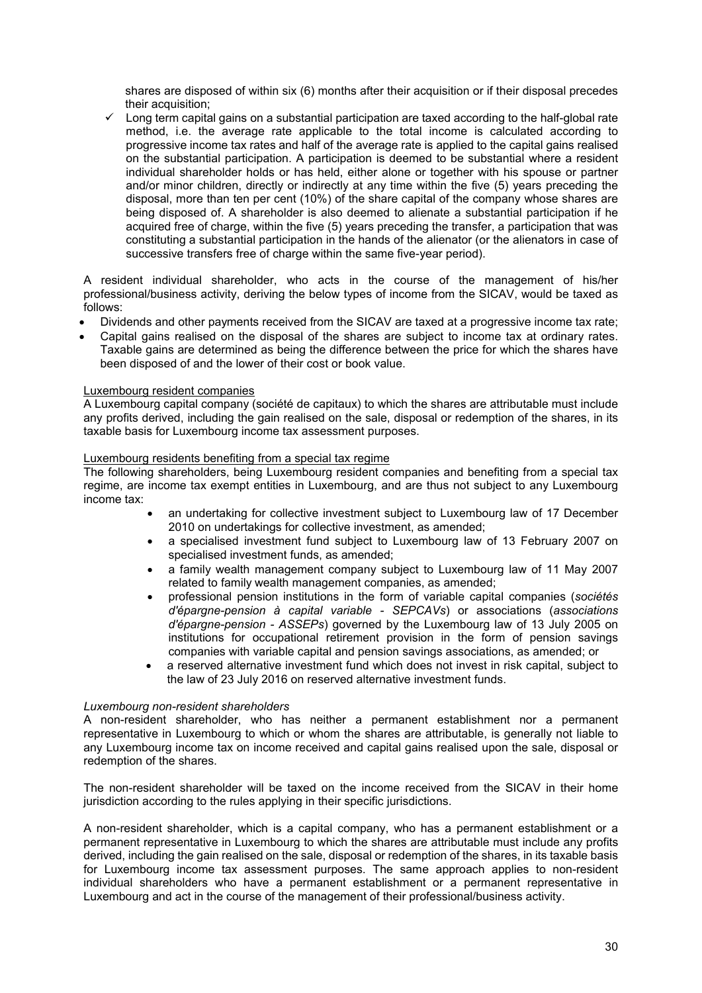shares are disposed of within six (6) months after their acquisition or if their disposal precedes their acquisition;

 $\checkmark$  Long term capital gains on a substantial participation are taxed according to the half-global rate method, i.e. the average rate applicable to the total income is calculated according to progressive income tax rates and half of the average rate is applied to the capital gains realised on the substantial participation. A participation is deemed to be substantial where a resident individual shareholder holds or has held, either alone or together with his spouse or partner and/or minor children, directly or indirectly at any time within the five (5) years preceding the disposal, more than ten per cent (10%) of the share capital of the company whose shares are being disposed of. A shareholder is also deemed to alienate a substantial participation if he acquired free of charge, within the five (5) years preceding the transfer, a participation that was constituting a substantial participation in the hands of the alienator (or the alienators in case of successive transfers free of charge within the same five-year period).

A resident individual shareholder, who acts in the course of the management of his/her professional/business activity, deriving the below types of income from the SICAV, would be taxed as follows:

- Dividends and other payments received from the SICAV are taxed at a progressive income tax rate;
- Capital gains realised on the disposal of the shares are subject to income tax at ordinary rates. Taxable gains are determined as being the difference between the price for which the shares have been disposed of and the lower of their cost or book value.

## Luxembourg resident companies

A Luxembourg capital company (société de capitaux) to which the shares are attributable must include any profits derived, including the gain realised on the sale, disposal or redemption of the shares, in its taxable basis for Luxembourg income tax assessment purposes.

#### Luxembourg residents benefiting from a special tax regime

The following shareholders, being Luxembourg resident companies and benefiting from a special tax regime, are income tax exempt entities in Luxembourg, and are thus not subject to any Luxembourg income tax:

- an undertaking for collective investment subject to Luxembourg law of 17 December 2010 on undertakings for collective investment, as amended;
- a specialised investment fund subject to Luxembourg law of 13 February 2007 on specialised investment funds, as amended;
- a family wealth management company subject to Luxembourg law of 11 May 2007 related to family wealth management companies, as amended;
- professional pension institutions in the form of variable capital companies (*sociétés d'épargne-pension à capital variable - SEPCAVs*) or associations (*associations d'épargne-pension - ASSEPs*) governed by the Luxembourg law of 13 July 2005 on institutions for occupational retirement provision in the form of pension savings companies with variable capital and pension savings associations, as amended; or
- a reserved alternative investment fund which does not invest in risk capital, subject to the law of 23 July 2016 on reserved alternative investment funds.

#### *Luxembourg non-resident shareholders*

A non-resident shareholder, who has neither a permanent establishment nor a permanent representative in Luxembourg to which or whom the shares are attributable, is generally not liable to any Luxembourg income tax on income received and capital gains realised upon the sale, disposal or redemption of the shares.

The non-resident shareholder will be taxed on the income received from the SICAV in their home jurisdiction according to the rules applying in their specific jurisdictions.

A non-resident shareholder, which is a capital company, who has a permanent establishment or a permanent representative in Luxembourg to which the shares are attributable must include any profits derived, including the gain realised on the sale, disposal or redemption of the shares, in its taxable basis for Luxembourg income tax assessment purposes. The same approach applies to non-resident individual shareholders who have a permanent establishment or a permanent representative in Luxembourg and act in the course of the management of their professional/business activity.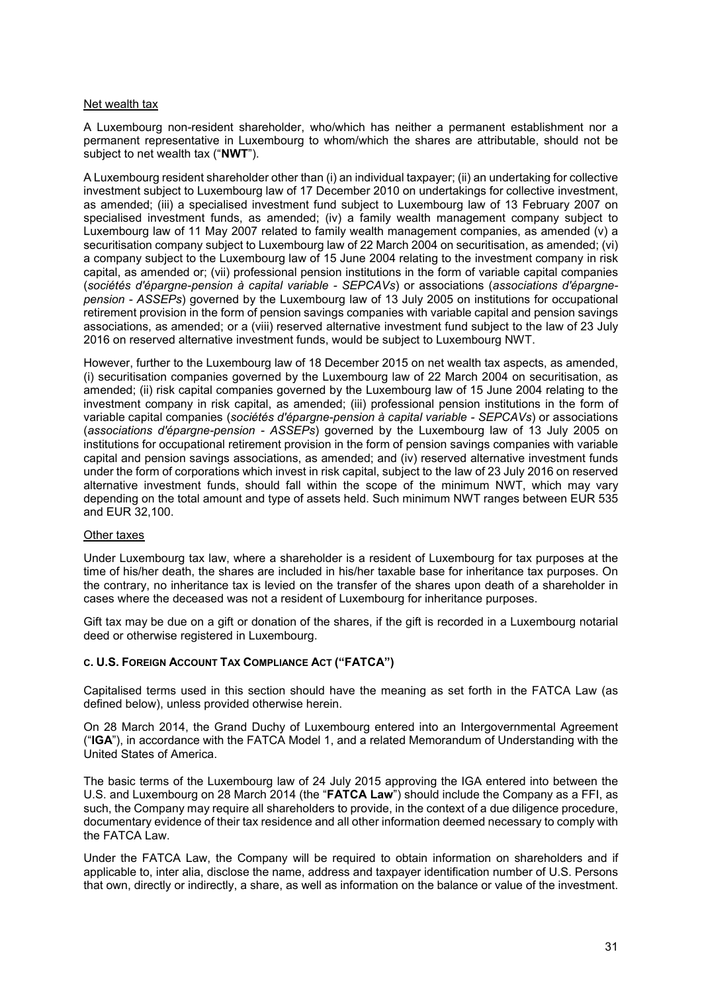#### Net wealth tax

A Luxembourg non-resident shareholder, who/which has neither a permanent establishment nor a permanent representative in Luxembourg to whom/which the shares are attributable, should not be subject to net wealth tax ("**NWT**").

A Luxembourg resident shareholder other than (i) an individual taxpayer; (ii) an undertaking for collective investment subject to Luxembourg law of 17 December 2010 on undertakings for collective investment, as amended; (iii) a specialised investment fund subject to Luxembourg law of 13 February 2007 on specialised investment funds, as amended; (iv) a family wealth management company subject to Luxembourg law of 11 May 2007 related to family wealth management companies, as amended (v) a securitisation company subject to Luxembourg law of 22 March 2004 on securitisation, as amended; (vi) a company subject to the Luxembourg law of 15 June 2004 relating to the investment company in risk capital, as amended or; (vii) professional pension institutions in the form of variable capital companies (*sociétés d'épargne-pension à capital variable - SEPCAVs*) or associations (*associations d'épargnepension - ASSEPs*) governed by the Luxembourg law of 13 July 2005 on institutions for occupational retirement provision in the form of pension savings companies with variable capital and pension savings associations, as amended; or a (viii) reserved alternative investment fund subject to the law of 23 July 2016 on reserved alternative investment funds, would be subject to Luxembourg NWT.

However, further to the Luxembourg law of 18 December 2015 on net wealth tax aspects, as amended, (i) securitisation companies governed by the Luxembourg law of 22 March 2004 on securitisation, as amended; (ii) risk capital companies governed by the Luxembourg law of 15 June 2004 relating to the investment company in risk capital, as amended; (iii) professional pension institutions in the form of variable capital companies (*sociétés d'épargne-pension à capital variable - SEPCAVs*) or associations (*associations d'épargne-pension - ASSEPs*) governed by the Luxembourg law of 13 July 2005 on institutions for occupational retirement provision in the form of pension savings companies with variable capital and pension savings associations, as amended; and (iv) reserved alternative investment funds under the form of corporations which invest in risk capital, subject to the law of 23 July 2016 on reserved alternative investment funds, should fall within the scope of the minimum NWT, which may vary depending on the total amount and type of assets held. Such minimum NWT ranges between EUR 535 and EUR 32,100.

#### Other taxes

Under Luxembourg tax law, where a shareholder is a resident of Luxembourg for tax purposes at the time of his/her death, the shares are included in his/her taxable base for inheritance tax purposes. On the contrary, no inheritance tax is levied on the transfer of the shares upon death of a shareholder in cases where the deceased was not a resident of Luxembourg for inheritance purposes.

Gift tax may be due on a gift or donation of the shares, if the gift is recorded in a Luxembourg notarial deed or otherwise registered in Luxembourg.

## **C. U.S. FOREIGN ACCOUNT TAX COMPLIANCE ACT ("FATCA")**

Capitalised terms used in this section should have the meaning as set forth in the FATCA Law (as defined below), unless provided otherwise herein.

On 28 March 2014, the Grand Duchy of Luxembourg entered into an Intergovernmental Agreement ("**IGA**"), in accordance with the FATCA Model 1, and a related Memorandum of Understanding with the United States of America.

The basic terms of the Luxembourg law of 24 July 2015 approving the IGA entered into between the U.S. and Luxembourg on 28 March 2014 (the "**FATCA Law**") should include the Company as a FFI, as such, the Company may require all shareholders to provide, in the context of a due diligence procedure, documentary evidence of their tax residence and all other information deemed necessary to comply with the FATCA Law.

Under the FATCA Law, the Company will be required to obtain information on shareholders and if applicable to, inter alia, disclose the name, address and taxpayer identification number of U.S. Persons that own, directly or indirectly, a share, as well as information on the balance or value of the investment.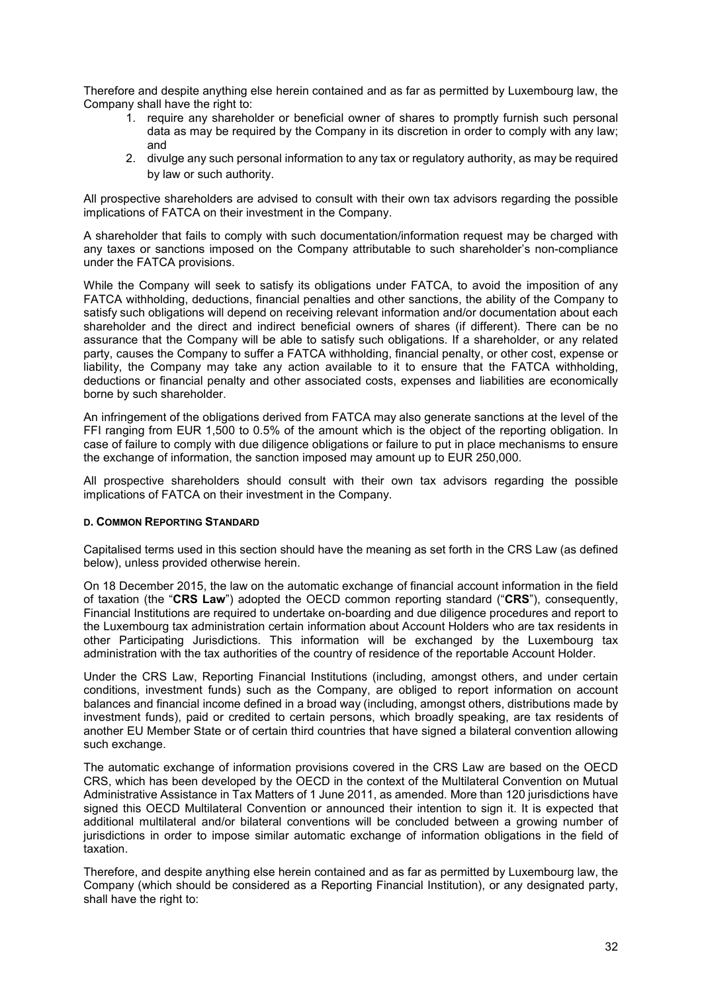Therefore and despite anything else herein contained and as far as permitted by Luxembourg law, the Company shall have the right to:

- 1. require any shareholder or beneficial owner of shares to promptly furnish such personal data as may be required by the Company in its discretion in order to comply with any law; and
- 2. divulge any such personal information to any tax or regulatory authority, as may be required by law or such authority.

All prospective shareholders are advised to consult with their own tax advisors regarding the possible implications of FATCA on their investment in the Company.

A shareholder that fails to comply with such documentation/information request may be charged with any taxes or sanctions imposed on the Company attributable to such shareholder's non-compliance under the FATCA provisions.

While the Company will seek to satisfy its obligations under FATCA, to avoid the imposition of any FATCA withholding, deductions, financial penalties and other sanctions, the ability of the Company to satisfy such obligations will depend on receiving relevant information and/or documentation about each shareholder and the direct and indirect beneficial owners of shares (if different). There can be no assurance that the Company will be able to satisfy such obligations. If a shareholder, or any related party, causes the Company to suffer a FATCA withholding, financial penalty, or other cost, expense or liability, the Company may take any action available to it to ensure that the FATCA withholding, deductions or financial penalty and other associated costs, expenses and liabilities are economically borne by such shareholder.

An infringement of the obligations derived from FATCA may also generate sanctions at the level of the FFI ranging from EUR 1,500 to 0.5% of the amount which is the object of the reporting obligation. In case of failure to comply with due diligence obligations or failure to put in place mechanisms to ensure the exchange of information, the sanction imposed may amount up to EUR 250,000.

All prospective shareholders should consult with their own tax advisors regarding the possible implications of FATCA on their investment in the Company.

#### **D. COMMON REPORTING STANDARD**

Capitalised terms used in this section should have the meaning as set forth in the CRS Law (as defined below), unless provided otherwise herein.

On 18 December 2015, the law on the automatic exchange of financial account information in the field of taxation (the "**CRS Law**") adopted the OECD common reporting standard ("**CRS**"), consequently, Financial Institutions are required to undertake on-boarding and due diligence procedures and report to the Luxembourg tax administration certain information about Account Holders who are tax residents in other Participating Jurisdictions. This information will be exchanged by the Luxembourg tax administration with the tax authorities of the country of residence of the reportable Account Holder.

Under the CRS Law, Reporting Financial Institutions (including, amongst others, and under certain conditions, investment funds) such as the Company, are obliged to report information on account balances and financial income defined in a broad way (including, amongst others, distributions made by investment funds), paid or credited to certain persons, which broadly speaking, are tax residents of another EU Member State or of certain third countries that have signed a bilateral convention allowing such exchange.

The automatic exchange of information provisions covered in the CRS Law are based on the OECD CRS, which has been developed by the OECD in the context of the Multilateral Convention on Mutual Administrative Assistance in Tax Matters of 1 June 2011, as amended. More than 120 jurisdictions have signed this OECD Multilateral Convention or announced their intention to sign it. It is expected that additional multilateral and/or bilateral conventions will be concluded between a growing number of jurisdictions in order to impose similar automatic exchange of information obligations in the field of taxation.

Therefore, and despite anything else herein contained and as far as permitted by Luxembourg law, the Company (which should be considered as a Reporting Financial Institution), or any designated party, shall have the right to: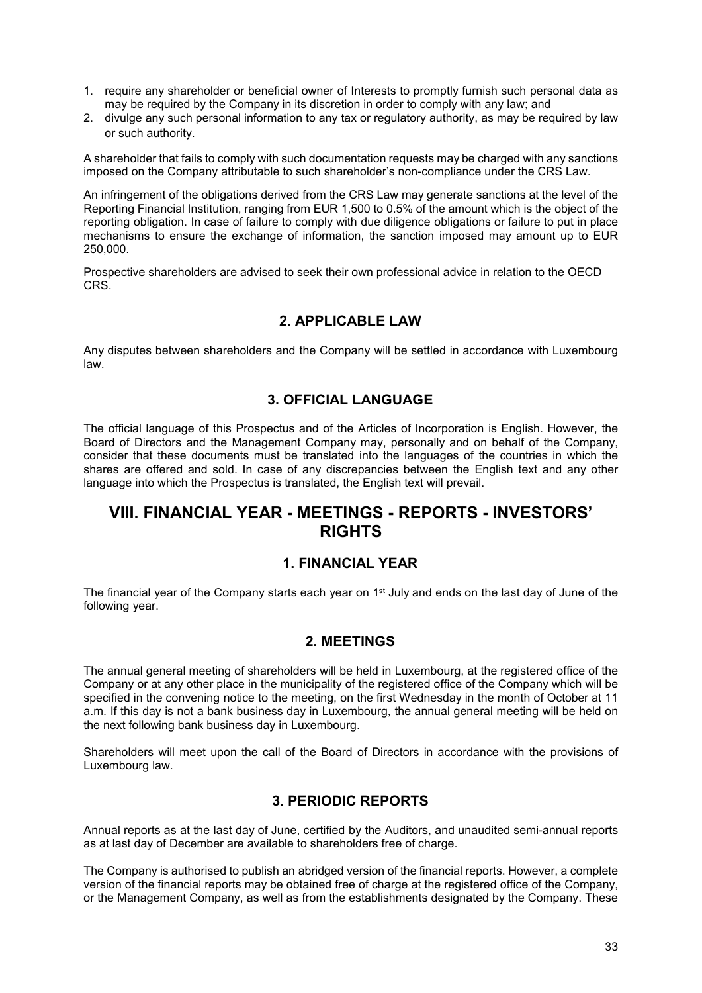- 1. require any shareholder or beneficial owner of Interests to promptly furnish such personal data as may be required by the Company in its discretion in order to comply with any law; and
- 2. divulge any such personal information to any tax or regulatory authority, as may be required by law or such authority.

A shareholder that fails to comply with such documentation requests may be charged with any sanctions imposed on the Company attributable to such shareholder's non-compliance under the CRS Law.

An infringement of the obligations derived from the CRS Law may generate sanctions at the level of the Reporting Financial Institution, ranging from EUR 1,500 to 0.5% of the amount which is the object of the reporting obligation. In case of failure to comply with due diligence obligations or failure to put in place mechanisms to ensure the exchange of information, the sanction imposed may amount up to EUR 250,000.

Prospective shareholders are advised to seek their own professional advice in relation to the OECD CRS.

## **2. APPLICABLE LAW**

<span id="page-32-0"></span>Any disputes between shareholders and the Company will be settled in accordance with Luxembourg law.

## **3. OFFICIAL LANGUAGE**

<span id="page-32-1"></span>The official language of this Prospectus and of the Articles of Incorporation is English. However, the Board of Directors and the Management Company may, personally and on behalf of the Company, consider that these documents must be translated into the languages of the countries in which the shares are offered and sold. In case of any discrepancies between the English text and any other language into which the Prospectus is translated, the English text will prevail.

# <span id="page-32-2"></span>**VIII. FINANCIAL YEAR - MEETINGS - REPORTS - INVESTORS' RIGHTS**

## **1. FINANCIAL YEAR**

<span id="page-32-3"></span>The financial year of the Company starts each year on 1<sup>st</sup> July and ends on the last day of June of the following year.

## **2. MEETINGS**

<span id="page-32-4"></span>The annual general meeting of shareholders will be held in Luxembourg, at the registered office of the Company or at any other place in the municipality of the registered office of the Company which will be specified in the convening notice to the meeting, on the first Wednesday in the month of October at 11 a.m. If this day is not a bank business day in Luxembourg, the annual general meeting will be held on the next following bank business day in Luxembourg.

Shareholders will meet upon the call of the Board of Directors in accordance with the provisions of Luxembourg law.

## **3. PERIODIC REPORTS**

<span id="page-32-5"></span>Annual reports as at the last day of June, certified by the Auditors, and unaudited semi-annual reports as at last day of December are available to shareholders free of charge.

The Company is authorised to publish an abridged version of the financial reports. However, a complete version of the financial reports may be obtained free of charge at the registered office of the Company, or the Management Company, as well as from the establishments designated by the Company. These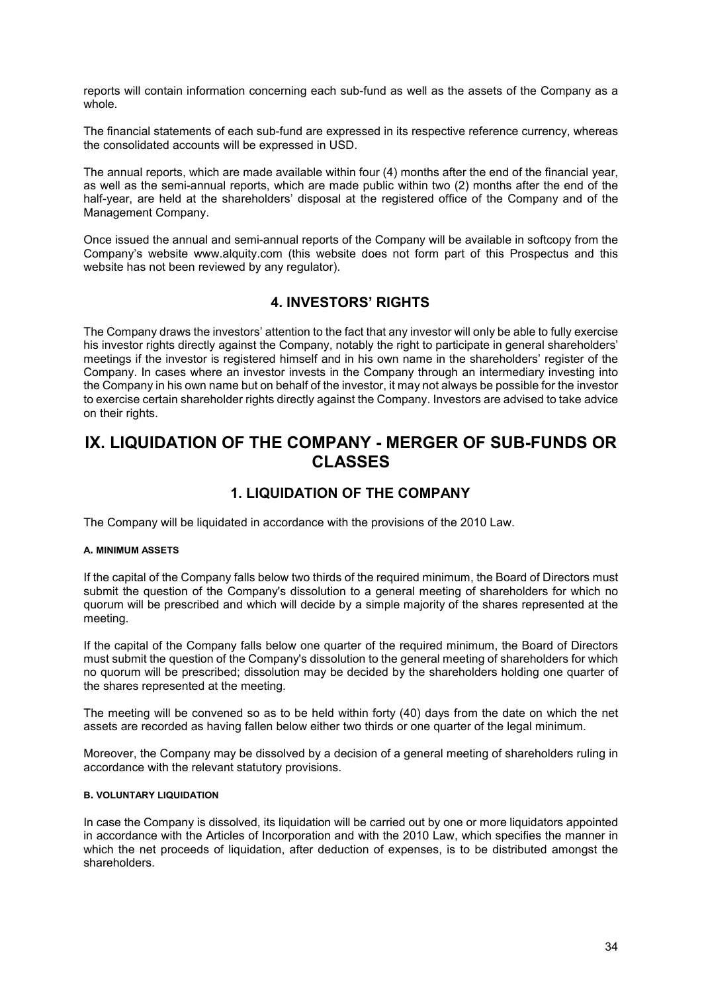reports will contain information concerning each sub-fund as well as the assets of the Company as a whole.

The financial statements of each sub-fund are expressed in its respective reference currency, whereas the consolidated accounts will be expressed in USD.

The annual reports, which are made available within four (4) months after the end of the financial year, as well as the semi-annual reports, which are made public within two (2) months after the end of the half-year, are held at the shareholders' disposal at the registered office of the Company and of the Management Company.

Once issued the annual and semi-annual reports of the Company will be available in softcopy from the Company's website www.alquity.com (this website does not form part of this Prospectus and this website has not been reviewed by any regulator).

## **4. INVESTORS' RIGHTS**

<span id="page-33-0"></span>The Company draws the investors' attention to the fact that any investor will only be able to fully exercise his investor rights directly against the Company, notably the right to participate in general shareholders' meetings if the investor is registered himself and in his own name in the shareholders' register of the Company. In cases where an investor invests in the Company through an intermediary investing into the Company in his own name but on behalf of the investor, it may not always be possible for the investor to exercise certain shareholder rights directly against the Company. Investors are advised to take advice on their rights.

# <span id="page-33-1"></span>**IX. LIQUIDATION OF THE COMPANY - MERGER OF SUB-FUNDS OR CLASSES**

## **1. LIQUIDATION OF THE COMPANY**

<span id="page-33-2"></span>The Company will be liquidated in accordance with the provisions of the 2010 Law.

#### **A. MINIMUM ASSETS**

If the capital of the Company falls below two thirds of the required minimum, the Board of Directors must submit the question of the Company's dissolution to a general meeting of shareholders for which no quorum will be prescribed and which will decide by a simple majority of the shares represented at the meeting.

If the capital of the Company falls below one quarter of the required minimum, the Board of Directors must submit the question of the Company's dissolution to the general meeting of shareholders for which no quorum will be prescribed; dissolution may be decided by the shareholders holding one quarter of the shares represented at the meeting.

The meeting will be convened so as to be held within forty (40) days from the date on which the net assets are recorded as having fallen below either two thirds or one quarter of the legal minimum.

Moreover, the Company may be dissolved by a decision of a general meeting of shareholders ruling in accordance with the relevant statutory provisions.

## **B. VOLUNTARY LIQUIDATION**

In case the Company is dissolved, its liquidation will be carried out by one or more liquidators appointed in accordance with the Articles of Incorporation and with the 2010 Law, which specifies the manner in which the net proceeds of liquidation, after deduction of expenses, is to be distributed amongst the shareholders.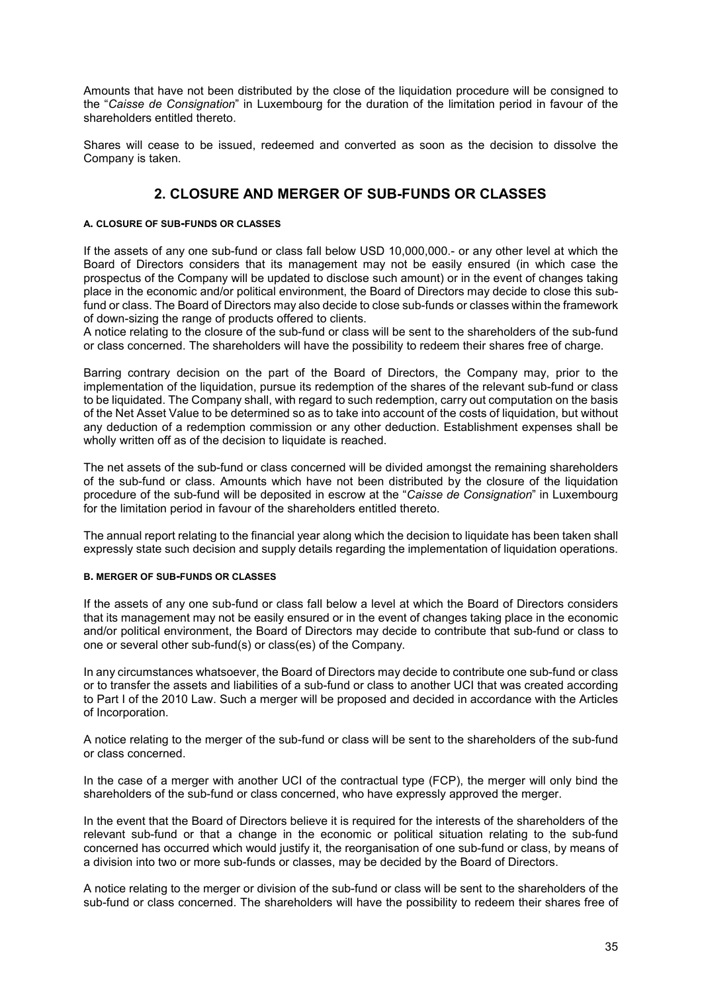Amounts that have not been distributed by the close of the liquidation procedure will be consigned to the "*Caisse de Consignation*" in Luxembourg for the duration of the limitation period in favour of the shareholders entitled thereto.

Shares will cease to be issued, redeemed and converted as soon as the decision to dissolve the Company is taken.

## **2. CLOSURE AND MERGER OF SUB-FUNDS OR CLASSES**

## <span id="page-34-0"></span>**A. CLOSURE OF SUB-FUNDS OR CLASSES**

If the assets of any one sub-fund or class fall below USD 10,000,000.- or any other level at which the Board of Directors considers that its management may not be easily ensured (in which case the prospectus of the Company will be updated to disclose such amount) or in the event of changes taking place in the economic and/or political environment, the Board of Directors may decide to close this subfund or class. The Board of Directors may also decide to close sub-funds or classes within the framework of down-sizing the range of products offered to clients.

A notice relating to the closure of the sub-fund or class will be sent to the shareholders of the sub-fund or class concerned. The shareholders will have the possibility to redeem their shares free of charge.

Barring contrary decision on the part of the Board of Directors, the Company may, prior to the implementation of the liquidation, pursue its redemption of the shares of the relevant sub-fund or class to be liquidated. The Company shall, with regard to such redemption, carry out computation on the basis of the Net Asset Value to be determined so as to take into account of the costs of liquidation, but without any deduction of a redemption commission or any other deduction. Establishment expenses shall be wholly written off as of the decision to liquidate is reached.

The net assets of the sub-fund or class concerned will be divided amongst the remaining shareholders of the sub-fund or class. Amounts which have not been distributed by the closure of the liquidation procedure of the sub-fund will be deposited in escrow at the "*Caisse de Consignation*" in Luxembourg for the limitation period in favour of the shareholders entitled thereto.

The annual report relating to the financial year along which the decision to liquidate has been taken shall expressly state such decision and supply details regarding the implementation of liquidation operations.

#### **B. MERGER OF SUB-FUNDS OR CLASSES**

If the assets of any one sub-fund or class fall below a level at which the Board of Directors considers that its management may not be easily ensured or in the event of changes taking place in the economic and/or political environment, the Board of Directors may decide to contribute that sub-fund or class to one or several other sub-fund(s) or class(es) of the Company.

In any circumstances whatsoever, the Board of Directors may decide to contribute one sub-fund or class or to transfer the assets and liabilities of a sub-fund or class to another UCI that was created according to Part I of the 2010 Law. Such a merger will be proposed and decided in accordance with the Articles of Incorporation.

A notice relating to the merger of the sub-fund or class will be sent to the shareholders of the sub-fund or class concerned.

In the case of a merger with another UCI of the contractual type (FCP), the merger will only bind the shareholders of the sub-fund or class concerned, who have expressly approved the merger.

In the event that the Board of Directors believe it is required for the interests of the shareholders of the relevant sub-fund or that a change in the economic or political situation relating to the sub-fund concerned has occurred which would justify it, the reorganisation of one sub-fund or class, by means of a division into two or more sub-funds or classes, may be decided by the Board of Directors.

A notice relating to the merger or division of the sub-fund or class will be sent to the shareholders of the sub-fund or class concerned. The shareholders will have the possibility to redeem their shares free of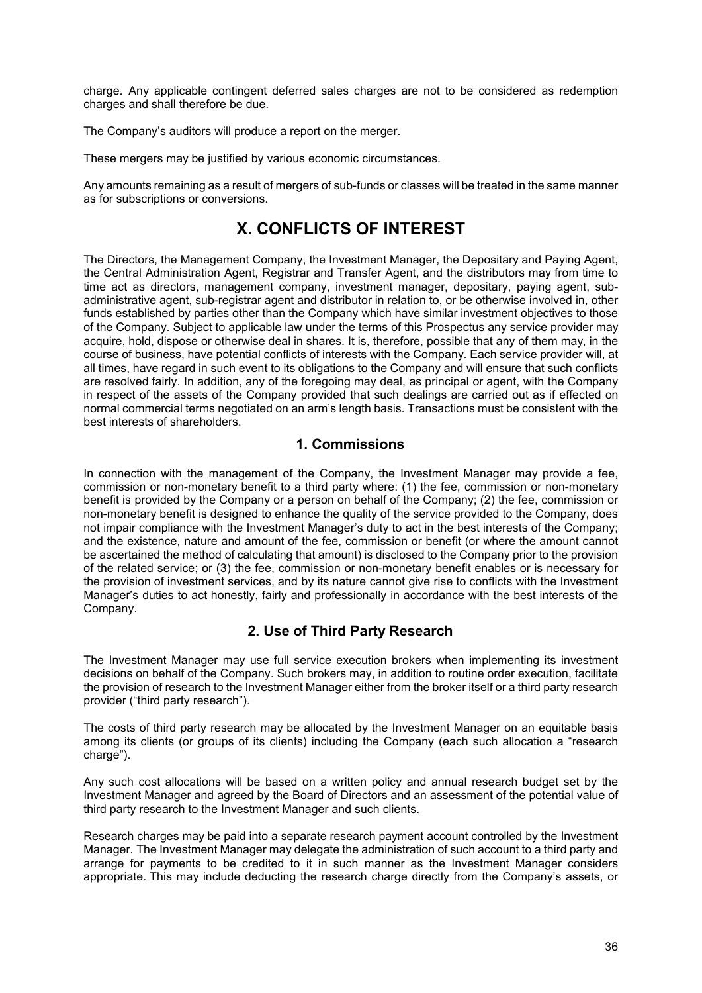charge. Any applicable contingent deferred sales charges are not to be considered as redemption charges and shall therefore be due.

The Company's auditors will produce a report on the merger.

These mergers may be justified by various economic circumstances.

Any amounts remaining as a result of mergers of sub-funds or classes will be treated in the same manner as for subscriptions or conversions.

# **X. CONFLICTS OF INTEREST**

<span id="page-35-0"></span>The Directors, the Management Company, the Investment Manager, the Depositary and Paying Agent, the Central Administration Agent, Registrar and Transfer Agent, and the distributors may from time to time act as directors, management company, investment manager, depositary, paying agent, subadministrative agent, sub-registrar agent and distributor in relation to, or be otherwise involved in, other funds established by parties other than the Company which have similar investment objectives to those of the Company. Subject to applicable law under the terms of this Prospectus any service provider may acquire, hold, dispose or otherwise deal in shares. It is, therefore, possible that any of them may, in the course of business, have potential conflicts of interests with the Company. Each service provider will, at all times, have regard in such event to its obligations to the Company and will ensure that such conflicts are resolved fairly. In addition, any of the foregoing may deal, as principal or agent, with the Company in respect of the assets of the Company provided that such dealings are carried out as if effected on normal commercial terms negotiated on an arm's length basis. Transactions must be consistent with the best interests of shareholders.

## **1. Commissions**

<span id="page-35-1"></span>In connection with the management of the Company, the Investment Manager may provide a fee, commission or non-monetary benefit to a third party where: (1) the fee, commission or non-monetary benefit is provided by the Company or a person on behalf of the Company; (2) the fee, commission or non-monetary benefit is designed to enhance the quality of the service provided to the Company, does not impair compliance with the Investment Manager's duty to act in the best interests of the Company; and the existence, nature and amount of the fee, commission or benefit (or where the amount cannot be ascertained the method of calculating that amount) is disclosed to the Company prior to the provision of the related service; or (3) the fee, commission or non-monetary benefit enables or is necessary for the provision of investment services, and by its nature cannot give rise to conflicts with the Investment Manager's duties to act honestly, fairly and professionally in accordance with the best interests of the Company.

## **2. Use of Third Party Research**

<span id="page-35-2"></span>The Investment Manager may use full service execution brokers when implementing its investment decisions on behalf of the Company. Such brokers may, in addition to routine order execution, facilitate the provision of research to the Investment Manager either from the broker itself or a third party research provider ("third party research").

The costs of third party research may be allocated by the Investment Manager on an equitable basis among its clients (or groups of its clients) including the Company (each such allocation a "research charge").

Any such cost allocations will be based on a written policy and annual research budget set by the Investment Manager and agreed by the Board of Directors and an assessment of the potential value of third party research to the Investment Manager and such clients.

Research charges may be paid into a separate research payment account controlled by the Investment Manager. The Investment Manager may delegate the administration of such account to a third party and arrange for payments to be credited to it in such manner as the Investment Manager considers appropriate. This may include deducting the research charge directly from the Company's assets, or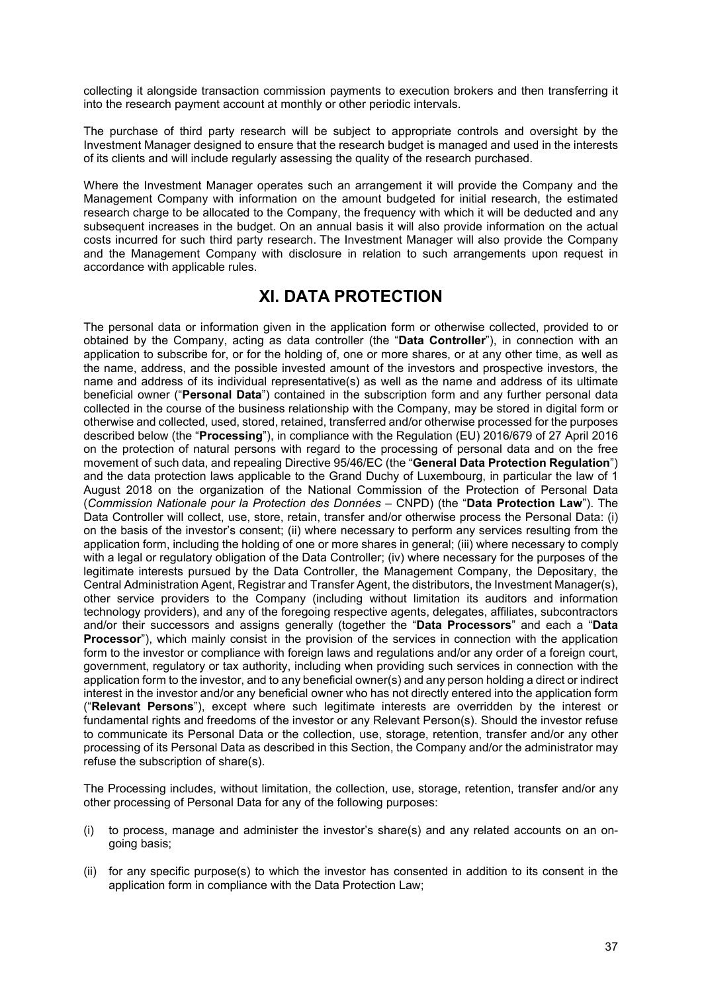collecting it alongside transaction commission payments to execution brokers and then transferring it into the research payment account at monthly or other periodic intervals.

The purchase of third party research will be subject to appropriate controls and oversight by the Investment Manager designed to ensure that the research budget is managed and used in the interests of its clients and will include regularly assessing the quality of the research purchased.

Where the Investment Manager operates such an arrangement it will provide the Company and the Management Company with information on the amount budgeted for initial research, the estimated research charge to be allocated to the Company, the frequency with which it will be deducted and any subsequent increases in the budget. On an annual basis it will also provide information on the actual costs incurred for such third party research. The Investment Manager will also provide the Company and the Management Company with disclosure in relation to such arrangements upon request in accordance with applicable rules.

# **XI. DATA PROTECTION**

The personal data or information given in the application form or otherwise collected, provided to or obtained by the Company, acting as data controller (the "**Data Controller**"), in connection with an application to subscribe for, or for the holding of, one or more shares, or at any other time, as well as the name, address, and the possible invested amount of the investors and prospective investors, the name and address of its individual representative(s) as well as the name and address of its ultimate beneficial owner ("**Personal Data**") contained in the subscription form and any further personal data collected in the course of the business relationship with the Company, may be stored in digital form or otherwise and collected, used, stored, retained, transferred and/or otherwise processed for the purposes described below (the "**Processing**"), in compliance with the Regulation (EU) 2016/679 of 27 April 2016 on the protection of natural persons with regard to the processing of personal data and on the free movement of such data, and repealing Directive 95/46/EC (the "**General Data Protection Regulation**") and the data protection laws applicable to the Grand Duchy of Luxembourg, in particular the law of 1 August 2018 on the organization of the National Commission of the Protection of Personal Data (*Commission Nationale pour la Protection des Données* – CNPD) (the "**Data Protection Law**"). The Data Controller will collect, use, store, retain, transfer and/or otherwise process the Personal Data: (i) on the basis of the investor's consent; (ii) where necessary to perform any services resulting from the application form, including the holding of one or more shares in general; (iii) where necessary to comply with a legal or regulatory obligation of the Data Controller; (iv) where necessary for the purposes of the legitimate interests pursued by the Data Controller, the Management Company, the Depositary, the Central Administration Agent, Registrar and Transfer Agent, the distributors, the Investment Manager(s), other service providers to the Company (including without limitation its auditors and information technology providers), and any of the foregoing respective agents, delegates, affiliates, subcontractors and/or their successors and assigns generally (together the "**Data Processors**" and each a "**Data Processor**"), which mainly consist in the provision of the services in connection with the application form to the investor or compliance with foreign laws and regulations and/or any order of a foreign court, government, regulatory or tax authority, including when providing such services in connection with the application form to the investor, and to any beneficial owner(s) and any person holding a direct or indirect interest in the investor and/or any beneficial owner who has not directly entered into the application form ("**Relevant Persons**"), except where such legitimate interests are overridden by the interest or fundamental rights and freedoms of the investor or any Relevant Person(s). Should the investor refuse to communicate its Personal Data or the collection, use, storage, retention, transfer and/or any other processing of its Personal Data as described in this Section, the Company and/or the administrator may refuse the subscription of share(s).

The Processing includes, without limitation, the collection, use, storage, retention, transfer and/or any other processing of Personal Data for any of the following purposes:

- (i) to process, manage and administer the investor's share(s) and any related accounts on an ongoing basis;
- (ii) for any specific purpose(s) to which the investor has consented in addition to its consent in the application form in compliance with the Data Protection Law;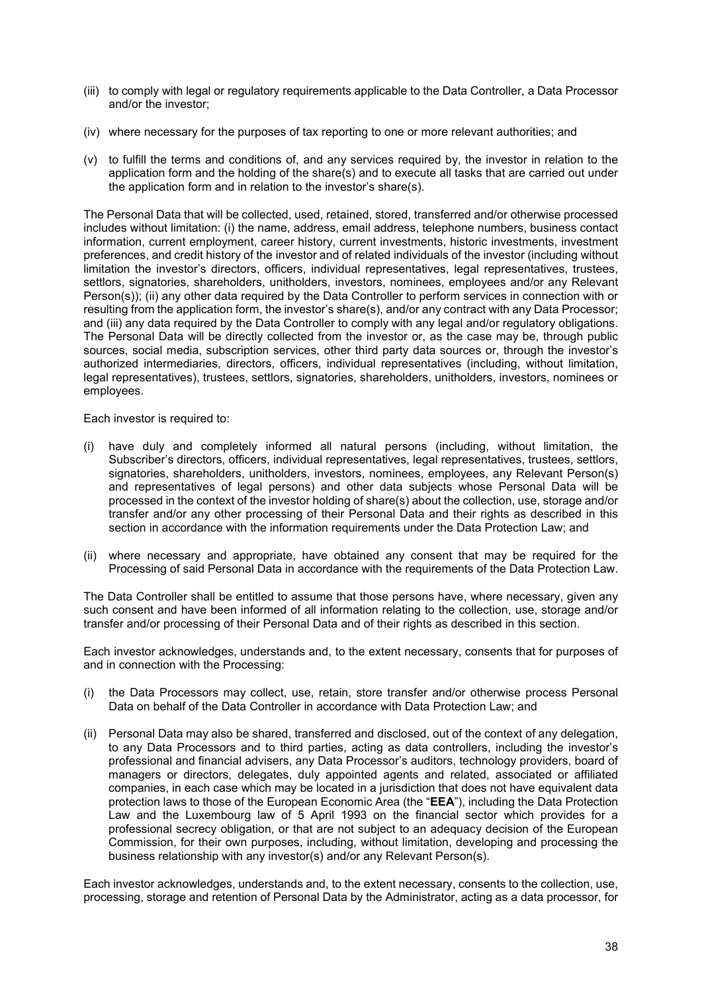- (iii) to comply with legal or regulatory requirements applicable to the Data Controller, a Data Processor and/or the investor;
- (iv) where necessary for the purposes of tax reporting to one or more relevant authorities; and
- (v) to fulfill the terms and conditions of, and any services required by, the investor in relation to the application form and the holding of the share(s) and to execute all tasks that are carried out under the application form and in relation to the investor's share(s).

The Personal Data that will be collected, used, retained, stored, transferred and/or otherwise processed includes without limitation: (i) the name, address, email address, telephone numbers, business contact information, current employment, career history, current investments, historic investments, investment preferences, and credit history of the investor and of related individuals of the investor (including without limitation the investor's directors, officers, individual representatives, legal representatives, trustees, settlors, signatories, shareholders, unitholders, investors, nominees, employees and/or any Relevant Person(s)); (ii) any other data required by the Data Controller to perform services in connection with or resulting from the application form, the investor's share(s), and/or any contract with any Data Processor; and (iii) any data required by the Data Controller to comply with any legal and/or regulatory obligations. The Personal Data will be directly collected from the investor or, as the case may be, through public sources, social media, subscription services, other third party data sources or, through the investor's authorized intermediaries, directors, officers, individual representatives (including, without limitation, legal representatives), trustees, settlors, signatories, shareholders, unitholders, investors, nominees or employees.

Each investor is required to:

- (i) have duly and completely informed all natural persons (including, without limitation, the Subscriber's directors, officers, individual representatives, legal representatives, trustees, settlors, signatories, shareholders, unitholders, investors, nominees, employees, any Relevant Person(s) and representatives of legal persons) and other data subjects whose Personal Data will be processed in the context of the investor holding of share(s) about the collection, use, storage and/or transfer and/or any other processing of their Personal Data and their rights as described in this section in accordance with the information requirements under the Data Protection Law; and
- (ii) where necessary and appropriate, have obtained any consent that may be required for the Processing of said Personal Data in accordance with the requirements of the Data Protection Law.

The Data Controller shall be entitled to assume that those persons have, where necessary, given any such consent and have been informed of all information relating to the collection, use, storage and/or transfer and/or processing of their Personal Data and of their rights as described in this section.

Each investor acknowledges, understands and, to the extent necessary, consents that for purposes of and in connection with the Processing:

- (i) the Data Processors may collect, use, retain, store transfer and/or otherwise process Personal Data on behalf of the Data Controller in accordance with Data Protection Law; and
- (ii) Personal Data may also be shared, transferred and disclosed, out of the context of any delegation, to any Data Processors and to third parties, acting as data controllers, including the investor's professional and financial advisers, any Data Processor's auditors, technology providers, board of managers or directors, delegates, duly appointed agents and related, associated or affiliated companies, in each case which may be located in a jurisdiction that does not have equivalent data protection laws to those of the European Economic Area (the "**EEA**"), including the Data Protection Law and the Luxembourg law of 5 April 1993 on the financial sector which provides for a professional secrecy obligation, or that are not subject to an adequacy decision of the European Commission, for their own purposes, including, without limitation, developing and processing the business relationship with any investor(s) and/or any Relevant Person(s).

Each investor acknowledges, understands and, to the extent necessary, consents to the collection, use, processing, storage and retention of Personal Data by the Administrator, acting as a data processor, for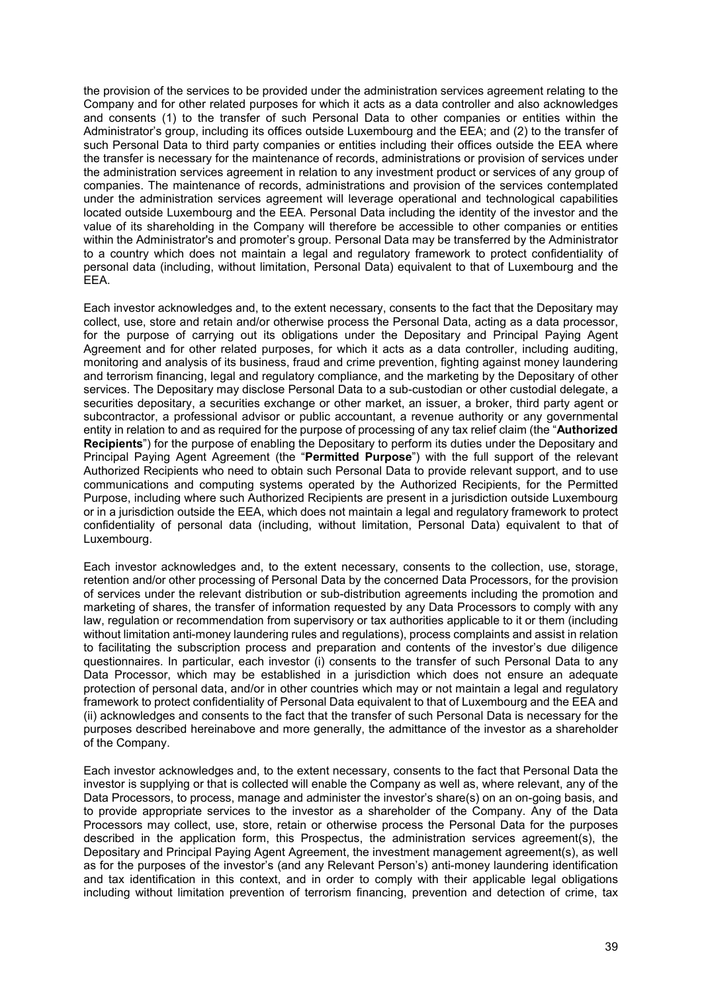the provision of the services to be provided under the administration services agreement relating to the Company and for other related purposes for which it acts as a data controller and also acknowledges and consents (1) to the transfer of such Personal Data to other companies or entities within the Administrator's group, including its offices outside Luxembourg and the EEA; and (2) to the transfer of such Personal Data to third party companies or entities including their offices outside the EEA where the transfer is necessary for the maintenance of records, administrations or provision of services under the administration services agreement in relation to any investment product or services of any group of companies. The maintenance of records, administrations and provision of the services contemplated under the administration services agreement will leverage operational and technological capabilities located outside Luxembourg and the EEA. Personal Data including the identity of the investor and the value of its shareholding in the Company will therefore be accessible to other companies or entities within the Administrator's and promoter's group. Personal Data may be transferred by the Administrator to a country which does not maintain a legal and regulatory framework to protect confidentiality of personal data (including, without limitation, Personal Data) equivalent to that of Luxembourg and the EEA.

Each investor acknowledges and, to the extent necessary, consents to the fact that the Depositary may collect, use, store and retain and/or otherwise process the Personal Data, acting as a data processor, for the purpose of carrying out its obligations under the Depositary and Principal Paying Agent Agreement and for other related purposes, for which it acts as a data controller, including auditing, monitoring and analysis of its business, fraud and crime prevention, fighting against money laundering and terrorism financing, legal and regulatory compliance, and the marketing by the Depositary of other services. The Depositary may disclose Personal Data to a sub-custodian or other custodial delegate, a securities depositary, a securities exchange or other market, an issuer, a broker, third party agent or subcontractor, a professional advisor or public accountant, a revenue authority or any governmental entity in relation to and as required for the purpose of processing of any tax relief claim (the "**Authorized Recipients**") for the purpose of enabling the Depositary to perform its duties under the Depositary and Principal Paying Agent Agreement (the "**Permitted Purpose**") with the full support of the relevant Authorized Recipients who need to obtain such Personal Data to provide relevant support, and to use communications and computing systems operated by the Authorized Recipients, for the Permitted Purpose, including where such Authorized Recipients are present in a jurisdiction outside Luxembourg or in a jurisdiction outside the EEA, which does not maintain a legal and regulatory framework to protect confidentiality of personal data (including, without limitation, Personal Data) equivalent to that of Luxembourg.

Each investor acknowledges and, to the extent necessary, consents to the collection, use, storage, retention and/or other processing of Personal Data by the concerned Data Processors, for the provision of services under the relevant distribution or sub-distribution agreements including the promotion and marketing of shares, the transfer of information requested by any Data Processors to comply with any law, regulation or recommendation from supervisory or tax authorities applicable to it or them (including without limitation anti-money laundering rules and regulations), process complaints and assist in relation to facilitating the subscription process and preparation and contents of the investor's due diligence questionnaires. In particular, each investor (i) consents to the transfer of such Personal Data to any Data Processor, which may be established in a jurisdiction which does not ensure an adequate protection of personal data, and/or in other countries which may or not maintain a legal and regulatory framework to protect confidentiality of Personal Data equivalent to that of Luxembourg and the EEA and (ii) acknowledges and consents to the fact that the transfer of such Personal Data is necessary for the purposes described hereinabove and more generally, the admittance of the investor as a shareholder of the Company.

Each investor acknowledges and, to the extent necessary, consents to the fact that Personal Data the investor is supplying or that is collected will enable the Company as well as, where relevant, any of the Data Processors, to process, manage and administer the investor's share(s) on an on-going basis, and to provide appropriate services to the investor as a shareholder of the Company. Any of the Data Processors may collect, use, store, retain or otherwise process the Personal Data for the purposes described in the application form, this Prospectus, the administration services agreement(s), the Depositary and Principal Paying Agent Agreement, the investment management agreement(s), as well as for the purposes of the investor's (and any Relevant Person's) anti-money laundering identification and tax identification in this context, and in order to comply with their applicable legal obligations including without limitation prevention of terrorism financing, prevention and detection of crime, tax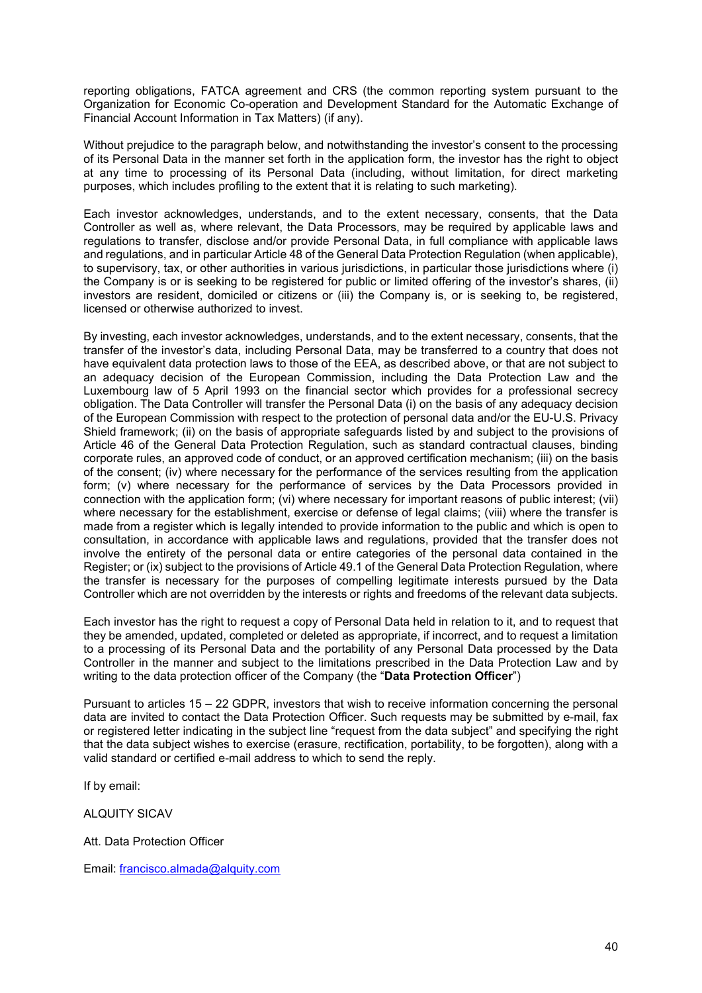reporting obligations, FATCA agreement and CRS (the common reporting system pursuant to the Organization for Economic Co-operation and Development Standard for the Automatic Exchange of Financial Account Information in Tax Matters) (if any).

Without prejudice to the paragraph below, and notwithstanding the investor's consent to the processing of its Personal Data in the manner set forth in the application form, the investor has the right to object at any time to processing of its Personal Data (including, without limitation, for direct marketing purposes, which includes profiling to the extent that it is relating to such marketing).

Each investor acknowledges, understands, and to the extent necessary, consents, that the Data Controller as well as, where relevant, the Data Processors, may be required by applicable laws and regulations to transfer, disclose and/or provide Personal Data, in full compliance with applicable laws and regulations, and in particular Article 48 of the General Data Protection Regulation (when applicable), to supervisory, tax, or other authorities in various jurisdictions, in particular those jurisdictions where (i) the Company is or is seeking to be registered for public or limited offering of the investor's shares, (ii) investors are resident, domiciled or citizens or (iii) the Company is, or is seeking to, be registered, licensed or otherwise authorized to invest.

By investing, each investor acknowledges, understands, and to the extent necessary, consents, that the transfer of the investor's data, including Personal Data, may be transferred to a country that does not have equivalent data protection laws to those of the EEA, as described above, or that are not subject to an adequacy decision of the European Commission, including the Data Protection Law and the Luxembourg law of 5 April 1993 on the financial sector which provides for a professional secrecy obligation. The Data Controller will transfer the Personal Data (i) on the basis of any adequacy decision of the European Commission with respect to the protection of personal data and/or the EU-U.S. Privacy Shield framework; (ii) on the basis of appropriate safeguards listed by and subject to the provisions of Article 46 of the General Data Protection Regulation, such as standard contractual clauses, binding corporate rules, an approved code of conduct, or an approved certification mechanism; (iii) on the basis of the consent; (iv) where necessary for the performance of the services resulting from the application form; (v) where necessary for the performance of services by the Data Processors provided in connection with the application form; (vi) where necessary for important reasons of public interest; (vii) where necessary for the establishment, exercise or defense of legal claims; (viii) where the transfer is made from a register which is legally intended to provide information to the public and which is open to consultation, in accordance with applicable laws and regulations, provided that the transfer does not involve the entirety of the personal data or entire categories of the personal data contained in the Register; or (ix) subject to the provisions of Article 49.1 of the General Data Protection Regulation, where the transfer is necessary for the purposes of compelling legitimate interests pursued by the Data Controller which are not overridden by the interests or rights and freedoms of the relevant data subjects.

Each investor has the right to request a copy of Personal Data held in relation to it, and to request that they be amended, updated, completed or deleted as appropriate, if incorrect, and to request a limitation to a processing of its Personal Data and the portability of any Personal Data processed by the Data Controller in the manner and subject to the limitations prescribed in the Data Protection Law and by writing to the data protection officer of the Company (the "**Data Protection Officer**")

Pursuant to articles 15 – 22 GDPR, investors that wish to receive information concerning the personal data are invited to contact the Data Protection Officer. Such requests may be submitted by e-mail, fax or registered letter indicating in the subject line "request from the data subject" and specifying the right that the data subject wishes to exercise (erasure, rectification, portability, to be forgotten), along with a valid standard or certified e-mail address to which to send the reply.

If by email:

ALQUITY SICAV

Att. Data Protection Officer

Email: [francisco.almada@alquity.com](mailto:francisco.almada@alquity.com)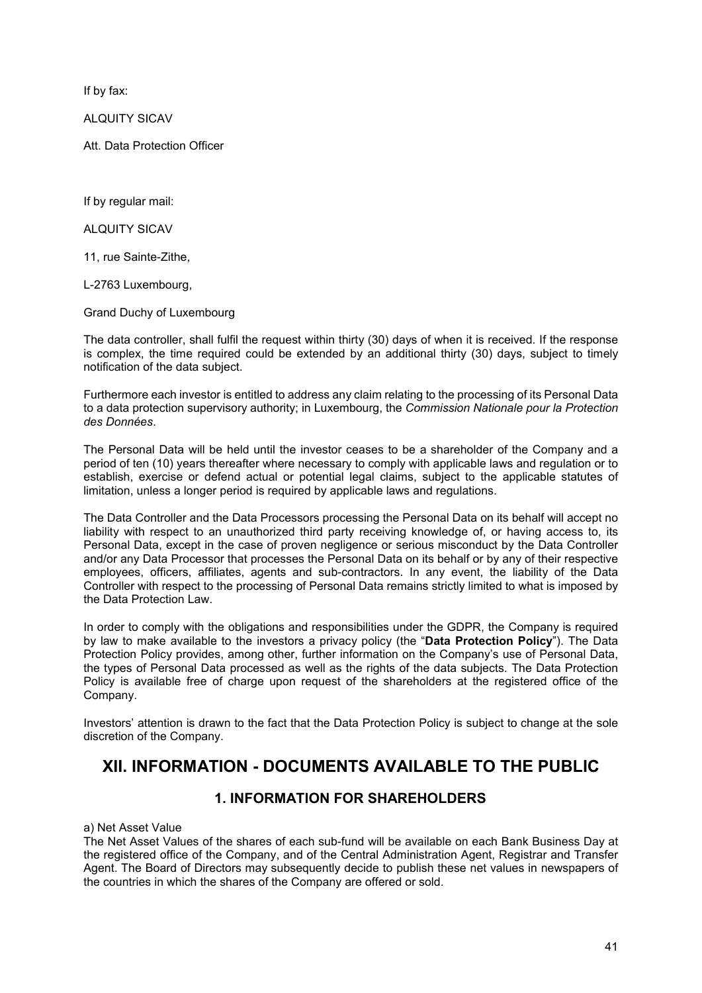If by fax:

ALQUITY SICAV

Att. Data Protection Officer

If by regular mail:

ALQUITY SICAV

11, rue Sainte-Zithe,

L-2763 Luxembourg,

Grand Duchy of Luxembourg

The data controller, shall fulfil the request within thirty (30) days of when it is received. If the response is complex, the time required could be extended by an additional thirty (30) days, subject to timely notification of the data subject.

Furthermore each investor is entitled to address any claim relating to the processing of its Personal Data to a data protection supervisory authority; in Luxembourg, the *Commission Nationale pour la Protection des Données*.

The Personal Data will be held until the investor ceases to be a shareholder of the Company and a period of ten (10) years thereafter where necessary to comply with applicable laws and regulation or to establish, exercise or defend actual or potential legal claims, subject to the applicable statutes of limitation, unless a longer period is required by applicable laws and regulations.

The Data Controller and the Data Processors processing the Personal Data on its behalf will accept no liability with respect to an unauthorized third party receiving knowledge of, or having access to, its Personal Data, except in the case of proven negligence or serious misconduct by the Data Controller and/or any Data Processor that processes the Personal Data on its behalf or by any of their respective employees, officers, affiliates, agents and sub-contractors. In any event, the liability of the Data Controller with respect to the processing of Personal Data remains strictly limited to what is imposed by the Data Protection Law.

In order to comply with the obligations and responsibilities under the GDPR, the Company is required by law to make available to the investors a privacy policy (the "**Data Protection Policy**"). The Data Protection Policy provides, among other, further information on the Company's use of Personal Data, the types of Personal Data processed as well as the rights of the data subjects. The Data Protection Policy is available free of charge upon request of the shareholders at the registered office of the Company.

Investors' attention is drawn to the fact that the Data Protection Policy is subject to change at the sole discretion of the Company.

# **XII. INFORMATION - DOCUMENTS AVAILABLE TO THE PUBLIC**

## **1. INFORMATION FOR SHAREHOLDERS**

a) Net Asset Value

The Net Asset Values of the shares of each sub-fund will be available on each Bank Business Day at the registered office of the Company, and of the Central Administration Agent, Registrar and Transfer Agent. The Board of Directors may subsequently decide to publish these net values in newspapers of the countries in which the shares of the Company are offered or sold.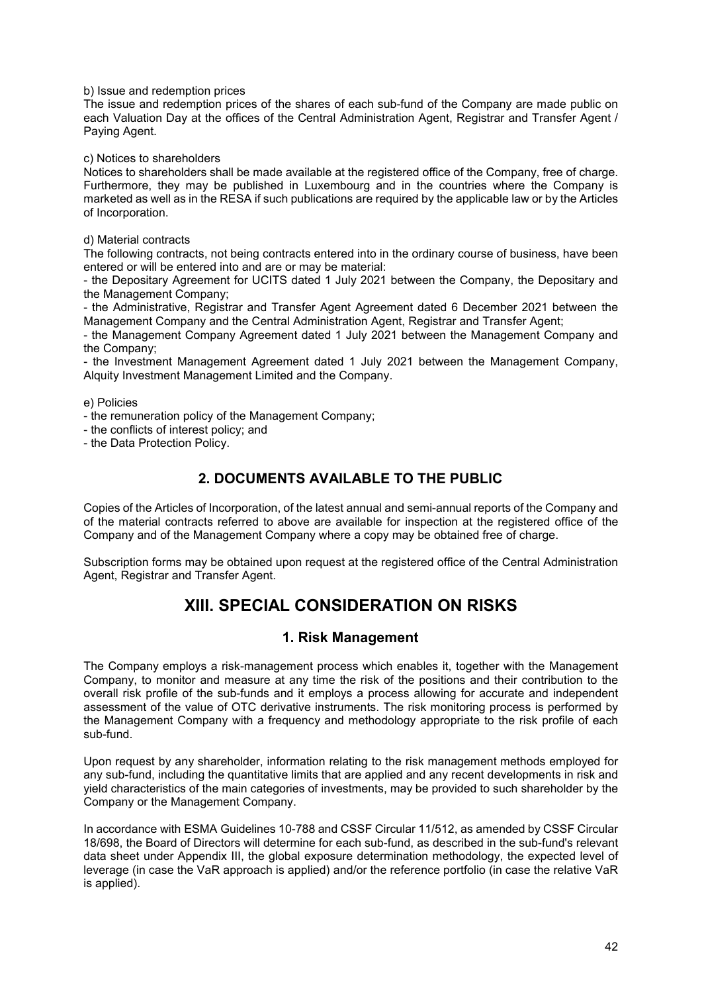b) Issue and redemption prices

The issue and redemption prices of the shares of each sub-fund of the Company are made public on each Valuation Day at the offices of the Central Administration Agent, Registrar and Transfer Agent / Paying Agent.

c) Notices to shareholders

Notices to shareholders shall be made available at the registered office of the Company, free of charge. Furthermore, they may be published in Luxembourg and in the countries where the Company is marketed as well as in the RESA if such publications are required by the applicable law or by the Articles of Incorporation.

d) Material contracts

The following contracts, not being contracts entered into in the ordinary course of business, have been entered or will be entered into and are or may be material:

- the Depositary Agreement for UCITS dated 1 July 2021 between the Company, the Depositary and the Management Company;

- the Administrative, Registrar and Transfer Agent Agreement dated 6 December 2021 between the Management Company and the Central Administration Agent, Registrar and Transfer Agent;

- the Management Company Agreement dated 1 July 2021 between the Management Company and the Company;

- the Investment Management Agreement dated 1 July 2021 between the Management Company, Alquity Investment Management Limited and the Company.

e) Policies

- the remuneration policy of the Management Company;
- the conflicts of interest policy; and

- the Data Protection Policy.

## **2. DOCUMENTS AVAILABLE TO THE PUBLIC**

Copies of the Articles of Incorporation, of the latest annual and semi-annual reports of the Company and of the material contracts referred to above are available for inspection at the registered office of the Company and of the Management Company where a copy may be obtained free of charge.

Subscription forms may be obtained upon request at the registered office of the Central Administration Agent, Registrar and Transfer Agent.

# **XIII. SPECIAL CONSIDERATION ON RISKS**

## **1. Risk Management**

The Company employs a risk-management process which enables it, together with the Management Company, to monitor and measure at any time the risk of the positions and their contribution to the overall risk profile of the sub-funds and it employs a process allowing for accurate and independent assessment of the value of OTC derivative instruments. The risk monitoring process is performed by the Management Company with a frequency and methodology appropriate to the risk profile of each sub-fund.

Upon request by any shareholder, information relating to the risk management methods employed for any sub-fund, including the quantitative limits that are applied and any recent developments in risk and yield characteristics of the main categories of investments, may be provided to such shareholder by the Company or the Management Company.

In accordance with ESMA Guidelines 10-788 and CSSF Circular 11/512, as amended by CSSF Circular 18/698, the Board of Directors will determine for each sub-fund, as described in the sub-fund's relevant data sheet under Appendix III, the global exposure determination methodology, the expected level of leverage (in case the VaR approach is applied) and/or the reference portfolio (in case the relative VaR is applied).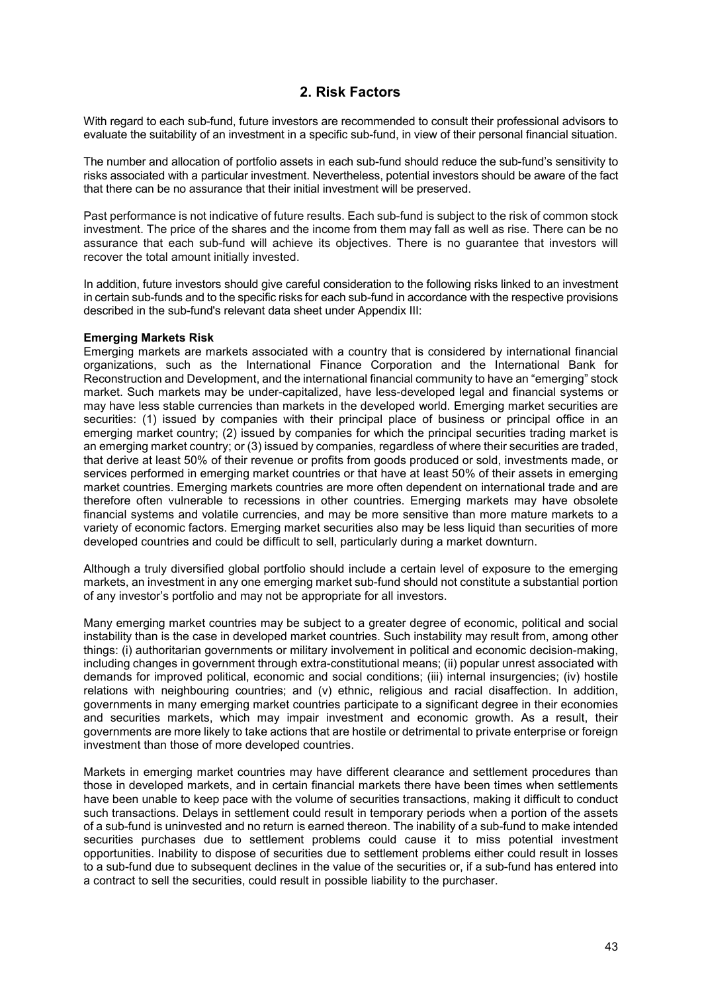## **2. Risk Factors**

With regard to each sub-fund, future investors are recommended to consult their professional advisors to evaluate the suitability of an investment in a specific sub-fund, in view of their personal financial situation.

The number and allocation of portfolio assets in each sub-fund should reduce the sub-fund's sensitivity to risks associated with a particular investment. Nevertheless, potential investors should be aware of the fact that there can be no assurance that their initial investment will be preserved.

Past performance is not indicative of future results. Each sub-fund is subject to the risk of common stock investment. The price of the shares and the income from them may fall as well as rise. There can be no assurance that each sub-fund will achieve its objectives. There is no guarantee that investors will recover the total amount initially invested.

In addition, future investors should give careful consideration to the following risks linked to an investment in certain sub-funds and to the specific risks for each sub-fund in accordance with the respective provisions described in the sub-fund's relevant data sheet under Appendix III:

## **Emerging Markets Risk**

Emerging markets are markets associated with a country that is considered by international financial organizations, such as the International Finance Corporation and the International Bank for Reconstruction and Development, and the international financial community to have an "emerging" stock market. Such markets may be under-capitalized, have less-developed legal and financial systems or may have less stable currencies than markets in the developed world. Emerging market securities are securities: (1) issued by companies with their principal place of business or principal office in an emerging market country; (2) issued by companies for which the principal securities trading market is an emerging market country; or (3) issued by companies, regardless of where their securities are traded, that derive at least 50% of their revenue or profits from goods produced or sold, investments made, or services performed in emerging market countries or that have at least 50% of their assets in emerging market countries. Emerging markets countries are more often dependent on international trade and are therefore often vulnerable to recessions in other countries. Emerging markets may have obsolete financial systems and volatile currencies, and may be more sensitive than more mature markets to a variety of economic factors. Emerging market securities also may be less liquid than securities of more developed countries and could be difficult to sell, particularly during a market downturn.

Although a truly diversified global portfolio should include a certain level of exposure to the emerging markets, an investment in any one emerging market sub-fund should not constitute a substantial portion of any investor's portfolio and may not be appropriate for all investors.

Many emerging market countries may be subject to a greater degree of economic, political and social instability than is the case in developed market countries. Such instability may result from, among other things: (i) authoritarian governments or military involvement in political and economic decision-making, including changes in government through extra-constitutional means; (ii) popular unrest associated with demands for improved political, economic and social conditions; (iii) internal insurgencies; (iv) hostile relations with neighbouring countries; and (v) ethnic, religious and racial disaffection. In addition, governments in many emerging market countries participate to a significant degree in their economies and securities markets, which may impair investment and economic growth. As a result, their governments are more likely to take actions that are hostile or detrimental to private enterprise or foreign investment than those of more developed countries.

Markets in emerging market countries may have different clearance and settlement procedures than those in developed markets, and in certain financial markets there have been times when settlements have been unable to keep pace with the volume of securities transactions, making it difficult to conduct such transactions. Delays in settlement could result in temporary periods when a portion of the assets of a sub-fund is uninvested and no return is earned thereon. The inability of a sub-fund to make intended securities purchases due to settlement problems could cause it to miss potential investment opportunities. Inability to dispose of securities due to settlement problems either could result in losses to a sub-fund due to subsequent declines in the value of the securities or, if a sub-fund has entered into a contract to sell the securities, could result in possible liability to the purchaser.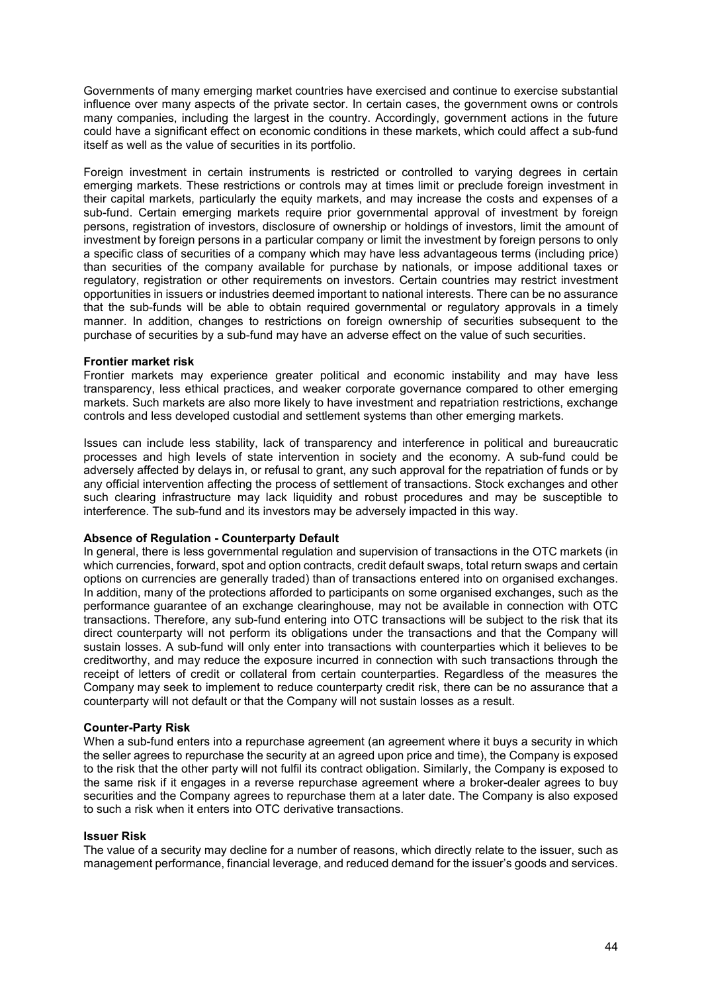Governments of many emerging market countries have exercised and continue to exercise substantial influence over many aspects of the private sector. In certain cases, the government owns or controls many companies, including the largest in the country. Accordingly, government actions in the future could have a significant effect on economic conditions in these markets, which could affect a sub-fund itself as well as the value of securities in its portfolio.

Foreign investment in certain instruments is restricted or controlled to varying degrees in certain emerging markets. These restrictions or controls may at times limit or preclude foreign investment in their capital markets, particularly the equity markets, and may increase the costs and expenses of a sub-fund. Certain emerging markets require prior governmental approval of investment by foreign persons, registration of investors, disclosure of ownership or holdings of investors, limit the amount of investment by foreign persons in a particular company or limit the investment by foreign persons to only a specific class of securities of a company which may have less advantageous terms (including price) than securities of the company available for purchase by nationals, or impose additional taxes or regulatory, registration or other requirements on investors. Certain countries may restrict investment opportunities in issuers or industries deemed important to national interests. There can be no assurance that the sub-funds will be able to obtain required governmental or regulatory approvals in a timely manner. In addition, changes to restrictions on foreign ownership of securities subsequent to the purchase of securities by a sub-fund may have an adverse effect on the value of such securities.

## **Frontier market risk**

Frontier markets may experience greater political and economic instability and may have less transparency, less ethical practices, and weaker corporate governance compared to other emerging markets. Such markets are also more likely to have investment and repatriation restrictions, exchange controls and less developed custodial and settlement systems than other emerging markets.

Issues can include less stability, lack of transparency and interference in political and bureaucratic processes and high levels of state intervention in society and the economy. A sub-fund could be adversely affected by delays in, or refusal to grant, any such approval for the repatriation of funds or by any official intervention affecting the process of settlement of transactions. Stock exchanges and other such clearing infrastructure may lack liquidity and robust procedures and may be susceptible to interference. The sub-fund and its investors may be adversely impacted in this way.

#### **Absence of Regulation - Counterparty Default**

In general, there is less governmental regulation and supervision of transactions in the OTC markets (in which currencies, forward, spot and option contracts, credit default swaps, total return swaps and certain options on currencies are generally traded) than of transactions entered into on organised exchanges. In addition, many of the protections afforded to participants on some organised exchanges, such as the performance guarantee of an exchange clearinghouse, may not be available in connection with OTC transactions. Therefore, any sub-fund entering into OTC transactions will be subject to the risk that its direct counterparty will not perform its obligations under the transactions and that the Company will sustain losses. A sub-fund will only enter into transactions with counterparties which it believes to be creditworthy, and may reduce the exposure incurred in connection with such transactions through the receipt of letters of credit or collateral from certain counterparties. Regardless of the measures the Company may seek to implement to reduce counterparty credit risk, there can be no assurance that a counterparty will not default or that the Company will not sustain losses as a result.

#### **Counter-Party Risk**

When a sub-fund enters into a repurchase agreement (an agreement where it buys a security in which the seller agrees to repurchase the security at an agreed upon price and time), the Company is exposed to the risk that the other party will not fulfil its contract obligation. Similarly, the Company is exposed to the same risk if it engages in a reverse repurchase agreement where a broker-dealer agrees to buy securities and the Company agrees to repurchase them at a later date. The Company is also exposed to such a risk when it enters into OTC derivative transactions.

#### **Issuer Risk**

The value of a security may decline for a number of reasons, which directly relate to the issuer, such as management performance, financial leverage, and reduced demand for the issuer's goods and services.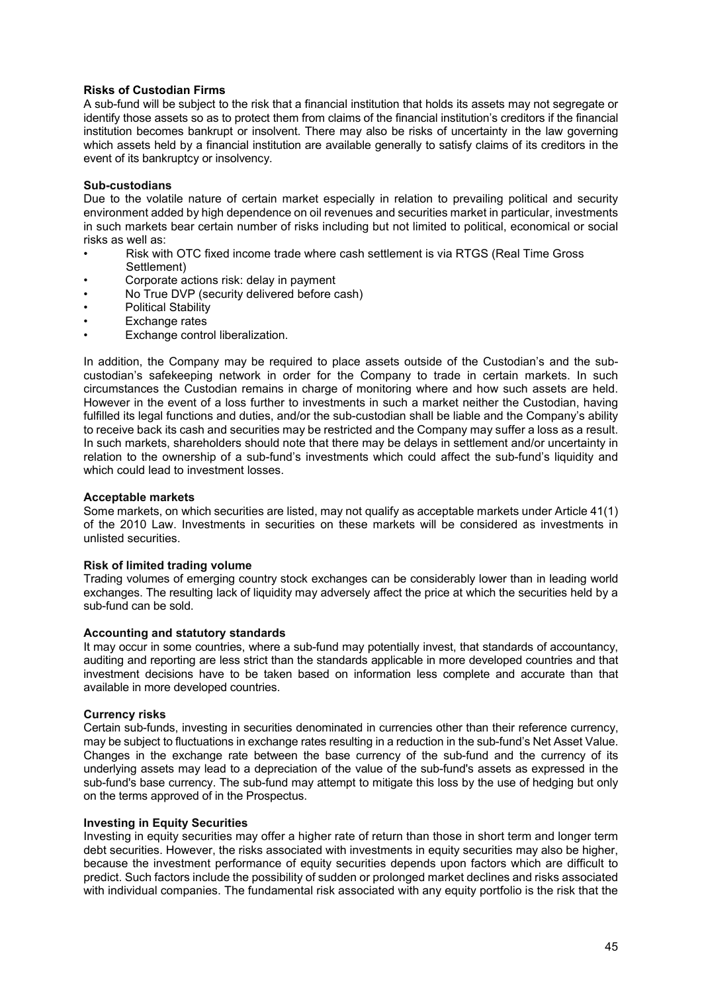## **Risks of Custodian Firms**

A sub-fund will be subject to the risk that a financial institution that holds its assets may not segregate or identify those assets so as to protect them from claims of the financial institution's creditors if the financial institution becomes bankrupt or insolvent. There may also be risks of uncertainty in the law governing which assets held by a financial institution are available generally to satisfy claims of its creditors in the event of its bankruptcy or insolvency.

## **Sub-custodians**

Due to the volatile nature of certain market especially in relation to prevailing political and security environment added by high dependence on oil revenues and securities market in particular, investments in such markets bear certain number of risks including but not limited to political, economical or social risks as well as:

- Risk with OTC fixed income trade where cash settlement is via RTGS (Real Time Gross Settlement)
- Corporate actions risk: delay in payment
- No True DVP (security delivered before cash)
- Political Stability
- Exchange rates
- Exchange control liberalization.

In addition, the Company may be required to place assets outside of the Custodian's and the subcustodian's safekeeping network in order for the Company to trade in certain markets. In such circumstances the Custodian remains in charge of monitoring where and how such assets are held. However in the event of a loss further to investments in such a market neither the Custodian, having fulfilled its legal functions and duties, and/or the sub-custodian shall be liable and the Company's ability to receive back its cash and securities may be restricted and the Company may suffer a loss as a result. In such markets, shareholders should note that there may be delays in settlement and/or uncertainty in relation to the ownership of a sub-fund's investments which could affect the sub-fund's liquidity and which could lead to investment losses.

#### **Acceptable markets**

Some markets, on which securities are listed, may not qualify as acceptable markets under Article 41(1) of the 2010 Law. Investments in securities on these markets will be considered as investments in unlisted securities.

#### **Risk of limited trading volume**

Trading volumes of emerging country stock exchanges can be considerably lower than in leading world exchanges. The resulting lack of liquidity may adversely affect the price at which the securities held by a sub-fund can be sold.

#### **Accounting and statutory standards**

It may occur in some countries, where a sub-fund may potentially invest, that standards of accountancy, auditing and reporting are less strict than the standards applicable in more developed countries and that investment decisions have to be taken based on information less complete and accurate than that available in more developed countries.

#### **Currency risks**

Certain sub-funds, investing in securities denominated in currencies other than their reference currency, may be subject to fluctuations in exchange rates resulting in a reduction in the sub-fund's Net Asset Value. Changes in the exchange rate between the base currency of the sub-fund and the currency of its underlying assets may lead to a depreciation of the value of the sub-fund's assets as expressed in the sub-fund's base currency. The sub-fund may attempt to mitigate this loss by the use of hedging but only on the terms approved of in the Prospectus.

#### **Investing in Equity Securities**

Investing in equity securities may offer a higher rate of return than those in short term and longer term debt securities. However, the risks associated with investments in equity securities may also be higher, because the investment performance of equity securities depends upon factors which are difficult to predict. Such factors include the possibility of sudden or prolonged market declines and risks associated with individual companies. The fundamental risk associated with any equity portfolio is the risk that the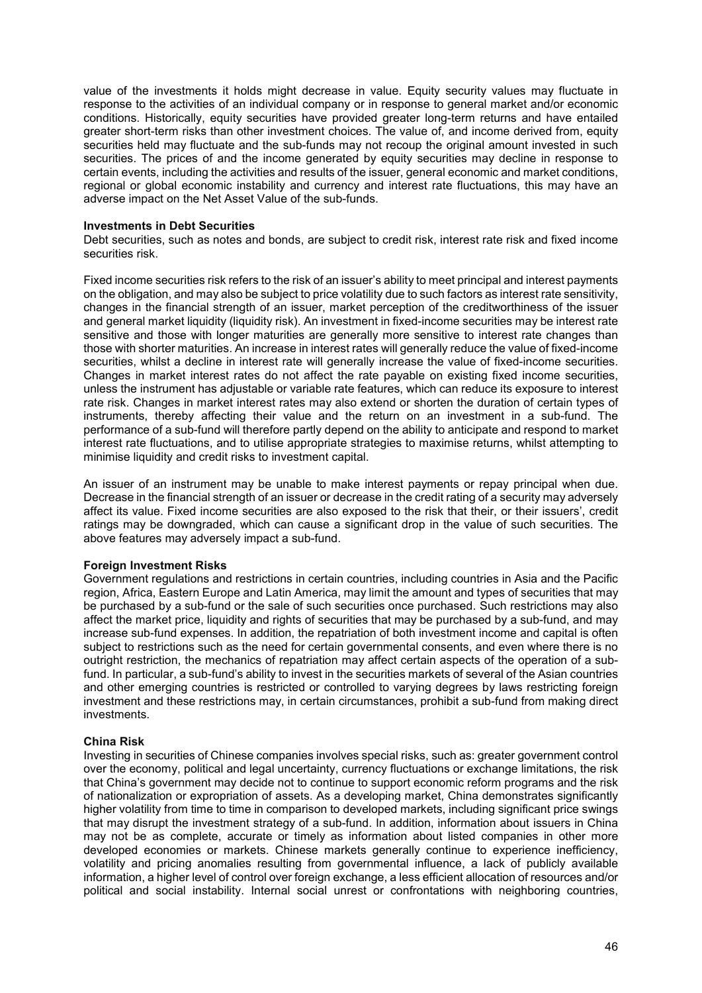value of the investments it holds might decrease in value. Equity security values may fluctuate in response to the activities of an individual company or in response to general market and/or economic conditions. Historically, equity securities have provided greater long-term returns and have entailed greater short-term risks than other investment choices. The value of, and income derived from, equity securities held may fluctuate and the sub-funds may not recoup the original amount invested in such securities. The prices of and the income generated by equity securities may decline in response to certain events, including the activities and results of the issuer, general economic and market conditions, regional or global economic instability and currency and interest rate fluctuations, this may have an adverse impact on the Net Asset Value of the sub-funds.

#### **Investments in Debt Securities**

Debt securities, such as notes and bonds, are subject to credit risk, interest rate risk and fixed income securities risk.

Fixed income securities risk refers to the risk of an issuer's ability to meet principal and interest payments on the obligation, and may also be subject to price volatility due to such factors as interest rate sensitivity, changes in the financial strength of an issuer, market perception of the creditworthiness of the issuer and general market liquidity (liquidity risk). An investment in fixed-income securities may be interest rate sensitive and those with longer maturities are generally more sensitive to interest rate changes than those with shorter maturities. An increase in interest rates will generally reduce the value of fixed-income securities, whilst a decline in interest rate will generally increase the value of fixed-income securities. Changes in market interest rates do not affect the rate payable on existing fixed income securities, unless the instrument has adjustable or variable rate features, which can reduce its exposure to interest rate risk. Changes in market interest rates may also extend or shorten the duration of certain types of instruments, thereby affecting their value and the return on an investment in a sub-fund. The performance of a sub-fund will therefore partly depend on the ability to anticipate and respond to market interest rate fluctuations, and to utilise appropriate strategies to maximise returns, whilst attempting to minimise liquidity and credit risks to investment capital.

An issuer of an instrument may be unable to make interest payments or repay principal when due. Decrease in the financial strength of an issuer or decrease in the credit rating of a security may adversely affect its value. Fixed income securities are also exposed to the risk that their, or their issuers', credit ratings may be downgraded, which can cause a significant drop in the value of such securities. The above features may adversely impact a sub-fund.

## **Foreign Investment Risks**

Government regulations and restrictions in certain countries, including countries in Asia and the Pacific region, Africa, Eastern Europe and Latin America, may limit the amount and types of securities that may be purchased by a sub-fund or the sale of such securities once purchased. Such restrictions may also affect the market price, liquidity and rights of securities that may be purchased by a sub-fund, and may increase sub-fund expenses. In addition, the repatriation of both investment income and capital is often subject to restrictions such as the need for certain governmental consents, and even where there is no outright restriction, the mechanics of repatriation may affect certain aspects of the operation of a subfund. In particular, a sub-fund's ability to invest in the securities markets of several of the Asian countries and other emerging countries is restricted or controlled to varying degrees by laws restricting foreign investment and these restrictions may, in certain circumstances, prohibit a sub-fund from making direct investments.

## **China Risk**

Investing in securities of Chinese companies involves special risks, such as: greater government control over the economy, political and legal uncertainty, currency fluctuations or exchange limitations, the risk that China's government may decide not to continue to support economic reform programs and the risk of nationalization or expropriation of assets. As a developing market, China demonstrates significantly higher volatility from time to time in comparison to developed markets, including significant price swings that may disrupt the investment strategy of a sub-fund. In addition, information about issuers in China may not be as complete, accurate or timely as information about listed companies in other more developed economies or markets. Chinese markets generally continue to experience inefficiency, volatility and pricing anomalies resulting from governmental influence, a lack of publicly available information, a higher level of control over foreign exchange, a less efficient allocation of resources and/or political and social instability. Internal social unrest or confrontations with neighboring countries,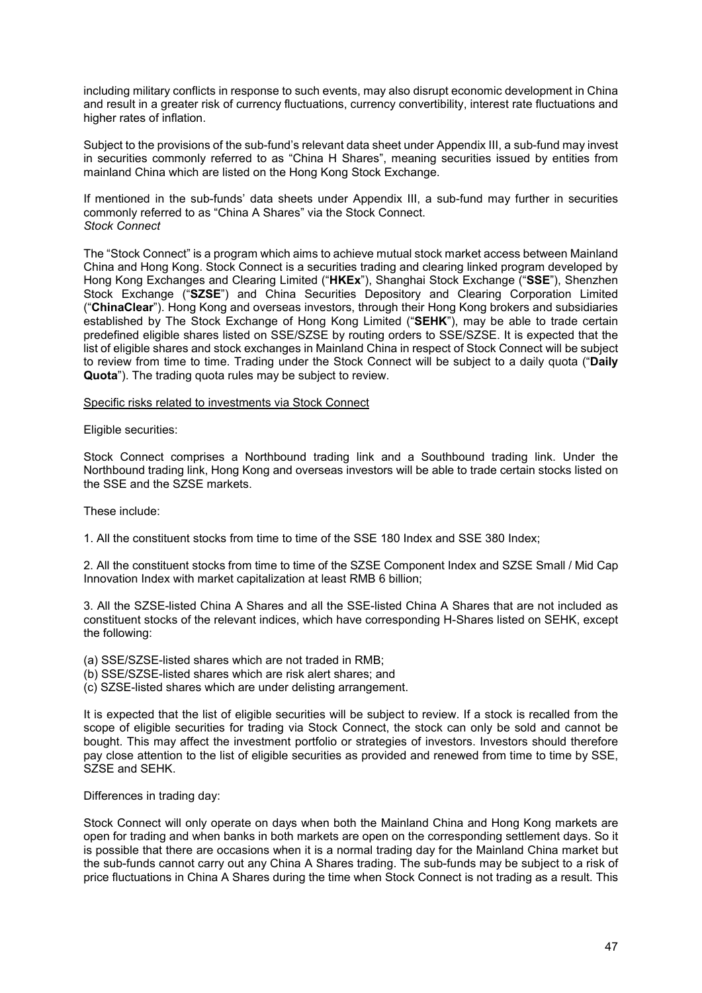including military conflicts in response to such events, may also disrupt economic development in China and result in a greater risk of currency fluctuations, currency convertibility, interest rate fluctuations and higher rates of inflation.

Subject to the provisions of the sub-fund's relevant data sheet under Appendix III, a sub-fund may invest in securities commonly referred to as "China H Shares", meaning securities issued by entities from mainland China which are listed on the Hong Kong Stock Exchange.

If mentioned in the sub-funds' data sheets under Appendix III, a sub-fund may further in securities commonly referred to as "China A Shares" via the Stock Connect. *Stock Connect*

The "Stock Connect" is a program which aims to achieve mutual stock market access between Mainland China and Hong Kong. Stock Connect is a securities trading and clearing linked program developed by Hong Kong Exchanges and Clearing Limited ("**HKEx**"), Shanghai Stock Exchange ("**SSE**"), Shenzhen Stock Exchange ("**SZSE**") and China Securities Depository and Clearing Corporation Limited ("**ChinaClear**"). Hong Kong and overseas investors, through their Hong Kong brokers and subsidiaries established by The Stock Exchange of Hong Kong Limited ("**SEHK**"), may be able to trade certain predefined eligible shares listed on SSE/SZSE by routing orders to SSE/SZSE. It is expected that the list of eligible shares and stock exchanges in Mainland China in respect of Stock Connect will be subject to review from time to time. Trading under the Stock Connect will be subject to a daily quota ("**Daily Quota**"). The trading quota rules may be subject to review.

#### Specific risks related to investments via Stock Connect

Eligible securities:

Stock Connect comprises a Northbound trading link and a Southbound trading link. Under the Northbound trading link, Hong Kong and overseas investors will be able to trade certain stocks listed on the SSE and the SZSE markets.

These include:

1. All the constituent stocks from time to time of the SSE 180 Index and SSE 380 Index;

2. All the constituent stocks from time to time of the SZSE Component Index and SZSE Small / Mid Cap Innovation Index with market capitalization at least RMB 6 billion;

3. All the SZSE-listed China A Shares and all the SSE-listed China A Shares that are not included as constituent stocks of the relevant indices, which have corresponding H-Shares listed on SEHK, except the following:

(a) SSE/SZSE-listed shares which are not traded in RMB;

- (b) SSE/SZSE-listed shares which are risk alert shares; and
- (c) SZSE-listed shares which are under delisting arrangement.

It is expected that the list of eligible securities will be subject to review. If a stock is recalled from the scope of eligible securities for trading via Stock Connect, the stock can only be sold and cannot be bought. This may affect the investment portfolio or strategies of investors. Investors should therefore pay close attention to the list of eligible securities as provided and renewed from time to time by SSE, SZSE and SEHK.

Differences in trading day:

Stock Connect will only operate on days when both the Mainland China and Hong Kong markets are open for trading and when banks in both markets are open on the corresponding settlement days. So it is possible that there are occasions when it is a normal trading day for the Mainland China market but the sub-funds cannot carry out any China A Shares trading. The sub-funds may be subject to a risk of price fluctuations in China A Shares during the time when Stock Connect is not trading as a result. This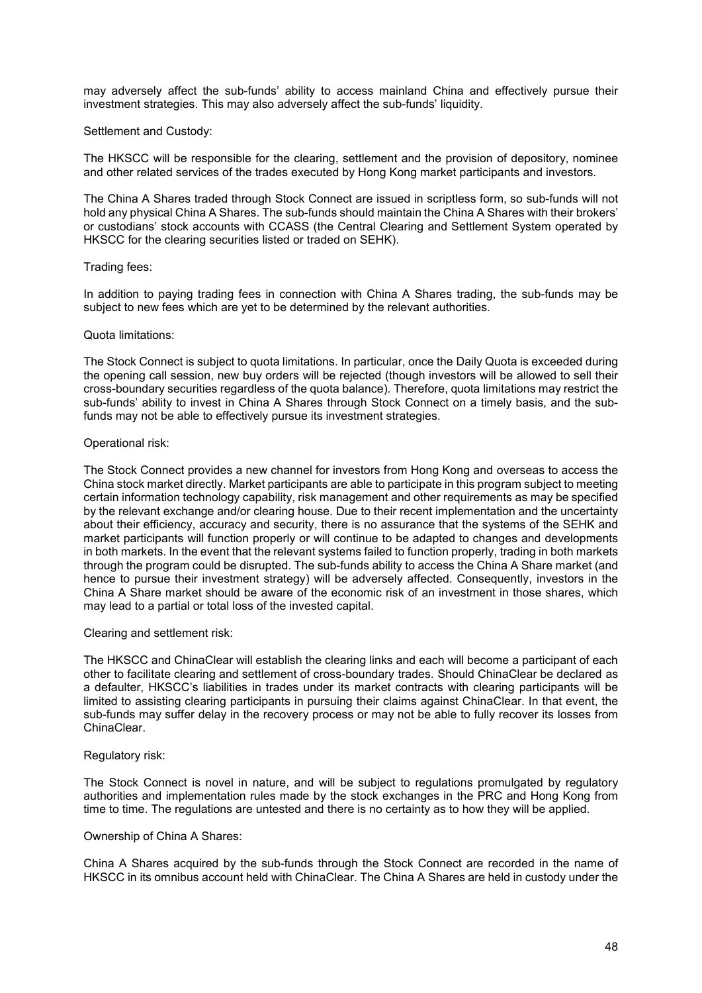may adversely affect the sub-funds' ability to access mainland China and effectively pursue their investment strategies. This may also adversely affect the sub-funds' liquidity.

#### Settlement and Custody:

The HKSCC will be responsible for the clearing, settlement and the provision of depository, nominee and other related services of the trades executed by Hong Kong market participants and investors.

The China A Shares traded through Stock Connect are issued in scriptless form, so sub-funds will not hold any physical China A Shares. The sub-funds should maintain the China A Shares with their brokers' or custodians' stock accounts with CCASS (the Central Clearing and Settlement System operated by HKSCC for the clearing securities listed or traded on SEHK).

## Trading fees:

In addition to paying trading fees in connection with China A Shares trading, the sub-funds may be subject to new fees which are yet to be determined by the relevant authorities.

#### Quota limitations:

The Stock Connect is subject to quota limitations. In particular, once the Daily Quota is exceeded during the opening call session, new buy orders will be rejected (though investors will be allowed to sell their cross-boundary securities regardless of the quota balance). Therefore, quota limitations may restrict the sub-funds' ability to invest in China A Shares through Stock Connect on a timely basis, and the subfunds may not be able to effectively pursue its investment strategies.

## Operational risk:

The Stock Connect provides a new channel for investors from Hong Kong and overseas to access the China stock market directly. Market participants are able to participate in this program subject to meeting certain information technology capability, risk management and other requirements as may be specified by the relevant exchange and/or clearing house. Due to their recent implementation and the uncertainty about their efficiency, accuracy and security, there is no assurance that the systems of the SEHK and market participants will function properly or will continue to be adapted to changes and developments in both markets. In the event that the relevant systems failed to function properly, trading in both markets through the program could be disrupted. The sub-funds ability to access the China A Share market (and hence to pursue their investment strategy) will be adversely affected. Consequently, investors in the China A Share market should be aware of the economic risk of an investment in those shares, which may lead to a partial or total loss of the invested capital.

#### Clearing and settlement risk:

The HKSCC and ChinaClear will establish the clearing links and each will become a participant of each other to facilitate clearing and settlement of cross-boundary trades. Should ChinaClear be declared as a defaulter, HKSCC's liabilities in trades under its market contracts with clearing participants will be limited to assisting clearing participants in pursuing their claims against ChinaClear. In that event, the sub-funds may suffer delay in the recovery process or may not be able to fully recover its losses from ChinaClear.

#### Regulatory risk:

The Stock Connect is novel in nature, and will be subject to regulations promulgated by regulatory authorities and implementation rules made by the stock exchanges in the PRC and Hong Kong from time to time. The regulations are untested and there is no certainty as to how they will be applied.

#### Ownership of China A Shares:

China A Shares acquired by the sub-funds through the Stock Connect are recorded in the name of HKSCC in its omnibus account held with ChinaClear. The China A Shares are held in custody under the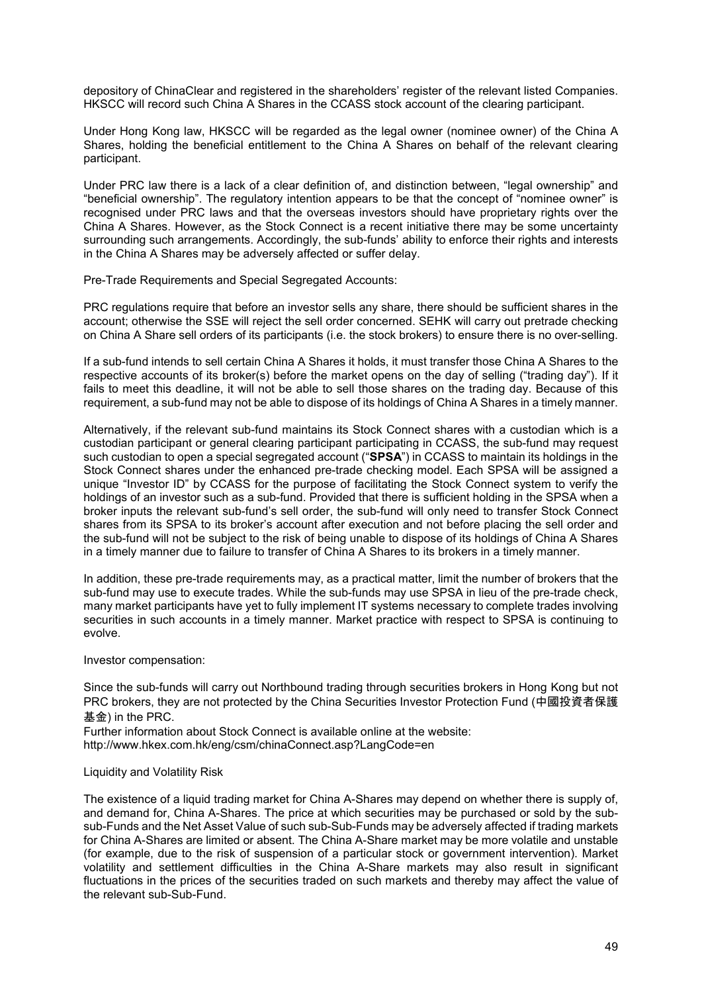depository of ChinaClear and registered in the shareholders' register of the relevant listed Companies. HKSCC will record such China A Shares in the CCASS stock account of the clearing participant.

Under Hong Kong law, HKSCC will be regarded as the legal owner (nominee owner) of the China A Shares, holding the beneficial entitlement to the China A Shares on behalf of the relevant clearing participant.

Under PRC law there is a lack of a clear definition of, and distinction between, "legal ownership" and "beneficial ownership". The regulatory intention appears to be that the concept of "nominee owner" is recognised under PRC laws and that the overseas investors should have proprietary rights over the China A Shares. However, as the Stock Connect is a recent initiative there may be some uncertainty surrounding such arrangements. Accordingly, the sub-funds' ability to enforce their rights and interests in the China A Shares may be adversely affected or suffer delay.

Pre-Trade Requirements and Special Segregated Accounts:

PRC regulations require that before an investor sells any share, there should be sufficient shares in the account; otherwise the SSE will reject the sell order concerned. SEHK will carry out pretrade checking on China A Share sell orders of its participants (i.e. the stock brokers) to ensure there is no over-selling.

If a sub-fund intends to sell certain China A Shares it holds, it must transfer those China A Shares to the respective accounts of its broker(s) before the market opens on the day of selling ("trading day"). If it fails to meet this deadline, it will not be able to sell those shares on the trading day. Because of this requirement, a sub-fund may not be able to dispose of its holdings of China A Shares in a timely manner.

Alternatively, if the relevant sub-fund maintains its Stock Connect shares with a custodian which is a custodian participant or general clearing participant participating in CCASS, the sub-fund may request such custodian to open a special segregated account ("**SPSA**") in CCASS to maintain its holdings in the Stock Connect shares under the enhanced pre-trade checking model. Each SPSA will be assigned a unique "Investor ID" by CCASS for the purpose of facilitating the Stock Connect system to verify the holdings of an investor such as a sub-fund. Provided that there is sufficient holding in the SPSA when a broker inputs the relevant sub-fund's sell order, the sub-fund will only need to transfer Stock Connect shares from its SPSA to its broker's account after execution and not before placing the sell order and the sub-fund will not be subject to the risk of being unable to dispose of its holdings of China A Shares in a timely manner due to failure to transfer of China A Shares to its brokers in a timely manner.

In addition, these pre-trade requirements may, as a practical matter, limit the number of brokers that the sub-fund may use to execute trades. While the sub-funds may use SPSA in lieu of the pre-trade check, many market participants have yet to fully implement IT systems necessary to complete trades involving securities in such accounts in a timely manner. Market practice with respect to SPSA is continuing to evolve.

Investor compensation:

Since the sub-funds will carry out Northbound trading through securities brokers in Hong Kong but not PRC brokers, they are not protected by the China Securities Investor Protection Fund (中國投資者保護 基金) in the PRC.

Further information about Stock Connect is available online at the website: <http://www.hkex.com.hk/eng/csm/chinaConnect.asp?LangCode=en>

#### Liquidity and Volatility Risk

The existence of a liquid trading market for China A-Shares may depend on whether there is supply of, and demand for, China A-Shares. The price at which securities may be purchased or sold by the subsub-Funds and the Net Asset Value of such sub-Sub-Funds may be adversely affected if trading markets for China A-Shares are limited or absent. The China A-Share market may be more volatile and unstable (for example, due to the risk of suspension of a particular stock or government intervention). Market volatility and settlement difficulties in the China A-Share markets may also result in significant fluctuations in the prices of the securities traded on such markets and thereby may affect the value of the relevant sub-Sub-Fund.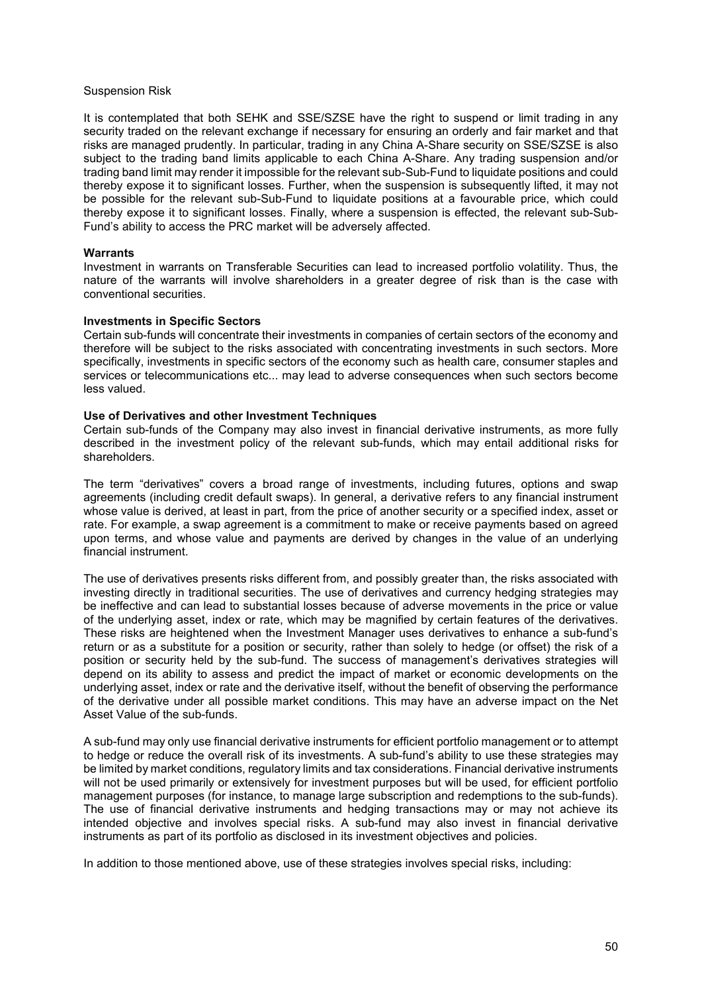#### Suspension Risk

It is contemplated that both SEHK and SSE/SZSE have the right to suspend or limit trading in any security traded on the relevant exchange if necessary for ensuring an orderly and fair market and that risks are managed prudently. In particular, trading in any China A-Share security on SSE/SZSE is also subject to the trading band limits applicable to each China A-Share. Any trading suspension and/or trading band limit may render it impossible for the relevant sub-Sub-Fund to liquidate positions and could thereby expose it to significant losses. Further, when the suspension is subsequently lifted, it may not be possible for the relevant sub-Sub-Fund to liquidate positions at a favourable price, which could thereby expose it to significant losses. Finally, where a suspension is effected, the relevant sub-Sub-Fund's ability to access the PRC market will be adversely affected.

#### **Warrants**

Investment in warrants on Transferable Securities can lead to increased portfolio volatility. Thus, the nature of the warrants will involve shareholders in a greater degree of risk than is the case with conventional securities.

#### **Investments in Specific Sectors**

Certain sub-funds will concentrate their investments in companies of certain sectors of the economy and therefore will be subject to the risks associated with concentrating investments in such sectors. More specifically, investments in specific sectors of the economy such as health care, consumer staples and services or telecommunications etc... may lead to adverse consequences when such sectors become less valued.

#### **Use of Derivatives and other Investment Techniques**

Certain sub-funds of the Company may also invest in financial derivative instruments, as more fully described in the investment policy of the relevant sub-funds, which may entail additional risks for shareholders.

The term "derivatives" covers a broad range of investments, including futures, options and swap agreements (including credit default swaps). In general, a derivative refers to any financial instrument whose value is derived, at least in part, from the price of another security or a specified index, asset or rate. For example, a swap agreement is a commitment to make or receive payments based on agreed upon terms, and whose value and payments are derived by changes in the value of an underlying financial instrument.

The use of derivatives presents risks different from, and possibly greater than, the risks associated with investing directly in traditional securities. The use of derivatives and currency hedging strategies may be ineffective and can lead to substantial losses because of adverse movements in the price or value of the underlying asset, index or rate, which may be magnified by certain features of the derivatives. These risks are heightened when the Investment Manager uses derivatives to enhance a sub-fund's return or as a substitute for a position or security, rather than solely to hedge (or offset) the risk of a position or security held by the sub-fund. The success of management's derivatives strategies will depend on its ability to assess and predict the impact of market or economic developments on the underlying asset, index or rate and the derivative itself, without the benefit of observing the performance of the derivative under all possible market conditions. This may have an adverse impact on the Net Asset Value of the sub-funds.

A sub-fund may only use financial derivative instruments for efficient portfolio management or to attempt to hedge or reduce the overall risk of its investments. A sub-fund's ability to use these strategies may be limited by market conditions, regulatory limits and tax considerations. Financial derivative instruments will not be used primarily or extensively for investment purposes but will be used, for efficient portfolio management purposes (for instance, to manage large subscription and redemptions to the sub-funds). The use of financial derivative instruments and hedging transactions may or may not achieve its intended objective and involves special risks. A sub-fund may also invest in financial derivative instruments as part of its portfolio as disclosed in its investment objectives and policies.

In addition to those mentioned above, use of these strategies involves special risks, including: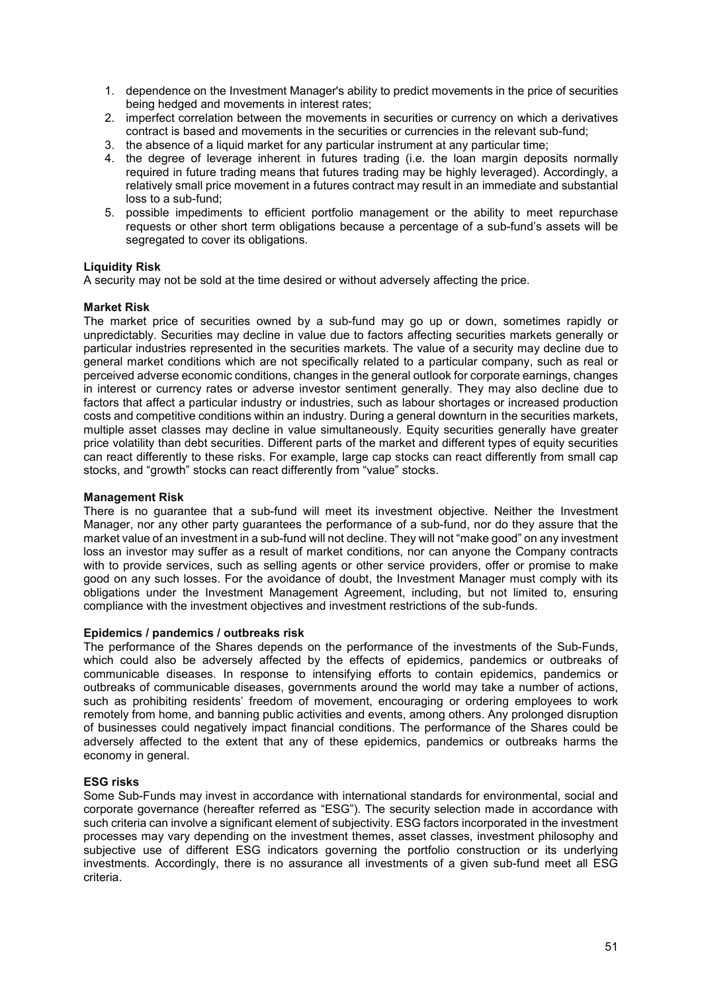- 1. dependence on the Investment Manager's ability to predict movements in the price of securities being hedged and movements in interest rates;
- 2. imperfect correlation between the movements in securities or currency on which a derivatives contract is based and movements in the securities or currencies in the relevant sub-fund;
- 3. the absence of a liquid market for any particular instrument at any particular time;
- 4. the degree of leverage inherent in futures trading (i.e. the loan margin deposits normally required in future trading means that futures trading may be highly leveraged). Accordingly, a relatively small price movement in a futures contract may result in an immediate and substantial loss to a sub-fund;
- 5. possible impediments to efficient portfolio management or the ability to meet repurchase requests or other short term obligations because a percentage of a sub-fund's assets will be segregated to cover its obligations.

## **Liquidity Risk**

A security may not be sold at the time desired or without adversely affecting the price.

## **Market Risk**

The market price of securities owned by a sub-fund may go up or down, sometimes rapidly or unpredictably. Securities may decline in value due to factors affecting securities markets generally or particular industries represented in the securities markets. The value of a security may decline due to general market conditions which are not specifically related to a particular company, such as real or perceived adverse economic conditions, changes in the general outlook for corporate earnings, changes in interest or currency rates or adverse investor sentiment generally. They may also decline due to factors that affect a particular industry or industries, such as labour shortages or increased production costs and competitive conditions within an industry. During a general downturn in the securities markets, multiple asset classes may decline in value simultaneously. Equity securities generally have greater price volatility than debt securities. Different parts of the market and different types of equity securities can react differently to these risks. For example, large cap stocks can react differently from small cap stocks, and "growth" stocks can react differently from "value" stocks.

#### **Management Risk**

There is no guarantee that a sub-fund will meet its investment objective. Neither the Investment Manager, nor any other party guarantees the performance of a sub-fund, nor do they assure that the market value of an investment in a sub-fund will not decline. They will not "make good" on any investment loss an investor may suffer as a result of market conditions, nor can anyone the Company contracts with to provide services, such as selling agents or other service providers, offer or promise to make good on any such losses. For the avoidance of doubt, the Investment Manager must comply with its obligations under the Investment Management Agreement, including, but not limited to, ensuring compliance with the investment objectives and investment restrictions of the sub-funds.

#### **Epidemics / pandemics / outbreaks risk**

The performance of the Shares depends on the performance of the investments of the Sub-Funds, which could also be adversely affected by the effects of epidemics, pandemics or outbreaks of communicable diseases. In response to intensifying efforts to contain epidemics, pandemics or outbreaks of communicable diseases, governments around the world may take a number of actions, such as prohibiting residents' freedom of movement, encouraging or ordering employees to work remotely from home, and banning public activities and events, among others. Any prolonged disruption of businesses could negatively impact financial conditions. The performance of the Shares could be adversely affected to the extent that any of these epidemics, pandemics or outbreaks harms the economy in general.

## **ESG risks**

Some Sub-Funds may invest in accordance with international standards for environmental, social and corporate governance (hereafter referred as "ESG"). The security selection made in accordance with such criteria can involve a significant element of subjectivity. ESG factors incorporated in the investment processes may vary depending on the investment themes, asset classes, investment philosophy and subjective use of different ESG indicators governing the portfolio construction or its underlying investments. Accordingly, there is no assurance all investments of a given sub-fund meet all ESG criteria.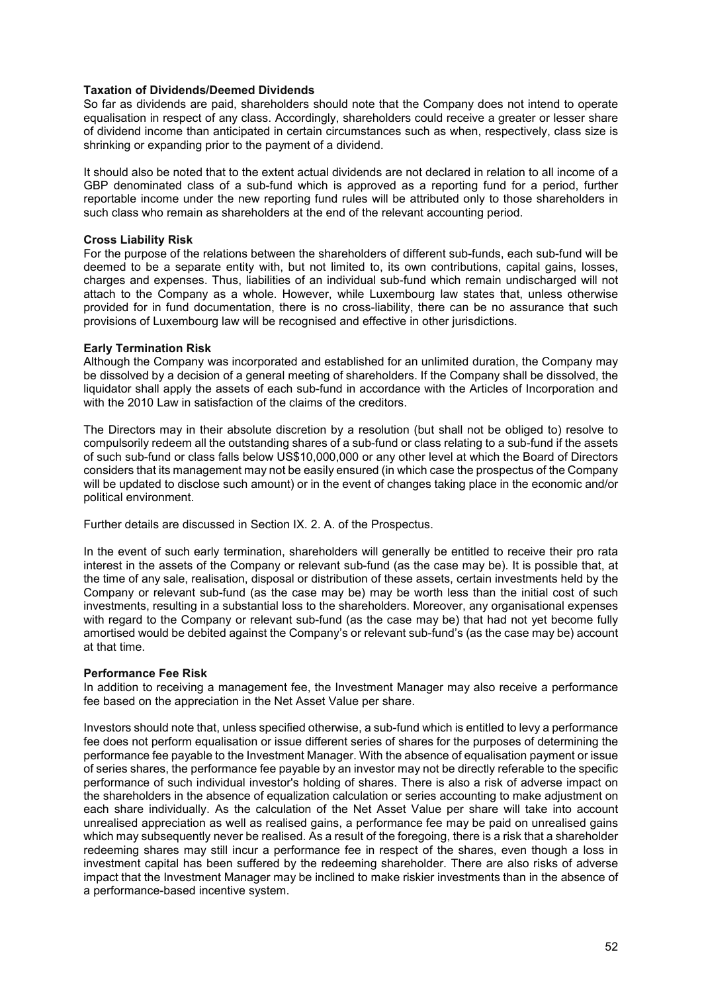### **Taxation of Dividends/Deemed Dividends**

So far as dividends are paid, shareholders should note that the Company does not intend to operate equalisation in respect of any class. Accordingly, shareholders could receive a greater or lesser share of dividend income than anticipated in certain circumstances such as when, respectively, class size is shrinking or expanding prior to the payment of a dividend.

It should also be noted that to the extent actual dividends are not declared in relation to all income of a GBP denominated class of a sub-fund which is approved as a reporting fund for a period, further reportable income under the new reporting fund rules will be attributed only to those shareholders in such class who remain as shareholders at the end of the relevant accounting period.

## **Cross Liability Risk**

For the purpose of the relations between the shareholders of different sub-funds, each sub-fund will be deemed to be a separate entity with, but not limited to, its own contributions, capital gains, losses, charges and expenses. Thus, liabilities of an individual sub-fund which remain undischarged will not attach to the Company as a whole. However, while Luxembourg law states that, unless otherwise provided for in fund documentation, there is no cross-liability, there can be no assurance that such provisions of Luxembourg law will be recognised and effective in other jurisdictions.

## **Early Termination Risk**

Although the Company was incorporated and established for an unlimited duration, the Company may be dissolved by a decision of a general meeting of shareholders. If the Company shall be dissolved, the liquidator shall apply the assets of each sub-fund in accordance with the Articles of Incorporation and with the 2010 Law in satisfaction of the claims of the creditors.

The Directors may in their absolute discretion by a resolution (but shall not be obliged to) resolve to compulsorily redeem all the outstanding shares of a sub-fund or class relating to a sub-fund if the assets of such sub-fund or class falls below US\$10,000,000 or any other level at which the Board of Directors considers that its management may not be easily ensured (in which case the prospectus of the Company will be updated to disclose such amount) or in the event of changes taking place in the economic and/or political environment.

Further details are discussed in Section IX. 2. A. of the Prospectus.

In the event of such early termination, shareholders will generally be entitled to receive their pro rata interest in the assets of the Company or relevant sub-fund (as the case may be). It is possible that, at the time of any sale, realisation, disposal or distribution of these assets, certain investments held by the Company or relevant sub-fund (as the case may be) may be worth less than the initial cost of such investments, resulting in a substantial loss to the shareholders. Moreover, any organisational expenses with regard to the Company or relevant sub-fund (as the case may be) that had not yet become fully amortised would be debited against the Company's or relevant sub-fund's (as the case may be) account at that time.

## **Performance Fee Risk**

In addition to receiving a management fee, the Investment Manager may also receive a performance fee based on the appreciation in the Net Asset Value per share.

Investors should note that, unless specified otherwise, a sub-fund which is entitled to levy a performance fee does not perform equalisation or issue different series of shares for the purposes of determining the performance fee payable to the Investment Manager. With the absence of equalisation payment or issue of series shares, the performance fee payable by an investor may not be directly referable to the specific performance of such individual investor's holding of shares. There is also a risk of adverse impact on the shareholders in the absence of equalization calculation or series accounting to make adjustment on each share individually. As the calculation of the Net Asset Value per share will take into account unrealised appreciation as well as realised gains, a performance fee may be paid on unrealised gains which may subsequently never be realised. As a result of the foregoing, there is a risk that a shareholder redeeming shares may still incur a performance fee in respect of the shares, even though a loss in investment capital has been suffered by the redeeming shareholder. There are also risks of adverse impact that the Investment Manager may be inclined to make riskier investments than in the absence of a performance-based incentive system.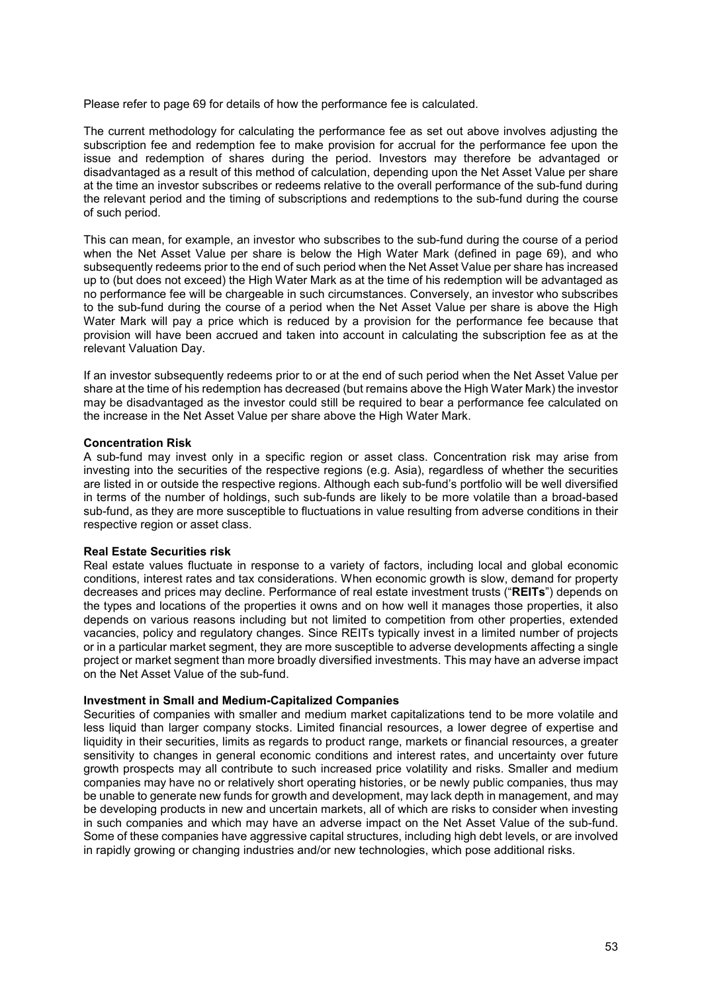Please refer to page 69 for details of how the performance fee is calculated.

The current methodology for calculating the performance fee as set out above involves adjusting the subscription fee and redemption fee to make provision for accrual for the performance fee upon the issue and redemption of shares during the period. Investors may therefore be advantaged or disadvantaged as a result of this method of calculation, depending upon the Net Asset Value per share at the time an investor subscribes or redeems relative to the overall performance of the sub-fund during the relevant period and the timing of subscriptions and redemptions to the sub-fund during the course of such period.

This can mean, for example, an investor who subscribes to the sub-fund during the course of a period when the Net Asset Value per share is below the High Water Mark (defined in page 69), and who subsequently redeems prior to the end of such period when the Net Asset Value per share has increased up to (but does not exceed) the High Water Mark as at the time of his redemption will be advantaged as no performance fee will be chargeable in such circumstances. Conversely, an investor who subscribes to the sub-fund during the course of a period when the Net Asset Value per share is above the High Water Mark will pay a price which is reduced by a provision for the performance fee because that provision will have been accrued and taken into account in calculating the subscription fee as at the relevant Valuation Day.

If an investor subsequently redeems prior to or at the end of such period when the Net Asset Value per share at the time of his redemption has decreased (but remains above the High Water Mark) the investor may be disadvantaged as the investor could still be required to bear a performance fee calculated on the increase in the Net Asset Value per share above the High Water Mark.

#### **Concentration Risk**

A sub-fund may invest only in a specific region or asset class. Concentration risk may arise from investing into the securities of the respective regions (e.g. Asia), regardless of whether the securities are listed in or outside the respective regions. Although each sub-fund's portfolio will be well diversified in terms of the number of holdings, such sub-funds are likely to be more volatile than a broad-based sub-fund, as they are more susceptible to fluctuations in value resulting from adverse conditions in their respective region or asset class.

#### **Real Estate Securities risk**

Real estate values fluctuate in response to a variety of factors, including local and global economic conditions, interest rates and tax considerations. When economic growth is slow, demand for property decreases and prices may decline. Performance of real estate investment trusts ("**REITs**") depends on the types and locations of the properties it owns and on how well it manages those properties, it also depends on various reasons including but not limited to competition from other properties, extended vacancies, policy and regulatory changes. Since REITs typically invest in a limited number of projects or in a particular market segment, they are more susceptible to adverse developments affecting a single project or market segment than more broadly diversified investments. This may have an adverse impact on the Net Asset Value of the sub-fund.

#### **Investment in Small and Medium-Capitalized Companies**

Securities of companies with smaller and medium market capitalizations tend to be more volatile and less liquid than larger company stocks. Limited financial resources, a lower degree of expertise and liquidity in their securities, limits as regards to product range, markets or financial resources, a greater sensitivity to changes in general economic conditions and interest rates, and uncertainty over future growth prospects may all contribute to such increased price volatility and risks. Smaller and medium companies may have no or relatively short operating histories, or be newly public companies, thus may be unable to generate new funds for growth and development, may lack depth in management, and may be developing products in new and uncertain markets, all of which are risks to consider when investing in such companies and which may have an adverse impact on the Net Asset Value of the sub-fund. Some of these companies have aggressive capital structures, including high debt levels, or are involved in rapidly growing or changing industries and/or new technologies, which pose additional risks.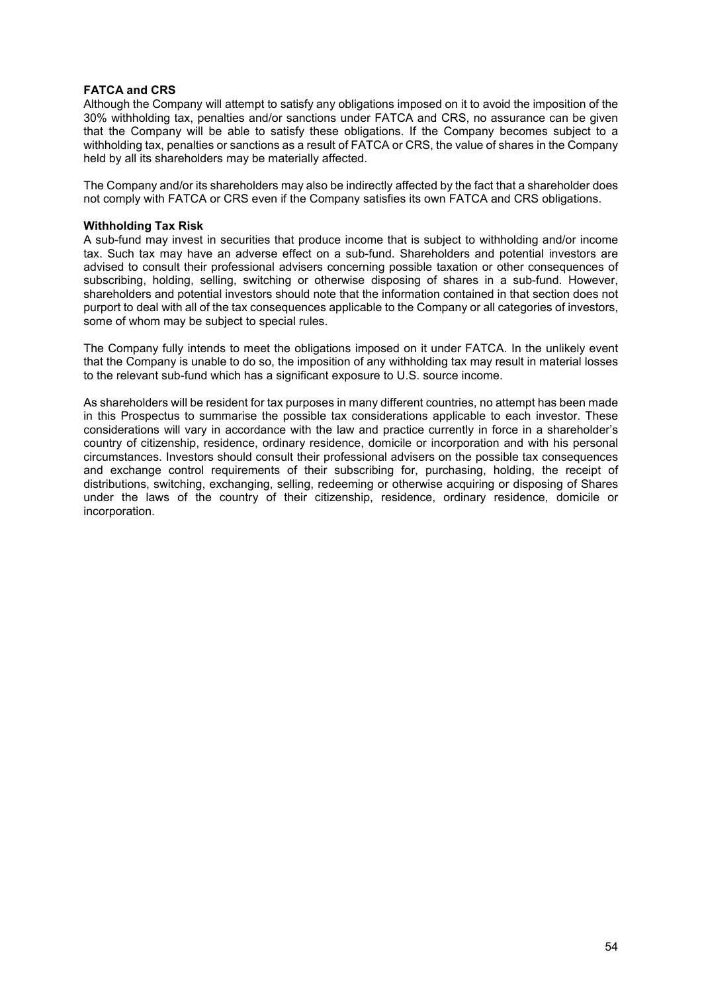## **FATCA and CRS**

Although the Company will attempt to satisfy any obligations imposed on it to avoid the imposition of the 30% withholding tax, penalties and/or sanctions under FATCA and CRS, no assurance can be given that the Company will be able to satisfy these obligations. If the Company becomes subject to a withholding tax, penalties or sanctions as a result of FATCA or CRS, the value of shares in the Company held by all its shareholders may be materially affected.

The Company and/or its shareholders may also be indirectly affected by the fact that a shareholder does not comply with FATCA or CRS even if the Company satisfies its own FATCA and CRS obligations.

## **Withholding Tax Risk**

A sub-fund may invest in securities that produce income that is subject to withholding and/or income tax. Such tax may have an adverse effect on a sub-fund. Shareholders and potential investors are advised to consult their professional advisers concerning possible taxation or other consequences of subscribing, holding, selling, switching or otherwise disposing of shares in a sub-fund. However, shareholders and potential investors should note that the information contained in that section does not purport to deal with all of the tax consequences applicable to the Company or all categories of investors, some of whom may be subject to special rules.

The Company fully intends to meet the obligations imposed on it under FATCA. In the unlikely event that the Company is unable to do so, the imposition of any withholding tax may result in material losses to the relevant sub-fund which has a significant exposure to U.S. source income.

As shareholders will be resident for tax purposes in many different countries, no attempt has been made in this Prospectus to summarise the possible tax considerations applicable to each investor. These considerations will vary in accordance with the law and practice currently in force in a shareholder's country of citizenship, residence, ordinary residence, domicile or incorporation and with his personal circumstances. Investors should consult their professional advisers on the possible tax consequences and exchange control requirements of their subscribing for, purchasing, holding, the receipt of distributions, switching, exchanging, selling, redeeming or otherwise acquiring or disposing of Shares under the laws of the country of their citizenship, residence, ordinary residence, domicile or incorporation.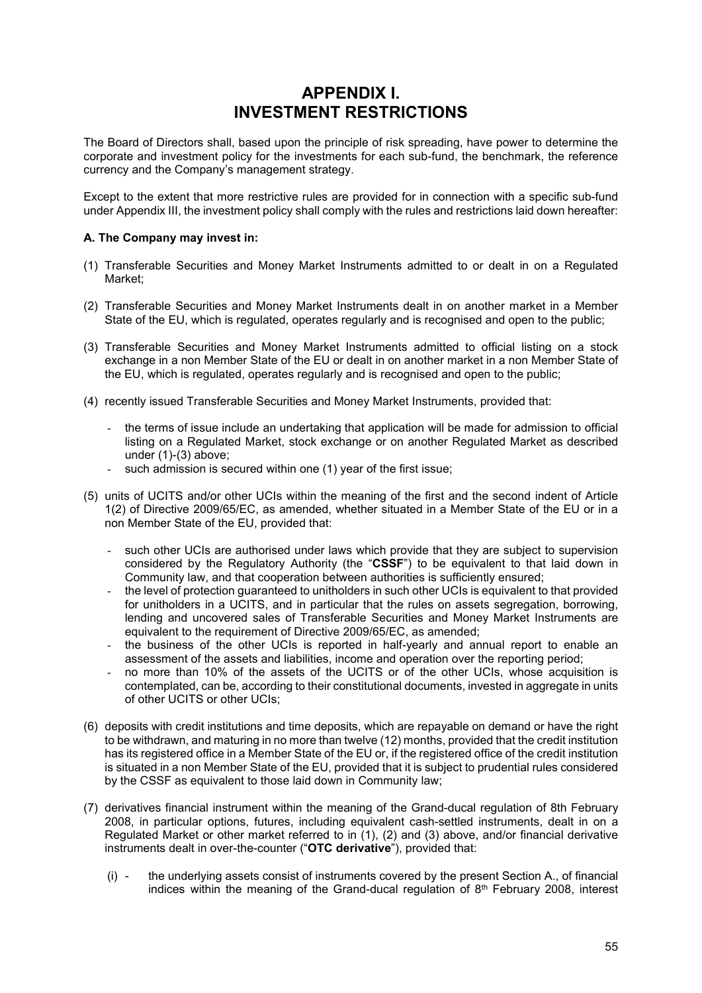# **APPENDIX I. INVESTMENT RESTRICTIONS**

The Board of Directors shall, based upon the principle of risk spreading, have power to determine the corporate and investment policy for the investments for each sub-fund, the benchmark, the reference currency and the Company's management strategy.

Except to the extent that more restrictive rules are provided for in connection with a specific sub-fund under Appendix III, the investment policy shall comply with the rules and restrictions laid down hereafter:

## **A. The Company may invest in:**

- (1) Transferable Securities and Money Market Instruments admitted to or dealt in on a Regulated Market;
- (2) Transferable Securities and Money Market Instruments dealt in on another market in a Member State of the EU, which is regulated, operates regularly and is recognised and open to the public;
- (3) Transferable Securities and Money Market Instruments admitted to official listing on a stock exchange in a non Member State of the EU or dealt in on another market in a non Member State of the EU, which is regulated, operates regularly and is recognised and open to the public;
- (4) recently issued Transferable Securities and Money Market Instruments, provided that:
	- the terms of issue include an undertaking that application will be made for admission to official listing on a Regulated Market, stock exchange or on another Regulated Market as described under (1)-(3) above;
	- such admission is secured within one (1) year of the first issue;
- (5) units of UCITS and/or other UCIs within the meaning of the first and the second indent of Article 1(2) of Directive 2009/65/EC, as amended, whether situated in a Member State of the EU or in a non Member State of the EU, provided that:
	- such other UCIs are authorised under laws which provide that they are subject to supervision considered by the Regulatory Authority (the "**CSSF**") to be equivalent to that laid down in Community law, and that cooperation between authorities is sufficiently ensured;
	- the level of protection guaranteed to unitholders in such other UCIs is equivalent to that provided for unitholders in a UCITS, and in particular that the rules on assets segregation, borrowing, lending and uncovered sales of Transferable Securities and Money Market Instruments are equivalent to the requirement of Directive 2009/65/EC, as amended;
	- the business of the other UCIs is reported in half-yearly and annual report to enable an assessment of the assets and liabilities, income and operation over the reporting period;
	- no more than 10% of the assets of the UCITS or of the other UCIs, whose acquisition is contemplated, can be, according to their constitutional documents, invested in aggregate in units of other UCITS or other UCIs;
- (6) deposits with credit institutions and time deposits, which are repayable on demand or have the right to be withdrawn, and maturing in no more than twelve (12) months, provided that the credit institution has its registered office in a Member State of the EU or, if the registered office of the credit institution is situated in a non Member State of the EU, provided that it is subject to prudential rules considered by the CSSF as equivalent to those laid down in Community law;
- (7) derivatives financial instrument within the meaning of the Grand-ducal regulation of 8th February 2008, in particular options, futures, including equivalent cash-settled instruments, dealt in on a Regulated Market or other market referred to in (1), (2) and (3) above, and/or financial derivative instruments dealt in over-the-counter ("**OTC derivative**"), provided that:
	- (i) the underlying assets consist of instruments covered by the present Section A., of financial indices within the meaning of the Grand-ducal regulation of  $8<sup>th</sup>$  February 2008, interest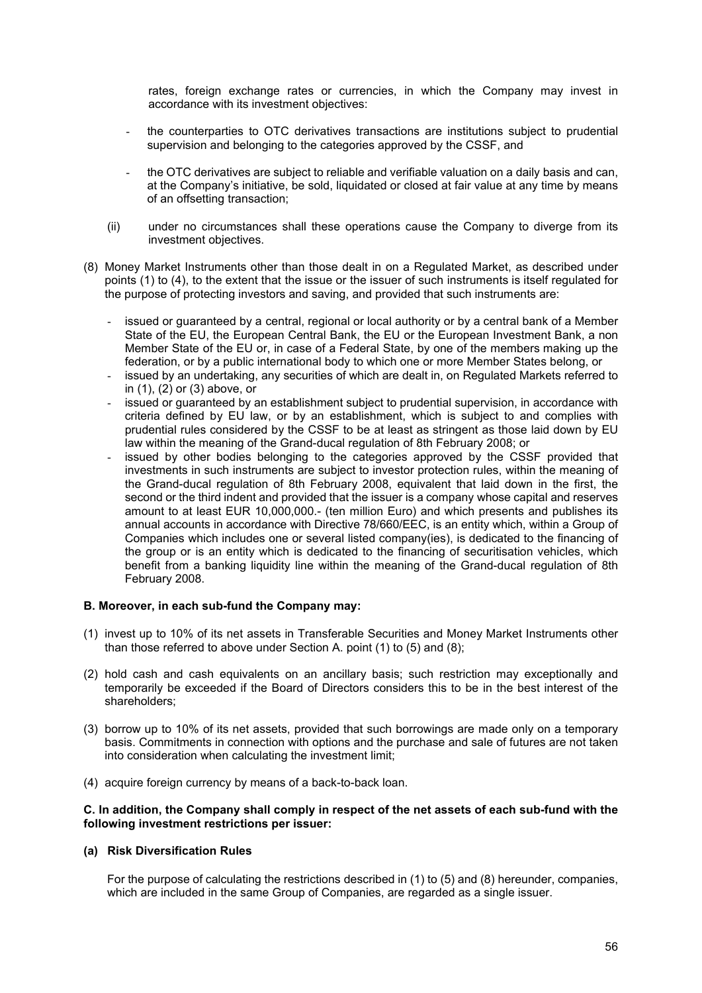rates, foreign exchange rates or currencies, in which the Company may invest in accordance with its investment objectives:

- the counterparties to OTC derivatives transactions are institutions subject to prudential supervision and belonging to the categories approved by the CSSF, and
- the OTC derivatives are subject to reliable and verifiable valuation on a daily basis and can, at the Company's initiative, be sold, liquidated or closed at fair value at any time by means of an offsetting transaction;
- (ii) under no circumstances shall these operations cause the Company to diverge from its investment objectives.
- (8) Money Market Instruments other than those dealt in on a Regulated Market, as described under points (1) to (4), to the extent that the issue or the issuer of such instruments is itself regulated for the purpose of protecting investors and saving, and provided that such instruments are:
	- issued or guaranteed by a central, regional or local authority or by a central bank of a Member State of the EU, the European Central Bank, the EU or the European Investment Bank, a non Member State of the EU or, in case of a Federal State, by one of the members making up the federation, or by a public international body to which one or more Member States belong, or
	- issued by an undertaking, any securities of which are dealt in, on Regulated Markets referred to in (1), (2) or (3) above, or
	- issued or guaranteed by an establishment subject to prudential supervision, in accordance with criteria defined by EU law, or by an establishment, which is subject to and complies with prudential rules considered by the CSSF to be at least as stringent as those laid down by EU law within the meaning of the Grand-ducal regulation of 8th February 2008; or
	- issued by other bodies belonging to the categories approved by the CSSF provided that investments in such instruments are subject to investor protection rules, within the meaning of the Grand-ducal regulation of 8th February 2008, equivalent that laid down in the first, the second or the third indent and provided that the issuer is a company whose capital and reserves amount to at least EUR 10,000,000.- (ten million Euro) and which presents and publishes its annual accounts in accordance with Directive 78/660/EEC, is an entity which, within a Group of Companies which includes one or several listed company(ies), is dedicated to the financing of the group or is an entity which is dedicated to the financing of securitisation vehicles, which benefit from a banking liquidity line within the meaning of the Grand-ducal regulation of 8th February 2008.

#### **B. Moreover, in each sub-fund the Company may:**

- (1) invest up to 10% of its net assets in Transferable Securities and Money Market Instruments other than those referred to above under Section A. point (1) to (5) and (8);
- (2) hold cash and cash equivalents on an ancillary basis; such restriction may exceptionally and temporarily be exceeded if the Board of Directors considers this to be in the best interest of the shareholders;
- (3) borrow up to 10% of its net assets, provided that such borrowings are made only on a temporary basis. Commitments in connection with options and the purchase and sale of futures are not taken into consideration when calculating the investment limit;
- (4) acquire foreign currency by means of a back-to-back loan.

#### **C. In addition, the Company shall comply in respect of the net assets of each sub-fund with the following investment restrictions per issuer:**

#### **(a) Risk Diversification Rules**

For the purpose of calculating the restrictions described in (1) to (5) and (8) hereunder, companies, which are included in the same Group of Companies, are regarded as a single issuer.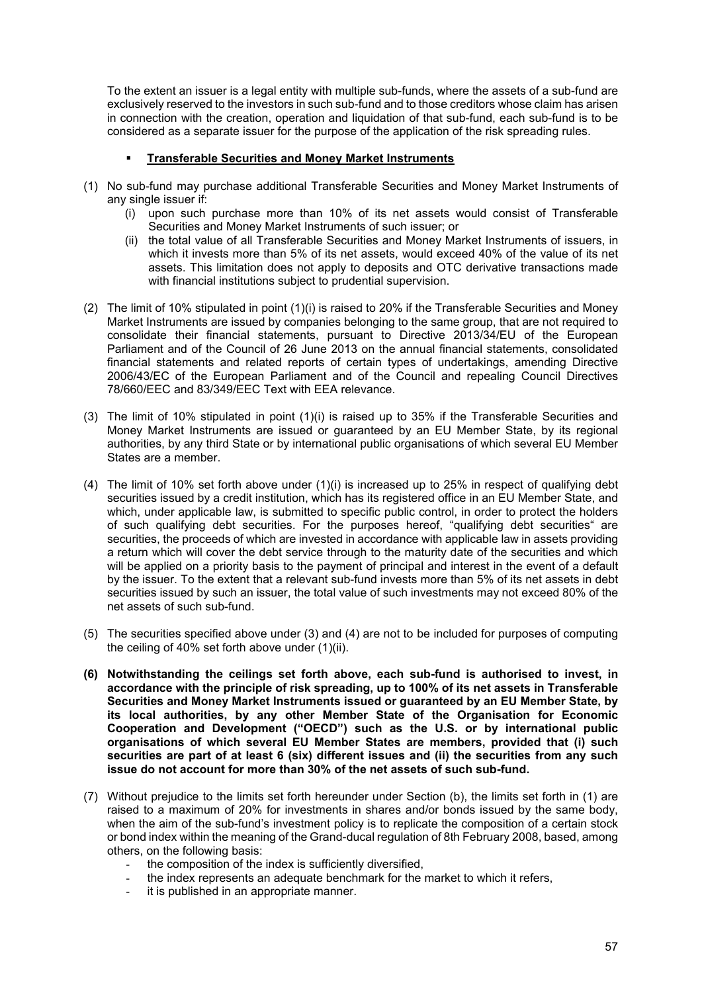To the extent an issuer is a legal entity with multiple sub-funds, where the assets of a sub-fund are exclusively reserved to the investors in such sub-fund and to those creditors whose claim has arisen in connection with the creation, operation and liquidation of that sub-fund, each sub-fund is to be considered as a separate issuer for the purpose of the application of the risk spreading rules.

## **Transferable Securities and Money Market Instruments**

- (1) No sub-fund may purchase additional Transferable Securities and Money Market Instruments of any single issuer if:
	- (i) upon such purchase more than 10% of its net assets would consist of Transferable Securities and Money Market Instruments of such issuer; or
	- (ii) the total value of all Transferable Securities and Money Market Instruments of issuers, in which it invests more than 5% of its net assets, would exceed 40% of the value of its net assets. This limitation does not apply to deposits and OTC derivative transactions made with financial institutions subject to prudential supervision.
- (2) The limit of 10% stipulated in point (1)(i) is raised to 20% if the Transferable Securities and Money Market Instruments are issued by companies belonging to the same group, that are not required to consolidate their financial statements, pursuant to Directive 2013/34/EU of the European Parliament and of the Council of 26 June 2013 on the annual financial statements, consolidated financial statements and related reports of certain types of undertakings, amending Directive 2006/43/EC of the European Parliament and of the Council and repealing Council Directives 78/660/EEC and 83/349/EEC Text with EEA relevance.
- (3) The limit of 10% stipulated in point (1)(i) is raised up to 35% if the Transferable Securities and Money Market Instruments are issued or guaranteed by an EU Member State, by its regional authorities, by any third State or by international public organisations of which several EU Member States are a member.
- (4) The limit of 10% set forth above under (1)(i) is increased up to 25% in respect of qualifying debt securities issued by a credit institution, which has its registered office in an EU Member State, and which, under applicable law, is submitted to specific public control, in order to protect the holders of such qualifying debt securities. For the purposes hereof, "qualifying debt securities" are securities, the proceeds of which are invested in accordance with applicable law in assets providing a return which will cover the debt service through to the maturity date of the securities and which will be applied on a priority basis to the payment of principal and interest in the event of a default by the issuer. To the extent that a relevant sub-fund invests more than 5% of its net assets in debt securities issued by such an issuer, the total value of such investments may not exceed 80% of the net assets of such sub-fund.
- (5) The securities specified above under (3) and (4) are not to be included for purposes of computing the ceiling of 40% set forth above under (1)(ii).
- **(6) Notwithstanding the ceilings set forth above, each sub-fund is authorised to invest, in accordance with the principle of risk spreading, up to 100% of its net assets in Transferable Securities and Money Market Instruments issued or guaranteed by an EU Member State, by its local authorities, by any other Member State of the Organisation for Economic Cooperation and Development ("OECD") such as the U.S. or by international public organisations of which several EU Member States are members, provided that (i) such securities are part of at least 6 (six) different issues and (ii) the securities from any such issue do not account for more than 30% of the net assets of such sub-fund.**
- (7) Without prejudice to the limits set forth hereunder under Section (b), the limits set forth in (1) are raised to a maximum of 20% for investments in shares and/or bonds issued by the same body, when the aim of the sub-fund's investment policy is to replicate the composition of a certain stock or bond index within the meaning of the Grand-ducal regulation of 8th February 2008, based, among others, on the following basis:
	- the composition of the index is sufficiently diversified,
	- the index represents an adequate benchmark for the market to which it refers,
	- it is published in an appropriate manner.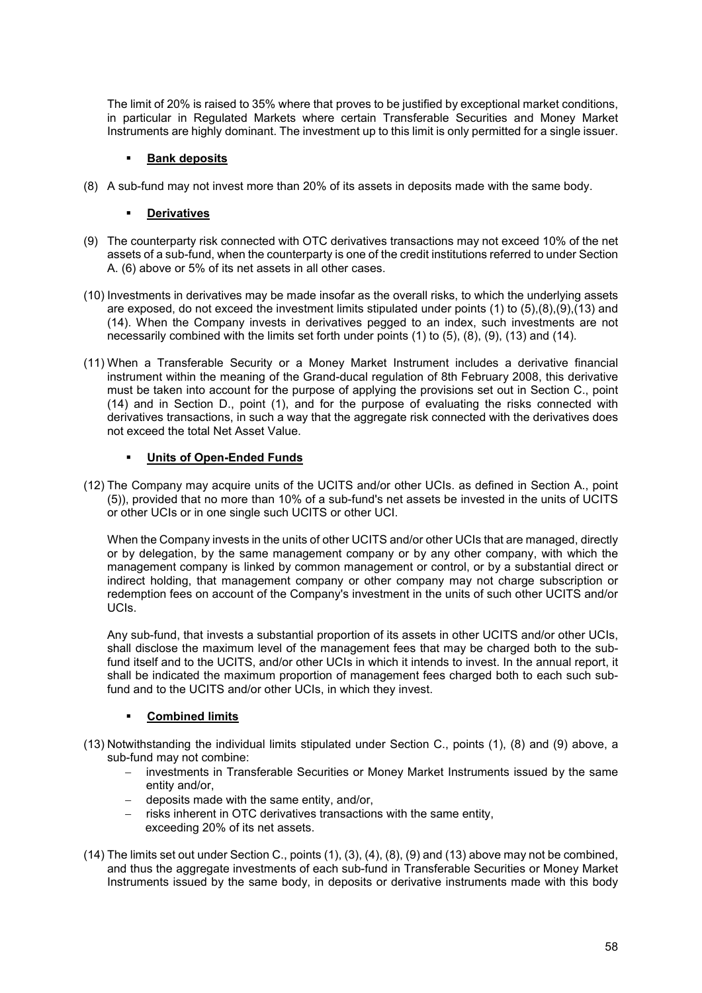The limit of 20% is raised to 35% where that proves to be justified by exceptional market conditions, in particular in Regulated Markets where certain Transferable Securities and Money Market Instruments are highly dominant. The investment up to this limit is only permitted for a single issuer.

## **Bank deposits**

(8) A sub-fund may not invest more than 20% of its assets in deposits made with the same body.

## **Derivatives**

- (9) The counterparty risk connected with OTC derivatives transactions may not exceed 10% of the net assets of a sub-fund, when the counterparty is one of the credit institutions referred to under Section A. (6) above or 5% of its net assets in all other cases.
- (10) Investments in derivatives may be made insofar as the overall risks, to which the underlying assets are exposed, do not exceed the investment limits stipulated under points (1) to (5),(8),(9),(13) and (14). When the Company invests in derivatives pegged to an index, such investments are not necessarily combined with the limits set forth under points (1) to (5), (8), (9), (13) and (14).
- (11) When a Transferable Security or a Money Market Instrument includes a derivative financial instrument within the meaning of the Grand-ducal regulation of 8th February 2008, this derivative must be taken into account for the purpose of applying the provisions set out in Section C., point (14) and in Section D., point (1), and for the purpose of evaluating the risks connected with derivatives transactions, in such a way that the aggregate risk connected with the derivatives does not exceed the total Net Asset Value.

## **Units of Open-Ended Funds**

(12) The Company may acquire units of the UCITS and/or other UCIs. as defined in Section A., point (5)), provided that no more than 10% of a sub-fund's net assets be invested in the units of UCITS or other UCIs or in one single such UCITS or other UCI.

When the Company invests in the units of other UCITS and/or other UCIs that are managed, directly or by delegation, by the same management company or by any other company, with which the management company is linked by common management or control, or by a substantial direct or indirect holding, that management company or other company may not charge subscription or redemption fees on account of the Company's investment in the units of such other UCITS and/or UCIs.

Any sub-fund, that invests a substantial proportion of its assets in other UCITS and/or other UCIs, shall disclose the maximum level of the management fees that may be charged both to the subfund itself and to the UCITS, and/or other UCIs in which it intends to invest. In the annual report, it shall be indicated the maximum proportion of management fees charged both to each such subfund and to the UCITS and/or other UCIs, in which they invest.

## **Combined limits**

- (13) Notwithstanding the individual limits stipulated under Section C., points (1), (8) and (9) above, a sub-fund may not combine:
	- investments in Transferable Securities or Money Market Instruments issued by the same entity and/or,
	- $-$  deposits made with the same entity, and/or,
	- risks inherent in OTC derivatives transactions with the same entity, exceeding 20% of its net assets.
- (14) The limits set out under Section C., points (1), (3), (4), (8), (9) and (13) above may not be combined, and thus the aggregate investments of each sub-fund in Transferable Securities or Money Market Instruments issued by the same body, in deposits or derivative instruments made with this body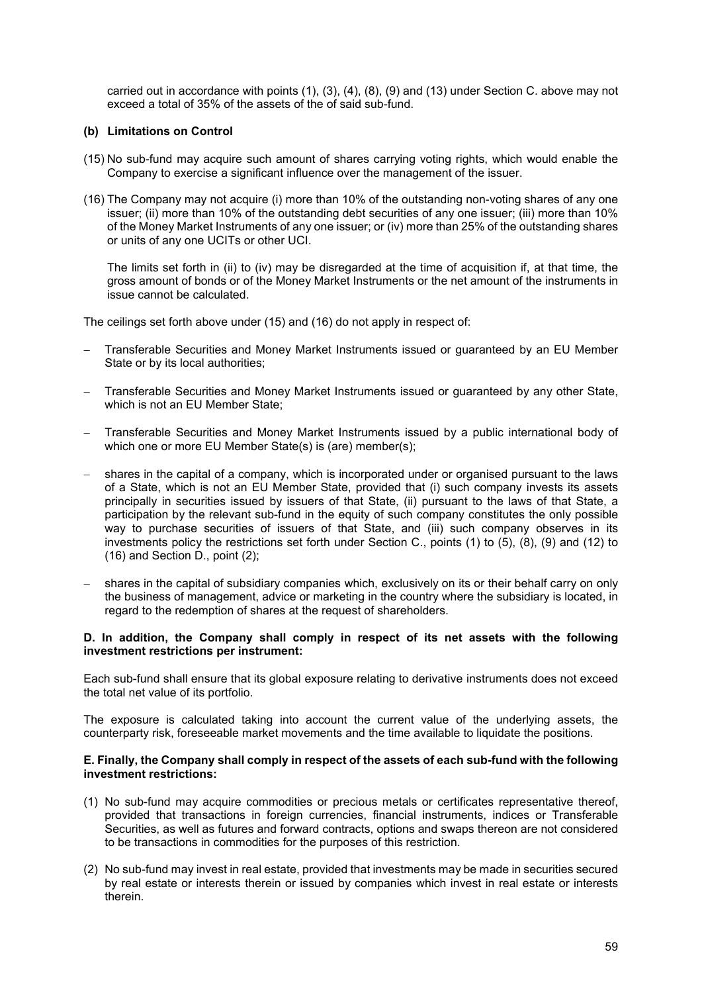carried out in accordance with points (1), (3), (4), (8), (9) and (13) under Section C. above may not exceed a total of 35% of the assets of the of said sub-fund.

## **(b) Limitations on Control**

- (15) No sub-fund may acquire such amount of shares carrying voting rights, which would enable the Company to exercise a significant influence over the management of the issuer.
- (16) The Company may not acquire (i) more than 10% of the outstanding non-voting shares of any one issuer; (ii) more than 10% of the outstanding debt securities of any one issuer; (iii) more than 10% of the Money Market Instruments of any one issuer; or (iv) more than 25% of the outstanding shares or units of any one UCITs or other UCI.

The limits set forth in (ii) to (iv) may be disregarded at the time of acquisition if, at that time, the gross amount of bonds or of the Money Market Instruments or the net amount of the instruments in issue cannot be calculated.

The ceilings set forth above under (15) and (16) do not apply in respect of:

- Transferable Securities and Money Market Instruments issued or guaranteed by an EU Member State or by its local authorities;
- Transferable Securities and Money Market Instruments issued or guaranteed by any other State, which is not an EU Member State;
- Transferable Securities and Money Market Instruments issued by a public international body of which one or more EU Member State(s) is (are) member(s);
- shares in the capital of a company, which is incorporated under or organised pursuant to the laws of a State, which is not an EU Member State, provided that (i) such company invests its assets principally in securities issued by issuers of that State, (ii) pursuant to the laws of that State, a participation by the relevant sub-fund in the equity of such company constitutes the only possible way to purchase securities of issuers of that State, and (iii) such company observes in its investments policy the restrictions set forth under Section C., points (1) to (5), (8), (9) and (12) to (16) and Section D., point (2);
- shares in the capital of subsidiary companies which, exclusively on its or their behalf carry on only the business of management, advice or marketing in the country where the subsidiary is located, in regard to the redemption of shares at the request of shareholders.

#### **D. In addition, the Company shall comply in respect of its net assets with the following investment restrictions per instrument:**

Each sub-fund shall ensure that its global exposure relating to derivative instruments does not exceed the total net value of its portfolio.

The exposure is calculated taking into account the current value of the underlying assets, the counterparty risk, foreseeable market movements and the time available to liquidate the positions.

#### **E. Finally, the Company shall comply in respect of the assets of each sub-fund with the following investment restrictions:**

- (1) No sub-fund may acquire commodities or precious metals or certificates representative thereof, provided that transactions in foreign currencies, financial instruments, indices or Transferable Securities, as well as futures and forward contracts, options and swaps thereon are not considered to be transactions in commodities for the purposes of this restriction.
- (2) No sub-fund may invest in real estate, provided that investments may be made in securities secured by real estate or interests therein or issued by companies which invest in real estate or interests therein.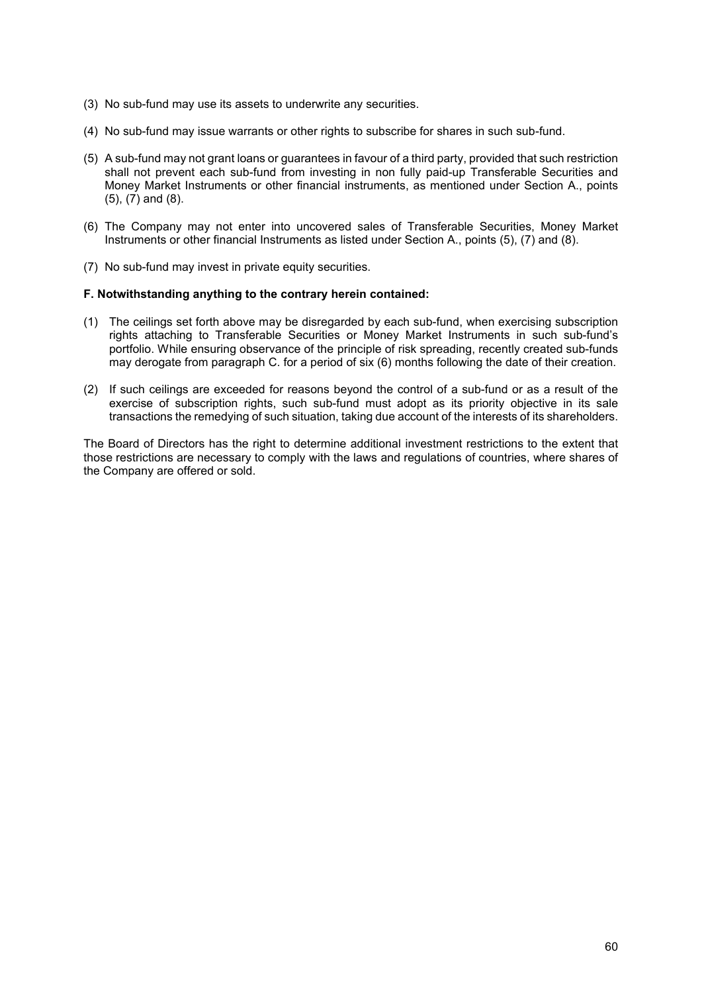- (3) No sub-fund may use its assets to underwrite any securities.
- (4) No sub-fund may issue warrants or other rights to subscribe for shares in such sub-fund.
- (5) A sub-fund may not grant loans or guarantees in favour of a third party, provided that such restriction shall not prevent each sub-fund from investing in non fully paid-up Transferable Securities and Money Market Instruments or other financial instruments, as mentioned under Section A., points (5), (7) and (8).
- (6) The Company may not enter into uncovered sales of Transferable Securities, Money Market Instruments or other financial Instruments as listed under Section A., points (5), (7) and (8).
- (7) No sub-fund may invest in private equity securities.

## **F. Notwithstanding anything to the contrary herein contained:**

- (1) The ceilings set forth above may be disregarded by each sub-fund, when exercising subscription rights attaching to Transferable Securities or Money Market Instruments in such sub-fund's portfolio. While ensuring observance of the principle of risk spreading, recently created sub-funds may derogate from paragraph C. for a period of six (6) months following the date of their creation.
- (2) If such ceilings are exceeded for reasons beyond the control of a sub-fund or as a result of the exercise of subscription rights, such sub-fund must adopt as its priority objective in its sale transactions the remedying of such situation, taking due account of the interests of its shareholders.

The Board of Directors has the right to determine additional investment restrictions to the extent that those restrictions are necessary to comply with the laws and regulations of countries, where shares of the Company are offered or sold.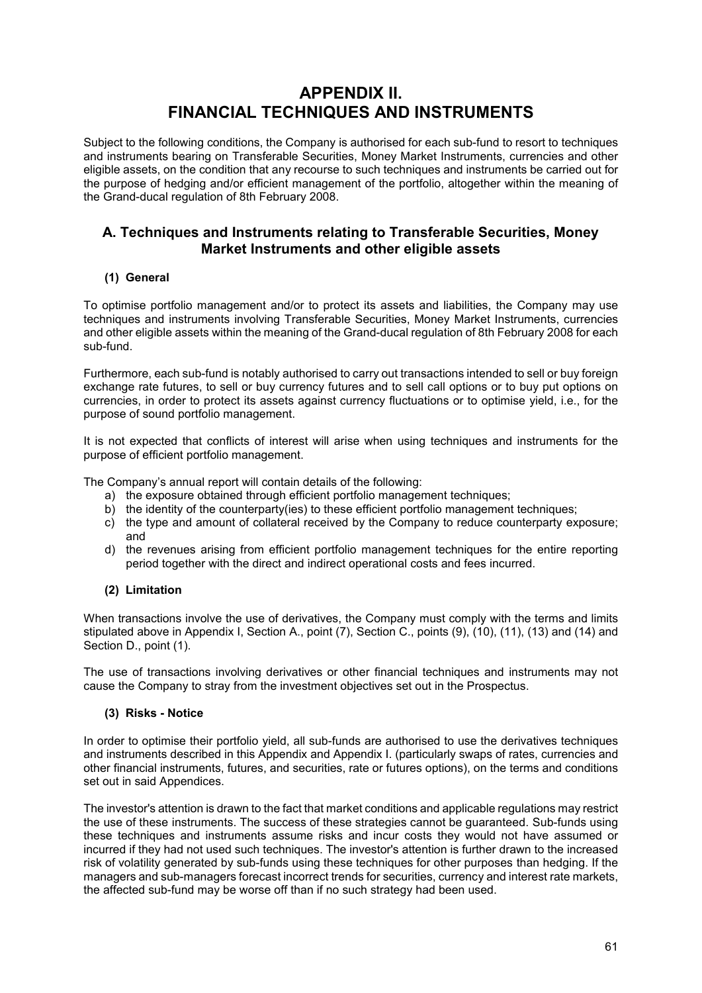# **APPENDIX II. FINANCIAL TECHNIQUES AND INSTRUMENTS**

Subject to the following conditions, the Company is authorised for each sub-fund to resort to techniques and instruments bearing on Transferable Securities, Money Market Instruments, currencies and other eligible assets, on the condition that any recourse to such techniques and instruments be carried out for the purpose of hedging and/or efficient management of the portfolio, altogether within the meaning of the Grand-ducal regulation of 8th February 2008.

## **A. Techniques and Instruments relating to Transferable Securities, Money Market Instruments and other eligible assets**

## **(1) General**

To optimise portfolio management and/or to protect its assets and liabilities, the Company may use techniques and instruments involving Transferable Securities, Money Market Instruments, currencies and other eligible assets within the meaning of the Grand-ducal regulation of 8th February 2008 for each sub-fund.

Furthermore, each sub-fund is notably authorised to carry out transactions intended to sell or buy foreign exchange rate futures, to sell or buy currency futures and to sell call options or to buy put options on currencies, in order to protect its assets against currency fluctuations or to optimise yield, i.e., for the purpose of sound portfolio management.

It is not expected that conflicts of interest will arise when using techniques and instruments for the purpose of efficient portfolio management.

The Company's annual report will contain details of the following:

- a) the exposure obtained through efficient portfolio management techniques;
- b) the identity of the counterparty(ies) to these efficient portfolio management techniques;
- c) the type and amount of collateral received by the Company to reduce counterparty exposure; and
- d) the revenues arising from efficient portfolio management techniques for the entire reporting period together with the direct and indirect operational costs and fees incurred.

## **(2) Limitation**

When transactions involve the use of derivatives, the Company must comply with the terms and limits stipulated above in Appendix I, Section A., point (7), Section C., points (9), (10), (11), (13) and (14) and Section D., point (1).

The use of transactions involving derivatives or other financial techniques and instruments may not cause the Company to stray from the investment objectives set out in the Prospectus.

## **(3) Risks - Notice**

In order to optimise their portfolio yield, all sub-funds are authorised to use the derivatives techniques and instruments described in this Appendix and Appendix I. (particularly swaps of rates, currencies and other financial instruments, futures, and securities, rate or futures options), on the terms and conditions set out in said Appendices.

The investor's attention is drawn to the fact that market conditions and applicable regulations may restrict the use of these instruments. The success of these strategies cannot be guaranteed. Sub-funds using these techniques and instruments assume risks and incur costs they would not have assumed or incurred if they had not used such techniques. The investor's attention is further drawn to the increased risk of volatility generated by sub-funds using these techniques for other purposes than hedging. If the managers and sub-managers forecast incorrect trends for securities, currency and interest rate markets, the affected sub-fund may be worse off than if no such strategy had been used.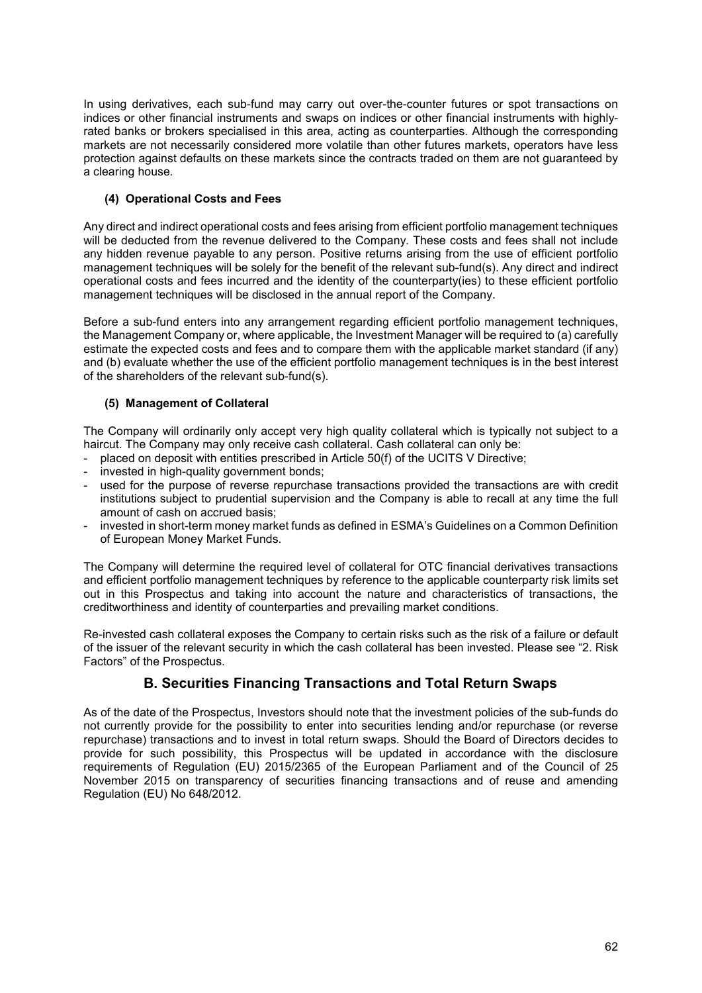In using derivatives, each sub-fund may carry out over-the-counter futures or spot transactions on indices or other financial instruments and swaps on indices or other financial instruments with highlyrated banks or brokers specialised in this area, acting as counterparties. Although the corresponding markets are not necessarily considered more volatile than other futures markets, operators have less protection against defaults on these markets since the contracts traded on them are not guaranteed by a clearing house*.*

## **(4) Operational Costs and Fees**

Any direct and indirect operational costs and fees arising from efficient portfolio management techniques will be deducted from the revenue delivered to the Company. These costs and fees shall not include any hidden revenue payable to any person. Positive returns arising from the use of efficient portfolio management techniques will be solely for the benefit of the relevant sub-fund(s). Any direct and indirect operational costs and fees incurred and the identity of the counterparty(ies) to these efficient portfolio management techniques will be disclosed in the annual report of the Company.

Before a sub-fund enters into any arrangement regarding efficient portfolio management techniques, the Management Company or, where applicable, the Investment Manager will be required to (a) carefully estimate the expected costs and fees and to compare them with the applicable market standard (if any) and (b) evaluate whether the use of the efficient portfolio management techniques is in the best interest of the shareholders of the relevant sub-fund(s).

## **(5) Management of Collateral**

The Company will ordinarily only accept very high quality collateral which is typically not subject to a haircut. The Company may only receive cash collateral. Cash collateral can only be:

- placed on deposit with entities prescribed in Article 50(f) of the UCITS V Directive;
- invested in high-quality government bonds;
- used for the purpose of reverse repurchase transactions provided the transactions are with credit institutions subject to prudential supervision and the Company is able to recall at any time the full amount of cash on accrued basis;
- invested in short-term money market funds as defined in ESMA's Guidelines on a Common Definition of European Money Market Funds.

The Company will determine the required level of collateral for OTC financial derivatives transactions and efficient portfolio management techniques by reference to the applicable counterparty risk limits set out in this Prospectus and taking into account the nature and characteristics of transactions, the creditworthiness and identity of counterparties and prevailing market conditions.

Re-invested cash collateral exposes the Company to certain risks such as the risk of a failure or default of the issuer of the relevant security in which the cash collateral has been invested. Please see "2. Risk Factors" of the Prospectus.

## **B. Securities Financing Transactions and Total Return Swaps**

As of the date of the Prospectus, Investors should note that the investment policies of the sub-funds do not currently provide for the possibility to enter into securities lending and/or repurchase (or reverse repurchase) transactions and to invest in total return swaps. Should the Board of Directors decides to provide for such possibility, this Prospectus will be updated in accordance with the disclosure requirements of Regulation (EU) 2015/2365 of the European Parliament and of the Council of 25 November 2015 on transparency of securities financing transactions and of reuse and amending Regulation (EU) No 648/2012.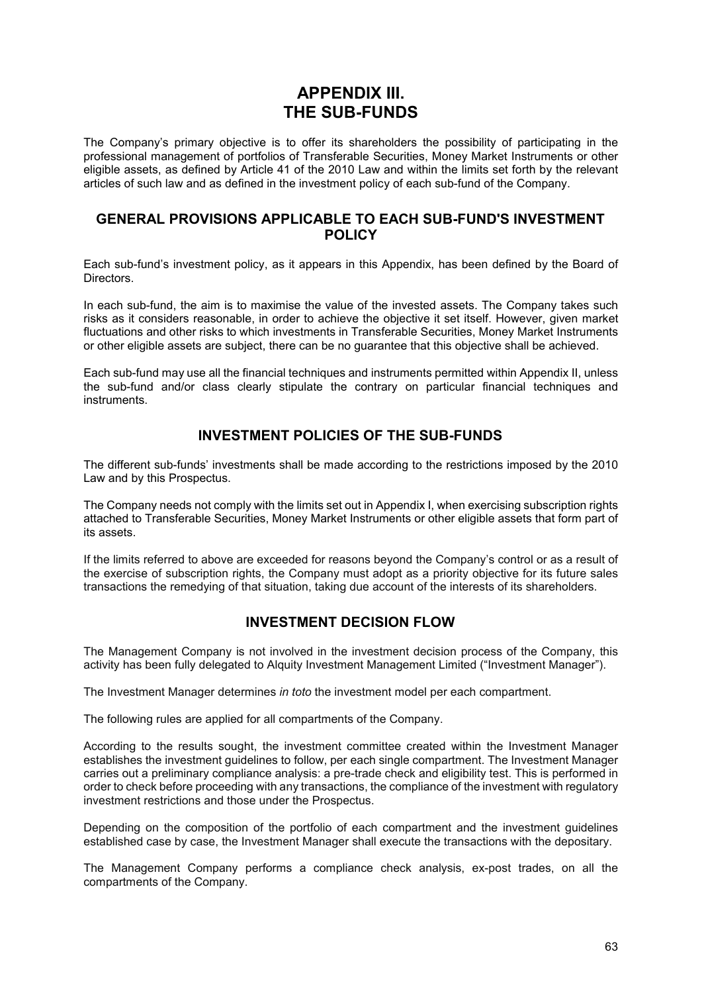# **APPENDIX III. THE SUB-FUNDS**

The Company's primary objective is to offer its shareholders the possibility of participating in the professional management of portfolios of Transferable Securities, Money Market Instruments or other eligible assets, as defined by Article 41 of the 2010 Law and within the limits set forth by the relevant articles of such law and as defined in the investment policy of each sub-fund of the Company.

## **GENERAL PROVISIONS APPLICABLE TO EACH SUB-FUND'S INVESTMENT POLICY**

Each sub-fund's investment policy, as it appears in this Appendix, has been defined by the Board of Directors.

In each sub-fund, the aim is to maximise the value of the invested assets. The Company takes such risks as it considers reasonable, in order to achieve the objective it set itself. However, given market fluctuations and other risks to which investments in Transferable Securities, Money Market Instruments or other eligible assets are subject, there can be no guarantee that this objective shall be achieved.

Each sub-fund may use all the financial techniques and instruments permitted within Appendix II, unless the sub-fund and/or class clearly stipulate the contrary on particular financial techniques and instruments.

## **INVESTMENT POLICIES OF THE SUB-FUNDS**

The different sub-funds' investments shall be made according to the restrictions imposed by the 2010 Law and by this Prospectus.

The Company needs not comply with the limits set out in Appendix I, when exercising subscription rights attached to Transferable Securities, Money Market Instruments or other eligible assets that form part of its assets.

If the limits referred to above are exceeded for reasons beyond the Company's control or as a result of the exercise of subscription rights, the Company must adopt as a priority objective for its future sales transactions the remedying of that situation, taking due account of the interests of its shareholders.

## **INVESTMENT DECISION FLOW**

The Management Company is not involved in the investment decision process of the Company, this activity has been fully delegated to Alquity Investment Management Limited ("Investment Manager").

The Investment Manager determines *in toto* the investment model per each compartment.

The following rules are applied for all compartments of the Company.

According to the results sought, the investment committee created within the Investment Manager establishes the investment guidelines to follow, per each single compartment. The Investment Manager carries out a preliminary compliance analysis: a pre-trade check and eligibility test. This is performed in order to check before proceeding with any transactions, the compliance of the investment with regulatory investment restrictions and those under the Prospectus.

Depending on the composition of the portfolio of each compartment and the investment guidelines established case by case, the Investment Manager shall execute the transactions with the depositary.

The Management Company performs a compliance check analysis, ex-post trades, on all the compartments of the Company.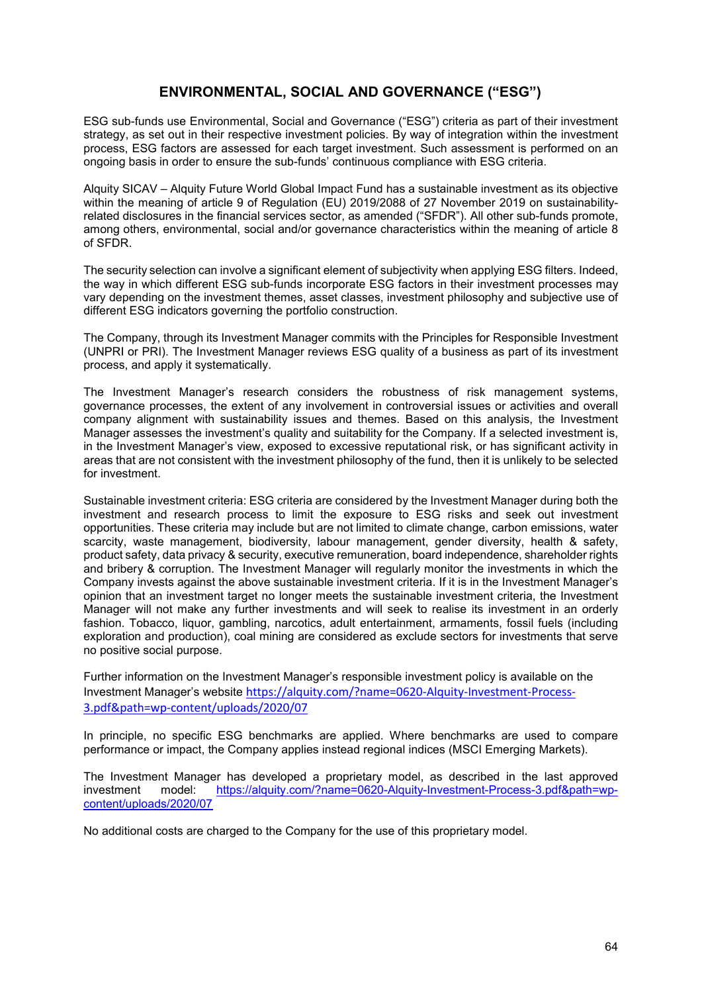## **ENVIRONMENTAL, SOCIAL AND GOVERNANCE ("ESG")**

ESG sub-funds use Environmental, Social and Governance ("ESG") criteria as part of their investment strategy, as set out in their respective investment policies. By way of integration within the investment process, ESG factors are assessed for each target investment. Such assessment is performed on an ongoing basis in order to ensure the sub-funds' continuous compliance with ESG criteria.

Alquity SICAV – Alquity Future World Global Impact Fund has a sustainable investment as its objective within the meaning of article 9 of Regulation (EU) 2019/2088 of 27 November 2019 on sustainabilityrelated disclosures in the financial services sector, as amended ("SFDR"). All other sub-funds promote, among others, environmental, social and/or governance characteristics within the meaning of article 8 of SFDR.

The security selection can involve a significant element of subjectivity when applying ESG filters. Indeed, the way in which different ESG sub-funds incorporate ESG factors in their investment processes may vary depending on the investment themes, asset classes, investment philosophy and subjective use of different ESG indicators governing the portfolio construction.

The Company, through its Investment Manager commits with the Principles for Responsible Investment (UNPRI or PRI). The Investment Manager reviews ESG quality of a business as part of its investment process, and apply it systematically.

The Investment Manager's research considers the robustness of risk management systems, governance processes, the extent of any involvement in controversial issues or activities and overall company alignment with sustainability issues and themes. Based on this analysis, the Investment Manager assesses the investment's quality and suitability for the Company. If a selected investment is, in the Investment Manager's view, exposed to excessive reputational risk, or has significant activity in areas that are not consistent with the investment philosophy of the fund, then it is unlikely to be selected for investment.

Sustainable investment criteria: ESG criteria are considered by the Investment Manager during both the investment and research process to limit the exposure to ESG risks and seek out investment opportunities. These criteria may include but are not limited to climate change, carbon emissions, water scarcity, waste management, biodiversity, labour management, gender diversity, health & safety, product safety, data privacy & security, executive remuneration, board independence, shareholder rights and bribery & corruption. The Investment Manager will regularly monitor the investments in which the Company invests against the above sustainable investment criteria. If it is in the Investment Manager's opinion that an investment target no longer meets the sustainable investment criteria, the Investment Manager will not make any further investments and will seek to realise its investment in an orderly fashion. Tobacco, liquor, gambling, narcotics, adult entertainment, armaments, fossil fuels (including exploration and production), coal mining are considered as exclude sectors for investments that serve no positive social purpose.

Further information on the Investment Manager's responsible investment policy is available on the Investment Manager's website [https://alquity.com/?name=0620-Alquity-Investment-Process](https://alquity.com/?name=0620-Alquity-Investment-Process-3.pdf&path=wp-content/uploads/2020/07)-3.pdf&path=wp-content/uploads/2020/07

In principle, no specific ESG benchmarks are applied. Where benchmarks are used to compare performance or impact, the Company applies instead regional indices (MSCI Emerging Markets).

The Investment Manager has developed a proprietary model, as described in the last approved investment model: [https://alquity.com/?name=0620-Alquity-Investment-Process-3.pdf&path=wp](https://alquity.com/?name=0620-Alquity-Investment-Process-3.pdf&path=wp-content/uploads/2020/07)content/uploads/2020/07

No additional costs are charged to the Company for the use of this proprietary model.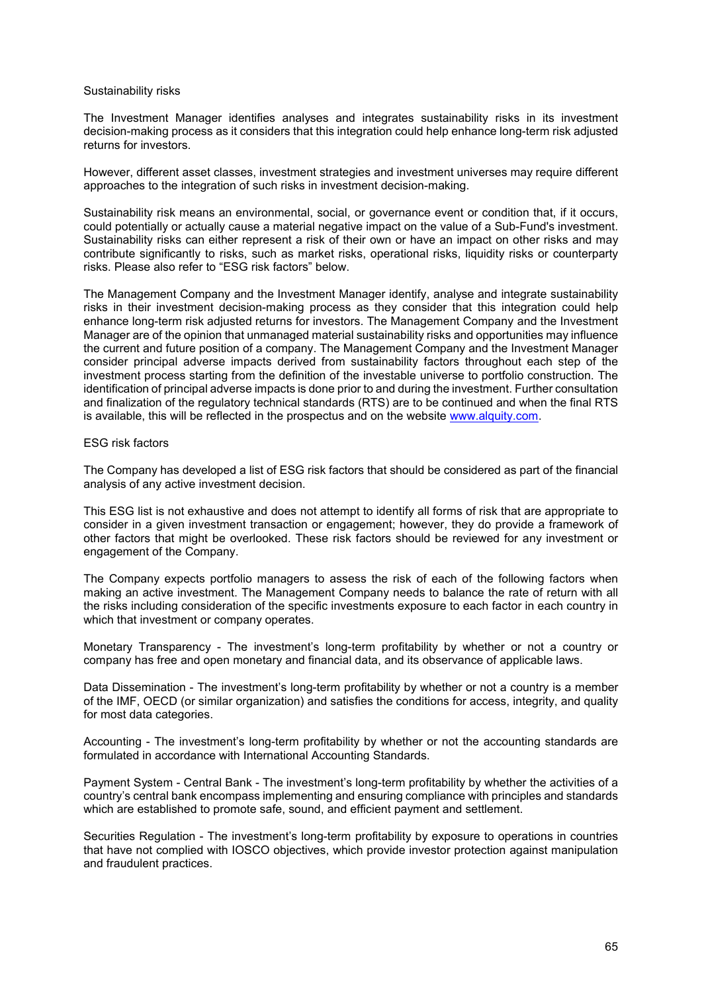#### Sustainability risks

The Investment Manager identifies analyses and integrates sustainability risks in its investment decision-making process as it considers that this integration could help enhance long-term risk adjusted returns for investors.

However, different asset classes, investment strategies and investment universes may require different approaches to the integration of such risks in investment decision-making.

Sustainability risk means an environmental, social, or governance event or condition that, if it occurs, could potentially or actually cause a material negative impact on the value of a Sub-Fund's investment. Sustainability risks can either represent a risk of their own or have an impact on other risks and may contribute significantly to risks, such as market risks, operational risks, liquidity risks or counterparty risks. Please also refer to "ESG risk factors" below.

The Management Company and the Investment Manager identify, analyse and integrate sustainability risks in their investment decision-making process as they consider that this integration could help enhance long-term risk adjusted returns for investors. The Management Company and the Investment Manager are of the opinion that unmanaged material sustainability risks and opportunities may influence the current and future position of a company. The Management Company and the Investment Manager consider principal adverse impacts derived from sustainability factors throughout each step of the investment process starting from the definition of the investable universe to portfolio construction. The identification of principal adverse impacts is done prior to and during the investment. Further consultation and finalization of the regulatory technical standards (RTS) are to be continued and when the final RTS is available, this will be reflected in the prospectus and on the website [www.alquity.com.](http://www.alquity.com/)

#### ESG risk factors

The Company has developed a list of ESG risk factors that should be considered as part of the financial analysis of any active investment decision.

This ESG list is not exhaustive and does not attempt to identify all forms of risk that are appropriate to consider in a given investment transaction or engagement; however, they do provide a framework of other factors that might be overlooked. These risk factors should be reviewed for any investment or engagement of the Company.

The Company expects portfolio managers to assess the risk of each of the following factors when making an active investment. The Management Company needs to balance the rate of return with all the risks including consideration of the specific investments exposure to each factor in each country in which that investment or company operates.

Monetary Transparency - The investment's long-term profitability by whether or not a country or company has free and open monetary and financial data, and its observance of applicable laws.

Data Dissemination - The investment's long-term profitability by whether or not a country is a member of the IMF, OECD (or similar organization) and satisfies the conditions for access, integrity, and quality for most data categories.

Accounting - The investment's long-term profitability by whether or not the accounting standards are formulated in accordance with International Accounting Standards.

Payment System - Central Bank - The investment's long-term profitability by whether the activities of a country's central bank encompass implementing and ensuring compliance with principles and standards which are established to promote safe, sound, and efficient payment and settlement.

Securities Regulation - The investment's long-term profitability by exposure to operations in countries that have not complied with IOSCO objectives, which provide investor protection against manipulation and fraudulent practices.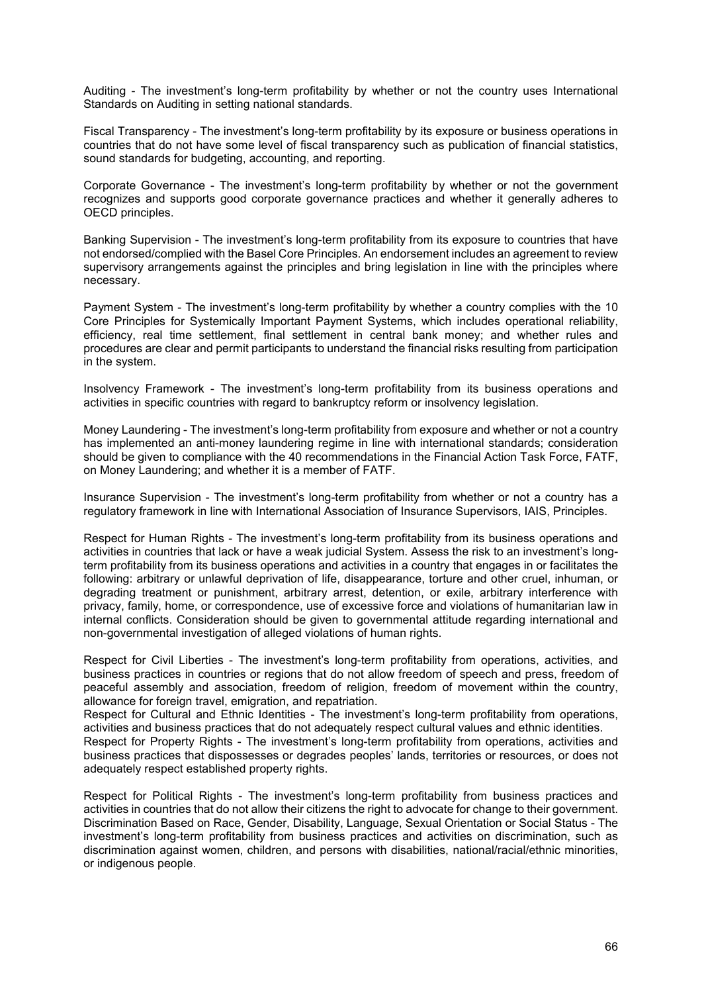Auditing - The investment's long-term profitability by whether or not the country uses International Standards on Auditing in setting national standards.

Fiscal Transparency - The investment's long-term profitability by its exposure or business operations in countries that do not have some level of fiscal transparency such as publication of financial statistics, sound standards for budgeting, accounting, and reporting.

Corporate Governance - The investment's long-term profitability by whether or not the government recognizes and supports good corporate governance practices and whether it generally adheres to OECD principles.

Banking Supervision - The investment's long-term profitability from its exposure to countries that have not endorsed/complied with the Basel Core Principles. An endorsement includes an agreement to review supervisory arrangements against the principles and bring legislation in line with the principles where necessary.

Payment System - The investment's long-term profitability by whether a country complies with the 10 Core Principles for Systemically Important Payment Systems, which includes operational reliability, efficiency, real time settlement, final settlement in central bank money; and whether rules and procedures are clear and permit participants to understand the financial risks resulting from participation in the system.

Insolvency Framework - The investment's long-term profitability from its business operations and activities in specific countries with regard to bankruptcy reform or insolvency legislation.

Money Laundering - The investment's long-term profitability from exposure and whether or not a country has implemented an anti-money laundering regime in line with international standards; consideration should be given to compliance with the 40 recommendations in the Financial Action Task Force, FATF, on Money Laundering; and whether it is a member of FATF.

Insurance Supervision - The investment's long-term profitability from whether or not a country has a regulatory framework in line with International Association of Insurance Supervisors, IAIS, Principles.

Respect for Human Rights - The investment's long-term profitability from its business operations and activities in countries that lack or have a weak judicial System. Assess the risk to an investment's longterm profitability from its business operations and activities in a country that engages in or facilitates the following: arbitrary or unlawful deprivation of life, disappearance, torture and other cruel, inhuman, or degrading treatment or punishment, arbitrary arrest, detention, or exile, arbitrary interference with privacy, family, home, or correspondence, use of excessive force and violations of humanitarian law in internal conflicts. Consideration should be given to governmental attitude regarding international and non-governmental investigation of alleged violations of human rights.

Respect for Civil Liberties - The investment's long-term profitability from operations, activities, and business practices in countries or regions that do not allow freedom of speech and press, freedom of peaceful assembly and association, freedom of religion, freedom of movement within the country, allowance for foreign travel, emigration, and repatriation.

Respect for Cultural and Ethnic Identities - The investment's long-term profitability from operations, activities and business practices that do not adequately respect cultural values and ethnic identities.

Respect for Property Rights - The investment's long-term profitability from operations, activities and business practices that dispossesses or degrades peoples' lands, territories or resources, or does not adequately respect established property rights.

Respect for Political Rights - The investment's long-term profitability from business practices and activities in countries that do not allow their citizens the right to advocate for change to their government. Discrimination Based on Race, Gender, Disability, Language, Sexual Orientation or Social Status - The investment's long-term profitability from business practices and activities on discrimination, such as discrimination against women, children, and persons with disabilities, national/racial/ethnic minorities, or indigenous people.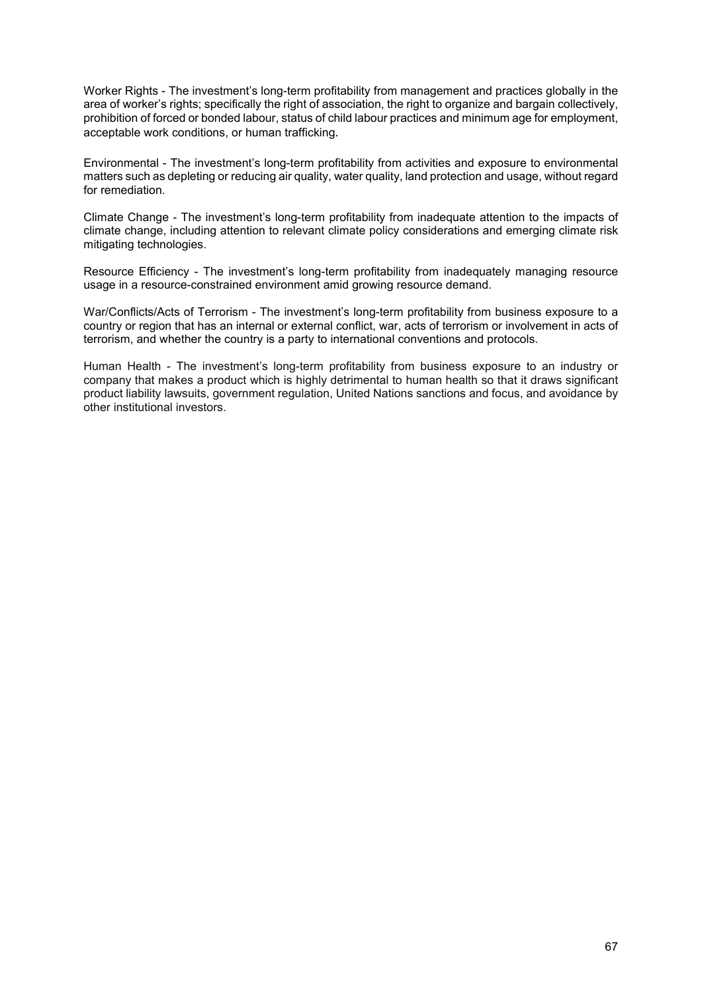Worker Rights - The investment's long-term profitability from management and practices globally in the area of worker's rights; specifically the right of association, the right to organize and bargain collectively, prohibition of forced or bonded labour, status of child labour practices and minimum age for employment, acceptable work conditions, or human trafficking.

Environmental - The investment's long-term profitability from activities and exposure to environmental matters such as depleting or reducing air quality, water quality, land protection and usage, without regard for remediation.

Climate Change - The investment's long-term profitability from inadequate attention to the impacts of climate change, including attention to relevant climate policy considerations and emerging climate risk mitigating technologies.

Resource Efficiency - The investment's long-term profitability from inadequately managing resource usage in a resource-constrained environment amid growing resource demand.

War/Conflicts/Acts of Terrorism - The investment's long-term profitability from business exposure to a country or region that has an internal or external conflict, war, acts of terrorism or involvement in acts of terrorism, and whether the country is a party to international conventions and protocols.

Human Health - The investment's long-term profitability from business exposure to an industry or company that makes a product which is highly detrimental to human health so that it draws significant product liability lawsuits, government regulation, United Nations sanctions and focus, and avoidance by other institutional investors.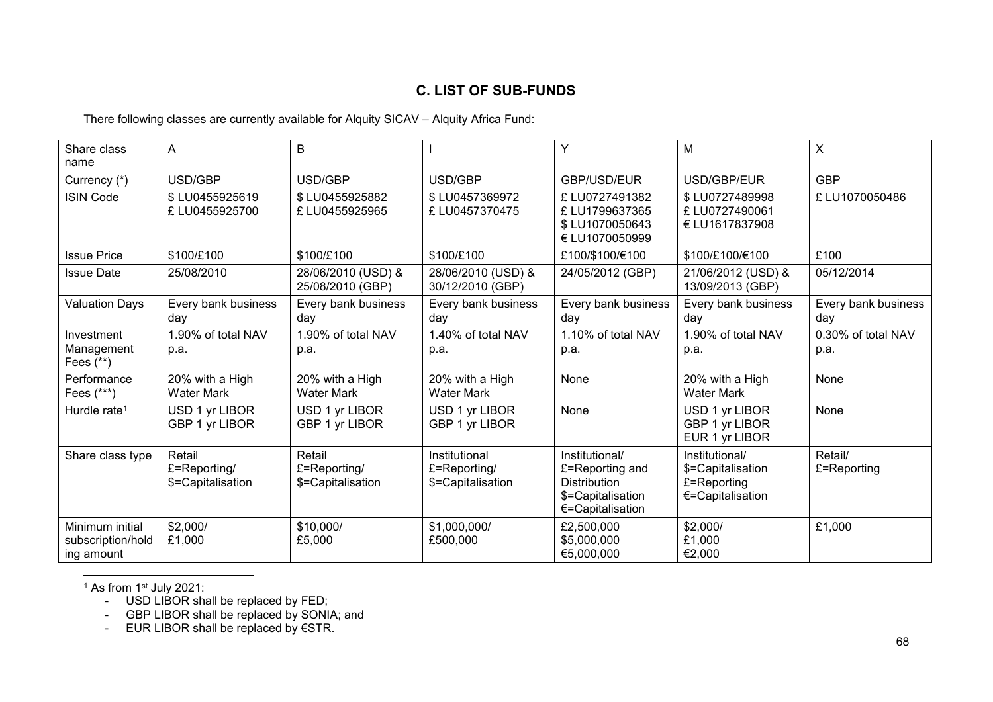# **C. LIST OF SUB-FUNDS**

There following classes are currently available for Alquity SICAV – Alquity Africa Fund:

| Share class<br>name                                | A                                           | B                                           |                                                    | Y                                                                                                 | м                                                                      | $\mathsf{X}$               |
|----------------------------------------------------|---------------------------------------------|---------------------------------------------|----------------------------------------------------|---------------------------------------------------------------------------------------------------|------------------------------------------------------------------------|----------------------------|
| Currency (*)                                       | USD/GBP                                     | USD/GBP                                     | USD/GBP                                            | GBP/USD/EUR                                                                                       | USD/GBP/EUR                                                            | <b>GBP</b>                 |
| <b>ISIN Code</b>                                   | \$LU0455925619<br>£ LU0455925700            | \$LU0455925882<br>£ LU0455925965            | \$LU0457369972<br>£LU0457370475                    | £LU0727491382<br>£ LU1799637365<br>\$LU1070050643<br>€ LU1070050999                               | \$LU0727489998<br>£ LU0727490061<br>€ LU1617837908                     | £LU1070050486              |
| <b>Issue Price</b>                                 | \$100/£100                                  | \$100/£100                                  | \$100/£100                                         | £100/\$100/€100                                                                                   | \$100/£100/€100                                                        | £100                       |
| <b>Issue Date</b>                                  | 25/08/2010                                  | 28/06/2010 (USD) &<br>25/08/2010 (GBP)      | 28/06/2010 (USD) &<br>30/12/2010 (GBP)             | 24/05/2012 (GBP)                                                                                  | 21/06/2012 (USD) &<br>13/09/2013 (GBP)                                 | 05/12/2014                 |
| <b>Valuation Days</b>                              | Every bank business<br>day                  | Every bank business<br>day                  | Every bank business<br>day                         | Every bank business<br>day                                                                        | Every bank business<br>day                                             | Every bank business<br>day |
| Investment<br>Management<br>Fees (**)              | 1.90% of total NAV<br>p.a.                  | 1.90% of total NAV<br>p.a.                  | 1.40% of total NAV<br>p.a.                         | 1.10% of total NAV<br>p.a.                                                                        | 1.90% of total NAV<br>p.a.                                             | 0.30% of total NAV<br>p.a. |
| Performance<br>Fees $(***)$                        | 20% with a High<br><b>Water Mark</b>        | 20% with a High<br><b>Water Mark</b>        | 20% with a High<br><b>Water Mark</b>               | None                                                                                              | 20% with a High<br><b>Water Mark</b>                                   | None                       |
| Hurdle rate <sup>1</sup>                           | USD 1 yr LIBOR<br>GBP 1 yr LIBOR            | USD 1 yr LIBOR<br>GBP 1 yr LIBOR            | USD 1 yr LIBOR<br>GBP 1 yr LIBOR                   | None                                                                                              | USD 1 yr LIBOR<br>GBP 1 yr LIBOR<br>EUR 1 yr LIBOR                     | None                       |
| Share class type                                   | Retail<br>£=Reporting/<br>\$=Capitalisation | Retail<br>£=Reporting/<br>\$=Capitalisation | Institutional<br>£=Reporting/<br>\$=Capitalisation | Institutional/<br>£=Reporting and<br><b>Distribution</b><br>\$=Capitalisation<br>€=Capitalisation | Institutional/<br>\$=Capitalisation<br>£=Reporting<br>€=Capitalisation | Retail/<br>£=Reporting     |
| Minimum initial<br>subscription/hold<br>ing amount | \$2,000/<br>£1,000                          | \$10,000/<br>£5,000                         | \$1,000,000/<br>£500,000                           | £2,500,000<br>\$5,000,000<br>€5,000,000                                                           | \$2,000/<br>£1,000<br>€2,000                                           | £1,000                     |

l  $1$  As from 1 $st$  July 2021:

- USD LIBOR shall be replaced by FED;

- GBP LIBOR shall be replaced by SONIA; and

- EUR LIBOR shall be replaced by €STR.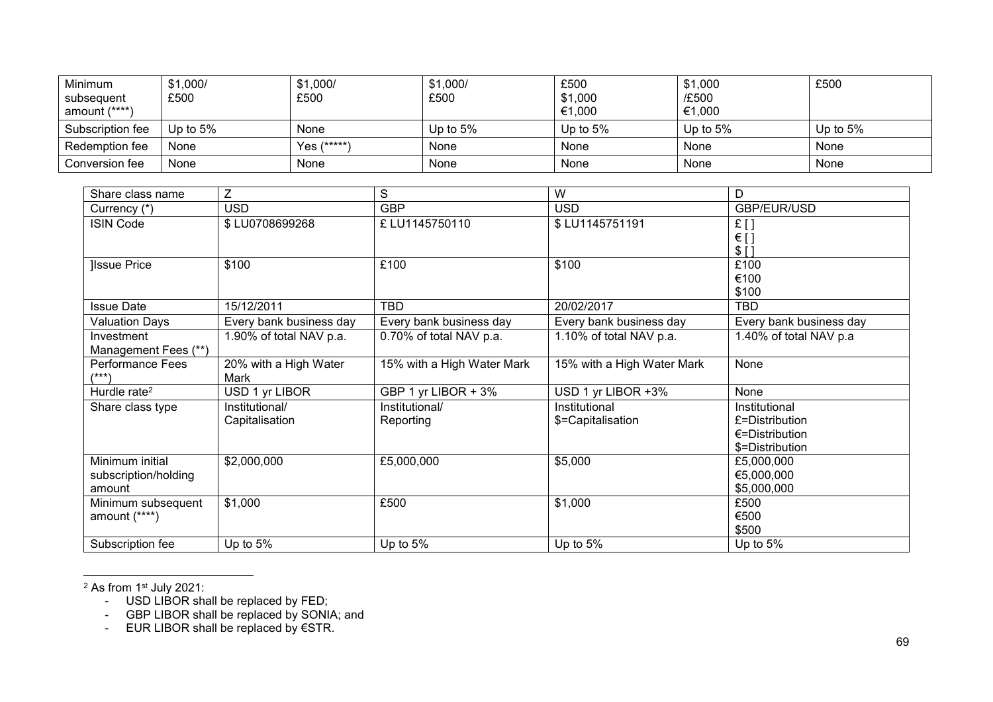| Minimum<br>subsequent<br>amount (****) | \$1,000/<br>£500 | \$1,000/<br>£500 | \$1,000/<br>£500 | £500<br>\$1,000<br>€1,000 | \$1,000<br>/£500<br>€1,000 | £500       |
|----------------------------------------|------------------|------------------|------------------|---------------------------|----------------------------|------------|
| Subscription fee                       | Up to $5\%$      | None             | Up to $5%$       | Up to $5%$                | Up to $5%$                 | Up to $5%$ |
| Redemption fee                         | None             | Yes (*****)      | None             | None                      | None                       | None       |
| Conversion fee                         | None             | None             | None             | None                      | None                       | None       |

| Share class name         | Z                       | S                          | W                          | D                        |
|--------------------------|-------------------------|----------------------------|----------------------------|--------------------------|
| Currency (*)             | <b>USD</b>              | <b>GBP</b>                 | <b>USD</b>                 | GBP/EUR/USD              |
| <b>ISIN Code</b>         | \$LU0708699268          | £ LU1145750110             | \$LU1145751191             | $E$ []                   |
|                          |                         |                            |                            | $\in$ [ ]<br>$$$ []      |
| <b>Issue Price</b>       | \$100                   | £100                       | \$100                      | £100                     |
|                          |                         |                            |                            | €100                     |
|                          |                         |                            |                            | \$100                    |
| <b>Issue Date</b>        | 15/12/2011              | TBD                        | 20/02/2017                 | TBD                      |
| <b>Valuation Days</b>    | Every bank business day | Every bank business day    | Every bank business day    | Every bank business day  |
| Investment               | 1.90% of total NAV p.a. | 0.70% of total NAV p.a.    | 1.10% of total NAV p.a.    | 1.40% of total NAV p.a   |
| Management Fees (**)     |                         |                            |                            |                          |
| <b>Performance Fees</b>  | 20% with a High Water   | 15% with a High Water Mark | 15% with a High Water Mark | None                     |
| /***'                    | Mark                    |                            |                            |                          |
| Hurdle rate <sup>2</sup> | USD 1 yr LIBOR          | GBP 1 yr LIBOR + 3%        | USD 1 yr LIBOR +3%         | None                     |
| Share class type         | Institutional/          | Institutional/             | Institutional              | Institutional            |
|                          | Capitalisation          | Reporting                  | \$=Capitalisation          | £=Distribution           |
|                          |                         |                            |                            | $\epsilon$ =Distribution |
|                          |                         |                            |                            | \$=Distribution          |
| Minimum initial          | \$2,000,000             | £5,000,000                 | \$5,000                    | £5,000,000               |
| subscription/holding     |                         |                            |                            | €5,000,000               |
| amount                   |                         |                            |                            | \$5,000,000              |
| Minimum subsequent       | \$1,000                 | £500                       | \$1,000                    | £500                     |
| amount $(****)$          |                         |                            |                            | €500                     |
|                          |                         |                            |                            | \$500                    |
| Subscription fee         | Up to $5%$              | Up to $5%$                 | Up to $5%$                 | Up to $5%$               |

 $2$  As from 1 $\mathrm{^{st}}$  July 2021:

l

- USD LIBOR shall be replaced by FED;

- GBP LIBOR shall be replaced by SONIA; and

- EUR LIBOR shall be replaced by €STR.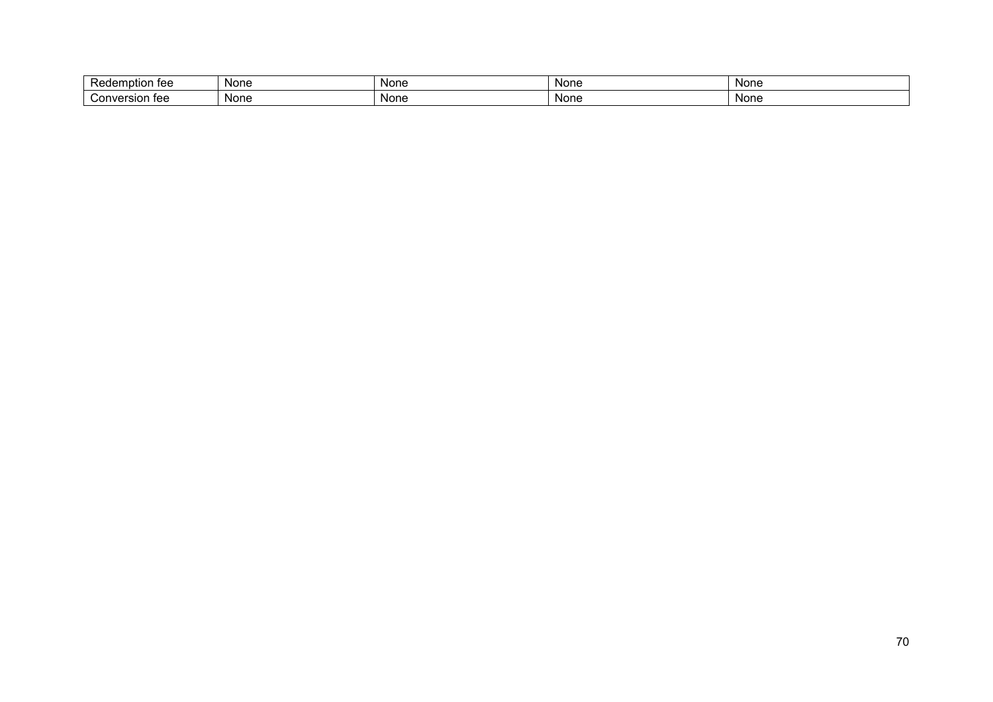| <br>Redemption<br>$+$<br>. 100 | None | <b>None</b> | Non∈ | None |
|--------------------------------|------|-------------|------|------|
| Conversion<br>$+$<br>।ज्ज      | None | None        | Non∈ | None |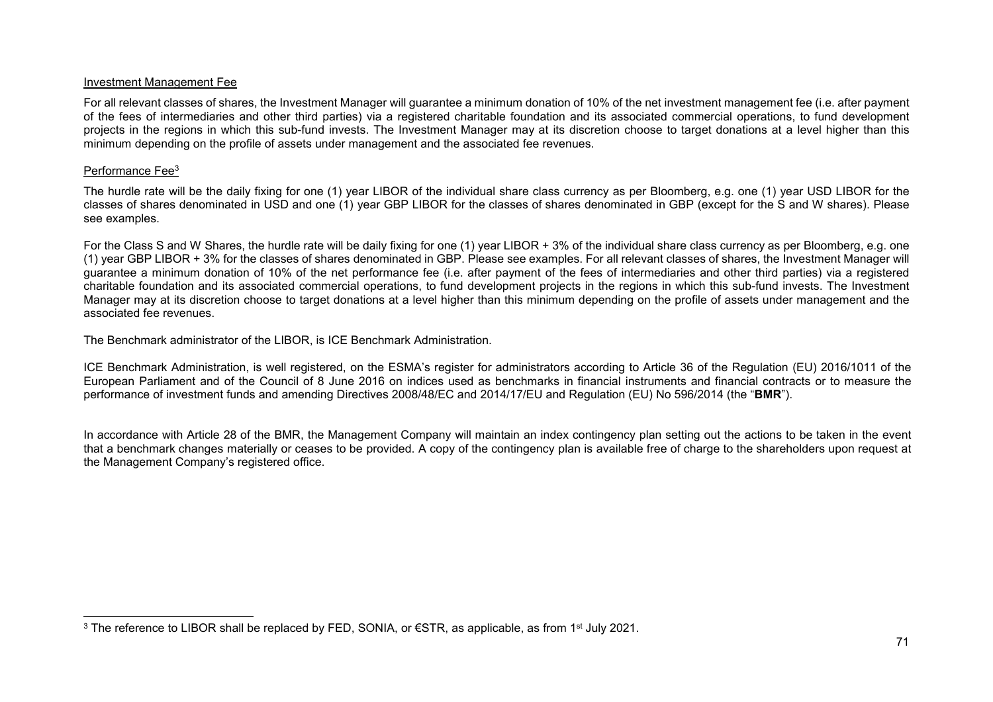### Investment Management Fee

For all relevant classes of shares, the Investment Manager will guarantee a minimum donation of 10% of the net investment management fee (i.e. after payment of the fees of intermediaries and other third parties) via a registered charitable foundation and its associated commercial operations, to fund development projects in the regions in which this sub-fund invests. The Investment Manager may at its discretion choose to target donations at a level higher than this minimum depending on the profile of assets under management and the associated fee revenues.

## Performance Fee<sup>3</sup>

l

The hurdle rate will be the daily fixing for one (1) year LIBOR of the individual share class currency as per Bloomberg, e.g. one (1) year USD LIBOR for the classes of shares denominated in USD and one (1) year GBP LIBOR for the classes of shares denominated in GBP (except for the S and W shares). Please see examples.

For the Class S and W Shares, the hurdle rate will be daily fixing for one (1) year LIBOR + 3% of the individual share class currency as per Bloomberg, e.g. one (1) year GBP LIBOR + 3% for the classes of shares denominated in GBP. Please see examples. For all relevant classes of shares, the Investment Manager will guarantee a minimum donation of 10% of the net performance fee (i.e. after payment of the fees of intermediaries and other third parties) via a registered charitable foundation and its associated commercial operations, to fund development projects in the regions in which this sub-fund invests. The Investment Manager may at its discretion choose to target donations at a level higher than this minimum depending on the profile of assets under management and the associated fee revenues.

The Benchmark administrator of the LIBOR, is ICE Benchmark Administration.

ICE Benchmark Administration, is well registered, on the ESMA's register for administrators according to Article 36 of the Regulation (EU) 2016/1011 of the European Parliament and of the Council of 8 June 2016 on indices used as benchmarks in financial instruments and financial contracts or to measure the performance of investment funds and amending Directives 2008/48/EC and 2014/17/EU and Regulation (EU) No 596/2014 (the "**BMR**").

In accordance with Article 28 of the BMR, the Management Company will maintain an index contingency plan setting out the actions to be taken in the event that a benchmark changes materially or ceases to be provided. A copy of the contingency plan is available free of charge to the shareholders upon request at the Management Company's registered office.

<sup>&</sup>lt;sup>3</sup> The reference to LIBOR shall be replaced by FED, SONIA, or €STR, as applicable, as from 1<sup>st</sup> July 2021.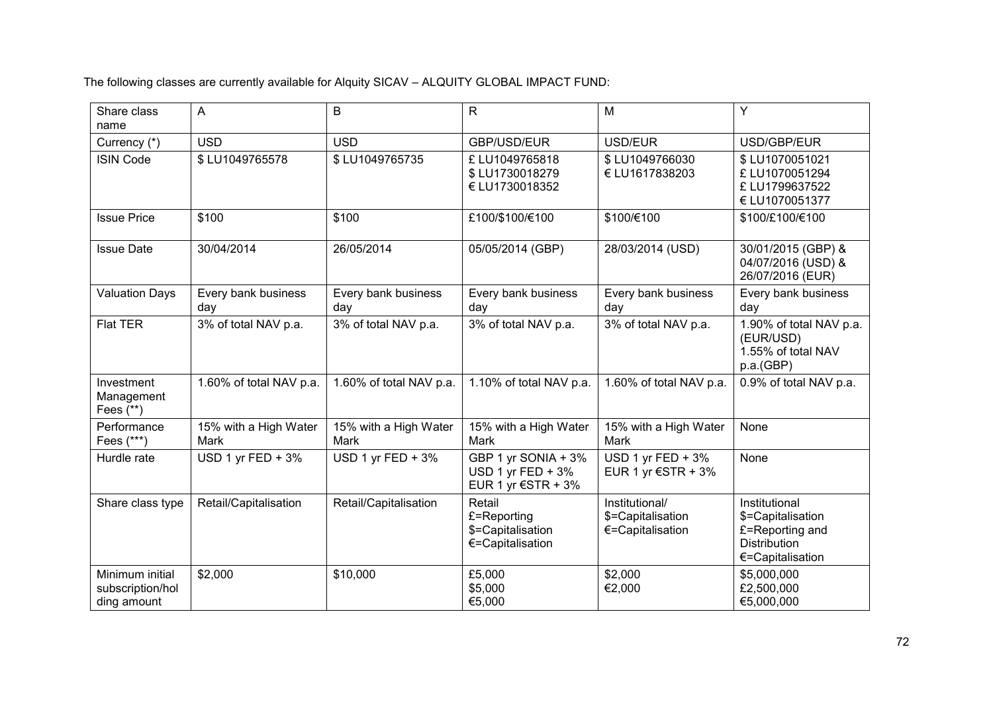The following classes are currently available for Alquity SICAV – ALQUITY GLOBAL IMPACT FUND:

| Share class<br>name                                | $\overline{A}$                | B                             | R                                                                | M                                                       | Y                                                                                                |
|----------------------------------------------------|-------------------------------|-------------------------------|------------------------------------------------------------------|---------------------------------------------------------|--------------------------------------------------------------------------------------------------|
| Currency (*)                                       | <b>USD</b>                    | <b>USD</b>                    | GBP/USD/EUR                                                      | USD/EUR                                                 | USD/GBP/EUR                                                                                      |
| <b>ISIN Code</b>                                   | \$LU1049765578                | \$LU1049765735                | £LU1049765818<br>\$LU1730018279<br>€ LU1730018352                | \$LU1049766030<br>€ LU1617838203                        | \$LU1070051021<br>£LU1070051294<br>£LU1799637522<br>€ LU1070051377                               |
| <b>Issue Price</b>                                 | \$100                         | \$100                         | £100/\$100/€100                                                  | \$100/€100                                              | \$100/£100/€100                                                                                  |
| <b>Issue Date</b>                                  | 30/04/2014                    | 26/05/2014                    | 05/05/2014 (GBP)                                                 | 28/03/2014 (USD)                                        | 30/01/2015 (GBP) &<br>04/07/2016 (USD) &<br>26/07/2016 (EUR)                                     |
| <b>Valuation Days</b>                              | Every bank business<br>day    | Every bank business<br>day    | Every bank business<br>day                                       | Every bank business<br>day                              | Every bank business<br>day                                                                       |
| <b>Flat TER</b>                                    | 3% of total NAV p.a.          | 3% of total NAV p.a.          | 3% of total NAV p.a.                                             | 3% of total NAV p.a.                                    | 1.90% of total NAV p.a.<br>(EUR/USD)<br>1.55% of total NAV<br>p.a.(GBP)                          |
| Investment<br>Management<br>Fees $(**)$            | 1.60% of total NAV p.a.       | 1.60% of total NAV p.a.       | 1.10% of total NAV p.a.                                          | 1.60% of total NAV p.a.                                 | 0.9% of total NAV p.a.                                                                           |
| Performance<br>Fees (***)                          | 15% with a High Water<br>Mark | 15% with a High Water<br>Mark | 15% with a High Water<br>Mark                                    | 15% with a High Water<br>Mark                           | None                                                                                             |
| Hurdle rate                                        | USD 1 yr FED + $3\%$          | USD 1 yr FED + $3\%$          | GBP 1 yr SONIA + 3%<br>USD 1 yr FED $+3\%$<br>EUR 1 yr €STR + 3% | USD 1 yr FED + 3%<br>EUR 1 yr $\epsilon$ STR + 3%       | None                                                                                             |
| Share class type                                   | Retail/Capitalisation         | Retail/Capitalisation         | Retail<br>£=Reporting<br>\$=Capitalisation<br>€=Capitalisation   | Institutional/<br>\$=Capitalisation<br>€=Capitalisation | Institutional<br>\$=Capitalisation<br>£=Reporting and<br><b>Distribution</b><br>€=Capitalisation |
| Minimum initial<br>subscription/hol<br>ding amount | \$2,000                       | \$10,000                      | £5,000<br>\$5,000<br>€5,000                                      | \$2,000<br>€2,000                                       | \$5,000,000<br>£2,500,000<br>€5,000,000                                                          |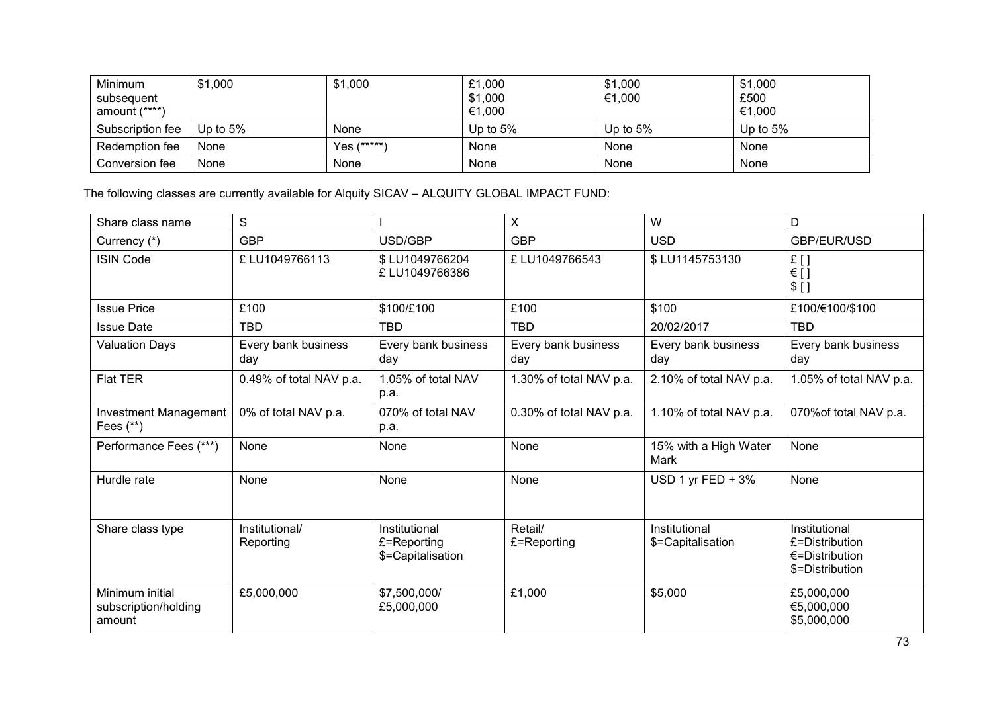| Minimum<br>subsequent<br>amount (****) | \$1,000     | \$1,000     | £1,000<br>\$1,000<br>€1,000 | \$1,000<br>€1,000 | \$1,000<br>£500<br>€1,000 |
|----------------------------------------|-------------|-------------|-----------------------------|-------------------|---------------------------|
| Subscription fee                       | Up to $5\%$ | None        | Up to $5%$                  | Up to $5%$        | Up to $5%$                |
| Redemption fee                         | None        | Yes (*****) | None                        | None              | None                      |
| Conversion fee                         | None        | None        | None                        | None              | None                      |

The following classes are currently available for Alquity SICAV – ALQUITY GLOBAL IMPACT FUND:

| Share class name                                  | S                           |                                                   | $\boldsymbol{\mathsf{X}}$  | W                                  | D                                                                              |
|---------------------------------------------------|-----------------------------|---------------------------------------------------|----------------------------|------------------------------------|--------------------------------------------------------------------------------|
| Currency (*)                                      | <b>GBP</b>                  | USD/GBP                                           | <b>GBP</b>                 | <b>USD</b>                         | GBP/EUR/USD                                                                    |
| <b>ISIN Code</b>                                  | £LU1049766113               | \$LU1049766204<br>£ LU1049766386                  | £LU1049766543              | \$LU1145753130                     | £[]<br>$\in$ []<br>$$$ []                                                      |
| <b>Issue Price</b>                                | £100                        | \$100/£100                                        | £100                       | \$100                              | £100/€100/\$100                                                                |
| <b>Issue Date</b>                                 | <b>TBD</b>                  | <b>TBD</b>                                        | <b>TBD</b>                 | 20/02/2017                         | <b>TBD</b>                                                                     |
| <b>Valuation Days</b>                             | Every bank business<br>day  | Every bank business<br>day                        | Every bank business<br>day | Every bank business<br>day         | Every bank business<br>day                                                     |
| Flat TER                                          | 0.49% of total NAV p.a.     | 1.05% of total NAV<br>p.a.                        | 1.30% of total NAV p.a.    | 2.10% of total NAV p.a.            | 1.05% of total NAV p.a.                                                        |
| Investment Management<br>Fees $(**)$              | 0% of total NAV p.a.        | 070% of total NAV<br>p.a.                         | 0.30% of total NAV p.a.    | 1.10% of total NAV p.a.            | 070% of total NAV p.a.                                                         |
| Performance Fees (***)                            | None                        | None                                              | None                       | 15% with a High Water<br>Mark      | None                                                                           |
| Hurdle rate                                       | None                        | None                                              | None                       | USD 1 yr FED $+3\%$                | None                                                                           |
| Share class type                                  | Institutional/<br>Reporting | Institutional<br>£=Reporting<br>\$=Capitalisation | Retail/<br>£=Reporting     | Institutional<br>\$=Capitalisation | Institutional<br>£=Distribution<br>$\epsilon$ =Distribution<br>\$=Distribution |
| Minimum initial<br>subscription/holding<br>amount | £5,000,000                  | \$7,500,000/<br>£5,000,000                        | £1,000                     | \$5,000                            | £5,000,000<br>€5,000,000<br>\$5,000,000                                        |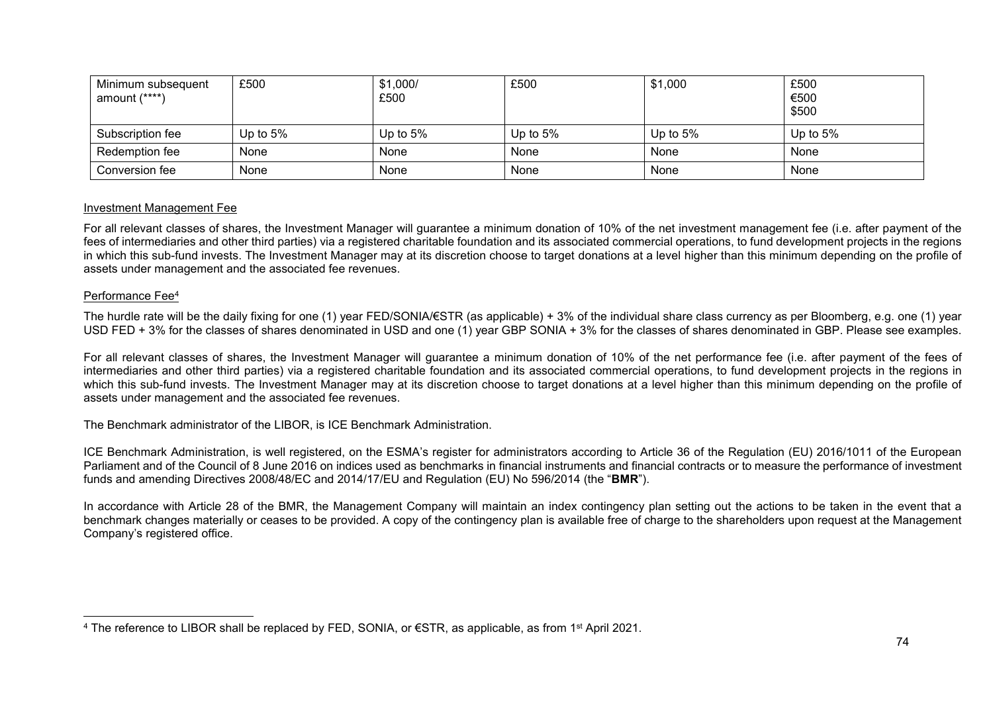| Minimum subsequent<br>amount $(****)$ | £500       | \$1,000/<br>£500 | £500       | \$1,000     | £500<br>€500<br>\$500 |
|---------------------------------------|------------|------------------|------------|-------------|-----------------------|
| Subscription fee                      | Up to $5%$ | Up to $5\%$      | Up to $5%$ | Up to $5\%$ | Up to $5%$            |
| Redemption fee                        | None       | None             | None       | None        | None                  |
| Conversion fee                        | None       | None             | None       | None        | None                  |

#### Investment Management Fee

For all relevant classes of shares, the Investment Manager will guarantee a minimum donation of 10% of the net investment management fee (i.e. after payment of the fees of intermediaries and other third parties) via a registered charitable foundation and its associated commercial operations, to fund development projects in the regions in which this sub-fund invests. The Investment Manager may at its discretion choose to target donations at a level higher than this minimum depending on the profile of assets under management and the associated fee revenues.

#### Performance Fee<sup>4</sup>

The hurdle rate will be the daily fixing for one (1) year FED/SONIA/€STR (as applicable) + 3% of the individual share class currency as per Bloomberg, e.g. one (1) year USD FED + 3% for the classes of shares denominated in USD and one (1) year GBP SONIA + 3% for the classes of shares denominated in GBP. Please see examples.

For all relevant classes of shares, the Investment Manager will guarantee a minimum donation of 10% of the net performance fee (i.e. after payment of the fees of intermediaries and other third parties) via a registered charitable foundation and its associated commercial operations, to fund development projects in the regions in which this sub-fund invests. The Investment Manager may at its discretion choose to target donations at a level higher than this minimum depending on the profile of assets under management and the associated fee revenues.

The Benchmark administrator of the LIBOR, is ICE Benchmark Administration.

ICE Benchmark Administration, is well registered, on the ESMA's register for administrators according to Article 36 of the Regulation (EU) 2016/1011 of the European Parliament and of the Council of 8 June 2016 on indices used as benchmarks in financial instruments and financial contracts or to measure the performance of investment funds and amending Directives 2008/48/EC and 2014/17/EU and Regulation (EU) No 596/2014 (the "**BMR**").

In accordance with Article 28 of the BMR, the Management Company will maintain an index contingency plan setting out the actions to be taken in the event that a benchmark changes materially or ceases to be provided. A copy of the contingency plan is available free of charge to the shareholders upon request at the Management Company's registered office.

l <sup>4</sup> The reference to LIBOR shall be replaced by FED, SONIA, or €STR, as applicable, as from 1st April 2021.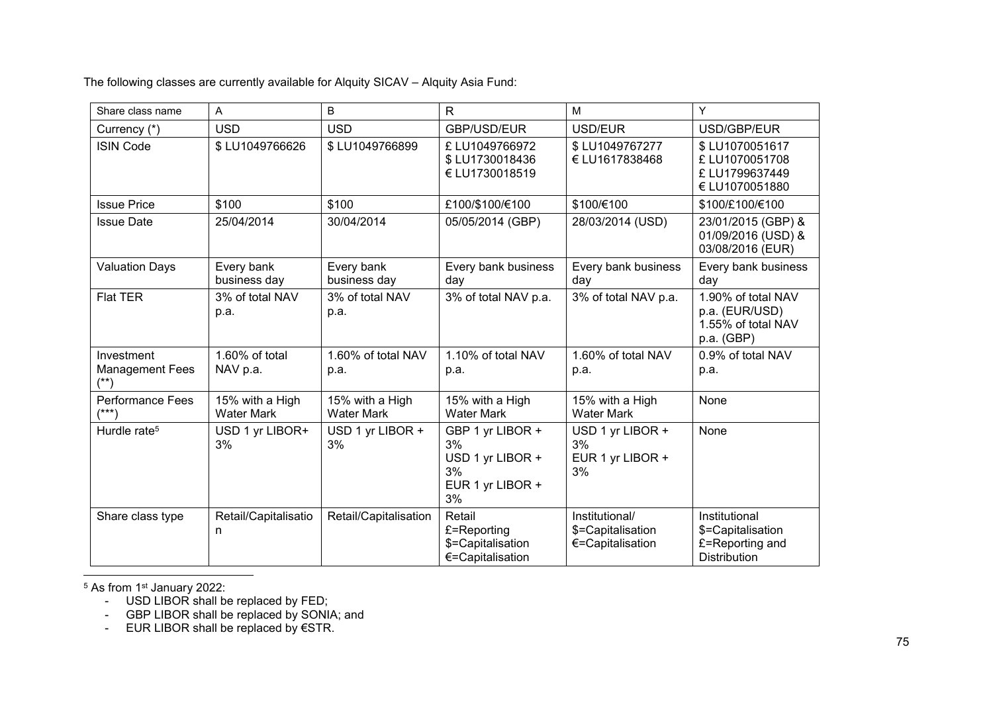The following classes are currently available for Alquity SICAV – Alquity Asia Fund:

| Share class name                     | Α                                    | B                                    | $\mathsf{R}$                                                               | M                                                       | Y                                                                            |
|--------------------------------------|--------------------------------------|--------------------------------------|----------------------------------------------------------------------------|---------------------------------------------------------|------------------------------------------------------------------------------|
| Currency (*)                         | <b>USD</b>                           | <b>USD</b>                           | GBP/USD/EUR                                                                | USD/EUR                                                 | USD/GBP/EUR                                                                  |
| <b>ISIN Code</b>                     | \$LU1049766626                       | \$LU1049766899                       | £ LU1049766972<br>\$LU1730018436<br>€ LU1730018519                         | \$LU1049767277<br>€ LU1617838468                        | \$LU1070051617<br>£ LU1070051708<br>£LU1799637449<br>€ LU1070051880          |
| <b>Issue Price</b>                   | \$100                                | \$100                                | £100/\$100/€100                                                            | \$100/€100                                              | \$100/£100/€100                                                              |
| <b>Issue Date</b>                    | 25/04/2014                           | 30/04/2014                           | 05/05/2014 (GBP)                                                           | 28/03/2014 (USD)                                        | 23/01/2015 (GBP) &<br>01/09/2016 (USD) &<br>03/08/2016 (EUR)                 |
| <b>Valuation Days</b>                | Every bank<br>business day           | Every bank<br>business day           | Every bank business<br>day                                                 | Every bank business<br>day                              | Every bank business<br>day                                                   |
| <b>Flat TER</b>                      | 3% of total NAV<br>p.a.              | 3% of total NAV<br>p.a.              | 3% of total NAV p.a.                                                       | 3% of total NAV p.a.                                    | 1.90% of total NAV<br>p.a. (EUR/USD)<br>1.55% of total NAV<br>p.a. (GBP)     |
| Investment<br><b>Management Fees</b> | 1.60% of total<br>NAV p.a.           | 1.60% of total NAV<br>p.a.           | 1.10% of total NAV<br>p.a.                                                 | 1.60% of total NAV<br>p.a.                              | 0.9% of total NAV<br>p.a.                                                    |
| <b>Performance Fees</b><br>$(***)$   | 15% with a High<br><b>Water Mark</b> | 15% with a High<br><b>Water Mark</b> | 15% with a High<br><b>Water Mark</b>                                       | 15% with a High<br><b>Water Mark</b>                    | None                                                                         |
| Hurdle rate <sup>5</sup>             | USD 1 yr LIBOR+<br>3%                | USD 1 yr LIBOR +<br>3%               | GBP 1 yr LIBOR +<br>3%<br>USD 1 yr LIBOR +<br>3%<br>EUR 1 yr LIBOR +<br>3% | USD 1 yr LIBOR +<br>3%<br>EUR 1 yr LIBOR +<br>3%        | None                                                                         |
| Share class type                     | Retail/Capitalisatio<br>n            | Retail/Capitalisation                | Retail<br>£=Reporting<br>\$=Capitalisation<br>€=Capitalisation             | Institutional/<br>\$=Capitalisation<br>€=Capitalisation | Institutional<br>\$=Capitalisation<br>£=Reporting and<br><b>Distribution</b> |

l  $^5$  As from 1 $^{\rm st}$  January 2022:

- USD LIBOR shall be replaced by FED;

- GBP LIBOR shall be replaced by SONIA; and

- EUR LIBOR shall be replaced by €STR.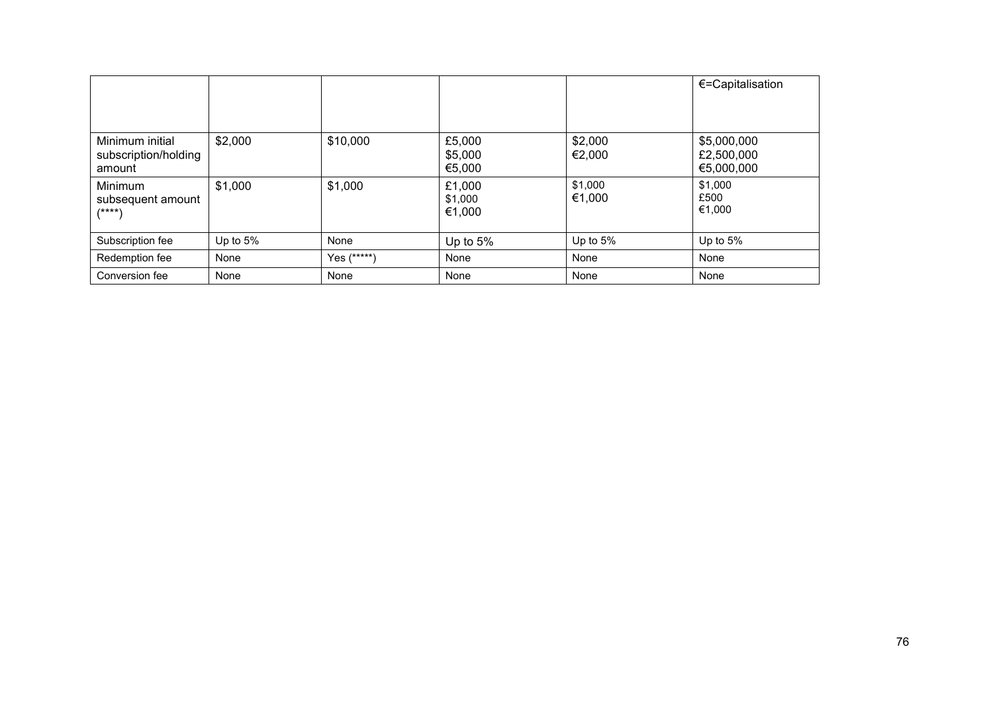|                                                   |            |             |                             |                   | €=Capitalisation                        |
|---------------------------------------------------|------------|-------------|-----------------------------|-------------------|-----------------------------------------|
|                                                   |            |             |                             |                   |                                         |
| Minimum initial<br>subscription/holding<br>amount | \$2,000    | \$10,000    | £5,000<br>\$5,000<br>€5,000 | \$2,000<br>€2,000 | \$5,000,000<br>£2,500,000<br>€5,000,000 |
| Minimum<br>subsequent amount<br>$(***)$           | \$1,000    | \$1,000     | £1,000<br>\$1,000<br>€1,000 | \$1,000<br>€1,000 | \$1,000<br>£500<br>€1,000               |
| Subscription fee                                  | Up to $5%$ | None        | Up to $5%$                  | Up to $5%$        | Up to 5%                                |
| Redemption fee                                    | None       | Yes (*****) | None                        | None              | None                                    |
| Conversion fee                                    | None       | None        | None                        | None              | None                                    |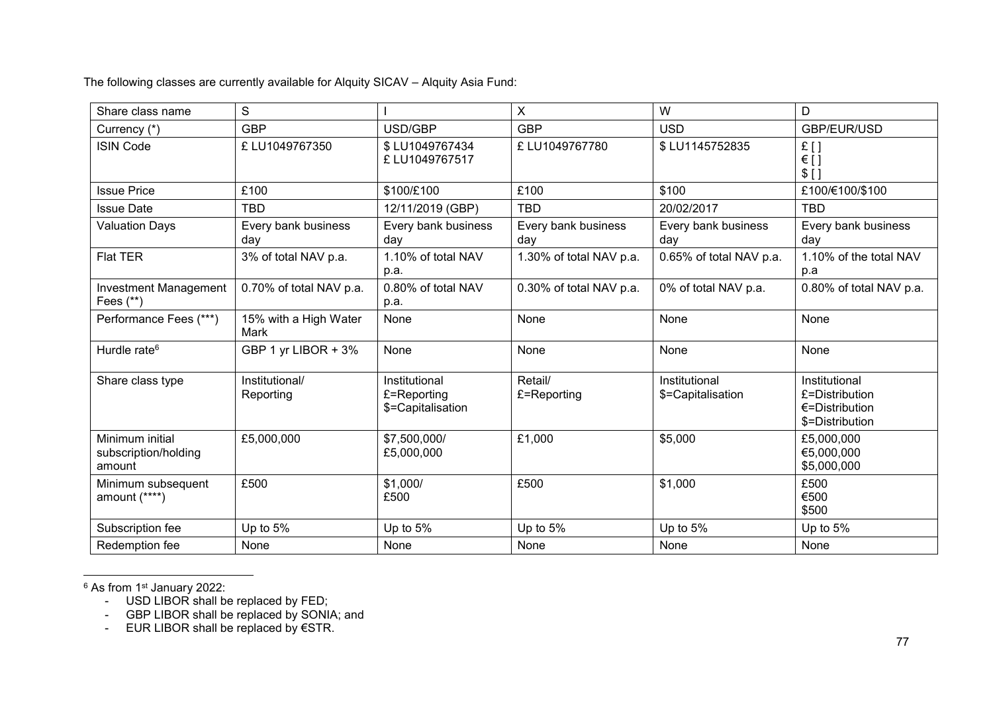The following classes are currently available for Alquity SICAV – Alquity Asia Fund:

| Share class name                                  | S                             |                                                   | X                          | W                                  | D                                                                              |
|---------------------------------------------------|-------------------------------|---------------------------------------------------|----------------------------|------------------------------------|--------------------------------------------------------------------------------|
| Currency (*)                                      | <b>GBP</b>                    | USD/GBP                                           | <b>GBP</b>                 | <b>USD</b>                         | GBP/EUR/USD                                                                    |
| <b>ISIN Code</b>                                  | £ LU1049767350                | \$LU1049767434<br>£LU1049767517                   | £ LU1049767780             | \$LU1145752835                     | £[]<br>$\in$ []<br>$$$ []                                                      |
| <b>Issue Price</b>                                | £100                          | \$100/£100                                        | £100                       | \$100                              | £100/€100/\$100                                                                |
| <b>Issue Date</b>                                 | <b>TBD</b>                    | 12/11/2019 (GBP)                                  | <b>TBD</b>                 | 20/02/2017                         | <b>TBD</b>                                                                     |
| <b>Valuation Days</b>                             | Every bank business<br>day    | Every bank business<br>day                        | Every bank business<br>day | Every bank business<br>day         | Every bank business<br>day                                                     |
| <b>Flat TER</b>                                   | 3% of total NAV p.a.          | 1.10% of total NAV<br>p.a.                        | 1.30% of total NAV p.a.    | 0.65% of total NAV p.a.            | 1.10% of the total NAV<br>p.a                                                  |
| <b>Investment Management</b><br>Fees $(**)$       | 0.70% of total NAV p.a.       | 0.80% of total NAV<br>p.a.                        | 0.30% of total NAV p.a.    | 0% of total NAV p.a.               | 0.80% of total NAV p.a.                                                        |
| Performance Fees (***)                            | 15% with a High Water<br>Mark | None                                              | None                       | None                               | None                                                                           |
| Hurdle rate <sup>6</sup>                          | GBP 1 yr LIBOR + 3%           | None                                              | None                       | None                               | None                                                                           |
| Share class type                                  | Institutional/<br>Reporting   | Institutional<br>£=Reporting<br>\$=Capitalisation | Retail/<br>£=Reporting     | Institutional<br>\$=Capitalisation | Institutional<br>£=Distribution<br>$\epsilon$ =Distribution<br>\$=Distribution |
| Minimum initial<br>subscription/holding<br>amount | £5,000,000                    | \$7,500,000/<br>£5,000,000                        | £1,000                     | \$5,000                            | £5,000,000<br>€5,000,000<br>\$5,000,000                                        |
| Minimum subsequent<br>amount (****)               | £500                          | \$1,000/<br>£500                                  | £500                       | \$1,000                            | £500<br>€500<br>\$500                                                          |
| Subscription fee                                  | Up to 5%                      | Up to 5%                                          | Up to 5%                   | Up to 5%                           | Up to 5%                                                                       |
| Redemption fee                                    | None                          | None                                              | None                       | None                               | None                                                                           |

 $^6$  As from 1 $^{\rm st}$  January 2022:

l

- USD LIBOR shall be replaced by FED;

- GBP LIBOR shall be replaced by SONIA; and

- EUR LIBOR shall be replaced by €STR.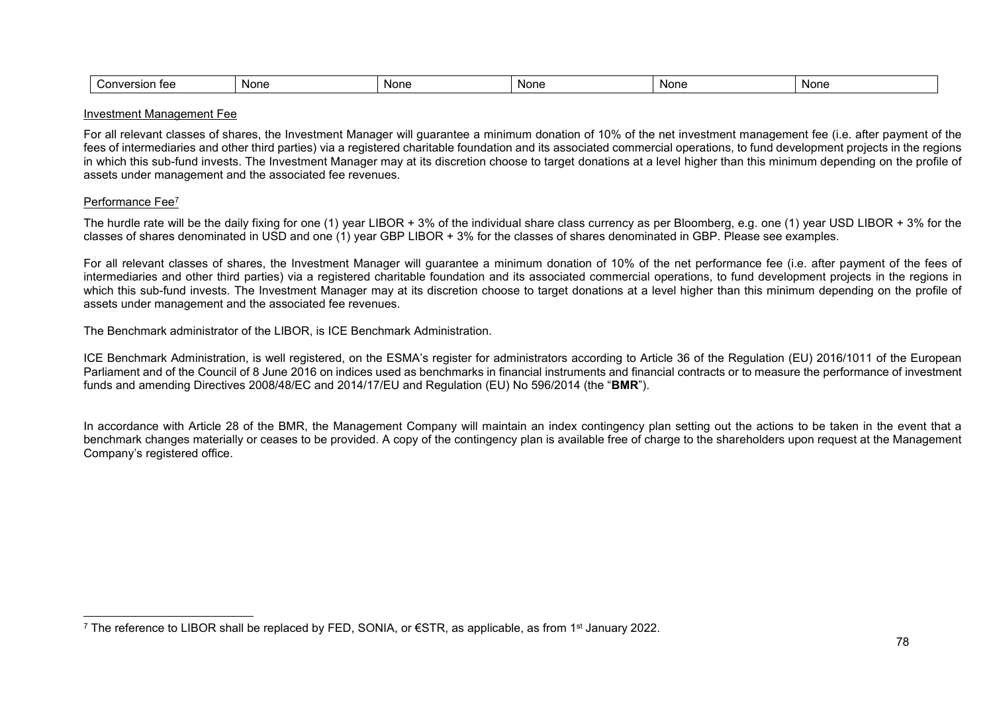| <b>None</b><br><b>Non</b><br><b>Non</b><br><b>Nor</b><br>- Nor<br>ำท∖<br>$\cdots$<br>. .<br>10n<br>--<br>.<br>---- |  |
|--------------------------------------------------------------------------------------------------------------------|--|
|--------------------------------------------------------------------------------------------------------------------|--|

#### Investment Management Fee

For all relevant classes of shares, the Investment Manager will guarantee a minimum donation of 10% of the net investment management fee (i.e. after payment of the fees of intermediaries and other third parties) via a registered charitable foundation and its associated commercial operations, to fund development projects in the regions in which this sub-fund invests. The Investment Manager may at its discretion choose to target donations at a level higher than this minimum depending on the profile of assets under management and the associated fee revenues.

#### Performance Fee<sup>7</sup>

l

The hurdle rate will be the daily fixing for one (1) year LIBOR + 3% of the individual share class currency as per Bloomberg, e.g. one (1) year USD LIBOR + 3% for the classes of shares denominated in USD and one (1) year GBP LIBOR + 3% for the classes of shares denominated in GBP. Please see examples.

For all relevant classes of shares, the Investment Manager will guarantee a minimum donation of 10% of the net performance fee (i.e. after payment of the fees of intermediaries and other third parties) via a registered charitable foundation and its associated commercial operations, to fund development projects in the regions in which this sub-fund invests. The Investment Manager may at its discretion choose to target donations at a level higher than this minimum depending on the profile of assets under management and the associated fee revenues.

The Benchmark administrator of the LIBOR, is ICE Benchmark Administration.

ICE Benchmark Administration, is well registered, on the ESMA's register for administrators according to Article 36 of the Regulation (EU) 2016/1011 of the European Parliament and of the Council of 8 June 2016 on indices used as benchmarks in financial instruments and financial contracts or to measure the performance of investment funds and amending Directives 2008/48/EC and 2014/17/EU and Regulation (EU) No 596/2014 (the "**BMR**").

In accordance with Article 28 of the BMR, the Management Company will maintain an index contingency plan setting out the actions to be taken in the event that a benchmark changes materially or ceases to be provided. A copy of the contingency plan is available free of charge to the shareholders upon request at the Management Company's registered office.

<sup>7</sup> The reference to LIBOR shall be replaced by FED, SONIA, or €STR, as applicable, as from 1<sup>st</sup> January 2022.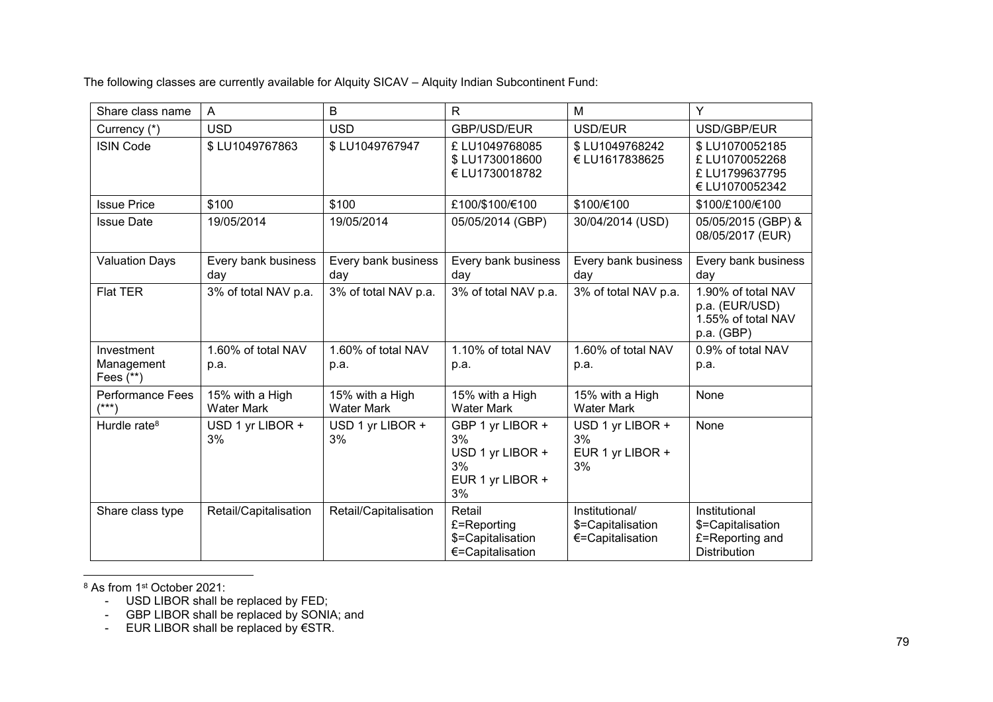The following classes are currently available for Alquity SICAV – Alquity Indian Subcontinent Fund:

| Share class name                        | A                                    | B                                    | R                                                                          | M                                                       | Y                                                                            |
|-----------------------------------------|--------------------------------------|--------------------------------------|----------------------------------------------------------------------------|---------------------------------------------------------|------------------------------------------------------------------------------|
| Currency (*)                            | <b>USD</b>                           | <b>USD</b>                           | <b>GBP/USD/EUR</b>                                                         | USD/EUR                                                 | USD/GBP/EUR                                                                  |
| <b>ISIN Code</b>                        | \$LU1049767863                       | \$LU1049767947                       | £LU1049768085<br>\$LU1730018600<br>€ LU1730018782                          | \$LU1049768242<br>€ LU1617838625                        | \$LU1070052185<br>£ LU1070052268<br>£LU1799637795<br>€ LU1070052342          |
| <b>Issue Price</b>                      | \$100                                | \$100                                | £100/\$100/€100                                                            | \$100/€100                                              | \$100/£100/€100                                                              |
| <b>Issue Date</b>                       | 19/05/2014                           | 19/05/2014                           | 05/05/2014 (GBP)                                                           | 30/04/2014 (USD)                                        | 05/05/2015 (GBP) &<br>08/05/2017 (EUR)                                       |
| <b>Valuation Days</b>                   | Every bank business<br>day           | Every bank business<br>day           | Every bank business<br>day                                                 | Every bank business<br>day                              | Every bank business<br>day                                                   |
| <b>Flat TER</b>                         | 3% of total NAV p.a.                 | 3% of total NAV p.a.                 | 3% of total NAV p.a.                                                       | 3% of total NAV p.a.                                    | 1.90% of total NAV<br>p.a. (EUR/USD)<br>1.55% of total NAV<br>p.a. (GBP)     |
| Investment<br>Management<br>Fees $(**)$ | 1.60% of total NAV<br>p.a.           | 1.60% of total NAV<br>p.a.           | 1.10% of total NAV<br>p.a.                                                 | 1.60% of total NAV<br>p.a.                              | 0.9% of total NAV<br>p.a.                                                    |
| <b>Performance Fees</b><br>$(***)$      | 15% with a High<br><b>Water Mark</b> | 15% with a High<br><b>Water Mark</b> | 15% with a High<br><b>Water Mark</b>                                       | 15% with a High<br><b>Water Mark</b>                    | None                                                                         |
| Hurdle rate $8$                         | USD 1 yr LIBOR +<br>3%               | USD 1 yr LIBOR +<br>3%               | GBP 1 yr LIBOR +<br>3%<br>USD 1 yr LIBOR +<br>3%<br>EUR 1 yr LIBOR +<br>3% | USD 1 yr LIBOR +<br>3%<br>EUR 1 yr LIBOR +<br>3%        | None                                                                         |
| Share class type                        | Retail/Capitalisation                | Retail/Capitalisation                | Retail<br>£=Reporting<br>\$=Capitalisation<br>€=Capitalisation             | Institutional/<br>\$=Capitalisation<br>€=Capitalisation | Institutional<br>\$=Capitalisation<br>£=Reporting and<br><b>Distribution</b> |

l  $^8$  As from 1 $^{\rm st}$  October 2021:

- GBP LIBOR shall be replaced by SONIA; and

- EUR LIBOR shall be replaced by €STR.

<sup>-</sup> USD LIBOR shall be replaced by FED;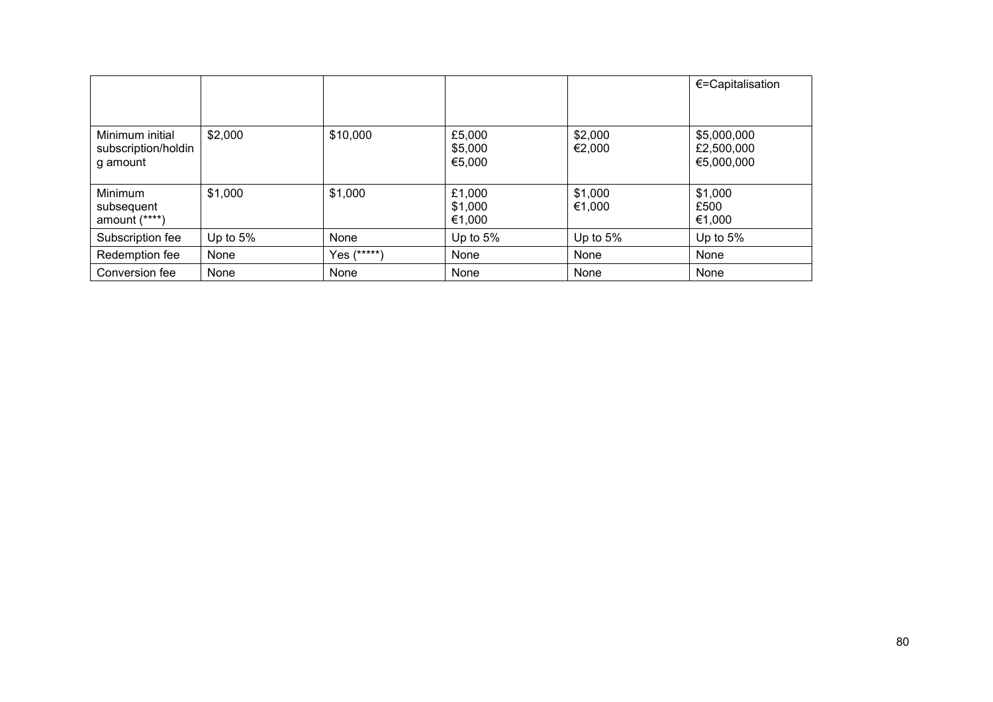|                                                    |            |             |                             |                   | $\epsilon$ =Capitalisation              |
|----------------------------------------------------|------------|-------------|-----------------------------|-------------------|-----------------------------------------|
|                                                    |            |             |                             |                   |                                         |
| Minimum initial<br>subscription/holdin<br>g amount | \$2,000    | \$10,000    | £5,000<br>\$5,000<br>€5,000 | \$2,000<br>€2,000 | \$5,000,000<br>£2,500,000<br>€5,000,000 |
| Minimum<br>subsequent<br>amount (****)             | \$1,000    | \$1,000     | £1,000<br>\$1,000<br>€1,000 | \$1,000<br>€1,000 | \$1,000<br>£500<br>€1,000               |
| Subscription fee                                   | Up to $5%$ | None        | Up to $5%$                  | Up to 5%          | Up to $5%$                              |
| Redemption fee                                     | None       | Yes (*****) | None                        | None              | None                                    |
| Conversion fee                                     | None       | None        | None                        | None              | None                                    |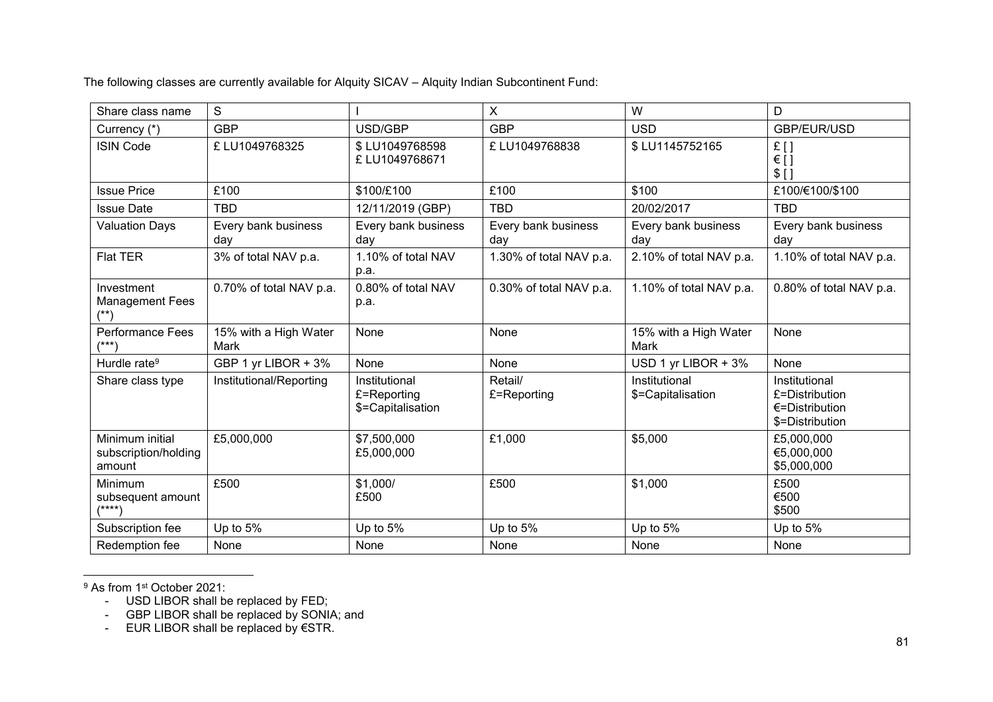The following classes are currently available for Alquity SICAV – Alquity Indian Subcontinent Fund:

| Share class name                                  | S                             |                                                   | X                          | W                                  | D                                                                    |
|---------------------------------------------------|-------------------------------|---------------------------------------------------|----------------------------|------------------------------------|----------------------------------------------------------------------|
| Currency (*)                                      | <b>GBP</b>                    | USD/GBP                                           | <b>GBP</b>                 | <b>USD</b>                         | GBP/EUR/USD                                                          |
| <b>ISIN Code</b>                                  | £LU1049768325                 | \$LU1049768598<br>£ LU1049768671                  | £LU1049768838              | \$LU1145752165                     | £[]<br>$\in$ []<br>$$$ []                                            |
| <b>Issue Price</b>                                | £100                          | \$100/£100                                        | £100                       | \$100                              | £100/€100/\$100                                                      |
| <b>Issue Date</b>                                 | <b>TBD</b>                    | 12/11/2019 (GBP)                                  | <b>TBD</b>                 | 20/02/2017                         | <b>TBD</b>                                                           |
| <b>Valuation Days</b>                             | Every bank business<br>day    | Every bank business<br>day                        | Every bank business<br>day | Every bank business<br>day         | Every bank business<br>day                                           |
| <b>Flat TER</b>                                   | 3% of total NAV p.a.          | 1.10% of total NAV<br>p.a.                        | 1.30% of total NAV p.a.    | 2.10% of total NAV p.a.            | 1.10% of total NAV p.a.                                              |
| Investment<br><b>Management Fees</b>              | 0.70% of total NAV p.a.       | 0.80% of total NAV<br>p.a.                        | 0.30% of total NAV p.a.    | 1.10% of total NAV p.a.            | 0.80% of total NAV p.a.                                              |
| <b>Performance Fees</b><br>$(***)$                | 15% with a High Water<br>Mark | None                                              | None                       | 15% with a High Water<br>Mark      | None                                                                 |
| Hurdle rate <sup>9</sup>                          | GBP 1 yr LIBOR + 3%           | <b>None</b>                                       | None                       | USD 1 yr LIBOR + 3%                | None                                                                 |
| Share class type                                  | Institutional/Reporting       | Institutional<br>£=Reporting<br>\$=Capitalisation | Retail/<br>£=Reporting     | Institutional<br>\$=Capitalisation | Institutional<br>£=Distribution<br>€=Distribution<br>\$=Distribution |
| Minimum initial<br>subscription/holding<br>amount | £5,000,000                    | \$7,500,000<br>£5,000,000                         | £1,000                     | \$5,000                            | £5,000,000<br>€5,000,000<br>\$5,000,000                              |
| Minimum<br>subsequent amount<br>$(****)$          | £500                          | \$1,000/<br>£500                                  | £500                       | \$1,000                            | £500<br>€500<br>\$500                                                |
| Subscription fee                                  | Up to 5%                      | Up to 5%                                          | Up to 5%                   | Up to 5%                           | Up to 5%                                                             |
| Redemption fee                                    | None                          | None                                              | None                       | None                               | None                                                                 |

l <sup>9</sup> As from 1<sup>st</sup> October 2021:

- USD LIBOR shall be replaced by FED;

- GBP LIBOR shall be replaced by SONIA; and

- EUR LIBOR shall be replaced by €STR.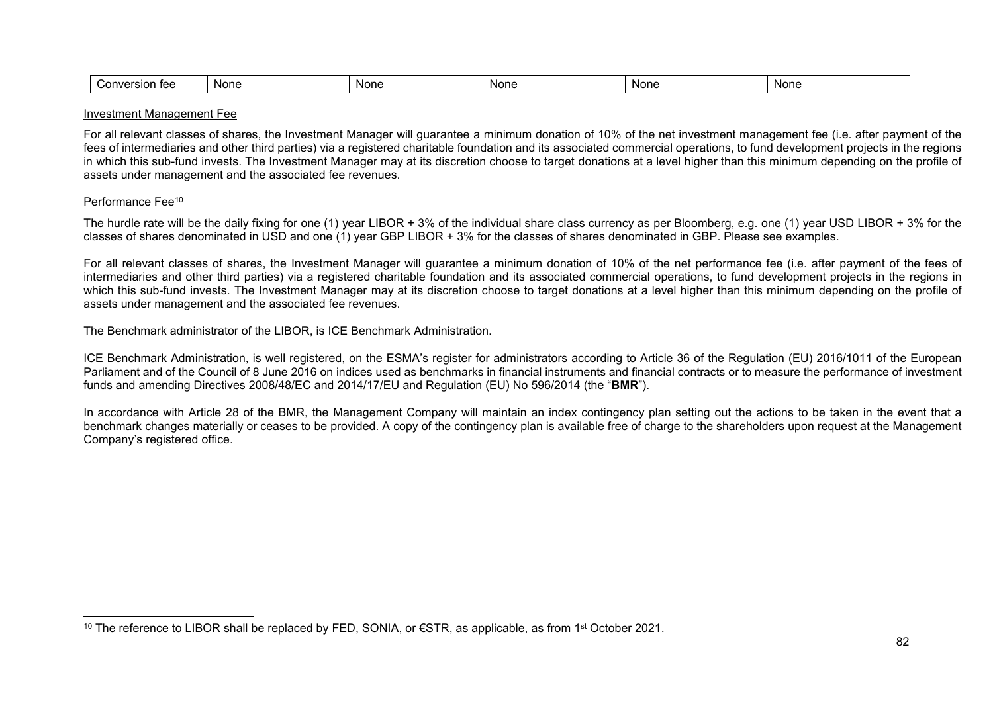#### Investment Management Fee

For all relevant classes of shares, the Investment Manager will guarantee a minimum donation of 10% of the net investment management fee (i.e. after payment of the fees of intermediaries and other third parties) via a registered charitable foundation and its associated commercial operations, to fund development projects in the regions in which this sub-fund invests. The Investment Manager may at its discretion choose to target donations at a level higher than this minimum depending on the profile of assets under management and the associated fee revenues.

#### Performance Fee<sup>10</sup>

l

The hurdle rate will be the daily fixing for one (1) year LIBOR + 3% of the individual share class currency as per Bloomberg, e.g. one (1) year USD LIBOR + 3% for the classes of shares denominated in USD and one (1) year GBP LIBOR + 3% for the classes of shares denominated in GBP. Please see examples.

For all relevant classes of shares, the Investment Manager will guarantee a minimum donation of 10% of the net performance fee (i.e. after payment of the fees of intermediaries and other third parties) via a registered charitable foundation and its associated commercial operations, to fund development projects in the regions in which this sub-fund invests. The Investment Manager may at its discretion choose to target donations at a level higher than this minimum depending on the profile of assets under management and the associated fee revenues.

The Benchmark administrator of the LIBOR, is ICE Benchmark Administration.

ICE Benchmark Administration, is well registered, on the ESMA's register for administrators according to Article 36 of the Regulation (EU) 2016/1011 of the European Parliament and of the Council of 8 June 2016 on indices used as benchmarks in financial instruments and financial contracts or to measure the performance of investment funds and amending Directives 2008/48/EC and 2014/17/EU and Regulation (EU) No 596/2014 (the "**BMR**").

In accordance with Article 28 of the BMR, the Management Company will maintain an index contingency plan setting out the actions to be taken in the event that a benchmark changes materially or ceases to be provided. A copy of the contingency plan is available free of charge to the shareholders upon request at the Management Company's registered office.

<sup>&</sup>lt;sup>10</sup> The reference to LIBOR shall be replaced by FED, SONIA, or €STR, as applicable, as from 1<sup>st</sup> October 2021.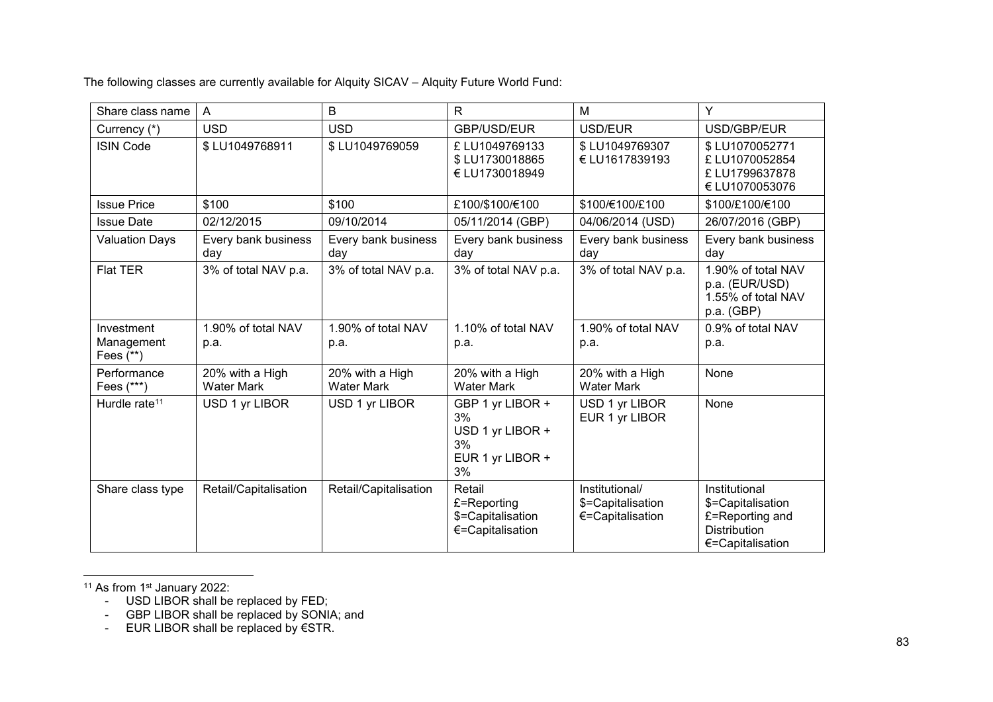The following classes are currently available for Alquity SICAV – Alquity Future World Fund:

| Share class name                        | A                                    | B                                    | R                                                                          | M                                                       | Y                                                                                                |
|-----------------------------------------|--------------------------------------|--------------------------------------|----------------------------------------------------------------------------|---------------------------------------------------------|--------------------------------------------------------------------------------------------------|
| Currency (*)                            | <b>USD</b>                           | <b>USD</b>                           | GBP/USD/EUR                                                                | USD/EUR                                                 | USD/GBP/EUR                                                                                      |
| <b>ISIN Code</b>                        | \$LU1049768911                       | \$LU1049769059                       | £LU1049769133<br>\$LU1730018865<br>€ LU1730018949                          | \$LU1049769307<br>€ LU1617839193                        | \$LU1070052771<br>£ LU1070052854<br>£LU1799637878<br>€ LU1070053076                              |
| <b>Issue Price</b>                      | \$100                                | \$100                                | £100/\$100/€100                                                            | \$100/€100/£100                                         | \$100/£100/€100                                                                                  |
| <b>Issue Date</b>                       | 02/12/2015                           | 09/10/2014                           | 05/11/2014 (GBP)                                                           | 04/06/2014 (USD)                                        | 26/07/2016 (GBP)                                                                                 |
| <b>Valuation Days</b>                   | Every bank business<br>day           | Every bank business<br>day           | Every bank business<br>day                                                 | Every bank business<br>day                              | Every bank business<br>day                                                                       |
| <b>Flat TER</b>                         | 3% of total NAV p.a.                 | 3% of total NAV p.a.                 | 3% of total NAV p.a.                                                       | 3% of total NAV p.a.                                    | 1.90% of total NAV<br>p.a. (EUR/USD)<br>1.55% of total NAV<br>p.a. (GBP)                         |
| Investment<br>Management<br>Fees $(**)$ | 1.90% of total NAV<br>p.a.           | 1.90% of total NAV<br>p.a.           | 1.10% of total NAV<br>p.a.                                                 | 1.90% of total NAV<br>p.a.                              | 0.9% of total NAV<br>p.a.                                                                        |
| Performance<br>Fees (***)               | 20% with a High<br><b>Water Mark</b> | 20% with a High<br><b>Water Mark</b> | 20% with a High<br><b>Water Mark</b>                                       | 20% with a High<br><b>Water Mark</b>                    | None                                                                                             |
| Hurdle rate <sup>11</sup>               | USD 1 yr LIBOR                       | USD 1 yr LIBOR                       | GBP 1 yr LIBOR +<br>3%<br>USD 1 yr LIBOR +<br>3%<br>EUR 1 yr LIBOR +<br>3% | USD 1 yr LIBOR<br>EUR 1 yr LIBOR                        | None                                                                                             |
| Share class type                        | Retail/Capitalisation                | Retail/Capitalisation                | Retail<br>£=Reporting<br>\$=Capitalisation<br>€=Capitalisation             | Institutional/<br>\$=Capitalisation<br>€=Capitalisation | Institutional<br>\$=Capitalisation<br>£=Reporting and<br><b>Distribution</b><br>€=Capitalisation |

l <sup>11</sup> As from 1<sup>st</sup> January 2022:

- EUR LIBOR shall be replaced by €STR.

<sup>-</sup> USD LIBOR shall be replaced by FED;

<sup>-</sup> GBP LIBOR shall be replaced by SONIA; and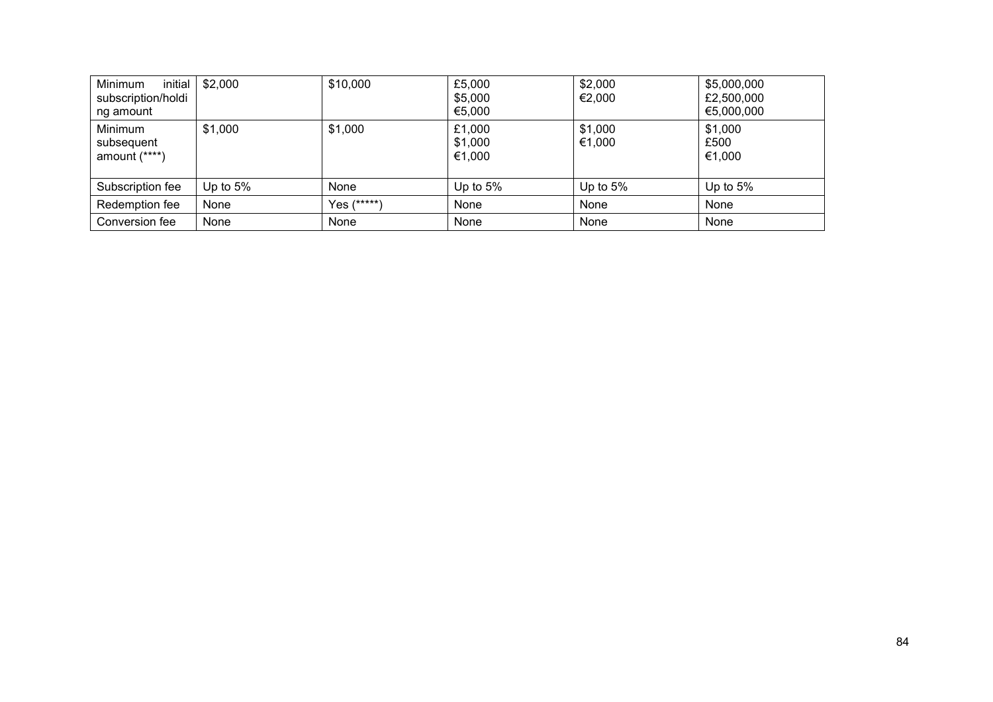| Minimum<br>initial<br>subscription/holdi<br>ng amount | \$2,000     | \$10,000    | £5,000<br>\$5,000<br>€5,000 | \$2,000<br>€2,000 | \$5,000,000<br>£2,500,000<br>€5,000,000 |
|-------------------------------------------------------|-------------|-------------|-----------------------------|-------------------|-----------------------------------------|
| Minimum<br>subsequent<br>amount $(****)$              | \$1,000     | \$1,000     | £1,000<br>\$1,000<br>€1,000 | \$1,000<br>€1,000 | \$1,000<br>£500<br>€1,000               |
| Subscription fee                                      | Up to $5\%$ | None        | Up to $5%$                  | Up to $5%$        | Up to $5%$                              |
| Redemption fee                                        | None        | Yes (*****) | None                        | None              | None                                    |
| Conversion fee                                        | None        | None        | None                        | None              | None                                    |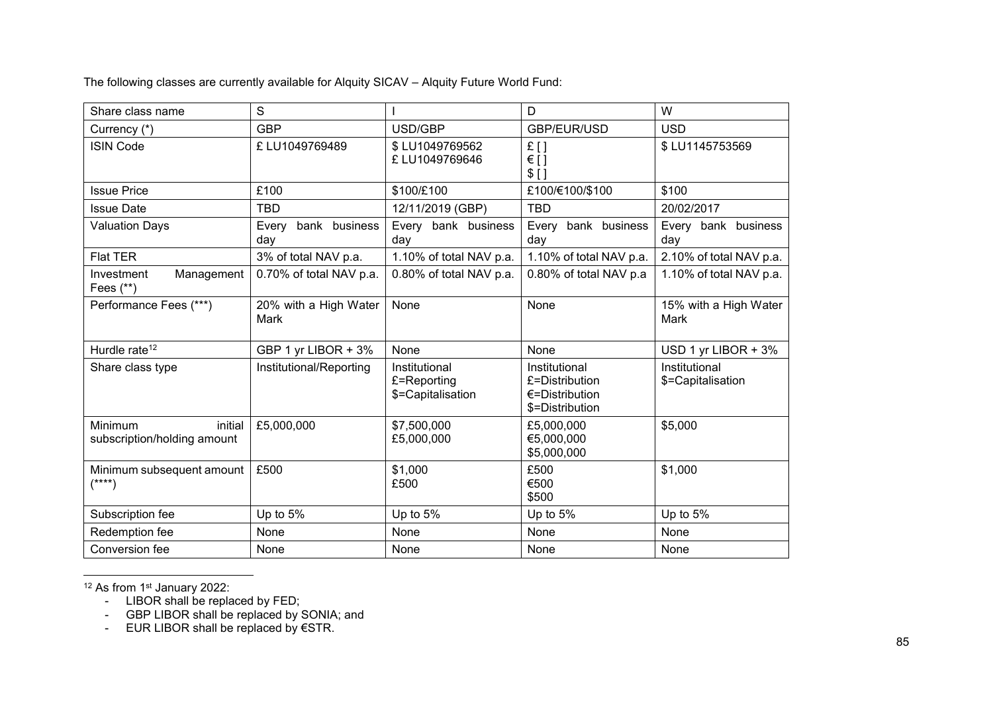The following classes are currently available for Alquity SICAV – Alquity Future World Fund:

| Share class name                                  | S                             |                                                   | D                                                                              | W                                  |
|---------------------------------------------------|-------------------------------|---------------------------------------------------|--------------------------------------------------------------------------------|------------------------------------|
| Currency (*)                                      | <b>GBP</b>                    | USD/GBP                                           | GBP/EUR/USD                                                                    | <b>USD</b>                         |
| <b>ISIN Code</b>                                  | £ LU1049769489                | \$LU1049769562<br>£ LU1049769646                  | £[]<br>€[]<br>$$$ []                                                           | \$LU1145753569                     |
| <b>Issue Price</b>                                | £100                          | \$100/£100                                        | £100/€100/\$100                                                                | \$100                              |
| <b>Issue Date</b>                                 | <b>TBD</b>                    | 12/11/2019 (GBP)                                  | <b>TBD</b>                                                                     | 20/02/2017                         |
| <b>Valuation Days</b>                             | bank business<br>Every<br>day | Every bank business<br>day                        | Every bank business<br>day                                                     | Every bank business<br>day         |
| <b>Flat TER</b>                                   | 3% of total NAV p.a.          | 1.10% of total NAV p.a.                           | 1.10% of total NAV p.a.                                                        | 2.10% of total NAV p.a.            |
| Management<br>Investment<br>Fees (**)             | 0.70% of total NAV p.a.       | 0.80% of total NAV p.a.                           | 0.80% of total NAV p.a                                                         | 1.10% of total NAV p.a.            |
| Performance Fees (***)                            | 20% with a High Water<br>Mark | None                                              | None                                                                           | 15% with a High Water<br>Mark      |
| Hurdle rate <sup>12</sup>                         | GBP 1 yr LIBOR + 3%           | None                                              | None                                                                           | USD 1 yr LIBOR + 3%                |
| Share class type                                  | Institutional/Reporting       | Institutional<br>£=Reporting<br>\$=Capitalisation | Institutional<br>£=Distribution<br>$\epsilon$ =Distribution<br>\$=Distribution | Institutional<br>\$=Capitalisation |
| Minimum<br>initial<br>subscription/holding amount | £5,000,000                    | \$7,500,000<br>£5,000,000                         | £5,000,000<br>€5,000,000<br>\$5,000,000                                        | \$5,000                            |
| Minimum subsequent amount<br>$(\text{***})$       | £500                          | \$1,000<br>£500                                   | £500<br>€500<br>\$500                                                          | \$1,000                            |
| Subscription fee                                  | Up to 5%                      | Up to 5%                                          | Up to 5%                                                                       | Up to 5%                           |
| Redemption fee                                    | None                          | None                                              | None                                                                           | None                               |
| Conversion fee                                    | None                          | None                                              | None                                                                           | None                               |

l <sup>12</sup> As from 1<sup>st</sup> January 2022:

- LIBOR shall be replaced by FED;
- GBP LIBOR shall be replaced by SONIA; and
- EUR LIBOR shall be replaced by €STR.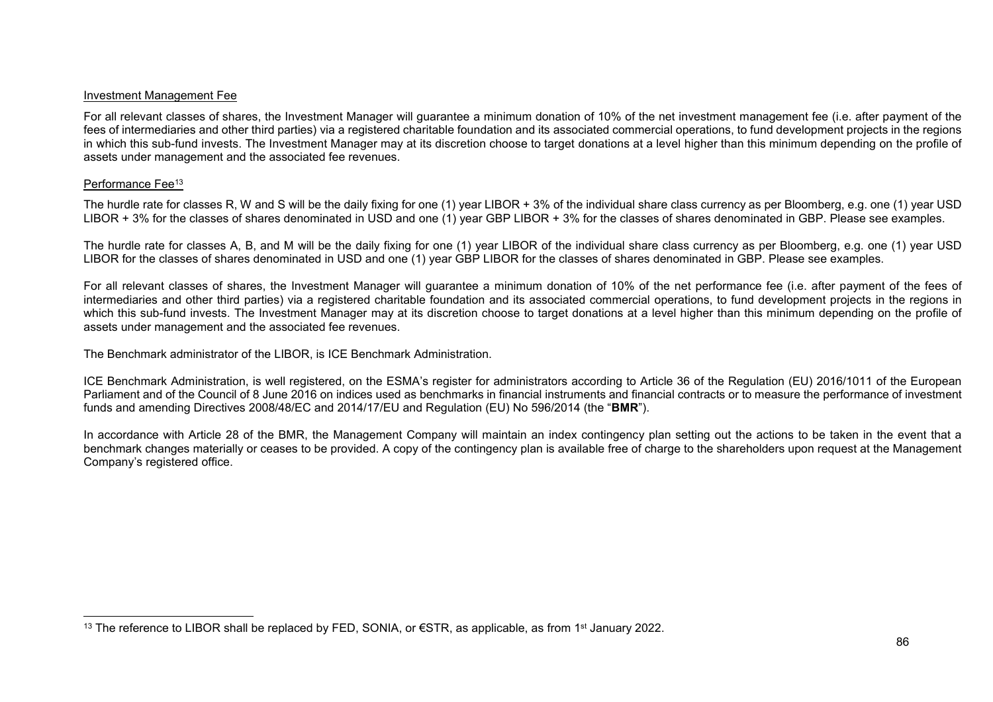#### Investment Management Fee

For all relevant classes of shares, the Investment Manager will guarantee a minimum donation of 10% of the net investment management fee (i.e. after payment of the fees of intermediaries and other third parties) via a registered charitable foundation and its associated commercial operations, to fund development projects in the regions in which this sub-fund invests. The Investment Manager may at its discretion choose to target donations at a level higher than this minimum depending on the profile of assets under management and the associated fee revenues.

#### Performance Fee<sup>13</sup>

l

The hurdle rate for classes R, W and S will be the daily fixing for one (1) year LIBOR + 3% of the individual share class currency as per Bloomberg, e.g. one (1) year USD LIBOR + 3% for the classes of shares denominated in USD and one (1) year GBP LIBOR + 3% for the classes of shares denominated in GBP. Please see examples.

The hurdle rate for classes A, B, and M will be the daily fixing for one (1) year LIBOR of the individual share class currency as per Bloomberg, e.g. one (1) year USD LIBOR for the classes of shares denominated in USD and one (1) year GBP LIBOR for the classes of shares denominated in GBP. Please see examples.

For all relevant classes of shares, the Investment Manager will guarantee a minimum donation of 10% of the net performance fee (i.e. after payment of the fees of intermediaries and other third parties) via a registered charitable foundation and its associated commercial operations, to fund development projects in the regions in which this sub-fund invests. The Investment Manager may at its discretion choose to target donations at a level higher than this minimum depending on the profile of assets under management and the associated fee revenues.

The Benchmark administrator of the LIBOR, is ICE Benchmark Administration.

ICE Benchmark Administration, is well registered, on the ESMA's register for administrators according to Article 36 of the Regulation (EU) 2016/1011 of the European Parliament and of the Council of 8 June 2016 on indices used as benchmarks in financial instruments and financial contracts or to measure the performance of investment funds and amending Directives 2008/48/EC and 2014/17/EU and Regulation (EU) No 596/2014 (the "**BMR**").

In accordance with Article 28 of the BMR, the Management Company will maintain an index contingency plan setting out the actions to be taken in the event that a benchmark changes materially or ceases to be provided. A copy of the contingency plan is available free of charge to the shareholders upon request at the Management Company's registered office.

<sup>13</sup> The reference to LIBOR shall be replaced by FED, SONIA, or  $\epsilon$ STR, as applicable, as from 1<sup>st</sup> January 2022.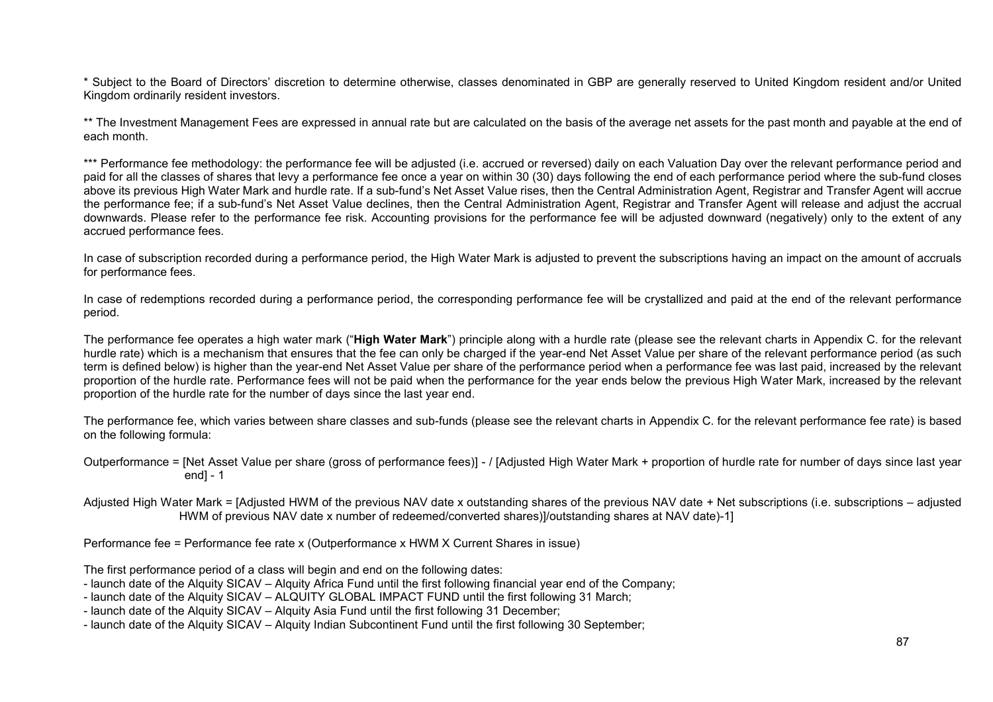\* Subject to the Board of Directors' discretion to determine otherwise, classes denominated in GBP are generally reserved to United Kingdom resident and/or United Kingdom ordinarily resident investors.

\*\* The Investment Management Fees are expressed in annual rate but are calculated on the basis of the average net assets for the past month and payable at the end of each month.

\*\*\* Performance fee methodology: the performance fee will be adjusted (i.e. accrued or reversed) daily on each Valuation Day over the relevant performance period and paid for all the classes of shares that levy a performance fee once a year on within 30 (30) days following the end of each performance period where the sub-fund closes above its previous High Water Mark and hurdle rate. If a sub-fund's Net Asset Value rises, then the Central Administration Agent, Registrar and Transfer Agent will accrue the performance fee; if a sub-fund's Net Asset Value declines, then the Central Administration Agent, Registrar and Transfer Agent will release and adjust the accrual downwards. Please refer to the performance fee risk. Accounting provisions for the performance fee will be adjusted downward (negatively) only to the extent of any accrued performance fees.

In case of subscription recorded during a performance period, the High Water Mark is adjusted to prevent the subscriptions having an impact on the amount of accruals for performance fees.

In case of redemptions recorded during a performance period, the corresponding performance fee will be crystallized and paid at the end of the relevant performance period.

The performance fee operates a high water mark ("**High Water Mark**") principle along with a hurdle rate (please see the relevant charts in Appendix C. for the relevant hurdle rate) which is a mechanism that ensures that the fee can only be charged if the year-end Net Asset Value per share of the relevant performance period (as such term is defined below) is higher than the year-end Net Asset Value per share of the performance period when a performance fee was last paid, increased by the relevant proportion of the hurdle rate. Performance fees will not be paid when the performance for the year ends below the previous High Water Mark, increased by the relevant proportion of the hurdle rate for the number of days since the last year end.

The performance fee, which varies between share classes and sub-funds (please see the relevant charts in Appendix C. for the relevant performance fee rate) is based on the following formula:

Outperformance = [Net Asset Value per share (gross of performance fees)] - / [Adjusted High Water Mark + proportion of hurdle rate for number of days since last year end] - 1

Adjusted High Water Mark = [Adjusted HWM of the previous NAV date x outstanding shares of the previous NAV date + Net subscriptions (i.e. subscriptions – adjusted HWM of previous NAV date x number of redeemed/converted shares)]/outstanding shares at NAV date)-1]

Performance fee = Performance fee rate x (Outperformance x HWM X Current Shares in issue)

The first performance period of a class will begin and end on the following dates:

- launch date of the Alquity SICAV Alquity Africa Fund until the first following financial year end of the Company;
- launch date of the Alquity SICAV ALQUITY GLOBAL IMPACT FUND until the first following 31 March;
- launch date of the Alquity SICAV Alquity Asia Fund until the first following 31 December;

- launch date of the Alquity SICAV – Alquity Indian Subcontinent Fund until the first following 30 September;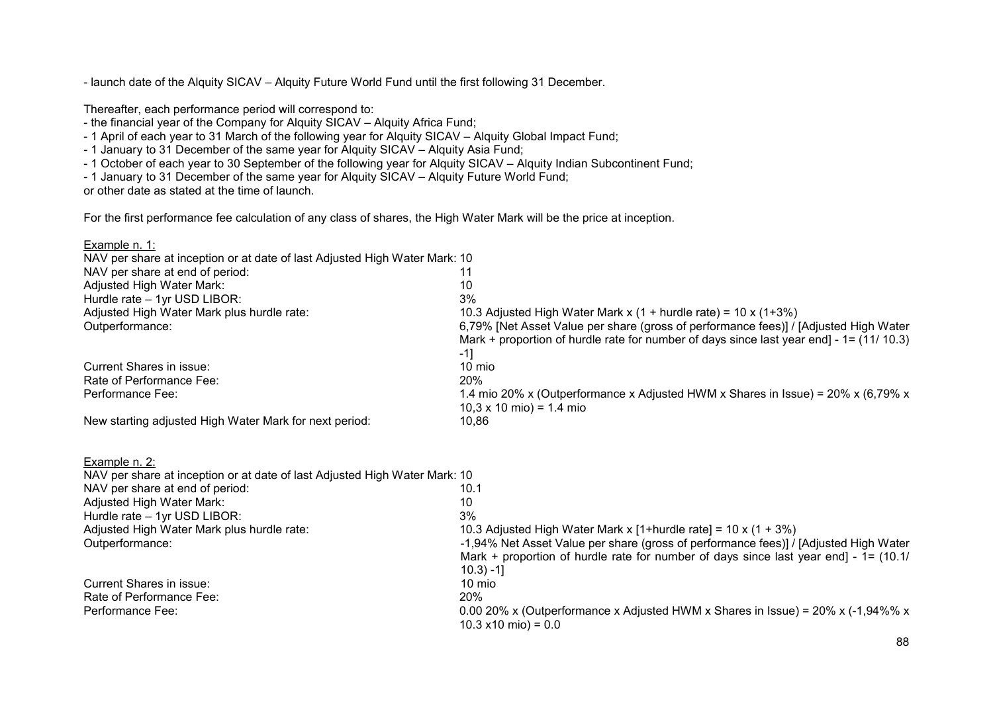- launch date of the Alquity SICAV – Alquity Future World Fund until the first following 31 December.

Thereafter, each performance period will correspond to:

- the financial year of the Company for Alquity SICAV – Alquity Africa Fund;

- 1 April of each year to 31 March of the following year for Alquity SICAV Alquity Global Impact Fund;
- 1 January to 31 December of the same year for Alquity SICAV Alquity Asia Fund;
- 1 October of each year to 30 September of the following year for Alquity SICAV Alquity Indian Subcontinent Fund;
- 1 January to 31 December of the same year for Alquity SICAV Alquity Future World Fund;

or other date as stated at the time of launch.

For the first performance fee calculation of any class of shares, the High Water Mark will be the price at inception.

| Example n. 1:                                                              |                                                                                                                                                                                                                                                                   |  |  |
|----------------------------------------------------------------------------|-------------------------------------------------------------------------------------------------------------------------------------------------------------------------------------------------------------------------------------------------------------------|--|--|
| NAV per share at inception or at date of last Adjusted High Water Mark: 10 |                                                                                                                                                                                                                                                                   |  |  |
| NAV per share at end of period:                                            | 11                                                                                                                                                                                                                                                                |  |  |
| Adjusted High Water Mark:                                                  | 10                                                                                                                                                                                                                                                                |  |  |
| Hurdle rate - 1yr USD LIBOR:                                               | 3%                                                                                                                                                                                                                                                                |  |  |
| Adjusted High Water Mark plus hurdle rate:<br>Outperformance:              | 10.3 Adjusted High Water Mark x (1 + hurdle rate) = $10 x (1+3\%)$<br>6,79% [Net Asset Value per share (gross of performance fees)] / [Adjusted High Water<br>Mark + proportion of hurdle rate for number of days since last year end] - $1 = (11/10.3)$<br>$-1]$ |  |  |
| <b>Current Shares in issue:</b>                                            | 10 mio                                                                                                                                                                                                                                                            |  |  |
| Rate of Performance Fee:                                                   | 20%                                                                                                                                                                                                                                                               |  |  |
| Performance Fee:                                                           | 1.4 mio 20% x (Outperformance x Adjusted HWM x Shares in Issue) = $20\%$ x (6,79% x<br>$10,3 \times 10 \text{ mio}$ = 1.4 mio                                                                                                                                     |  |  |
| New starting adjusted High Water Mark for next period:                     | 10,86                                                                                                                                                                                                                                                             |  |  |
| Example n. 2:                                                              |                                                                                                                                                                                                                                                                   |  |  |
| NAV per share at inception or at date of last Adjusted High Water Mark: 10 |                                                                                                                                                                                                                                                                   |  |  |
| NAV per share at end of period:                                            | 10.1                                                                                                                                                                                                                                                              |  |  |
| Adjusted High Water Mark:                                                  | 10                                                                                                                                                                                                                                                                |  |  |
| Hurdle rate - 1yr USD LIBOR:                                               | 3%                                                                                                                                                                                                                                                                |  |  |
| Adjusted High Water Mark plus hurdle rate:                                 | 10.3 Adjusted High Water Mark x [1+hurdle rate] = $10 \times (1 + 3\%)$                                                                                                                                                                                           |  |  |
| Outperformance:                                                            | -1,94% Net Asset Value per share (gross of performance fees)] / [Adjusted High Water                                                                                                                                                                              |  |  |
|                                                                            | Mark + proportion of hurdle rate for number of days since last year end] - $1 = (10.1/$                                                                                                                                                                           |  |  |
|                                                                            | $10.3$ ) -1]                                                                                                                                                                                                                                                      |  |  |
| <b>Current Shares in issue:</b>                                            | 10 mio                                                                                                                                                                                                                                                            |  |  |
| Rate of Performance Fee:                                                   | 20%                                                                                                                                                                                                                                                               |  |  |
| Performance Fee:                                                           | 0.00 20% x (Outperformance x Adjusted HWM x Shares in Issue) = $20\%$ x (-1,94%% x<br>$10.3 \times 10 \text{ mi}$ o) = 0.0                                                                                                                                        |  |  |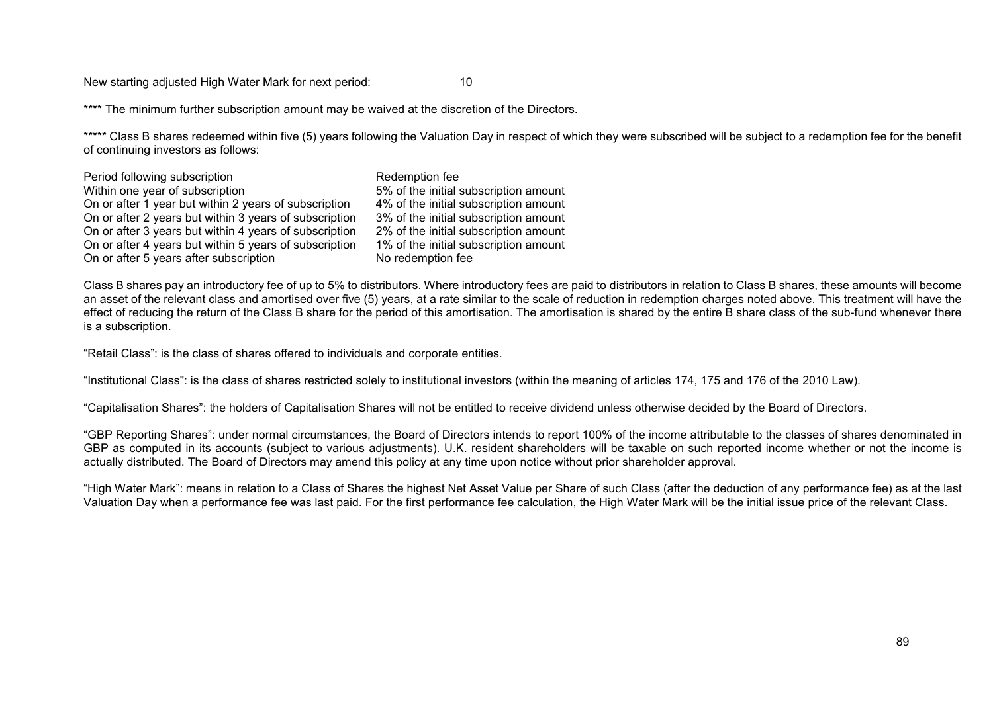New starting adjusted High Water Mark for next period: 10

\*\*\*\* The minimum further subscription amount may be waived at the discretion of the Directors.

\*\*\*\*\* Class B shares redeemed within five (5) years following the Valuation Day in respect of which they were subscribed will be subject to a redemption fee for the benefit of continuing investors as follows:

| Period following subscription                          | Redemption fee                        |
|--------------------------------------------------------|---------------------------------------|
| Within one year of subscription                        | 5% of the initial subscription amount |
| On or after 1 year but within 2 years of subscription  | 4% of the initial subscription amount |
| On or after 2 years but within 3 years of subscription | 3% of the initial subscription amount |
| On or after 3 years but within 4 years of subscription | 2% of the initial subscription amount |
| On or after 4 years but within 5 years of subscription | 1% of the initial subscription amount |
| On or after 5 years after subscription                 | No redemption fee                     |
|                                                        |                                       |

Class B shares pay an introductory fee of up to 5% to distributors. Where introductory fees are paid to distributors in relation to Class B shares, these amounts will become an asset of the relevant class and amortised over five (5) years, at a rate similar to the scale of reduction in redemption charges noted above. This treatment will have the effect of reducing the return of the Class B share for the period of this amortisation. The amortisation is shared by the entire B share class of the sub-fund whenever there is a subscription.

"Retail Class": is the class of shares offered to individuals and corporate entities.

"Institutional Class": is the class of shares restricted solely to institutional investors (within the meaning of articles 174, 175 and 176 of the 2010 Law).

"Capitalisation Shares": the holders of Capitalisation Shares will not be entitled to receive dividend unless otherwise decided by the Board of Directors.

"GBP Reporting Shares": under normal circumstances, the Board of Directors intends to report 100% of the income attributable to the classes of shares denominated in GBP as computed in its accounts (subject to various adjustments). U.K. resident shareholders will be taxable on such reported income whether or not the income is actually distributed. The Board of Directors may amend this policy at any time upon notice without prior shareholder approval.

"High Water Mark": means in relation to a Class of Shares the highest Net Asset Value per Share of such Class (after the deduction of any performance fee) as at the last Valuation Day when a performance fee was last paid. For the first performance fee calculation, the High Water Mark will be the initial issue price of the relevant Class.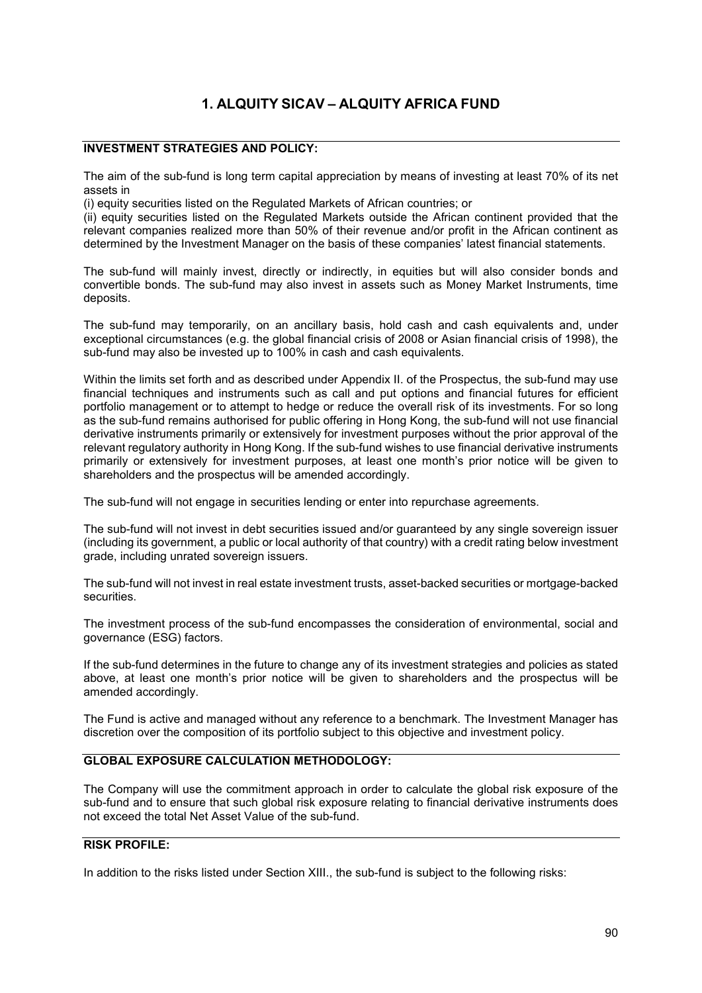# **1. ALQUITY SICAV – ALQUITY AFRICA FUND**

# **INVESTMENT STRATEGIES AND POLICY:**

The aim of the sub-fund is long term capital appreciation by means of investing at least 70% of its net assets in

(i) equity securities listed on the Regulated Markets of African countries; or

(ii) equity securities listed on the Regulated Markets outside the African continent provided that the relevant companies realized more than 50% of their revenue and/or profit in the African continent as determined by the Investment Manager on the basis of these companies' latest financial statements.

The sub-fund will mainly invest, directly or indirectly, in equities but will also consider bonds and convertible bonds. The sub-fund may also invest in assets such as Money Market Instruments, time deposits.

The sub-fund may temporarily, on an ancillary basis, hold cash and cash equivalents and, under exceptional circumstances (e.g. the global financial crisis of 2008 or Asian financial crisis of 1998), the sub-fund may also be invested up to 100% in cash and cash equivalents.

Within the limits set forth and as described under Appendix II. of the Prospectus, the sub-fund may use financial techniques and instruments such as call and put options and financial futures for efficient portfolio management or to attempt to hedge or reduce the overall risk of its investments. For so long as the sub-fund remains authorised for public offering in Hong Kong, the sub-fund will not use financial derivative instruments primarily or extensively for investment purposes without the prior approval of the relevant regulatory authority in Hong Kong. If the sub-fund wishes to use financial derivative instruments primarily or extensively for investment purposes, at least one month's prior notice will be given to shareholders and the prospectus will be amended accordingly.

The sub-fund will not engage in securities lending or enter into repurchase agreements.

The sub-fund will not invest in debt securities issued and/or guaranteed by any single sovereign issuer (including its government, a public or local authority of that country) with a credit rating below investment grade, including unrated sovereign issuers.

The sub-fund will not invest in real estate investment trusts, asset-backed securities or mortgage-backed securities.

The investment process of the sub-fund encompasses the consideration of environmental, social and governance (ESG) factors.

If the sub-fund determines in the future to change any of its investment strategies and policies as stated above, at least one month's prior notice will be given to shareholders and the prospectus will be amended accordingly.

The Fund is active and managed without any reference to a benchmark. The Investment Manager has discretion over the composition of its portfolio subject to this objective and investment policy.

# **GLOBAL EXPOSURE CALCULATION METHODOLOGY:**

The Company will use the commitment approach in order to calculate the global risk exposure of the sub-fund and to ensure that such global risk exposure relating to financial derivative instruments does not exceed the total Net Asset Value of the sub-fund.

# **RISK PROFILE:**

In addition to the risks listed under Section XIII., the sub-fund is subject to the following risks: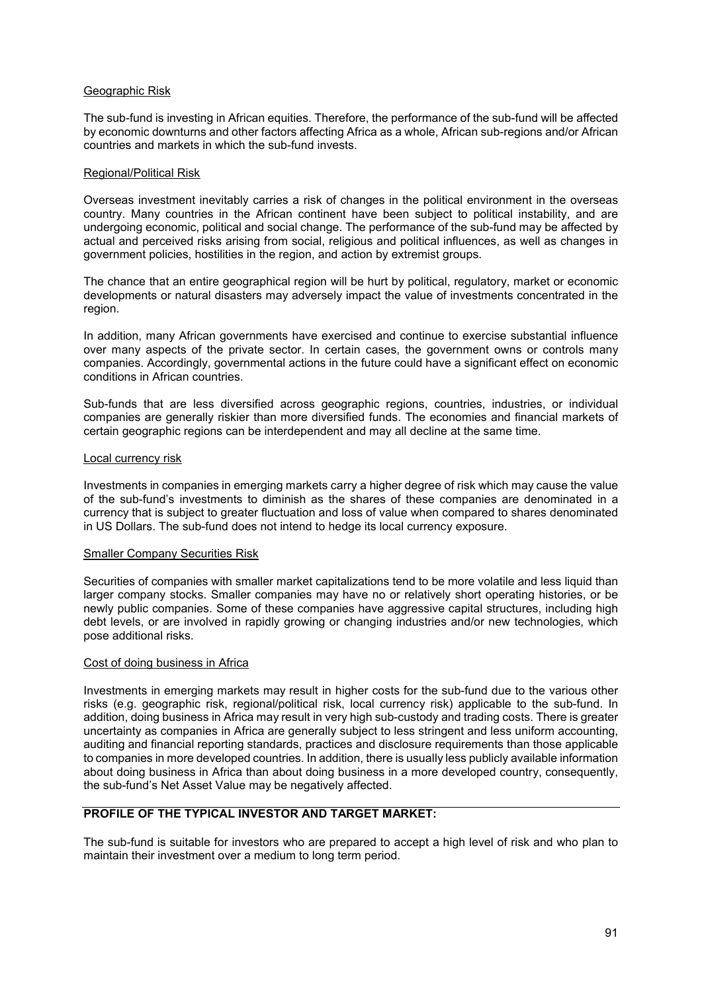#### Geographic Risk

The sub-fund is investing in African equities. Therefore, the performance of the sub-fund will be affected by economic downturns and other factors affecting Africa as a whole, African sub-regions and/or African countries and markets in which the sub-fund invests.

#### Regional/Political Risk

Overseas investment inevitably carries a risk of changes in the political environment in the overseas country. Many countries in the African continent have been subject to political instability, and are undergoing economic, political and social change. The performance of the sub-fund may be affected by actual and perceived risks arising from social, religious and political influences, as well as changes in government policies, hostilities in the region, and action by extremist groups.

The chance that an entire geographical region will be hurt by political, regulatory, market or economic developments or natural disasters may adversely impact the value of investments concentrated in the region.

In addition, many African governments have exercised and continue to exercise substantial influence over many aspects of the private sector. In certain cases, the government owns or controls many companies. Accordingly, governmental actions in the future could have a significant effect on economic conditions in African countries.

Sub-funds that are less diversified across geographic regions, countries, industries, or individual companies are generally riskier than more diversified funds. The economies and financial markets of certain geographic regions can be interdependent and may all decline at the same time.

#### Local currency risk

Investments in companies in emerging markets carry a higher degree of risk which may cause the value of the sub-fund's investments to diminish as the shares of these companies are denominated in a currency that is subject to greater fluctuation and loss of value when compared to shares denominated in US Dollars. The sub-fund does not intend to hedge its local currency exposure.

#### Smaller Company Securities Risk

Securities of companies with smaller market capitalizations tend to be more volatile and less liquid than larger company stocks. Smaller companies may have no or relatively short operating histories, or be newly public companies. Some of these companies have aggressive capital structures, including high debt levels, or are involved in rapidly growing or changing industries and/or new technologies, which pose additional risks.

#### Cost of doing business in Africa

Investments in emerging markets may result in higher costs for the sub-fund due to the various other risks (e.g. geographic risk, regional/political risk, local currency risk) applicable to the sub-fund. In addition, doing business in Africa may result in very high sub-custody and trading costs. There is greater uncertainty as companies in Africa are generally subject to less stringent and less uniform accounting, auditing and financial reporting standards, practices and disclosure requirements than those applicable to companies in more developed countries. In addition, there is usually less publicly available information about doing business in Africa than about doing business in a more developed country, consequently, the sub-fund's Net Asset Value may be negatively affected.

# **PROFILE OF THE TYPICAL INVESTOR AND TARGET MARKET:**

The sub-fund is suitable for investors who are prepared to accept a high level of risk and who plan to maintain their investment over a medium to long term period.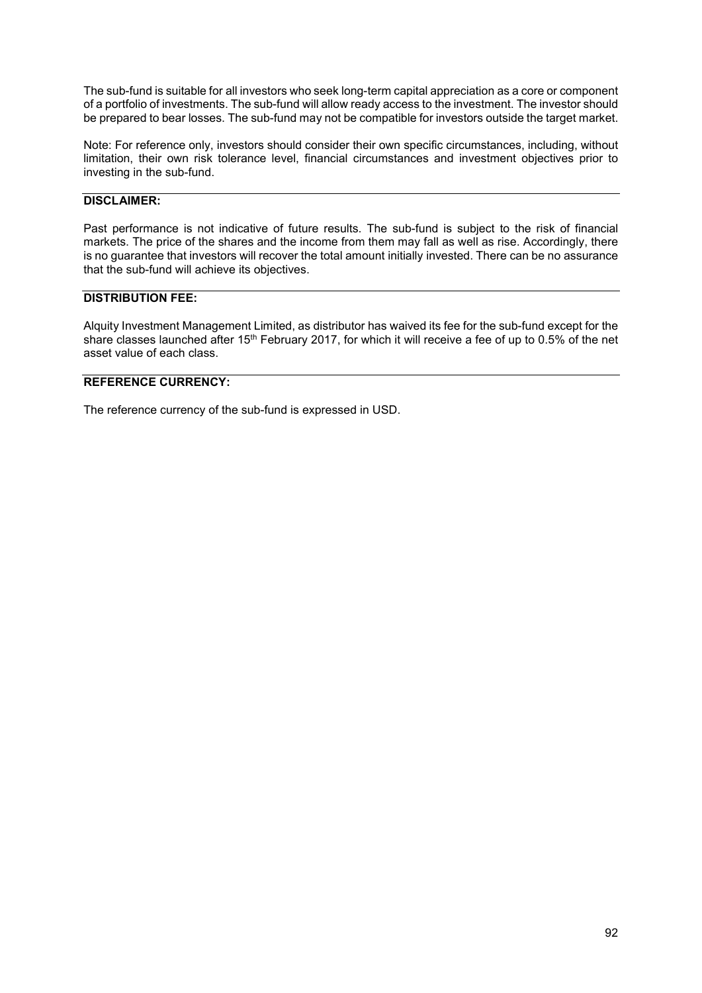The sub-fund is suitable for all investors who seek long-term capital appreciation as a core or component of a portfolio of investments. The sub-fund will allow ready access to the investment. The investor should be prepared to bear losses. The sub-fund may not be compatible for investors outside the target market.

Note: For reference only, investors should consider their own specific circumstances, including, without limitation, their own risk tolerance level, financial circumstances and investment objectives prior to investing in the sub-fund.

## **DISCLAIMER:**

Past performance is not indicative of future results. The sub-fund is subject to the risk of financial markets. The price of the shares and the income from them may fall as well as rise. Accordingly, there is no guarantee that investors will recover the total amount initially invested. There can be no assurance that the sub-fund will achieve its objectives.

#### **DISTRIBUTION FEE:**

Alquity Investment Management Limited, as distributor has waived its fee for the sub-fund except for the share classes launched after 15<sup>th</sup> February 2017, for which it will receive a fee of up to 0.5% of the net asset value of each class.

## **REFERENCE CURRENCY:**

The reference currency of the sub-fund is expressed in USD.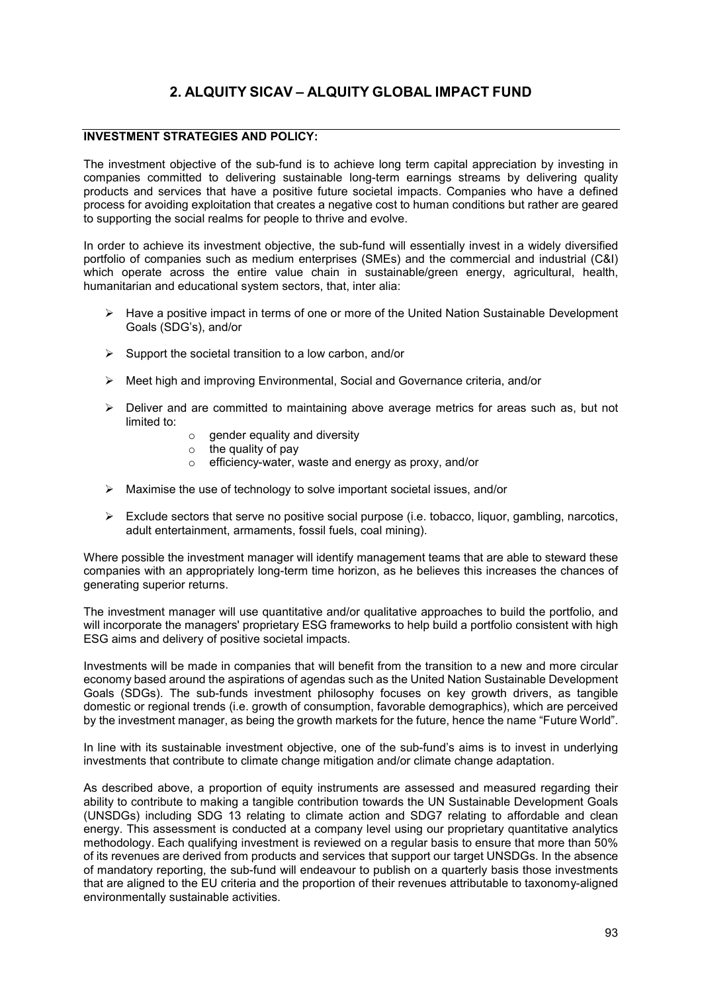# **2. ALQUITY SICAV – ALQUITY GLOBAL IMPACT FUND**

## **INVESTMENT STRATEGIES AND POLICY:**

The investment objective of the sub-fund is to achieve long term capital appreciation by investing in companies committed to delivering sustainable long-term earnings streams by delivering quality products and services that have a positive future societal impacts. Companies who have a defined process for avoiding exploitation that creates a negative cost to human conditions but rather are geared to supporting the social realms for people to thrive and evolve.

In order to achieve its investment objective, the sub-fund will essentially invest in a widely diversified portfolio of companies such as medium enterprises (SMEs) and the commercial and industrial (C&I) which operate across the entire value chain in sustainable/green energy, agricultural, health, humanitarian and educational system sectors, that, inter alia:

- ▶ Have a positive impact in terms of one or more of the United Nation Sustainable Development Goals (SDG's), and/or
- $\triangleright$  Support the societal transition to a low carbon, and/or
- Meet high and improving Environmental, Social and Governance criteria, and/or
- $\triangleright$  Deliver and are committed to maintaining above average metrics for areas such as, but not limited to:
	- $\circ$  gender equality and diversity
	- $\circ$  the quality of pay
	- o efficiency-water, waste and energy as proxy, and/or
- $\triangleright$  Maximise the use of technology to solve important societal issues, and/or
- $\triangleright$  Exclude sectors that serve no positive social purpose (i.e. tobacco, liquor, gambling, narcotics, adult entertainment, armaments, fossil fuels, coal mining).

Where possible the investment manager will identify management teams that are able to steward these companies with an appropriately long-term time horizon, as he believes this increases the chances of generating superior returns.

The investment manager will use quantitative and/or qualitative approaches to build the portfolio, and will incorporate the managers' proprietary ESG frameworks to help build a portfolio consistent with high ESG aims and delivery of positive societal impacts.

Investments will be made in companies that will benefit from the transition to a new and more circular economy based around the aspirations of agendas such as the United Nation Sustainable Development Goals (SDGs). The sub-funds investment philosophy focuses on key growth drivers, as tangible domestic or regional trends (i.e. growth of consumption, favorable demographics), which are perceived by the investment manager, as being the growth markets for the future, hence the name "Future World".

In line with its sustainable investment objective, one of the sub-fund's aims is to invest in underlying investments that contribute to climate change mitigation and/or climate change adaptation.

As described above, a proportion of equity instruments are assessed and measured regarding their ability to contribute to making a tangible contribution towards the UN Sustainable Development Goals (UNSDGs) including SDG 13 relating to climate action and SDG7 relating to affordable and clean energy. This assessment is conducted at a company level using our proprietary quantitative analytics methodology. Each qualifying investment is reviewed on a regular basis to ensure that more than 50% of its revenues are derived from products and services that support our target UNSDGs. In the absence of mandatory reporting, the sub-fund will endeavour to publish on a quarterly basis those investments that are aligned to the EU criteria and the proportion of their revenues attributable to taxonomy-aligned environmentally sustainable activities.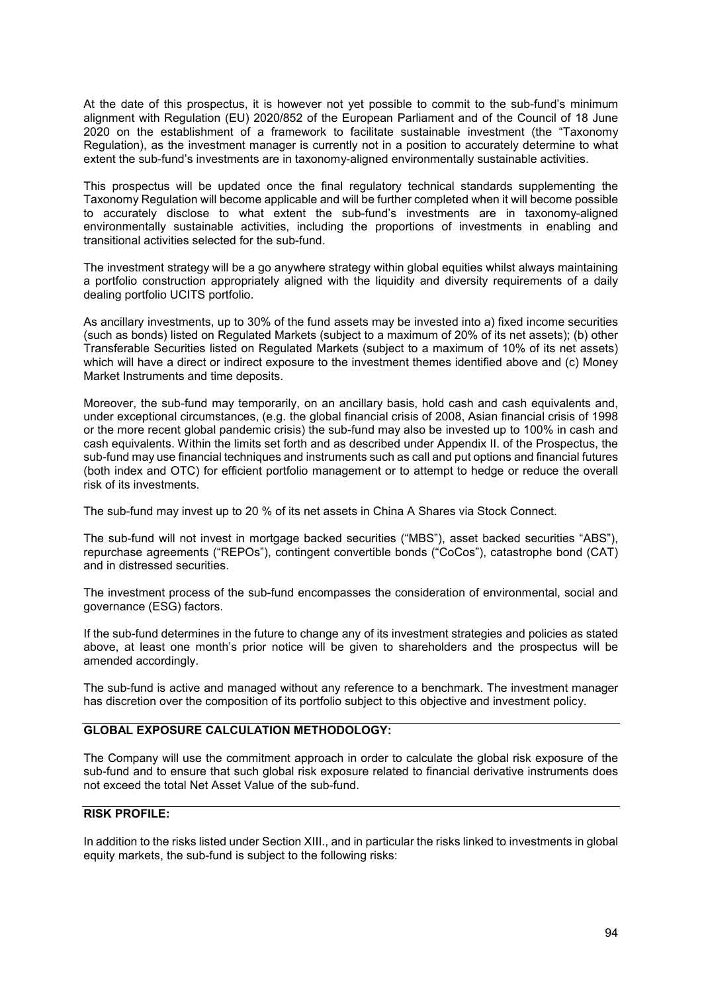At the date of this prospectus, it is however not yet possible to commit to the sub-fund's minimum alignment with Regulation (EU) 2020/852 of the European Parliament and of the Council of 18 June 2020 on the establishment of a framework to facilitate sustainable investment (the "Taxonomy Regulation), as the investment manager is currently not in a position to accurately determine to what extent the sub-fund's investments are in taxonomy-aligned environmentally sustainable activities.

This prospectus will be updated once the final regulatory technical standards supplementing the Taxonomy Regulation will become applicable and will be further completed when it will become possible to accurately disclose to what extent the sub-fund's investments are in taxonomy-aligned environmentally sustainable activities, including the proportions of investments in enabling and transitional activities selected for the sub-fund.

The investment strategy will be a go anywhere strategy within global equities whilst always maintaining a portfolio construction appropriately aligned with the liquidity and diversity requirements of a daily dealing portfolio UCITS portfolio.

As ancillary investments, up to 30% of the fund assets may be invested into a) fixed income securities (such as bonds) listed on Regulated Markets (subject to a maximum of 20% of its net assets); (b) other Transferable Securities listed on Regulated Markets (subject to a maximum of 10% of its net assets) which will have a direct or indirect exposure to the investment themes identified above and (c) Money Market Instruments and time deposits.

Moreover, the sub-fund may temporarily, on an ancillary basis, hold cash and cash equivalents and, under exceptional circumstances, (e.g. the global financial crisis of 2008, Asian financial crisis of 1998 or the more recent global pandemic crisis) the sub-fund may also be invested up to 100% in cash and cash equivalents. Within the limits set forth and as described under Appendix II. of the Prospectus, the sub-fund may use financial techniques and instruments such as call and put options and financial futures (both index and OTC) for efficient portfolio management or to attempt to hedge or reduce the overall risk of its investments.

The sub-fund may invest up to 20 % of its net assets in China A Shares via Stock Connect.

The sub-fund will not invest in mortgage backed securities ("MBS"), asset backed securities "ABS"), repurchase agreements ("REPOs"), contingent convertible bonds ("CoCos"), catastrophe bond (CAT) and in distressed securities.

The investment process of the sub-fund encompasses the consideration of environmental, social and governance (ESG) factors.

If the sub-fund determines in the future to change any of its investment strategies and policies as stated above, at least one month's prior notice will be given to shareholders and the prospectus will be amended accordingly.

The sub-fund is active and managed without any reference to a benchmark. The investment manager has discretion over the composition of its portfolio subject to this objective and investment policy.

## **GLOBAL EXPOSURE CALCULATION METHODOLOGY:**

The Company will use the commitment approach in order to calculate the global risk exposure of the sub-fund and to ensure that such global risk exposure related to financial derivative instruments does not exceed the total Net Asset Value of the sub-fund.

# **RISK PROFILE:**

In addition to the risks listed under Section XIII., and in particular the risks linked to investments in global equity markets, the sub-fund is subject to the following risks: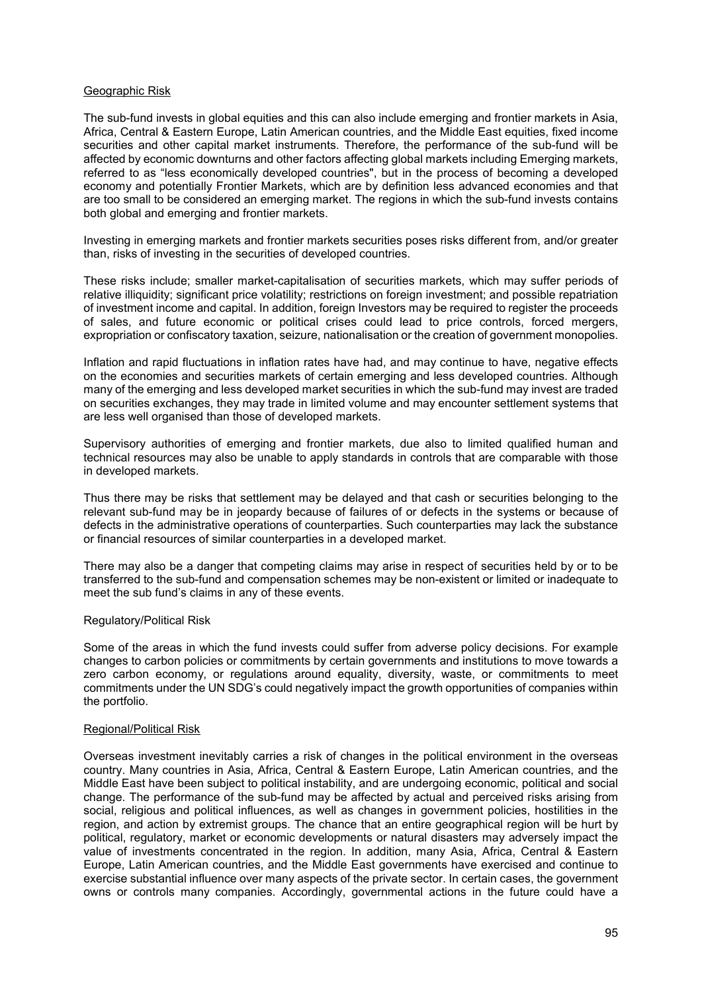#### Geographic Risk

The sub-fund invests in global equities and this can also include emerging and frontier markets in Asia, Africa, Central & Eastern Europe, Latin American countries, and the Middle East equities, fixed income securities and other capital market instruments. Therefore, the performance of the sub-fund will be affected by economic downturns and other factors affecting global markets including Emerging markets, referred to as "less economically developed countries", but in the process of becoming a developed economy and potentially Frontier Markets, which are by definition less advanced economies and that are too small to be considered an emerging market. The regions in which the sub-fund invests contains both global and emerging and frontier markets.

Investing in emerging markets and frontier markets securities poses risks different from, and/or greater than, risks of investing in the securities of developed countries.

These risks include; smaller market-capitalisation of securities markets, which may suffer periods of relative illiquidity; significant price volatility; restrictions on foreign investment; and possible repatriation of investment income and capital. In addition, foreign Investors may be required to register the proceeds of sales, and future economic or political crises could lead to price controls, forced mergers, expropriation or confiscatory taxation, seizure, nationalisation or the creation of government monopolies.

Inflation and rapid fluctuations in inflation rates have had, and may continue to have, negative effects on the economies and securities markets of certain emerging and less developed countries. Although many of the emerging and less developed market securities in which the sub-fund may invest are traded on securities exchanges, they may trade in limited volume and may encounter settlement systems that are less well organised than those of developed markets.

Supervisory authorities of emerging and frontier markets, due also to limited qualified human and technical resources may also be unable to apply standards in controls that are comparable with those in developed markets.

Thus there may be risks that settlement may be delayed and that cash or securities belonging to the relevant sub-fund may be in jeopardy because of failures of or defects in the systems or because of defects in the administrative operations of counterparties. Such counterparties may lack the substance or financial resources of similar counterparties in a developed market.

There may also be a danger that competing claims may arise in respect of securities held by or to be transferred to the sub-fund and compensation schemes may be non-existent or limited or inadequate to meet the sub fund's claims in any of these events.

#### Regulatory/Political Risk

Some of the areas in which the fund invests could suffer from adverse policy decisions. For example changes to carbon policies or commitments by certain governments and institutions to move towards a zero carbon economy, or regulations around equality, diversity, waste, or commitments to meet commitments under the UN SDG's could negatively impact the growth opportunities of companies within the portfolio.

#### Regional/Political Risk

Overseas investment inevitably carries a risk of changes in the political environment in the overseas country. Many countries in Asia, Africa, Central & Eastern Europe, Latin American countries, and the Middle East have been subject to political instability, and are undergoing economic, political and social change. The performance of the sub-fund may be affected by actual and perceived risks arising from social, religious and political influences, as well as changes in government policies, hostilities in the region, and action by extremist groups. The chance that an entire geographical region will be hurt by political, regulatory, market or economic developments or natural disasters may adversely impact the value of investments concentrated in the region. In addition, many Asia, Africa, Central & Eastern Europe, Latin American countries, and the Middle East governments have exercised and continue to exercise substantial influence over many aspects of the private sector. In certain cases, the government owns or controls many companies. Accordingly, governmental actions in the future could have a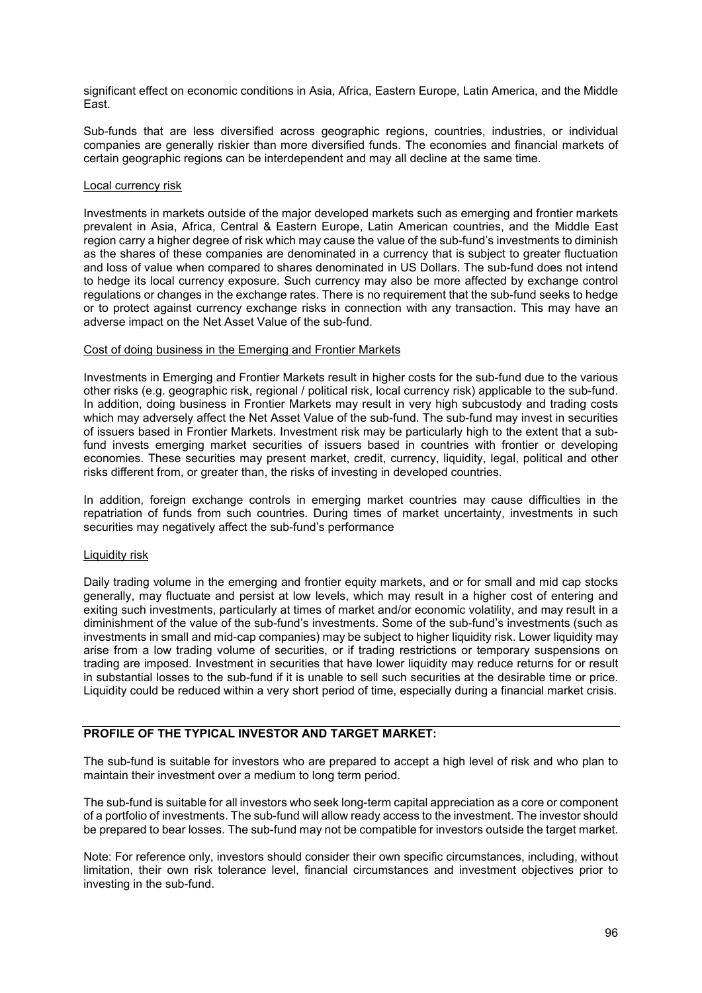significant effect on economic conditions in Asia, Africa, Eastern Europe, Latin America, and the Middle East.

Sub-funds that are less diversified across geographic regions, countries, industries, or individual companies are generally riskier than more diversified funds. The economies and financial markets of certain geographic regions can be interdependent and may all decline at the same time.

#### Local currency risk

Investments in markets outside of the major developed markets such as emerging and frontier markets prevalent in Asia, Africa, Central & Eastern Europe, Latin American countries, and the Middle East region carry a higher degree of risk which may cause the value of the sub-fund's investments to diminish as the shares of these companies are denominated in a currency that is subject to greater fluctuation and loss of value when compared to shares denominated in US Dollars. The sub-fund does not intend to hedge its local currency exposure. Such currency may also be more affected by exchange control regulations or changes in the exchange rates. There is no requirement that the sub-fund seeks to hedge or to protect against currency exchange risks in connection with any transaction. This may have an adverse impact on the Net Asset Value of the sub-fund.

#### Cost of doing business in the Emerging and Frontier Markets

Investments in Emerging and Frontier Markets result in higher costs for the sub-fund due to the various other risks (e.g. geographic risk, regional / political risk, local currency risk) applicable to the sub-fund. In addition, doing business in Frontier Markets may result in very high subcustody and trading costs which may adversely affect the Net Asset Value of the sub-fund. The sub-fund may invest in securities of issuers based in Frontier Markets. Investment risk may be particularly high to the extent that a subfund invests emerging market securities of issuers based in countries with frontier or developing economies. These securities may present market, credit, currency, liquidity, legal, political and other risks different from, or greater than, the risks of investing in developed countries.

In addition, foreign exchange controls in emerging market countries may cause difficulties in the repatriation of funds from such countries. During times of market uncertainty, investments in such securities may negatively affect the sub-fund's performance

#### Liquidity risk

Daily trading volume in the emerging and frontier equity markets, and or for small and mid cap stocks generally, may fluctuate and persist at low levels, which may result in a higher cost of entering and exiting such investments, particularly at times of market and/or economic volatility, and may result in a diminishment of the value of the sub-fund's investments. Some of the sub-fund's investments (such as investments in small and mid-cap companies) may be subject to higher liquidity risk. Lower liquidity may arise from a low trading volume of securities, or if trading restrictions or temporary suspensions on trading are imposed. Investment in securities that have lower liquidity may reduce returns for or result in substantial losses to the sub-fund if it is unable to sell such securities at the desirable time or price. Liquidity could be reduced within a very short period of time, especially during a financial market crisis.

## **PROFILE OF THE TYPICAL INVESTOR AND TARGET MARKET:**

The sub-fund is suitable for investors who are prepared to accept a high level of risk and who plan to maintain their investment over a medium to long term period.

The sub-fund is suitable for all investors who seek long-term capital appreciation as a core or component of a portfolio of investments. The sub-fund will allow ready access to the investment. The investor should be prepared to bear losses. The sub-fund may not be compatible for investors outside the target market.

Note: For reference only, investors should consider their own specific circumstances, including, without limitation, their own risk tolerance level, financial circumstances and investment objectives prior to investing in the sub-fund.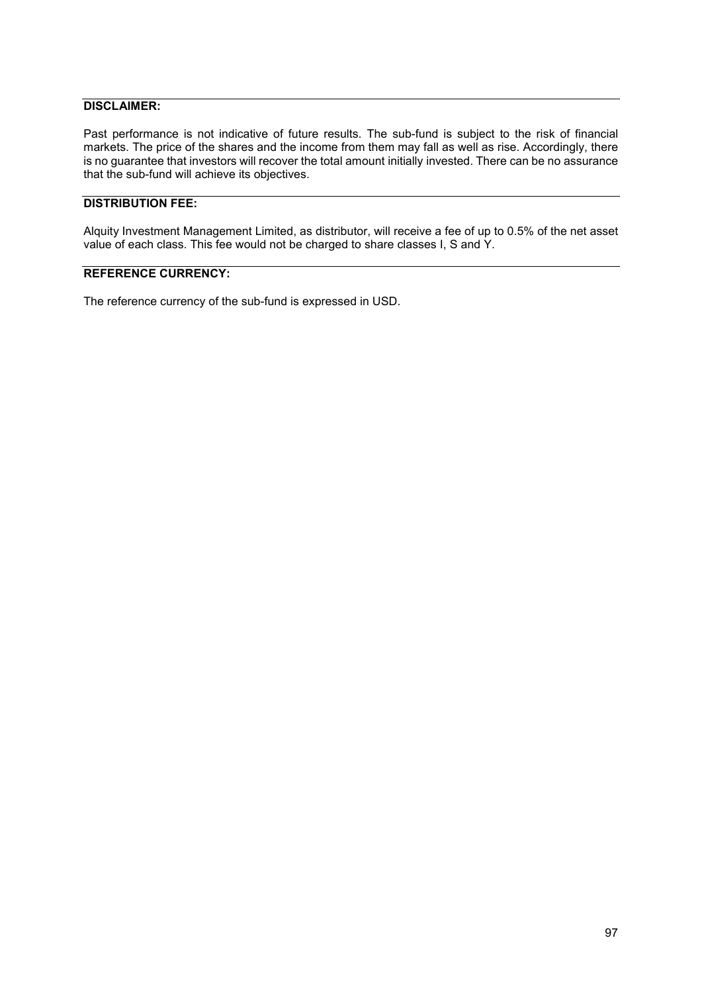## **DISCLAIMER:**

Past performance is not indicative of future results. The sub-fund is subject to the risk of financial markets. The price of the shares and the income from them may fall as well as rise. Accordingly, there is no guarantee that investors will recover the total amount initially invested. There can be no assurance that the sub-fund will achieve its objectives.

## **DISTRIBUTION FEE:**

Alquity Investment Management Limited, as distributor, will receive a fee of up to 0.5% of the net asset value of each class. This fee would not be charged to share classes I, S and Y.

## **REFERENCE CURRENCY:**

The reference currency of the sub-fund is expressed in USD.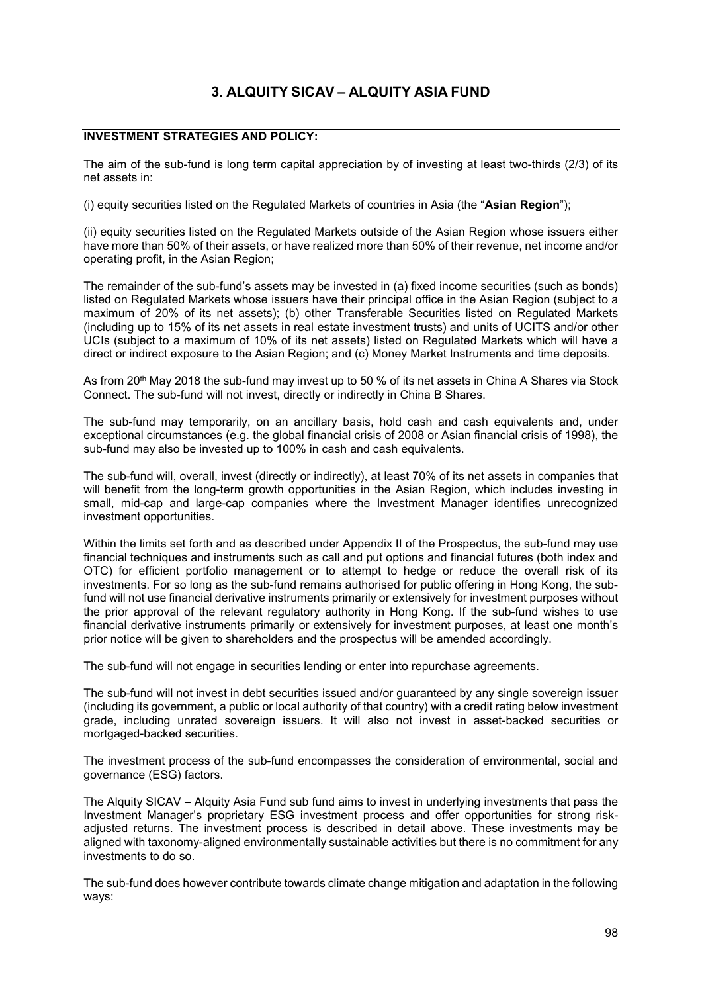# **3. ALQUITY SICAV – ALQUITY ASIA FUND**

## **INVESTMENT STRATEGIES AND POLICY:**

The aim of the sub-fund is long term capital appreciation by of investing at least two-thirds (2/3) of its net assets in:

(i) equity securities listed on the Regulated Markets of countries in Asia (the "**Asian Region**");

(ii) equity securities listed on the Regulated Markets outside of the Asian Region whose issuers either have more than 50% of their assets, or have realized more than 50% of their revenue, net income and/or operating profit, in the Asian Region;

The remainder of the sub-fund's assets may be invested in (a) fixed income securities (such as bonds) listed on Regulated Markets whose issuers have their principal office in the Asian Region (subject to a maximum of 20% of its net assets); (b) other Transferable Securities listed on Regulated Markets (including up to 15% of its net assets in real estate investment trusts) and units of UCITS and/or other UCIs (subject to a maximum of 10% of its net assets) listed on Regulated Markets which will have a direct or indirect exposure to the Asian Region; and (c) Money Market Instruments and time deposits.

As from 20<sup>th</sup> May 2018 the sub-fund may invest up to 50 % of its net assets in China A Shares via Stock Connect. The sub-fund will not invest, directly or indirectly in China B Shares.

The sub-fund may temporarily, on an ancillary basis, hold cash and cash equivalents and, under exceptional circumstances (e.g. the global financial crisis of 2008 or Asian financial crisis of 1998), the sub-fund may also be invested up to 100% in cash and cash equivalents.

The sub-fund will, overall, invest (directly or indirectly), at least 70% of its net assets in companies that will benefit from the long-term growth opportunities in the Asian Region, which includes investing in small, mid-cap and large-cap companies where the Investment Manager identifies unrecognized investment opportunities.

Within the limits set forth and as described under Appendix II of the Prospectus, the sub-fund may use financial techniques and instruments such as call and put options and financial futures (both index and OTC) for efficient portfolio management or to attempt to hedge or reduce the overall risk of its investments. For so long as the sub-fund remains authorised for public offering in Hong Kong, the subfund will not use financial derivative instruments primarily or extensively for investment purposes without the prior approval of the relevant regulatory authority in Hong Kong. If the sub-fund wishes to use financial derivative instruments primarily or extensively for investment purposes, at least one month's prior notice will be given to shareholders and the prospectus will be amended accordingly.

The sub-fund will not engage in securities lending or enter into repurchase agreements.

The sub-fund will not invest in debt securities issued and/or guaranteed by any single sovereign issuer (including its government, a public or local authority of that country) with a credit rating below investment grade, including unrated sovereign issuers. It will also not invest in asset-backed securities or mortgaged-backed securities.

The investment process of the sub-fund encompasses the consideration of environmental, social and governance (ESG) factors.

The Alquity SICAV – Alquity Asia Fund sub fund aims to invest in underlying investments that pass the Investment Manager's proprietary ESG investment process and offer opportunities for strong riskadjusted returns. The investment process is described in detail above. These investments may be aligned with taxonomy-aligned environmentally sustainable activities but there is no commitment for any investments to do so.

The sub-fund does however contribute towards climate change mitigation and adaptation in the following ways: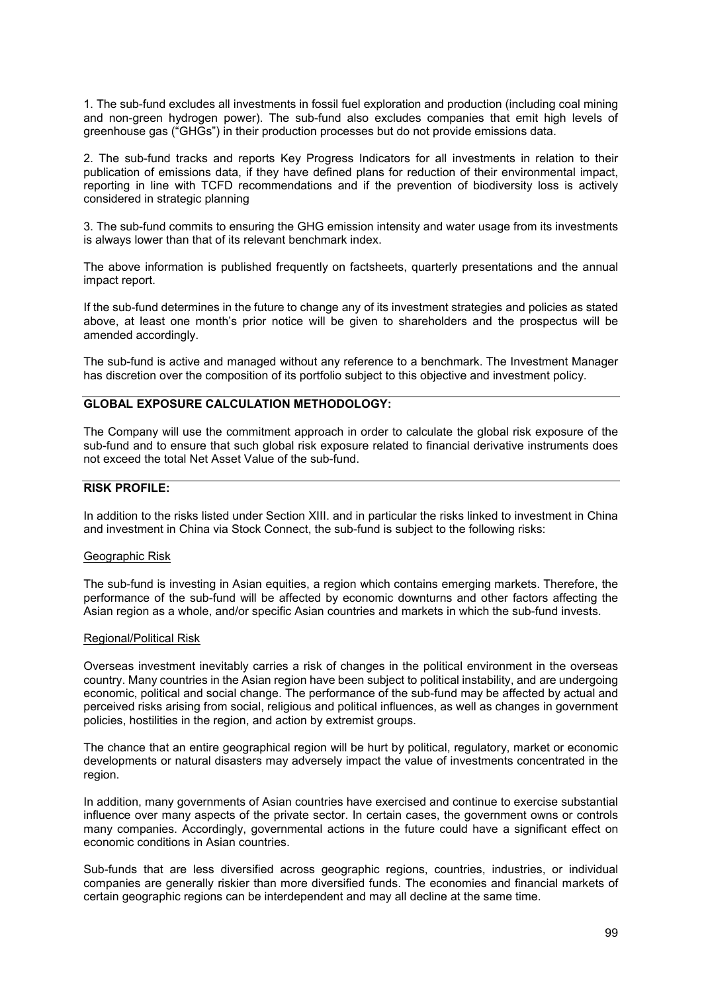1. The sub-fund excludes all investments in fossil fuel exploration and production (including coal mining and non-green hydrogen power). The sub-fund also excludes companies that emit high levels of greenhouse gas ("GHGs") in their production processes but do not provide emissions data.

2. The sub-fund tracks and reports Key Progress Indicators for all investments in relation to their publication of emissions data, if they have defined plans for reduction of their environmental impact, reporting in line with TCFD recommendations and if the prevention of biodiversity loss is actively considered in strategic planning

3. The sub-fund commits to ensuring the GHG emission intensity and water usage from its investments is always lower than that of its relevant benchmark index.

The above information is published frequently on factsheets, quarterly presentations and the annual impact report.

If the sub-fund determines in the future to change any of its investment strategies and policies as stated above, at least one month's prior notice will be given to shareholders and the prospectus will be amended accordingly.

The sub-fund is active and managed without any reference to a benchmark. The Investment Manager has discretion over the composition of its portfolio subject to this objective and investment policy.

#### **GLOBAL EXPOSURE CALCULATION METHODOLOGY:**

The Company will use the commitment approach in order to calculate the global risk exposure of the sub-fund and to ensure that such global risk exposure related to financial derivative instruments does not exceed the total Net Asset Value of the sub-fund.

## **RISK PROFILE:**

In addition to the risks listed under Section XIII. and in particular the risks linked to investment in China and investment in China via Stock Connect, the sub-fund is subject to the following risks:

#### Geographic Risk

The sub-fund is investing in Asian equities, a region which contains emerging markets. Therefore, the performance of the sub-fund will be affected by economic downturns and other factors affecting the Asian region as a whole, and/or specific Asian countries and markets in which the sub-fund invests.

#### Regional/Political Risk

Overseas investment inevitably carries a risk of changes in the political environment in the overseas country. Many countries in the Asian region have been subject to political instability, and are undergoing economic, political and social change. The performance of the sub-fund may be affected by actual and perceived risks arising from social, religious and political influences, as well as changes in government policies, hostilities in the region, and action by extremist groups.

The chance that an entire geographical region will be hurt by political, regulatory, market or economic developments or natural disasters may adversely impact the value of investments concentrated in the region.

In addition, many governments of Asian countries have exercised and continue to exercise substantial influence over many aspects of the private sector. In certain cases, the government owns or controls many companies. Accordingly, governmental actions in the future could have a significant effect on economic conditions in Asian countries.

Sub-funds that are less diversified across geographic regions, countries, industries, or individual companies are generally riskier than more diversified funds. The economies and financial markets of certain geographic regions can be interdependent and may all decline at the same time.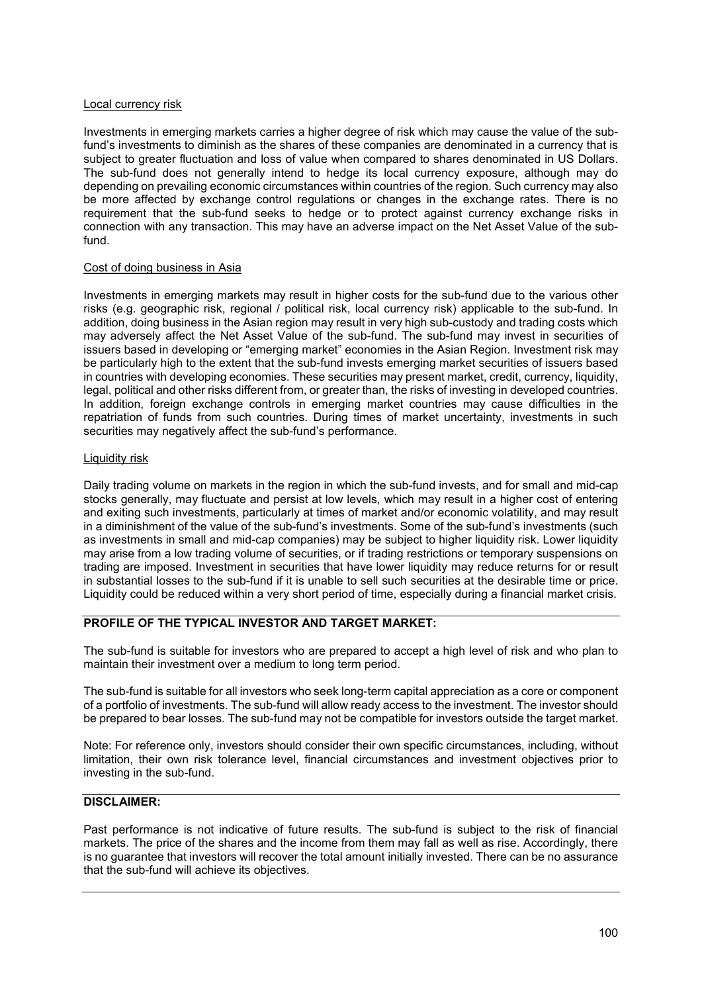#### Local currency risk

Investments in emerging markets carries a higher degree of risk which may cause the value of the subfund's investments to diminish as the shares of these companies are denominated in a currency that is subject to greater fluctuation and loss of value when compared to shares denominated in US Dollars. The sub-fund does not generally intend to hedge its local currency exposure, although may do depending on prevailing economic circumstances within countries of the region. Such currency may also be more affected by exchange control regulations or changes in the exchange rates. There is no requirement that the sub-fund seeks to hedge or to protect against currency exchange risks in connection with any transaction. This may have an adverse impact on the Net Asset Value of the subfund.

#### Cost of doing business in Asia

Investments in emerging markets may result in higher costs for the sub-fund due to the various other risks (e.g. geographic risk, regional / political risk, local currency risk) applicable to the sub-fund. In addition, doing business in the Asian region may result in very high sub-custody and trading costs which may adversely affect the Net Asset Value of the sub-fund. The sub-fund may invest in securities of issuers based in developing or "emerging market" economies in the Asian Region. Investment risk may be particularly high to the extent that the sub-fund invests emerging market securities of issuers based in countries with developing economies. These securities may present market, credit, currency, liquidity, legal, political and other risks different from, or greater than, the risks of investing in developed countries. In addition, foreign exchange controls in emerging market countries may cause difficulties in the repatriation of funds from such countries. During times of market uncertainty, investments in such securities may negatively affect the sub-fund's performance.

#### **Liquidity risk**

Daily trading volume on markets in the region in which the sub-fund invests, and for small and mid-cap stocks generally, may fluctuate and persist at low levels, which may result in a higher cost of entering and exiting such investments, particularly at times of market and/or economic volatility, and may result in a diminishment of the value of the sub-fund's investments. Some of the sub-fund's investments (such as investments in small and mid-cap companies) may be subject to higher liquidity risk. Lower liquidity may arise from a low trading volume of securities, or if trading restrictions or temporary suspensions on trading are imposed. Investment in securities that have lower liquidity may reduce returns for or result in substantial losses to the sub-fund if it is unable to sell such securities at the desirable time or price. Liquidity could be reduced within a very short period of time, especially during a financial market crisis.

#### **PROFILE OF THE TYPICAL INVESTOR AND TARGET MARKET:**

The sub-fund is suitable for investors who are prepared to accept a high level of risk and who plan to maintain their investment over a medium to long term period.

The sub-fund is suitable for all investors who seek long-term capital appreciation as a core or component of a portfolio of investments. The sub-fund will allow ready access to the investment. The investor should be prepared to bear losses. The sub-fund may not be compatible for investors outside the target market.

Note: For reference only, investors should consider their own specific circumstances, including, without limitation, their own risk tolerance level, financial circumstances and investment objectives prior to investing in the sub-fund.

## **DISCLAIMER:**

Past performance is not indicative of future results. The sub-fund is subject to the risk of financial markets. The price of the shares and the income from them may fall as well as rise. Accordingly, there is no guarantee that investors will recover the total amount initially invested. There can be no assurance that the sub-fund will achieve its objectives.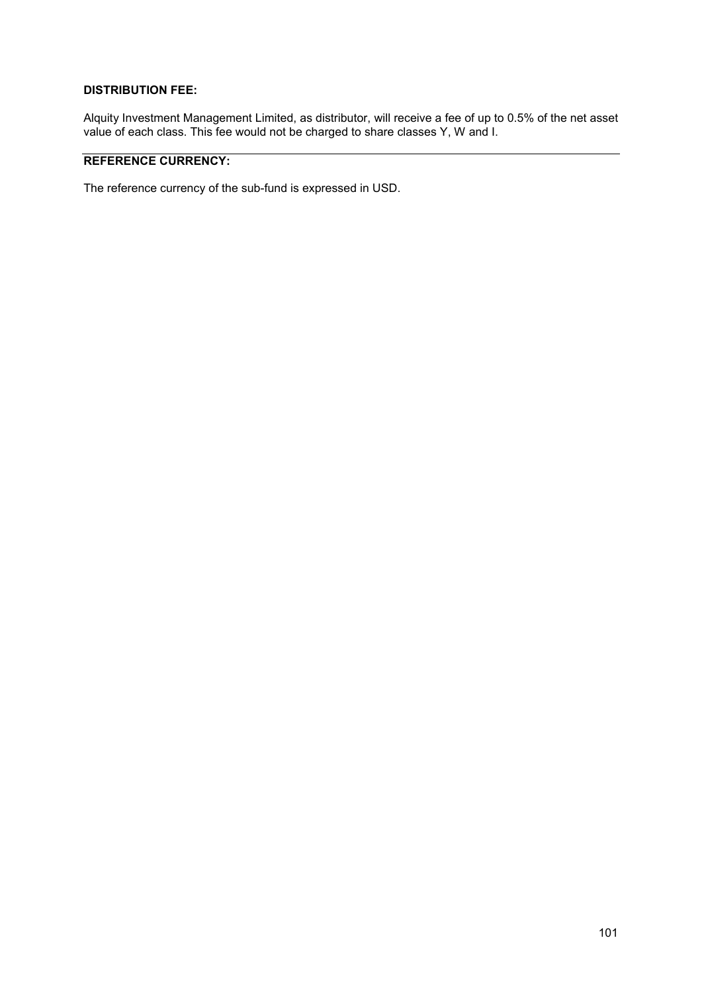## **DISTRIBUTION FEE:**

Alquity Investment Management Limited, as distributor, will receive a fee of up to 0.5% of the net asset value of each class. This fee would not be charged to share classes Y, W and I.

# **REFERENCE CURRENCY:**

The reference currency of the sub-fund is expressed in USD.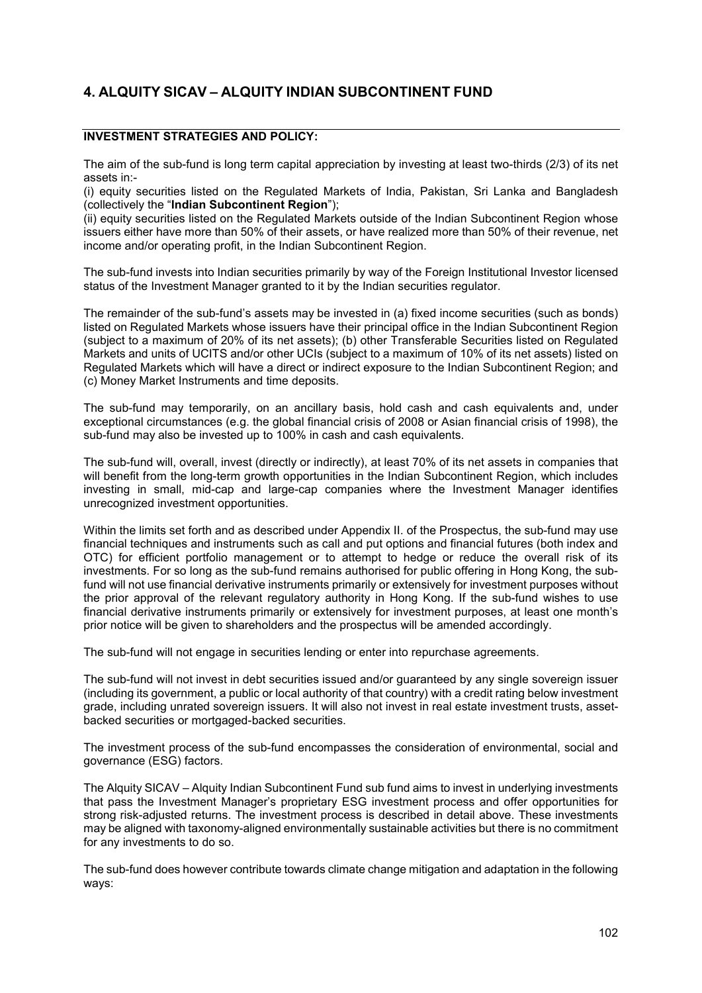# **4. ALQUITY SICAV – ALQUITY INDIAN SUBCONTINENT FUND**

## **INVESTMENT STRATEGIES AND POLICY:**

The aim of the sub-fund is long term capital appreciation by investing at least two-thirds (2/3) of its net assets in:-

(i) equity securities listed on the Regulated Markets of India, Pakistan, Sri Lanka and Bangladesh (collectively the "**Indian Subcontinent Region**");

(ii) equity securities listed on the Regulated Markets outside of the Indian Subcontinent Region whose issuers either have more than 50% of their assets, or have realized more than 50% of their revenue, net income and/or operating profit, in the Indian Subcontinent Region.

The sub-fund invests into Indian securities primarily by way of the Foreign Institutional Investor licensed status of the Investment Manager granted to it by the Indian securities regulator.

The remainder of the sub-fund's assets may be invested in (a) fixed income securities (such as bonds) listed on Regulated Markets whose issuers have their principal office in the Indian Subcontinent Region (subject to a maximum of 20% of its net assets); (b) other Transferable Securities listed on Regulated Markets and units of UCITS and/or other UCIs (subject to a maximum of 10% of its net assets) listed on Regulated Markets which will have a direct or indirect exposure to the Indian Subcontinent Region; and (c) Money Market Instruments and time deposits.

The sub-fund may temporarily, on an ancillary basis, hold cash and cash equivalents and, under exceptional circumstances (e.g. the global financial crisis of 2008 or Asian financial crisis of 1998), the sub-fund may also be invested up to 100% in cash and cash equivalents.

The sub-fund will, overall, invest (directly or indirectly), at least 70% of its net assets in companies that will benefit from the long-term growth opportunities in the Indian Subcontinent Region, which includes investing in small, mid-cap and large-cap companies where the Investment Manager identifies unrecognized investment opportunities.

Within the limits set forth and as described under Appendix II. of the Prospectus, the sub-fund may use financial techniques and instruments such as call and put options and financial futures (both index and OTC) for efficient portfolio management or to attempt to hedge or reduce the overall risk of its investments. For so long as the sub-fund remains authorised for public offering in Hong Kong, the subfund will not use financial derivative instruments primarily or extensively for investment purposes without the prior approval of the relevant regulatory authority in Hong Kong. If the sub-fund wishes to use financial derivative instruments primarily or extensively for investment purposes, at least one month's prior notice will be given to shareholders and the prospectus will be amended accordingly.

The sub-fund will not engage in securities lending or enter into repurchase agreements.

The sub-fund will not invest in debt securities issued and/or guaranteed by any single sovereign issuer (including its government, a public or local authority of that country) with a credit rating below investment grade, including unrated sovereign issuers. It will also not invest in real estate investment trusts, assetbacked securities or mortgaged-backed securities.

The investment process of the sub-fund encompasses the consideration of environmental, social and governance (ESG) factors.

The Alquity SICAV – Alquity Indian Subcontinent Fund sub fund aims to invest in underlying investments that pass the Investment Manager's proprietary ESG investment process and offer opportunities for strong risk-adjusted returns. The investment process is described in detail above. These investments may be aligned with taxonomy-aligned environmentally sustainable activities but there is no commitment for any investments to do so.

The sub-fund does however contribute towards climate change mitigation and adaptation in the following ways: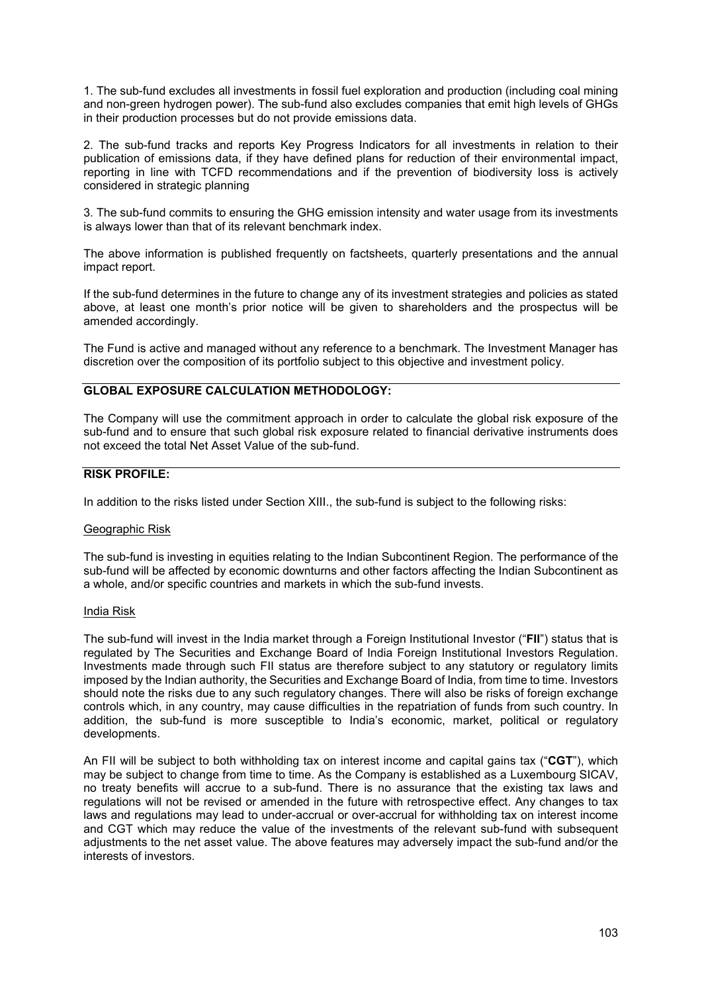1. The sub-fund excludes all investments in fossil fuel exploration and production (including coal mining and non-green hydrogen power). The sub-fund also excludes companies that emit high levels of GHGs in their production processes but do not provide emissions data.

2. The sub-fund tracks and reports Key Progress Indicators for all investments in relation to their publication of emissions data, if they have defined plans for reduction of their environmental impact, reporting in line with TCFD recommendations and if the prevention of biodiversity loss is actively considered in strategic planning

3. The sub-fund commits to ensuring the GHG emission intensity and water usage from its investments is always lower than that of its relevant benchmark index.

The above information is published frequently on factsheets, quarterly presentations and the annual impact report.

If the sub-fund determines in the future to change any of its investment strategies and policies as stated above, at least one month's prior notice will be given to shareholders and the prospectus will be amended accordingly.

The Fund is active and managed without any reference to a benchmark. The Investment Manager has discretion over the composition of its portfolio subject to this objective and investment policy.

## **GLOBAL EXPOSURE CALCULATION METHODOLOGY:**

The Company will use the commitment approach in order to calculate the global risk exposure of the sub-fund and to ensure that such global risk exposure related to financial derivative instruments does not exceed the total Net Asset Value of the sub-fund.

#### **RISK PROFILE:**

In addition to the risks listed under Section XIII., the sub-fund is subject to the following risks:

#### Geographic Risk

The sub-fund is investing in equities relating to the Indian Subcontinent Region. The performance of the sub-fund will be affected by economic downturns and other factors affecting the Indian Subcontinent as a whole, and/or specific countries and markets in which the sub-fund invests.

#### India Risk

The sub-fund will invest in the India market through a Foreign Institutional Investor ("**FII**") status that is regulated by The Securities and Exchange Board of India Foreign Institutional Investors Regulation. Investments made through such FII status are therefore subject to any statutory or regulatory limits imposed by the Indian authority, the Securities and Exchange Board of India, from time to time. Investors should note the risks due to any such regulatory changes. There will also be risks of foreign exchange controls which, in any country, may cause difficulties in the repatriation of funds from such country. In addition, the sub-fund is more susceptible to India's economic, market, political or regulatory developments.

An FII will be subject to both withholding tax on interest income and capital gains tax ("**CGT**"), which may be subject to change from time to time. As the Company is established as a Luxembourg SICAV, no treaty benefits will accrue to a sub-fund. There is no assurance that the existing tax laws and regulations will not be revised or amended in the future with retrospective effect. Any changes to tax laws and regulations may lead to under-accrual or over-accrual for withholding tax on interest income and CGT which may reduce the value of the investments of the relevant sub-fund with subsequent adjustments to the net asset value. The above features may adversely impact the sub-fund and/or the interests of investors.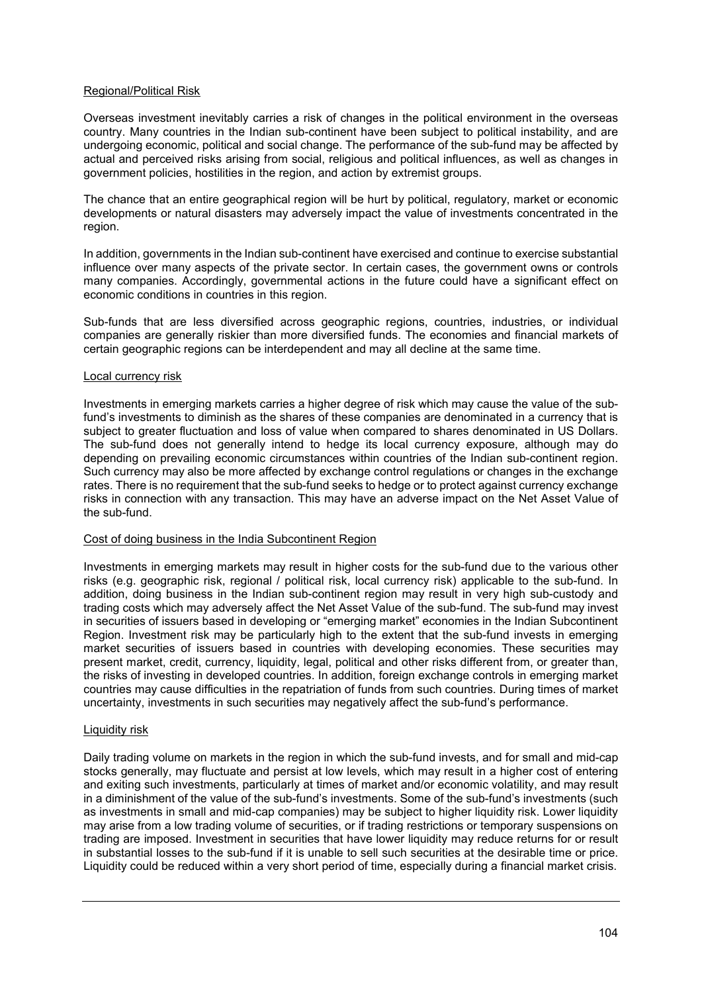#### Regional/Political Risk

Overseas investment inevitably carries a risk of changes in the political environment in the overseas country. Many countries in the Indian sub-continent have been subject to political instability, and are undergoing economic, political and social change. The performance of the sub-fund may be affected by actual and perceived risks arising from social, religious and political influences, as well as changes in government policies, hostilities in the region, and action by extremist groups.

The chance that an entire geographical region will be hurt by political, regulatory, market or economic developments or natural disasters may adversely impact the value of investments concentrated in the region.

In addition, governments in the Indian sub-continent have exercised and continue to exercise substantial influence over many aspects of the private sector. In certain cases, the government owns or controls many companies. Accordingly, governmental actions in the future could have a significant effect on economic conditions in countries in this region.

Sub-funds that are less diversified across geographic regions, countries, industries, or individual companies are generally riskier than more diversified funds. The economies and financial markets of certain geographic regions can be interdependent and may all decline at the same time.

#### Local currency risk

Investments in emerging markets carries a higher degree of risk which may cause the value of the subfund's investments to diminish as the shares of these companies are denominated in a currency that is subject to greater fluctuation and loss of value when compared to shares denominated in US Dollars. The sub-fund does not generally intend to hedge its local currency exposure, although may do depending on prevailing economic circumstances within countries of the Indian sub-continent region. Such currency may also be more affected by exchange control regulations or changes in the exchange rates. There is no requirement that the sub-fund seeks to hedge or to protect against currency exchange risks in connection with any transaction. This may have an adverse impact on the Net Asset Value of the sub-fund.

#### Cost of doing business in the India Subcontinent Region

Investments in emerging markets may result in higher costs for the sub-fund due to the various other risks (e.g. geographic risk, regional / political risk, local currency risk) applicable to the sub-fund. In addition, doing business in the Indian sub-continent region may result in very high sub-custody and trading costs which may adversely affect the Net Asset Value of the sub-fund. The sub-fund may invest in securities of issuers based in developing or "emerging market" economies in the Indian Subcontinent Region. Investment risk may be particularly high to the extent that the sub-fund invests in emerging market securities of issuers based in countries with developing economies. These securities may present market, credit, currency, liquidity, legal, political and other risks different from, or greater than, the risks of investing in developed countries. In addition, foreign exchange controls in emerging market countries may cause difficulties in the repatriation of funds from such countries. During times of market uncertainty, investments in such securities may negatively affect the sub-fund's performance.

#### Liquidity risk

Daily trading volume on markets in the region in which the sub-fund invests, and for small and mid-cap stocks generally, may fluctuate and persist at low levels, which may result in a higher cost of entering and exiting such investments, particularly at times of market and/or economic volatility, and may result in a diminishment of the value of the sub-fund's investments. Some of the sub-fund's investments (such as investments in small and mid-cap companies) may be subject to higher liquidity risk. Lower liquidity may arise from a low trading volume of securities, or if trading restrictions or temporary suspensions on trading are imposed. Investment in securities that have lower liquidity may reduce returns for or result in substantial losses to the sub-fund if it is unable to sell such securities at the desirable time or price. Liquidity could be reduced within a very short period of time, especially during a financial market crisis.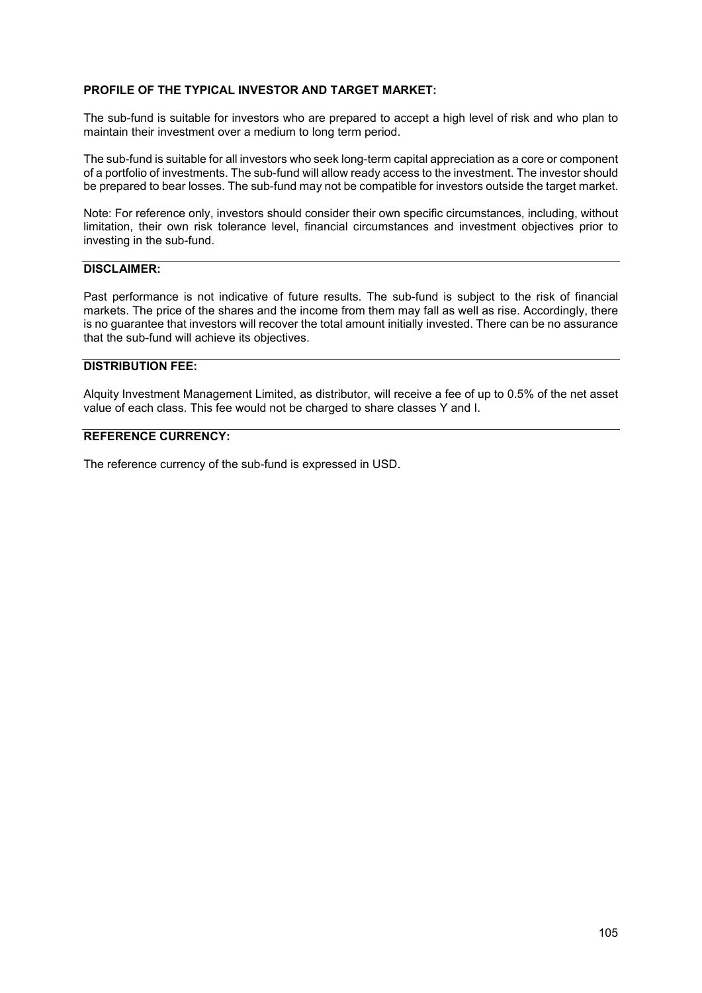#### **PROFILE OF THE TYPICAL INVESTOR AND TARGET MARKET:**

The sub-fund is suitable for investors who are prepared to accept a high level of risk and who plan to maintain their investment over a medium to long term period.

The sub-fund is suitable for all investors who seek long-term capital appreciation as a core or component of a portfolio of investments. The sub-fund will allow ready access to the investment. The investor should be prepared to bear losses. The sub-fund may not be compatible for investors outside the target market.

Note: For reference only, investors should consider their own specific circumstances, including, without limitation, their own risk tolerance level, financial circumstances and investment objectives prior to investing in the sub-fund.

## **DISCLAIMER:**

Past performance is not indicative of future results. The sub-fund is subject to the risk of financial markets. The price of the shares and the income from them may fall as well as rise. Accordingly, there is no guarantee that investors will recover the total amount initially invested. There can be no assurance that the sub-fund will achieve its objectives.

#### **DISTRIBUTION FEE:**

Alquity Investment Management Limited, as distributor, will receive a fee of up to 0.5% of the net asset value of each class. This fee would not be charged to share classes Y and I.

# **REFERENCE CURRENCY:**

The reference currency of the sub-fund is expressed in USD.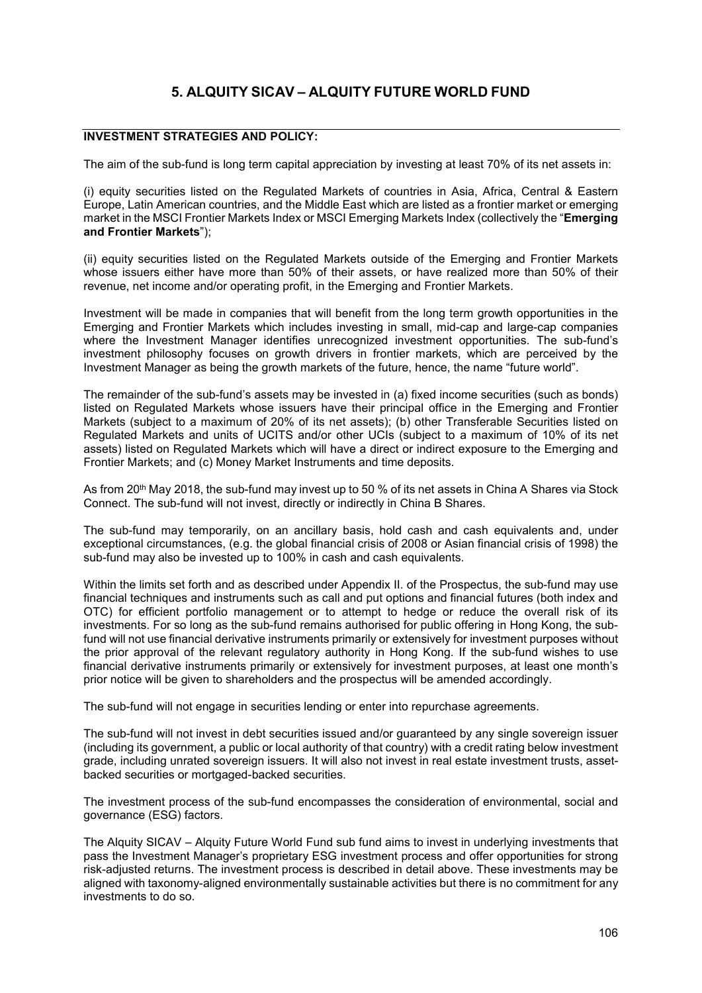## **INVESTMENT STRATEGIES AND POLICY:**

The aim of the sub-fund is long term capital appreciation by investing at least 70% of its net assets in:

(i) equity securities listed on the Regulated Markets of countries in Asia, Africa, Central & Eastern Europe, Latin American countries, and the Middle East which are listed as a frontier market or emerging market in the MSCI Frontier Markets Index or MSCI Emerging Markets Index (collectively the "**Emerging and Frontier Markets**");

(ii) equity securities listed on the Regulated Markets outside of the Emerging and Frontier Markets whose issuers either have more than 50% of their assets, or have realized more than 50% of their revenue, net income and/or operating profit, in the Emerging and Frontier Markets.

Investment will be made in companies that will benefit from the long term growth opportunities in the Emerging and Frontier Markets which includes investing in small, mid-cap and large-cap companies where the Investment Manager identifies unrecognized investment opportunities. The sub-fund's investment philosophy focuses on growth drivers in frontier markets, which are perceived by the Investment Manager as being the growth markets of the future, hence, the name "future world".

The remainder of the sub-fund's assets may be invested in (a) fixed income securities (such as bonds) listed on Regulated Markets whose issuers have their principal office in the Emerging and Frontier Markets (subject to a maximum of 20% of its net assets); (b) other Transferable Securities listed on Regulated Markets and units of UCITS and/or other UCIs (subject to a maximum of 10% of its net assets) listed on Regulated Markets which will have a direct or indirect exposure to the Emerging and Frontier Markets; and (c) Money Market Instruments and time deposits.

As from 20th May 2018, the sub-fund may invest up to 50 % of its net assets in China A Shares via Stock Connect. The sub-fund will not invest, directly or indirectly in China B Shares.

The sub-fund may temporarily, on an ancillary basis, hold cash and cash equivalents and, under exceptional circumstances, (e.g. the global financial crisis of 2008 or Asian financial crisis of 1998) the sub-fund may also be invested up to 100% in cash and cash equivalents.

Within the limits set forth and as described under Appendix II. of the Prospectus, the sub-fund may use financial techniques and instruments such as call and put options and financial futures (both index and OTC) for efficient portfolio management or to attempt to hedge or reduce the overall risk of its investments. For so long as the sub-fund remains authorised for public offering in Hong Kong, the subfund will not use financial derivative instruments primarily or extensively for investment purposes without the prior approval of the relevant regulatory authority in Hong Kong. If the sub-fund wishes to use financial derivative instruments primarily or extensively for investment purposes, at least one month's prior notice will be given to shareholders and the prospectus will be amended accordingly.

The sub-fund will not engage in securities lending or enter into repurchase agreements.

The sub-fund will not invest in debt securities issued and/or guaranteed by any single sovereign issuer (including its government, a public or local authority of that country) with a credit rating below investment grade, including unrated sovereign issuers. It will also not invest in real estate investment trusts, assetbacked securities or mortgaged-backed securities.

The investment process of the sub-fund encompasses the consideration of environmental, social and governance (ESG) factors.

The Alquity SICAV – Alquity Future World Fund sub fund aims to invest in underlying investments that pass the Investment Manager's proprietary ESG investment process and offer opportunities for strong risk-adjusted returns. The investment process is described in detail above. These investments may be aligned with taxonomy-aligned environmentally sustainable activities but there is no commitment for any investments to do so.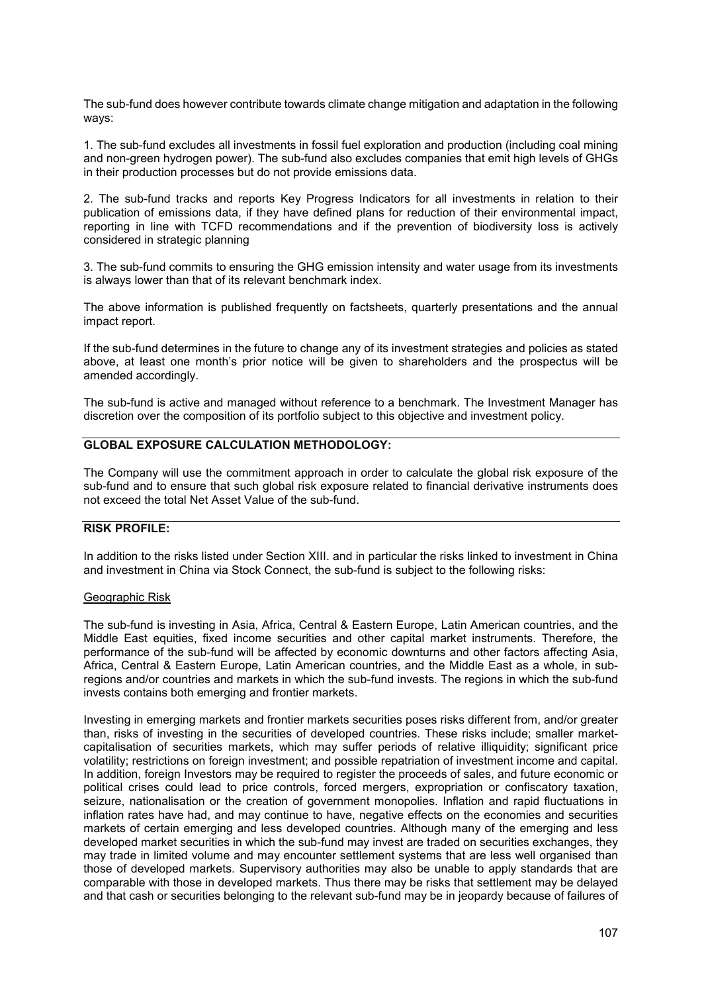The sub-fund does however contribute towards climate change mitigation and adaptation in the following ways:

1. The sub-fund excludes all investments in fossil fuel exploration and production (including coal mining and non-green hydrogen power). The sub-fund also excludes companies that emit high levels of GHGs in their production processes but do not provide emissions data.

2. The sub-fund tracks and reports Key Progress Indicators for all investments in relation to their publication of emissions data, if they have defined plans for reduction of their environmental impact, reporting in line with TCFD recommendations and if the prevention of biodiversity loss is actively considered in strategic planning

3. The sub-fund commits to ensuring the GHG emission intensity and water usage from its investments is always lower than that of its relevant benchmark index.

The above information is published frequently on factsheets, quarterly presentations and the annual impact report.

If the sub-fund determines in the future to change any of its investment strategies and policies as stated above, at least one month's prior notice will be given to shareholders and the prospectus will be amended accordingly.

The sub-fund is active and managed without reference to a benchmark. The Investment Manager has discretion over the composition of its portfolio subject to this objective and investment policy.

## **GLOBAL EXPOSURE CALCULATION METHODOLOGY:**

The Company will use the commitment approach in order to calculate the global risk exposure of the sub-fund and to ensure that such global risk exposure related to financial derivative instruments does not exceed the total Net Asset Value of the sub-fund.

## **RISK PROFILE:**

In addition to the risks listed under Section XIII. and in particular the risks linked to investment in China and investment in China via Stock Connect, the sub-fund is subject to the following risks:

#### Geographic Risk

The sub-fund is investing in Asia, Africa, Central & Eastern Europe, Latin American countries, and the Middle East equities, fixed income securities and other capital market instruments. Therefore, the performance of the sub-fund will be affected by economic downturns and other factors affecting Asia, Africa, Central & Eastern Europe, Latin American countries, and the Middle East as a whole, in subregions and/or countries and markets in which the sub-fund invests. The regions in which the sub-fund invests contains both emerging and frontier markets.

Investing in emerging markets and frontier markets securities poses risks different from, and/or greater than, risks of investing in the securities of developed countries. These risks include; smaller marketcapitalisation of securities markets, which may suffer periods of relative illiquidity; significant price volatility; restrictions on foreign investment; and possible repatriation of investment income and capital. In addition, foreign Investors may be required to register the proceeds of sales, and future economic or political crises could lead to price controls, forced mergers, expropriation or confiscatory taxation, seizure, nationalisation or the creation of government monopolies. Inflation and rapid fluctuations in inflation rates have had, and may continue to have, negative effects on the economies and securities markets of certain emerging and less developed countries. Although many of the emerging and less developed market securities in which the sub-fund may invest are traded on securities exchanges, they may trade in limited volume and may encounter settlement systems that are less well organised than those of developed markets. Supervisory authorities may also be unable to apply standards that are comparable with those in developed markets. Thus there may be risks that settlement may be delayed and that cash or securities belonging to the relevant sub-fund may be in jeopardy because of failures of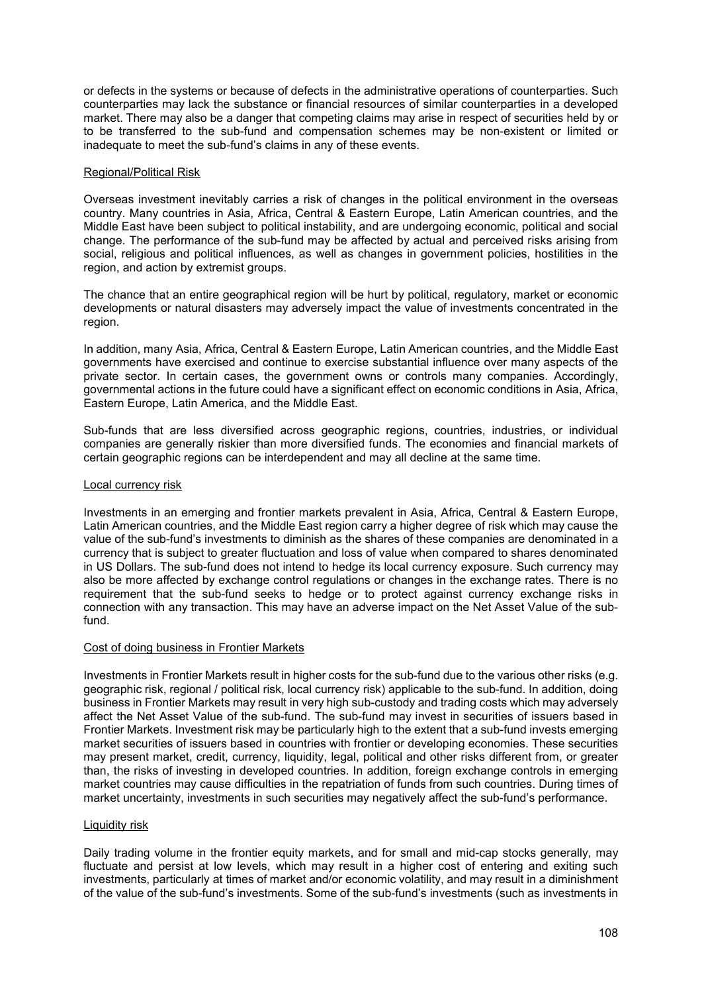or defects in the systems or because of defects in the administrative operations of counterparties. Such counterparties may lack the substance or financial resources of similar counterparties in a developed market. There may also be a danger that competing claims may arise in respect of securities held by or to be transferred to the sub-fund and compensation schemes may be non-existent or limited or inadequate to meet the sub-fund's claims in any of these events.

#### Regional/Political Risk

Overseas investment inevitably carries a risk of changes in the political environment in the overseas country. Many countries in Asia, Africa, Central & Eastern Europe, Latin American countries, and the Middle East have been subject to political instability, and are undergoing economic, political and social change. The performance of the sub-fund may be affected by actual and perceived risks arising from social, religious and political influences, as well as changes in government policies, hostilities in the region, and action by extremist groups.

The chance that an entire geographical region will be hurt by political, regulatory, market or economic developments or natural disasters may adversely impact the value of investments concentrated in the region.

In addition, many Asia, Africa, Central & Eastern Europe, Latin American countries, and the Middle East governments have exercised and continue to exercise substantial influence over many aspects of the private sector. In certain cases, the government owns or controls many companies. Accordingly, governmental actions in the future could have a significant effect on economic conditions in Asia, Africa, Eastern Europe, Latin America, and the Middle East.

Sub-funds that are less diversified across geographic regions, countries, industries, or individual companies are generally riskier than more diversified funds. The economies and financial markets of certain geographic regions can be interdependent and may all decline at the same time.

#### Local currency risk

Investments in an emerging and frontier markets prevalent in Asia, Africa, Central & Eastern Europe, Latin American countries, and the Middle East region carry a higher degree of risk which may cause the value of the sub-fund's investments to diminish as the shares of these companies are denominated in a currency that is subject to greater fluctuation and loss of value when compared to shares denominated in US Dollars. The sub-fund does not intend to hedge its local currency exposure. Such currency may also be more affected by exchange control regulations or changes in the exchange rates. There is no requirement that the sub-fund seeks to hedge or to protect against currency exchange risks in connection with any transaction. This may have an adverse impact on the Net Asset Value of the subfund.

#### Cost of doing business in Frontier Markets

Investments in Frontier Markets result in higher costs for the sub-fund due to the various other risks (e.g. geographic risk, regional / political risk, local currency risk) applicable to the sub-fund. In addition, doing business in Frontier Markets may result in very high sub-custody and trading costs which may adversely affect the Net Asset Value of the sub-fund. The sub-fund may invest in securities of issuers based in Frontier Markets. Investment risk may be particularly high to the extent that a sub-fund invests emerging market securities of issuers based in countries with frontier or developing economies. These securities may present market, credit, currency, liquidity, legal, political and other risks different from, or greater than, the risks of investing in developed countries. In addition, foreign exchange controls in emerging market countries may cause difficulties in the repatriation of funds from such countries. During times of market uncertainty, investments in such securities may negatively affect the sub-fund's performance.

#### Liquidity risk

Daily trading volume in the frontier equity markets, and for small and mid-cap stocks generally, may fluctuate and persist at low levels, which may result in a higher cost of entering and exiting such investments, particularly at times of market and/or economic volatility, and may result in a diminishment of the value of the sub-fund's investments. Some of the sub-fund's investments (such as investments in